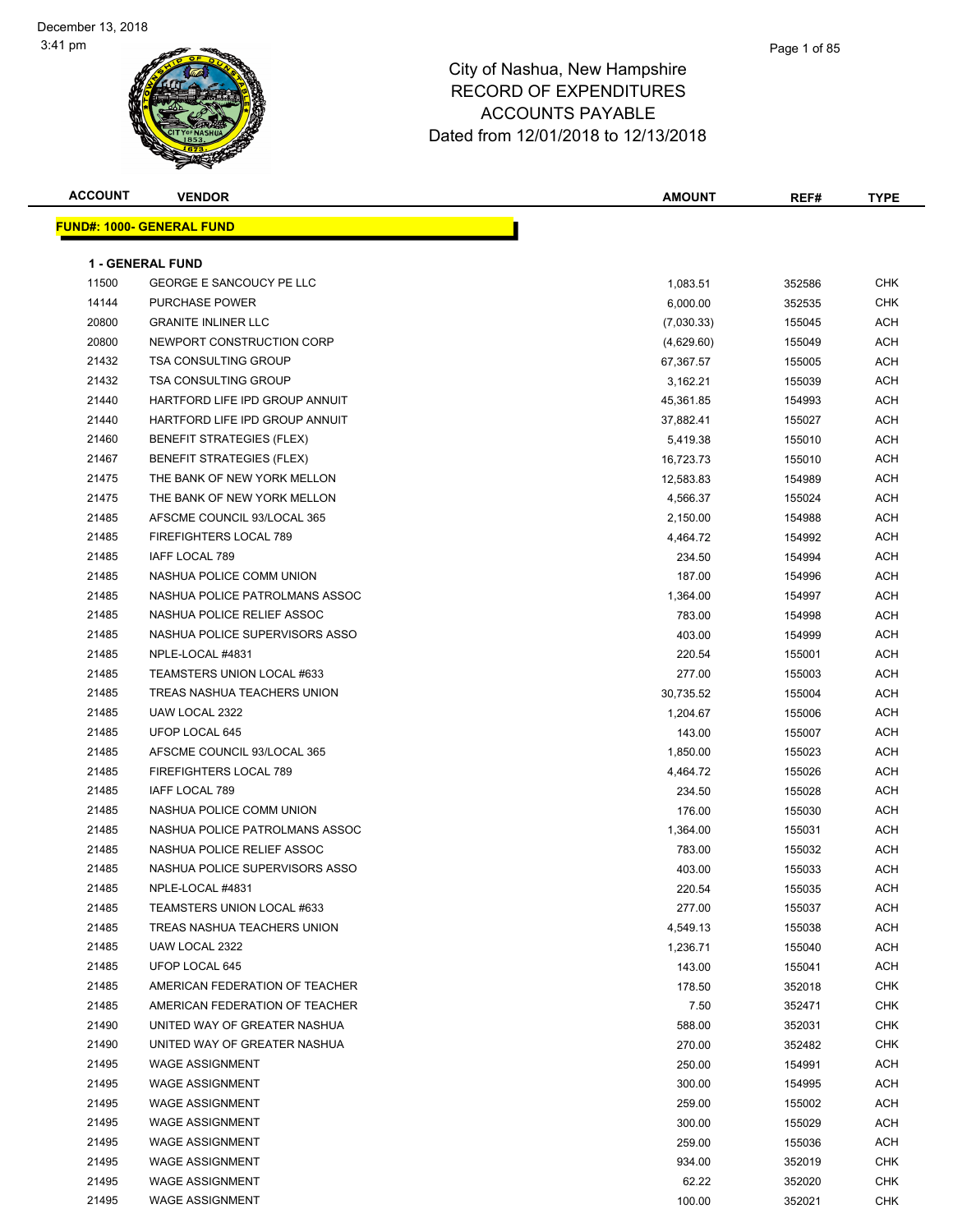### Page 1 of 85

| <b>ACCOUNT</b> | <b>VENDOR</b>                    | <b>AMOUNT</b> | REF#   | <b>TYPE</b> |
|----------------|----------------------------------|---------------|--------|-------------|
|                | <b>FUND#: 1000- GENERAL FUND</b> |               |        |             |
|                |                                  |               |        |             |
|                | <b>1 - GENERAL FUND</b>          |               |        |             |
| 11500          | <b>GEORGE E SANCOUCY PE LLC</b>  | 1,083.51      | 352586 | <b>CHK</b>  |
| 14144          | <b>PURCHASE POWER</b>            | 6,000.00      | 352535 | <b>CHK</b>  |
| 20800          | <b>GRANITE INLINER LLC</b>       | (7,030.33)    | 155045 | <b>ACH</b>  |
| 20800          | NEWPORT CONSTRUCTION CORP        | (4,629.60)    | 155049 | ACH         |
| 21432          | <b>TSA CONSULTING GROUP</b>      | 67,367.57     | 155005 | ACH         |
| 21432          | <b>TSA CONSULTING GROUP</b>      | 3,162.21      | 155039 | ACH         |
| 21440          | HARTFORD LIFE IPD GROUP ANNUIT   | 45,361.85     | 154993 | ACH         |
| 21440          | HARTFORD LIFE IPD GROUP ANNUIT   | 37,882.41     | 155027 | ACH         |
| 21460          | <b>BENEFIT STRATEGIES (FLEX)</b> | 5,419.38      | 155010 | ACH         |
| 21467          | <b>BENEFIT STRATEGIES (FLEX)</b> | 16,723.73     | 155010 | ACH         |
| 21475          | THE BANK OF NEW YORK MELLON      | 12,583.83     | 154989 | ACH         |
| 21475          | THE BANK OF NEW YORK MELLON      | 4,566.37      | 155024 | ACH         |
| 21485          | AFSCME COUNCIL 93/LOCAL 365      | 2,150.00      | 154988 | ACH         |
| 21485          | FIREFIGHTERS LOCAL 789           | 4,464.72      | 154992 | ACH         |
| 21485          | <b>IAFF LOCAL 789</b>            | 234.50        | 154994 | ACH         |
| 21485          | NASHUA POLICE COMM UNION         | 187.00        | 154996 | ACH         |
| 21485          | NASHUA POLICE PATROLMANS ASSOC   | 1,364.00      | 154997 | ACH         |
| 21485          | NASHUA POLICE RELIEF ASSOC       | 783.00        | 154998 | ACH         |
| 21485          | NASHUA POLICE SUPERVISORS ASSO   | 403.00        | 154999 | ACH         |
| 21485          | NPLE-LOCAL #4831                 | 220.54        | 155001 | ACH         |
| 21485          | TEAMSTERS UNION LOCAL #633       | 277.00        | 155003 | ACH         |
| 21485          | TREAS NASHUA TEACHERS UNION      | 30,735.52     | 155004 | ACH         |
| 21485          | UAW LOCAL 2322                   | 1,204.67      | 155006 | ACH         |
| 21485          | UFOP LOCAL 645                   | 143.00        | 155007 | ACH         |
| 21485          | AFSCME COUNCIL 93/LOCAL 365      | 1,850.00      | 155023 | ACH         |
| 21485          | FIREFIGHTERS LOCAL 789           | 4,464.72      | 155026 | ACH         |
| 21485          | <b>IAFF LOCAL 789</b>            | 234.50        | 155028 | ACH         |
| 21485          | NASHUA POLICE COMM UNION         | 176.00        | 155030 | ACH         |
| 21485          | NASHUA POLICE PATROLMANS ASSOC   | 1,364.00      | 155031 | ACH         |
| 21485          | NASHUA POLICE RELIEF ASSOC       | 783.00        | 155032 | ACH         |
| 21485          | NASHUA POLICE SUPERVISORS ASSO   | 403.00        | 155033 | <b>ACH</b>  |
| 21485          | NPLE-LOCAL #4831                 | 220.54        | 155035 | ACH         |
| 21485          | TEAMSTERS UNION LOCAL #633       | 277.00        | 155037 | ACH         |
| 21485          | TREAS NASHUA TEACHERS UNION      | 4,549.13      | 155038 | ACH         |
| 21485          | UAW LOCAL 2322                   | 1,236.71      | 155040 | ACH         |
| 21485          | <b>UFOP LOCAL 645</b>            | 143.00        | 155041 | <b>ACH</b>  |
| 21485          | AMERICAN FEDERATION OF TEACHER   | 178.50        | 352018 | <b>CHK</b>  |
| 21485          | AMERICAN FEDERATION OF TEACHER   | 7.50          | 352471 | <b>CHK</b>  |
| 21490          | UNITED WAY OF GREATER NASHUA     | 588.00        | 352031 | <b>CHK</b>  |
| 21490          | UNITED WAY OF GREATER NASHUA     | 270.00        | 352482 | <b>CHK</b>  |
| 21495          | <b>WAGE ASSIGNMENT</b>           | 250.00        | 154991 | ACH         |
| 21495          | <b>WAGE ASSIGNMENT</b>           | 300.00        | 154995 | ACH         |
| 21495          | <b>WAGE ASSIGNMENT</b>           | 259.00        | 155002 | ACH         |
| 21495          | <b>WAGE ASSIGNMENT</b>           | 300.00        | 155029 | ACH         |
| 21495          | <b>WAGE ASSIGNMENT</b>           | 259.00        | 155036 | ACH         |
| 21495          | <b>WAGE ASSIGNMENT</b>           | 934.00        | 352019 | <b>CHK</b>  |
| 21495          | <b>WAGE ASSIGNMENT</b>           | 62.22         | 352020 | <b>CHK</b>  |
| 21495          | <b>WAGE ASSIGNMENT</b>           | 100.00        | 352021 | <b>CHK</b>  |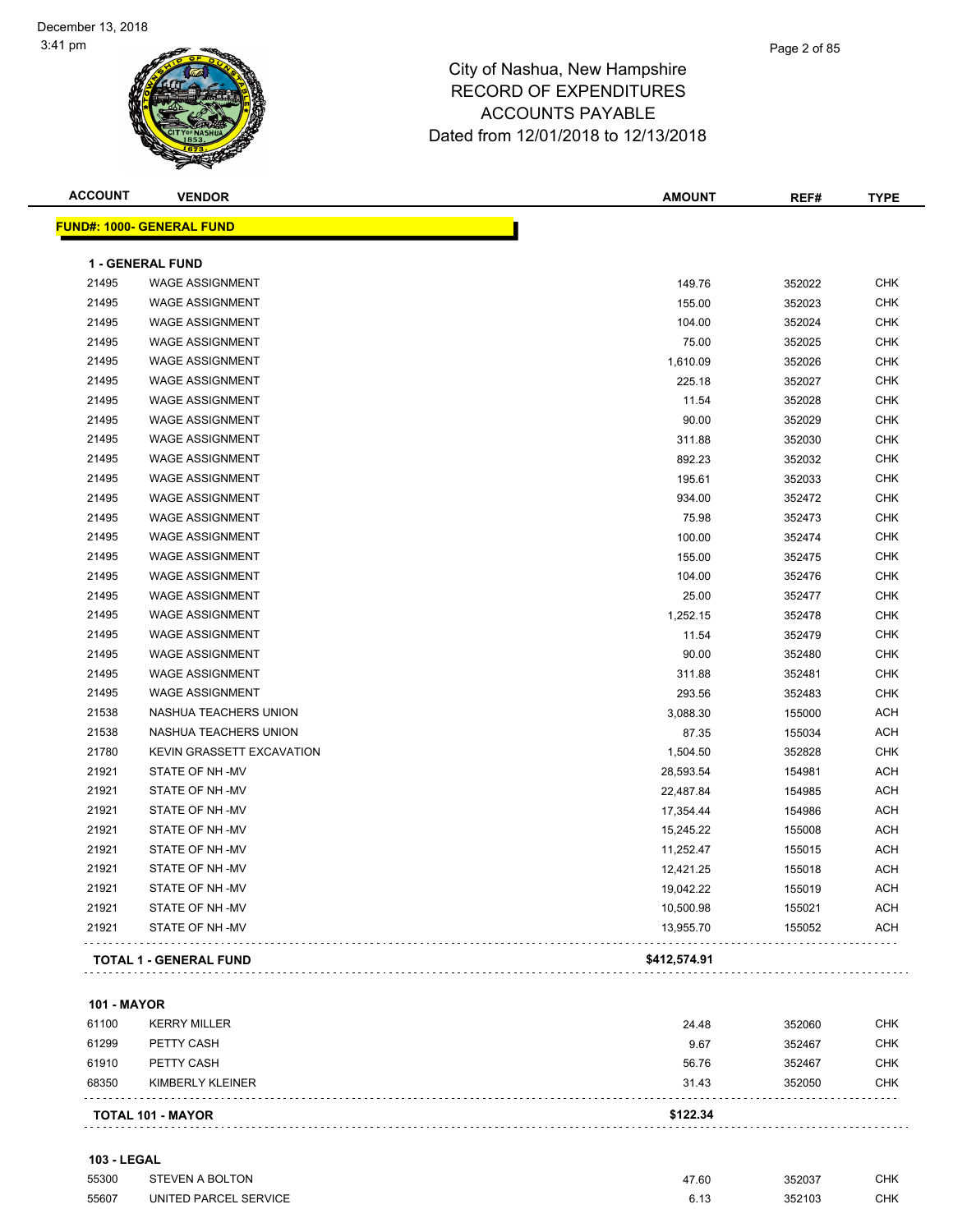| <b>ACCOUNT</b> | <b>VENDOR</b>                    | <b>AMOUNT</b> | REF#   | <b>TYPE</b> |
|----------------|----------------------------------|---------------|--------|-------------|
|                | <b>FUND#: 1000- GENERAL FUND</b> |               |        |             |
|                | 1 - GENERAL FUND                 |               |        |             |
| 21495          | <b>WAGE ASSIGNMENT</b>           | 149.76        | 352022 | <b>CHK</b>  |
| 21495          | <b>WAGE ASSIGNMENT</b>           | 155.00        | 352023 | <b>CHK</b>  |
| 21495          | <b>WAGE ASSIGNMENT</b>           | 104.00        | 352024 | <b>CHK</b>  |
| 21495          | <b>WAGE ASSIGNMENT</b>           | 75.00         | 352025 | <b>CHK</b>  |
| 21495          | <b>WAGE ASSIGNMENT</b>           | 1,610.09      | 352026 | <b>CHK</b>  |
| 21495          | <b>WAGE ASSIGNMENT</b>           | 225.18        | 352027 | <b>CHK</b>  |
| 21495          | <b>WAGE ASSIGNMENT</b>           | 11.54         | 352028 | <b>CHK</b>  |
| 21495          | <b>WAGE ASSIGNMENT</b>           | 90.00         | 352029 | <b>CHK</b>  |
| 21495          | <b>WAGE ASSIGNMENT</b>           | 311.88        | 352030 | <b>CHK</b>  |
| 21495          | <b>WAGE ASSIGNMENT</b>           | 892.23        | 352032 | <b>CHK</b>  |
| 21495          | <b>WAGE ASSIGNMENT</b>           | 195.61        | 352033 | <b>CHK</b>  |
| 21495          | <b>WAGE ASSIGNMENT</b>           | 934.00        | 352472 | <b>CHK</b>  |
| 21495          | <b>WAGE ASSIGNMENT</b>           | 75.98         | 352473 | <b>CHK</b>  |
| 21495          | <b>WAGE ASSIGNMENT</b>           | 100.00        | 352474 | <b>CHK</b>  |
| 21495          | <b>WAGE ASSIGNMENT</b>           | 155.00        | 352475 | <b>CHK</b>  |
| 21495          | <b>WAGE ASSIGNMENT</b>           | 104.00        | 352476 | <b>CHK</b>  |
| 21495          | <b>WAGE ASSIGNMENT</b>           | 25.00         | 352477 | <b>CHK</b>  |
| 21495          | <b>WAGE ASSIGNMENT</b>           | 1,252.15      | 352478 | <b>CHK</b>  |
| 21495          | <b>WAGE ASSIGNMENT</b>           | 11.54         | 352479 | <b>CHK</b>  |
| 21495          | <b>WAGE ASSIGNMENT</b>           | 90.00         | 352480 | <b>CHK</b>  |
| 21495          | <b>WAGE ASSIGNMENT</b>           | 311.88        | 352481 | <b>CHK</b>  |
| 21495          | <b>WAGE ASSIGNMENT</b>           | 293.56        | 352483 | <b>CHK</b>  |
| 21538          | NASHUA TEACHERS UNION            | 3,088.30      | 155000 | <b>ACH</b>  |
| 21538          | NASHUA TEACHERS UNION            | 87.35         | 155034 | <b>ACH</b>  |
| 21780          | KEVIN GRASSETT EXCAVATION        | 1,504.50      | 352828 | <b>CHK</b>  |
| 21921          | STATE OF NH -MV                  | 28,593.54     | 154981 | <b>ACH</b>  |
| 21921          | STATE OF NH-MV                   | 22,487.84     | 154985 | <b>ACH</b>  |
| 21921          | STATE OF NH-MV                   | 17,354.44     | 154986 | <b>ACH</b>  |
| 21921          | STATE OF NH-MV                   | 15,245.22     | 155008 | <b>ACH</b>  |
| 21921          | STATE OF NH-MV                   | 11,252.47     | 155015 | <b>ACH</b>  |
| 21921          | STATE OF NH-MV                   | 12,421.25     | 155018 | <b>ACH</b>  |
| 21921          | STATE OF NH-MV                   | 19,042.22     | 155019 | <b>ACH</b>  |
| 21921          | STATE OF NH -MV                  | 10,500.98     | 155021 | <b>ACH</b>  |
| 21921          | STATE OF NH -MV                  | 13,955.70     | 155052 | ACH         |
|                |                                  |               |        |             |
|                | <b>TOTAL 1 - GENERAL FUND</b>    | \$412,574.91  |        |             |

## **101 - MAYOR**

|       | <b>TOTAL 101 - MAYOR</b> | \$122.34 |        |            |
|-------|--------------------------|----------|--------|------------|
| 68350 | KIMBERLY KLEINER         | 31.43    | 352050 | <b>CHK</b> |
| 61910 | PETTY CASH               | 56.76    | 352467 | <b>CHK</b> |
| 61299 | PETTY CASH               | 9.67     | 352467 | <b>CHK</b> |
| 61100 | <b>KERRY MILLER</b>      | 24.48    | 352060 | <b>CHK</b> |

## **103 - LEGAL**

| 55300 | STEVEN A BOLTON       | 17.60 | 352037 | СНК |
|-------|-----------------------|-------|--------|-----|
| 55607 | UNITED PARCEL SERVICE | ົ 4 : | 352103 | СНК |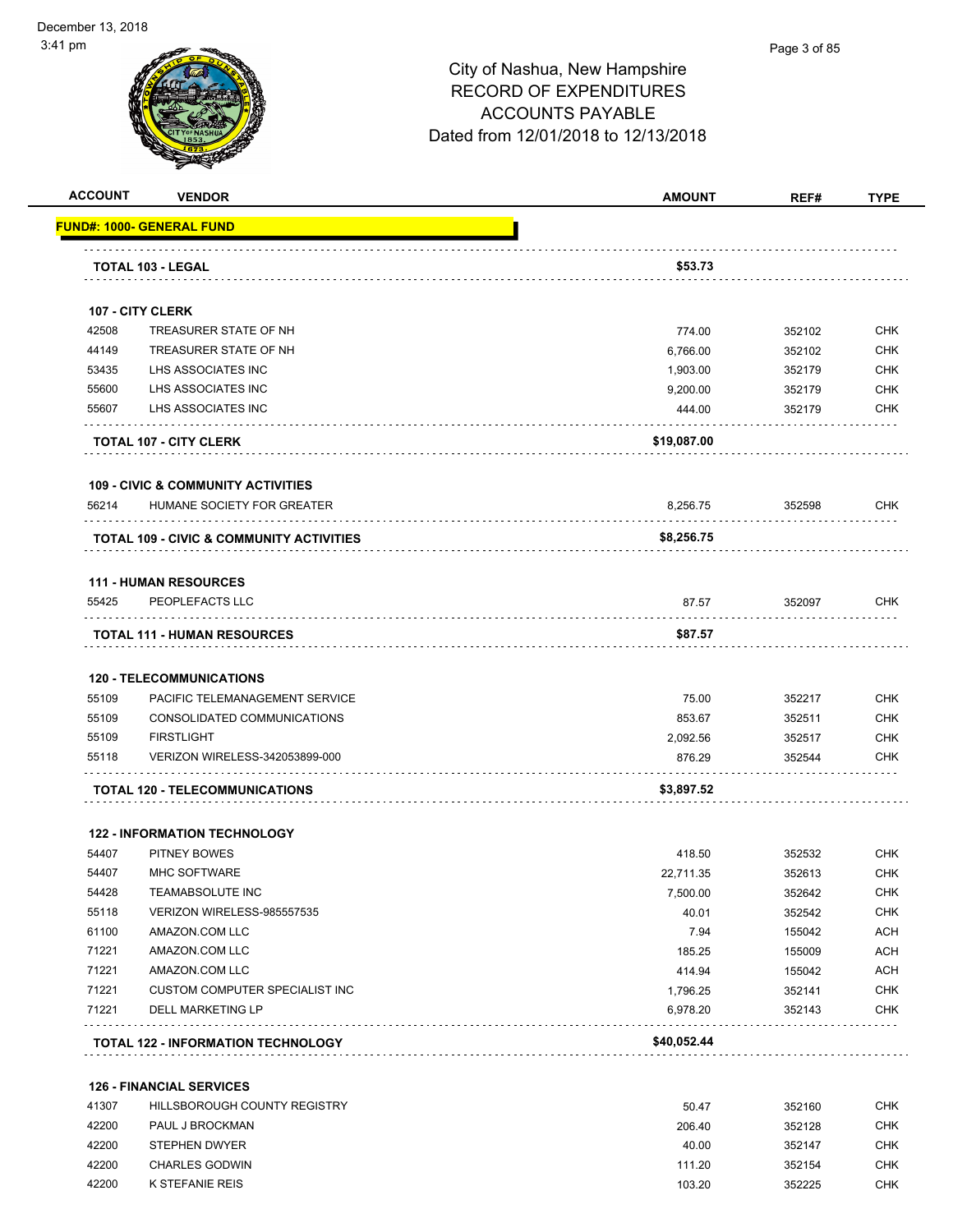| <b>ACCOUNT</b> | <b>VENDOR</b>                                                     | <b>AMOUNT</b> | REF#   | <b>TYPE</b> |
|----------------|-------------------------------------------------------------------|---------------|--------|-------------|
|                | <b>FUND#: 1000- GENERAL FUND</b>                                  |               |        |             |
|                |                                                                   |               |        |             |
|                | <b>TOTAL 103 - LEGAL</b>                                          | \$53.73       |        |             |
|                | <b>107 - CITY CLERK</b>                                           |               |        |             |
| 42508          | TREASURER STATE OF NH                                             | 774.00        | 352102 | <b>CHK</b>  |
| 44149          | TREASURER STATE OF NH                                             | 6,766.00      | 352102 | <b>CHK</b>  |
| 53435          | LHS ASSOCIATES INC                                                | 1,903.00      | 352179 | <b>CHK</b>  |
| 55600          | LHS ASSOCIATES INC                                                | 9,200.00      | 352179 | CHK         |
| 55607          | LHS ASSOCIATES INC                                                | 444.00        | 352179 | <b>CHK</b>  |
|                | TOTAL 107 - CITY CLERK                                            | \$19,087.00   |        |             |
|                | <b>109 - CIVIC &amp; COMMUNITY ACTIVITIES</b>                     |               |        |             |
| 56214          | HUMANE SOCIETY FOR GREATER                                        | 8,256.75      | 352598 | <b>CHK</b>  |
|                | TOTAL 109 - CIVIC & COMMUNITY ACTIVITIES                          | \$8,256.75    |        |             |
|                | <b>111 - HUMAN RESOURCES</b>                                      |               |        |             |
| 55425          | PEOPLEFACTS LLC                                                   | 87.57         | 352097 | CHK         |
|                | <b>TOTAL 111 - HUMAN RESOURCES</b>                                | \$87.57       |        |             |
|                |                                                                   |               |        |             |
| 55109          | <b>120 - TELECOMMUNICATIONS</b><br>PACIFIC TELEMANAGEMENT SERVICE | 75.00         | 352217 | <b>CHK</b>  |
| 55109          | CONSOLIDATED COMMUNICATIONS                                       | 853.67        | 352511 | <b>CHK</b>  |
| 55109          | <b>FIRSTLIGHT</b>                                                 | 2,092.56      | 352517 | CHK         |
| 55118          | VERIZON WIRELESS-342053899-000                                    | 876.29        | 352544 | CHK         |
|                | <b>TOTAL 120 - TELECOMMUNICATIONS</b>                             | \$3,897.52    |        |             |
|                | <b>122 - INFORMATION TECHNOLOGY</b>                               |               |        |             |
| 54407          | <b>PITNEY BOWES</b>                                               | 418.50        | 352532 | <b>CHK</b>  |
| 54407          | MHC SOFTWARE                                                      | 22,711.35     | 352613 | CHK         |
| 54428          | TEAMABSOLUTE INC                                                  | 7,500.00      | 352642 | <b>CHK</b>  |
| 55118          | VERIZON WIRELESS-985557535                                        | 40.01         | 352542 | <b>CHK</b>  |
| 61100          | AMAZON.COM LLC                                                    | 7.94          | 155042 | ACH         |
| 71221          | AMAZON.COM LLC                                                    | 185.25        | 155009 | ACH         |
| 71221          | AMAZON.COM LLC                                                    | 414.94        | 155042 | ACH         |
| 71221          | CUSTOM COMPUTER SPECIALIST INC                                    | 1,796.25      | 352141 | <b>CHK</b>  |
| 71221          | <b>DELL MARKETING LP</b>                                          | 6,978.20      | 352143 | <b>CHK</b>  |
|                | TOTAL 122 - INFORMATION TECHNOLOGY                                | \$40,052.44   |        |             |
|                | <b>126 - FINANCIAL SERVICES</b>                                   |               |        |             |
| 41307          | HILLSBOROUGH COUNTY REGISTRY                                      | 50.47         | 352160 | <b>CHK</b>  |
| 42200          | PAUL J BROCKMAN                                                   | 206.40        | 352128 | <b>CHK</b>  |
| 42200          | STEPHEN DWYER                                                     | 40.00         | 352147 | <b>CHK</b>  |
| 42200          | CHARLES GODWIN                                                    | 111.20        | 352154 | <b>CHK</b>  |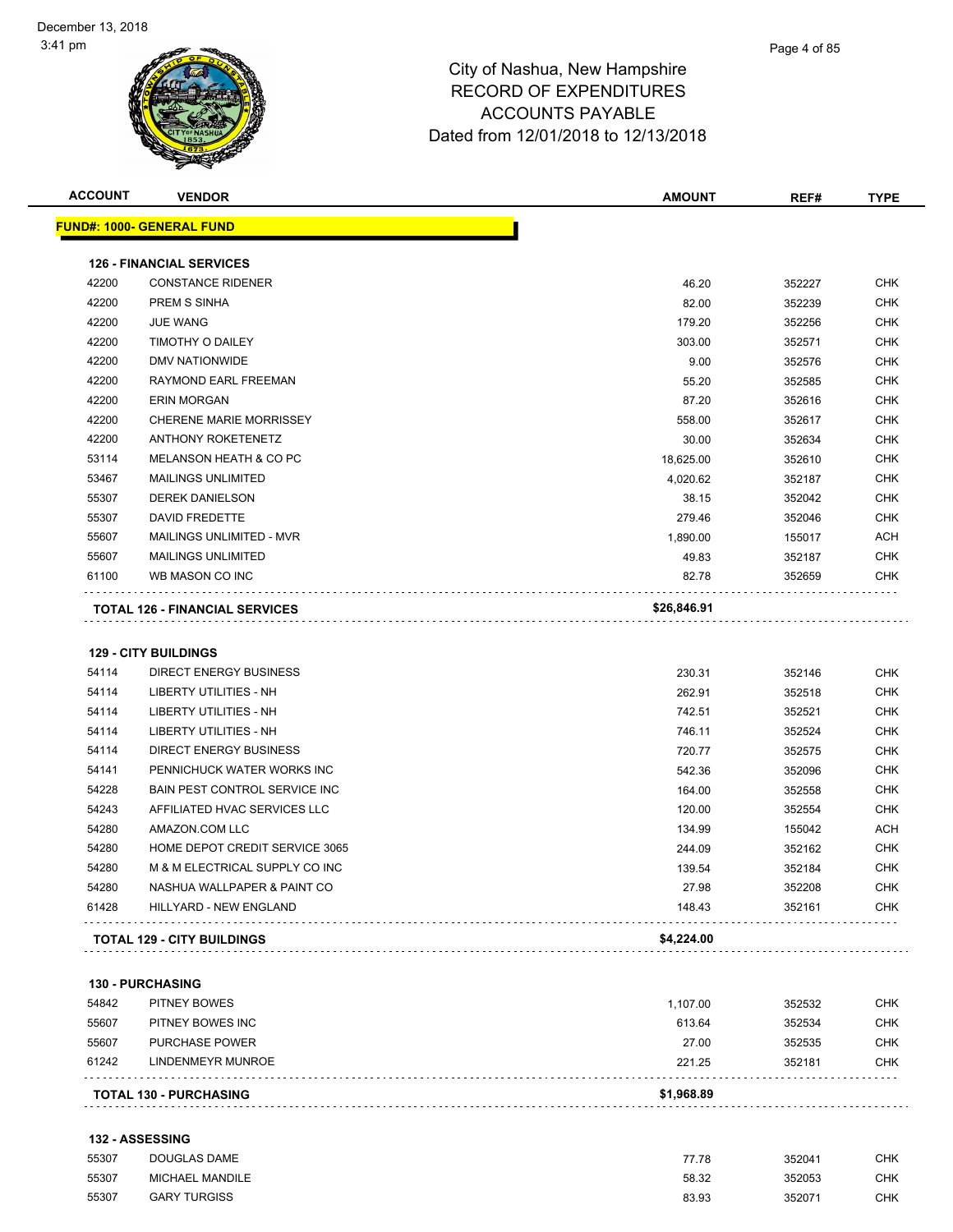

| <u> FUND#: 1000- GENERAL FUND</u>                             |                                                                                                                                                                                                              | REF#                                                                    | TYPE                                                                                                                                            |
|---------------------------------------------------------------|--------------------------------------------------------------------------------------------------------------------------------------------------------------------------------------------------------------|-------------------------------------------------------------------------|-------------------------------------------------------------------------------------------------------------------------------------------------|
|                                                               |                                                                                                                                                                                                              |                                                                         |                                                                                                                                                 |
| <b>126 - FINANCIAL SERVICES</b>                               |                                                                                                                                                                                                              |                                                                         |                                                                                                                                                 |
| <b>CONSTANCE RIDENER</b>                                      | 46.20                                                                                                                                                                                                        | 352227                                                                  | <b>CHK</b>                                                                                                                                      |
| PREM S SINHA                                                  | 82.00                                                                                                                                                                                                        | 352239                                                                  | <b>CHK</b>                                                                                                                                      |
| <b>JUE WANG</b>                                               | 179.20                                                                                                                                                                                                       | 352256                                                                  | <b>CHK</b>                                                                                                                                      |
| TIMOTHY O DAILEY                                              | 303.00                                                                                                                                                                                                       | 352571                                                                  | <b>CHK</b>                                                                                                                                      |
| DMV NATIONWIDE                                                | 9.00                                                                                                                                                                                                         | 352576                                                                  | <b>CHK</b>                                                                                                                                      |
| RAYMOND EARL FREEMAN                                          | 55.20                                                                                                                                                                                                        | 352585                                                                  | <b>CHK</b>                                                                                                                                      |
| <b>ERIN MORGAN</b>                                            | 87.20                                                                                                                                                                                                        | 352616                                                                  | <b>CHK</b>                                                                                                                                      |
| CHERENE MARIE MORRISSEY                                       | 558.00                                                                                                                                                                                                       | 352617                                                                  | <b>CHK</b>                                                                                                                                      |
| <b>ANTHONY ROKETENETZ</b>                                     | 30.00                                                                                                                                                                                                        | 352634                                                                  | <b>CHK</b>                                                                                                                                      |
| MELANSON HEATH & CO PC                                        | 18,625.00                                                                                                                                                                                                    | 352610                                                                  | <b>CHK</b>                                                                                                                                      |
| <b>MAILINGS UNLIMITED</b>                                     | 4,020.62                                                                                                                                                                                                     | 352187                                                                  | <b>CHK</b>                                                                                                                                      |
| <b>DEREK DANIELSON</b>                                        | 38.15                                                                                                                                                                                                        | 352042                                                                  | <b>CHK</b>                                                                                                                                      |
| DAVID FREDETTE                                                | 279.46                                                                                                                                                                                                       | 352046                                                                  | <b>CHK</b>                                                                                                                                      |
| MAILINGS UNLIMITED - MVR                                      | 1,890.00                                                                                                                                                                                                     | 155017                                                                  | <b>ACH</b>                                                                                                                                      |
| <b>MAILINGS UNLIMITED</b>                                     | 49.83                                                                                                                                                                                                        | 352187                                                                  | <b>CHK</b>                                                                                                                                      |
| WB MASON CO INC                                               | 82.78                                                                                                                                                                                                        | 352659                                                                  | <b>CHK</b>                                                                                                                                      |
|                                                               |                                                                                                                                                                                                              |                                                                         |                                                                                                                                                 |
| <b>129 - CITY BUILDINGS</b>                                   |                                                                                                                                                                                                              |                                                                         |                                                                                                                                                 |
|                                                               |                                                                                                                                                                                                              |                                                                         | <b>CHK</b>                                                                                                                                      |
|                                                               |                                                                                                                                                                                                              |                                                                         | <b>CHK</b><br><b>CHK</b>                                                                                                                        |
|                                                               |                                                                                                                                                                                                              |                                                                         | <b>CHK</b>                                                                                                                                      |
|                                                               |                                                                                                                                                                                                              |                                                                         | <b>CHK</b>                                                                                                                                      |
|                                                               |                                                                                                                                                                                                              | 352096                                                                  |                                                                                                                                                 |
| <b>BAIN PEST CONTROL SERVICE INC</b>                          | 164.00                                                                                                                                                                                                       | 352558                                                                  |                                                                                                                                                 |
|                                                               |                                                                                                                                                                                                              |                                                                         |                                                                                                                                                 |
|                                                               |                                                                                                                                                                                                              |                                                                         |                                                                                                                                                 |
| AFFILIATED HVAC SERVICES LLC                                  | 120.00                                                                                                                                                                                                       | 352554                                                                  |                                                                                                                                                 |
| AMAZON.COM LLC<br>HOME DEPOT CREDIT SERVICE 3065              | 134.99                                                                                                                                                                                                       | 155042                                                                  |                                                                                                                                                 |
|                                                               | 244.09                                                                                                                                                                                                       | 352162<br>352184                                                        |                                                                                                                                                 |
| M & M ELECTRICAL SUPPLY CO INC<br>NASHUA WALLPAPER & PAINT CO | 139.54<br>27.98                                                                                                                                                                                              | 352208                                                                  |                                                                                                                                                 |
| HILLYARD - NEW ENGLAND                                        | 148.43                                                                                                                                                                                                       | 352161                                                                  |                                                                                                                                                 |
|                                                               |                                                                                                                                                                                                              |                                                                         |                                                                                                                                                 |
| <b>TOTAL 129 - CITY BUILDINGS</b>                             | \$4,224.00                                                                                                                                                                                                   |                                                                         |                                                                                                                                                 |
| 130 - PURCHASING                                              |                                                                                                                                                                                                              |                                                                         |                                                                                                                                                 |
| PITNEY BOWES                                                  | 1,107.00                                                                                                                                                                                                     | 352532                                                                  |                                                                                                                                                 |
| PITNEY BOWES INC                                              | 613.64                                                                                                                                                                                                       | 352534                                                                  |                                                                                                                                                 |
| PURCHASE POWER                                                | 27.00                                                                                                                                                                                                        | 352535                                                                  | <b>CHK</b><br><b>CHK</b><br><b>CHK</b><br>ACH<br><b>CHK</b><br><b>CHK</b><br><b>CHK</b><br><b>CHK</b><br><b>CHK</b><br><b>CHK</b><br><b>CHK</b> |
|                                                               | <b>TOTAL 126 - FINANCIAL SERVICES</b><br>DIRECT ENERGY BUSINESS<br>LIBERTY UTILITIES - NH<br>LIBERTY UTILITIES - NH<br><b>LIBERTY UTILITIES - NH</b><br>DIRECT ENERGY BUSINESS<br>PENNICHUCK WATER WORKS INC | \$26,846.91<br>230.31<br>262.91<br>742.51<br>746.11<br>720.77<br>542.36 | 352146<br>352518<br>352521<br>352524<br>352575                                                                                                  |

## **132 - ASSESSING**

| 55307 | <b>DOUGLAS DAME</b>    | 77.78 | 352041 | СНК |
|-------|------------------------|-------|--------|-----|
| 55307 | <b>MICHAEL MANDILE</b> | 58.32 | 352053 | CHK |
| 55307 | <b>GARY TURGISS</b>    | 83.93 | 352071 | СНК |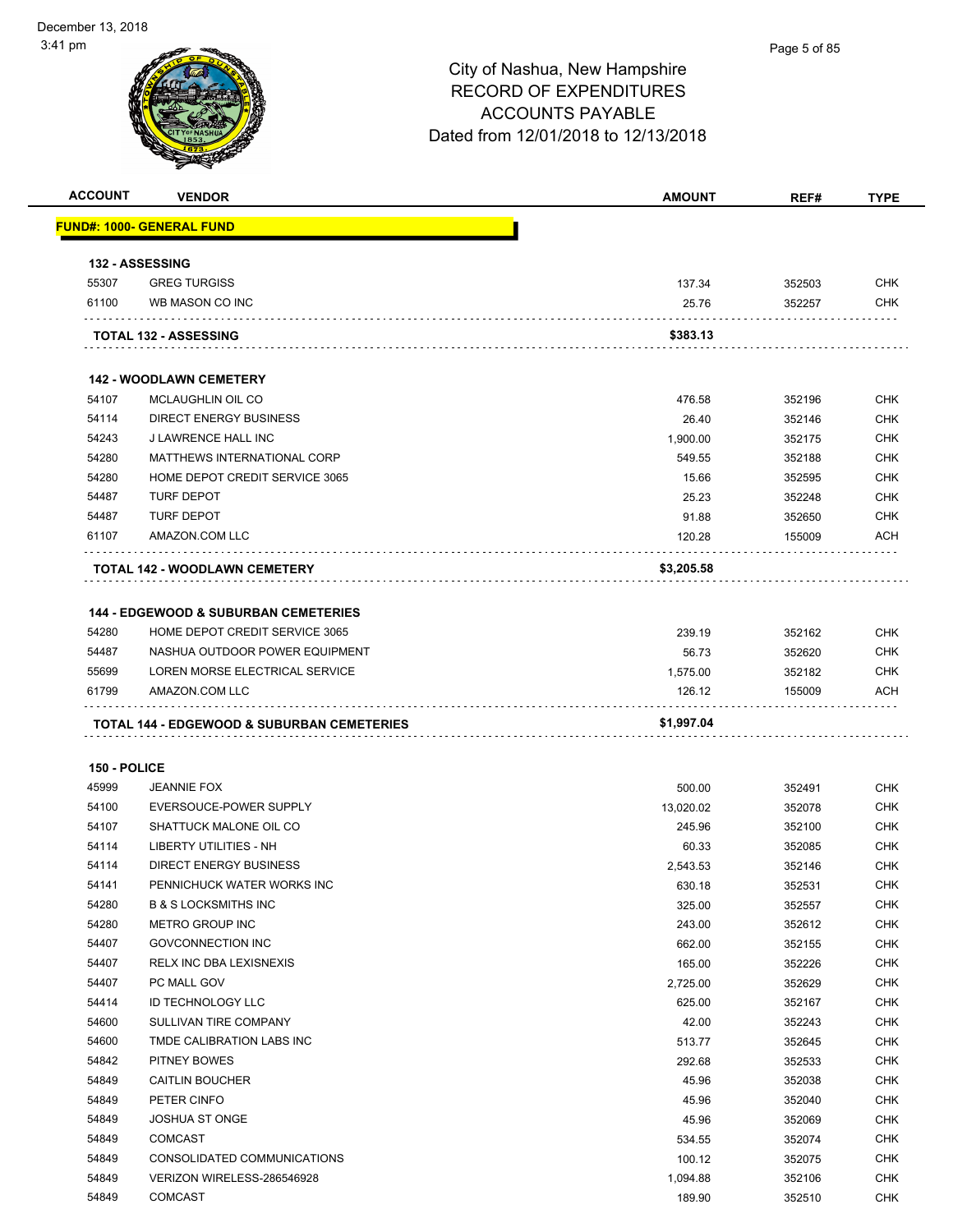

| <b>ACCOUNT</b> | <b>VENDOR</b>                                         | <b>AMOUNT</b> | REF#   | <b>TYPE</b> |
|----------------|-------------------------------------------------------|---------------|--------|-------------|
|                | <u> FUND#: 1000- GENERAL FUND</u>                     |               |        |             |
|                | <b>132 - ASSESSING</b>                                |               |        |             |
| 55307          | <b>GREG TURGISS</b>                                   | 137.34        | 352503 | <b>CHK</b>  |
| 61100          | WB MASON CO INC                                       | 25.76         | 352257 | <b>CHK</b>  |
|                |                                                       |               |        |             |
|                | <b>TOTAL 132 - ASSESSING</b>                          | \$383.13      |        |             |
|                | <b>142 - WOODLAWN CEMETERY</b>                        |               |        |             |
| 54107          | <b>MCLAUGHLIN OIL CO</b>                              | 476.58        | 352196 | <b>CHK</b>  |
| 54114          | <b>DIRECT ENERGY BUSINESS</b>                         | 26.40         | 352146 | <b>CHK</b>  |
| 54243          | J LAWRENCE HALL INC                                   | 1,900.00      | 352175 | <b>CHK</b>  |
| 54280          | MATTHEWS INTERNATIONAL CORP                           | 549.55        | 352188 | <b>CHK</b>  |
| 54280          | HOME DEPOT CREDIT SERVICE 3065                        | 15.66         | 352595 | <b>CHK</b>  |
| 54487          | <b>TURF DEPOT</b>                                     | 25.23         | 352248 | <b>CHK</b>  |
| 54487          | <b>TURF DEPOT</b>                                     | 91.88         | 352650 | <b>CHK</b>  |
| 61107          | AMAZON.COM LLC                                        | 120.28        | 155009 | <b>ACH</b>  |
|                | <b>TOTAL 142 - WOODLAWN CEMETERY</b>                  | \$3,205.58    |        |             |
|                |                                                       |               |        |             |
|                | <b>144 - EDGEWOOD &amp; SUBURBAN CEMETERIES</b>       |               |        |             |
| 54280          | HOME DEPOT CREDIT SERVICE 3065                        | 239.19        | 352162 | <b>CHK</b>  |
| 54487          | NASHUA OUTDOOR POWER EQUIPMENT                        | 56.73         | 352620 | <b>CHK</b>  |
| 55699          | LOREN MORSE ELECTRICAL SERVICE                        | 1,575.00      | 352182 | <b>CHK</b>  |
| 61799          | AMAZON.COM LLC                                        | 126.12        | 155009 | ACH         |
|                | <b>TOTAL 144 - EDGEWOOD &amp; SUBURBAN CEMETERIES</b> | \$1,997.04    |        |             |
|                |                                                       |               |        |             |
| 150 - POLICE   |                                                       |               |        |             |
| 45999          | <b>JEANNIE FOX</b>                                    | 500.00        | 352491 | <b>CHK</b>  |
| 54100          | EVERSOUCE-POWER SUPPLY                                | 13,020.02     | 352078 | <b>CHK</b>  |
| 54107          | SHATTUCK MALONE OIL CO                                | 245.96        | 352100 | <b>CHK</b>  |
| 54114          | LIBERTY UTILITIES - NH                                | 60.33         | 352085 | <b>CHK</b>  |
| 54114          | <b>DIRECT ENERGY BUSINESS</b>                         | 2,543.53      | 352146 | CHK         |
| 54141          | PENNICHUCK WATER WORKS INC                            | 630.18        | 352531 | <b>CHK</b>  |
| 54280          | <b>B &amp; S LOCKSMITHS INC</b>                       | 325.00        | 352557 | CHK         |
| 54280          | METRO GROUP INC                                       | 243.00        | 352612 | <b>CHK</b>  |
| 54407          | GOVCONNECTION INC                                     | 662.00        | 352155 | <b>CHK</b>  |
| 54407          | RELX INC DBA LEXISNEXIS                               | 165.00        | 352226 | CHK         |
| 54407          | PC MALL GOV                                           | 2,725.00      | 352629 | <b>CHK</b>  |
| 54414          | <b>ID TECHNOLOGY LLC</b>                              | 625.00        | 352167 | <b>CHK</b>  |
| 54600          | SULLIVAN TIRE COMPANY                                 | 42.00         | 352243 | <b>CHK</b>  |
| 54600          | TMDE CALIBRATION LABS INC                             | 513.77        | 352645 | <b>CHK</b>  |
| 54842          | PITNEY BOWES                                          | 292.68        | 352533 | <b>CHK</b>  |
| 54849          | <b>CAITLIN BOUCHER</b>                                | 45.96         | 352038 | <b>CHK</b>  |
| 54849          | PETER CINFO                                           | 45.96         | 352040 | <b>CHK</b>  |
| 54849          | <b>JOSHUA ST ONGE</b>                                 | 45.96         | 352069 | <b>CHK</b>  |
| 54849          | <b>COMCAST</b>                                        | 534.55        | 352074 | <b>CHK</b>  |
| 54849          | CONSOLIDATED COMMUNICATIONS                           | 100.12        | 352075 | <b>CHK</b>  |
| 54849          | VERIZON WIRELESS-286546928                            | 1,094.88      | 352106 | <b>CHK</b>  |
| 54849          | COMCAST                                               | 189.90        | 352510 | <b>CHK</b>  |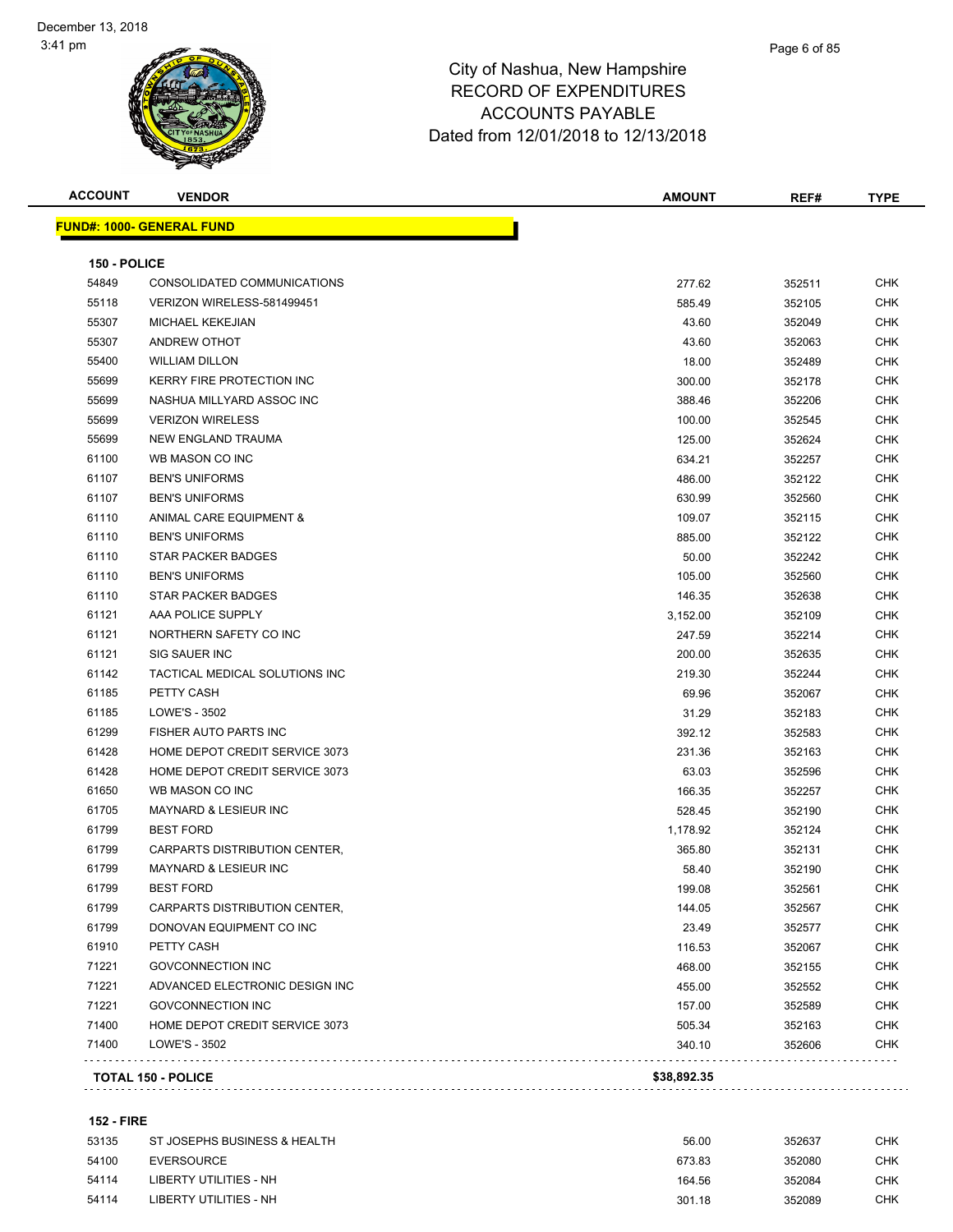| <b>ACCOUNT</b> | <b>VENDOR</b>                    | <b>AMOUNT</b> | REF#   | <b>TYPE</b> |
|----------------|----------------------------------|---------------|--------|-------------|
|                | <b>FUND#: 1000- GENERAL FUND</b> |               |        |             |
| 150 - POLICE   |                                  |               |        |             |
| 54849          | CONSOLIDATED COMMUNICATIONS      | 277.62        | 352511 | <b>CHK</b>  |
| 55118          | VERIZON WIRELESS-581499451       | 585.49        | 352105 | <b>CHK</b>  |
| 55307          | <b>MICHAEL KEKEJIAN</b>          | 43.60         | 352049 | <b>CHK</b>  |
| 55307          | ANDREW OTHOT                     | 43.60         | 352063 | <b>CHK</b>  |
| 55400          | <b>WILLIAM DILLON</b>            | 18.00         | 352489 | <b>CHK</b>  |
| 55699          | <b>KERRY FIRE PROTECTION INC</b> | 300.00        | 352178 | <b>CHK</b>  |
| 55699          | NASHUA MILLYARD ASSOC INC        | 388.46        | 352206 | <b>CHK</b>  |
| 55699          | <b>VERIZON WIRELESS</b>          | 100.00        | 352545 | <b>CHK</b>  |
| 55699          | NEW ENGLAND TRAUMA               | 125.00        | 352624 | <b>CHK</b>  |
| 61100          | WB MASON CO INC                  | 634.21        | 352257 | <b>CHK</b>  |
| 61107          | <b>BEN'S UNIFORMS</b>            | 486.00        | 352122 | <b>CHK</b>  |
| 61107          | <b>BEN'S UNIFORMS</b>            | 630.99        | 352560 | <b>CHK</b>  |
| 61110          | ANIMAL CARE EQUIPMENT &          | 109.07        | 352115 | <b>CHK</b>  |
| 61110          | <b>BEN'S UNIFORMS</b>            | 885.00        | 352122 | <b>CHK</b>  |
| 61110          | <b>STAR PACKER BADGES</b>        | 50.00         | 352242 | <b>CHK</b>  |
| 61110          | <b>BEN'S UNIFORMS</b>            | 105.00        | 352560 | <b>CHK</b>  |
| 61110          | <b>STAR PACKER BADGES</b>        | 146.35        | 352638 | <b>CHK</b>  |
| 61121          | AAA POLICE SUPPLY                | 3,152.00      | 352109 | CHK         |
| 61121          | NORTHERN SAFETY CO INC           | 247.59        | 352214 | CHK         |
| 61121          | SIG SAUER INC                    | 200.00        | 352635 | <b>CHK</b>  |
| 61142          | TACTICAL MEDICAL SOLUTIONS INC   | 219.30        | 352244 | <b>CHK</b>  |
| 61185          | PETTY CASH                       | 69.96         | 352067 | <b>CHK</b>  |
| 61185          | LOWE'S - 3502                    | 31.29         | 352183 | <b>CHK</b>  |
| 61299          | FISHER AUTO PARTS INC            | 392.12        | 352583 | <b>CHK</b>  |
| 61428          | HOME DEPOT CREDIT SERVICE 3073   | 231.36        | 352163 | <b>CHK</b>  |
| 61428          | HOME DEPOT CREDIT SERVICE 3073   | 63.03         | 352596 | <b>CHK</b>  |
| 61650          | WB MASON CO INC                  | 166.35        | 352257 | <b>CHK</b>  |
| 61705          | MAYNARD & LESIEUR INC            | 528.45        | 352190 | <b>CHK</b>  |
| 61799          | <b>BEST FORD</b>                 | 1,178.92      | 352124 | <b>CHK</b>  |
| 61799          | CARPARTS DISTRIBUTION CENTER.    | 365.80        | 352131 | <b>CHK</b>  |
| 61799          | <b>MAYNARD &amp; LESIEUR INC</b> | 58.40         | 352190 | <b>CHK</b>  |
| 61799          | <b>BEST FORD</b>                 | 199.08        | 352561 | CHK         |
| 61799          | CARPARTS DISTRIBUTION CENTER,    | 144.05        | 352567 | <b>CHK</b>  |
| 61799          | DONOVAN EQUIPMENT CO INC         | 23.49         | 352577 | <b>CHK</b>  |
| 61910          | PETTY CASH                       | 116.53        | 352067 | <b>CHK</b>  |
| 71221          | <b>GOVCONNECTION INC</b>         | 468.00        | 352155 | <b>CHK</b>  |
| 71221          | ADVANCED ELECTRONIC DESIGN INC   | 455.00        | 352552 | <b>CHK</b>  |
| 71221          | <b>GOVCONNECTION INC</b>         | 157.00        | 352589 | <b>CHK</b>  |
| 71400          | HOME DEPOT CREDIT SERVICE 3073   | 505.34        | 352163 | <b>CHK</b>  |
| 71400          | LOWE'S - 3502                    | 340.10        | 352606 | <b>CHK</b>  |
|                |                                  |               |        |             |
|                | <b>TOTAL 150 - POLICE</b>        | \$38,892.35   |        |             |

### **152 - FIRE**

| 53135 | ST JOSEPHS BUSINESS & HEALTH | 56.00  | 352637 | снк |
|-------|------------------------------|--------|--------|-----|
| 54100 | EVERSOURCE                   | 673.83 | 352080 | снк |
| 54114 | LIBERTY UTILITIES - NH       | 164.56 | 352084 | снк |
| 54114 | LIBERTY UTILITIES - NH       | 301.18 | 352089 | снк |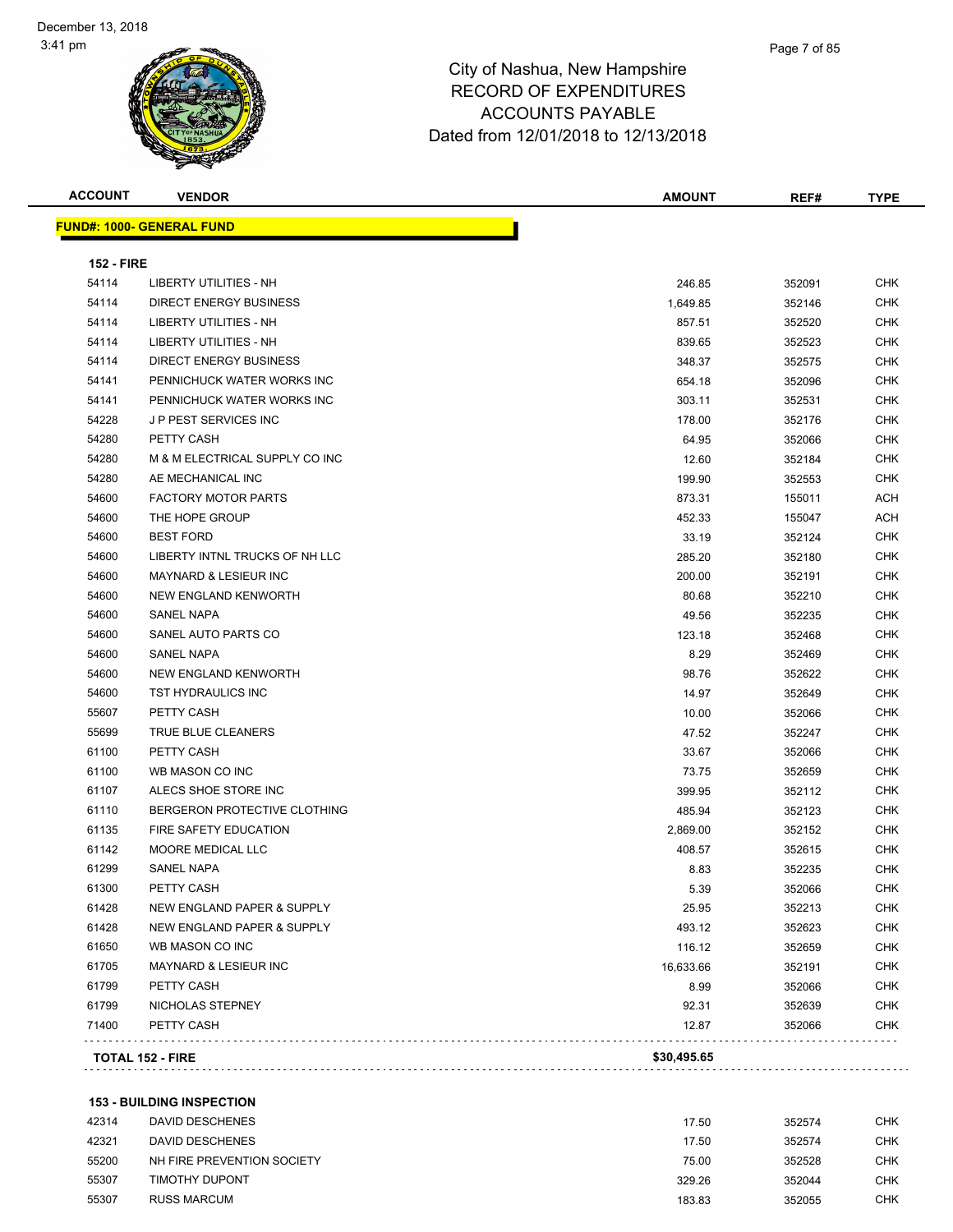| <b>ACCOUNT</b> | <b>VENDOR</b> |
|----------------|---------------|
|                |               |

| <b>ACCOUNT</b>                   | <b>VENDOR</b> |  | <b>AMOUNT</b> | REF# | <b>TYPE</b> |
|----------------------------------|---------------|--|---------------|------|-------------|
| <b>FUND#: 1000- GENERAL FUND</b> |               |  |               |      |             |
|                                  |               |  |               |      |             |
|                                  |               |  |               |      |             |

| <b>152 - FIRE</b> |                                       |             |        |            |
|-------------------|---------------------------------------|-------------|--------|------------|
| 54114             | LIBERTY UTILITIES - NH                | 246.85      | 352091 | <b>CHK</b> |
| 54114             | <b>DIRECT ENERGY BUSINESS</b>         | 1,649.85    | 352146 | <b>CHK</b> |
| 54114             | LIBERTY UTILITIES - NH                | 857.51      | 352520 | <b>CHK</b> |
| 54114             | <b>LIBERTY UTILITIES - NH</b>         | 839.65      | 352523 | CHK        |
| 54114             | DIRECT ENERGY BUSINESS                | 348.37      | 352575 | CHK        |
| 54141             | PENNICHUCK WATER WORKS INC            | 654.18      | 352096 | CHK        |
| 54141             | PENNICHUCK WATER WORKS INC            | 303.11      | 352531 | CHK        |
| 54228             | J P PEST SERVICES INC                 | 178.00      | 352176 | CHK        |
| 54280             | PETTY CASH                            | 64.95       | 352066 | CHK        |
| 54280             | M & M ELECTRICAL SUPPLY CO INC        | 12.60       | 352184 | CHK        |
| 54280             | AE MECHANICAL INC                     | 199.90      | 352553 | CHK        |
| 54600             | <b>FACTORY MOTOR PARTS</b>            | 873.31      | 155011 | ACH        |
| 54600             | THE HOPE GROUP                        | 452.33      | 155047 | ACH        |
| 54600             | <b>BEST FORD</b>                      | 33.19       | 352124 | <b>CHK</b> |
| 54600             | LIBERTY INTNL TRUCKS OF NH LLC        | 285.20      | 352180 | CHK        |
| 54600             | <b>MAYNARD &amp; LESIEUR INC</b>      | 200.00      | 352191 | <b>CHK</b> |
| 54600             | <b>NEW ENGLAND KENWORTH</b>           | 80.68       | 352210 | <b>CHK</b> |
| 54600             | <b>SANEL NAPA</b>                     | 49.56       | 352235 | CHK        |
| 54600             | SANEL AUTO PARTS CO                   | 123.18      | 352468 | CHK        |
| 54600             | SANEL NAPA                            | 8.29        | 352469 | CHK        |
| 54600             | <b>NEW ENGLAND KENWORTH</b>           | 98.76       | 352622 | CHK        |
| 54600             | TST HYDRAULICS INC                    | 14.97       | 352649 | <b>CHK</b> |
| 55607             | PETTY CASH                            | 10.00       | 352066 | CHK        |
| 55699             | TRUE BLUE CLEANERS                    | 47.52       | 352247 | CHK        |
| 61100             | PETTY CASH                            | 33.67       | 352066 | <b>CHK</b> |
| 61100             | WB MASON CO INC                       | 73.75       | 352659 | CHK        |
| 61107             | ALECS SHOE STORE INC                  | 399.95      | 352112 | CHK        |
| 61110             | BERGERON PROTECTIVE CLOTHING          | 485.94      | 352123 | CHK        |
| 61135             | FIRE SAFETY EDUCATION                 | 2,869.00    | 352152 | CHK        |
| 61142             | MOORE MEDICAL LLC                     | 408.57      | 352615 | CHK        |
| 61299             | SANEL NAPA                            | 8.83        | 352235 | CHK        |
| 61300             | PETTY CASH                            | 5.39        | 352066 | CHK        |
| 61428             | <b>NEW ENGLAND PAPER &amp; SUPPLY</b> | 25.95       | 352213 | CHK        |
| 61428             | <b>NEW ENGLAND PAPER &amp; SUPPLY</b> | 493.12      | 352623 | <b>CHK</b> |
| 61650             | WB MASON CO INC                       | 116.12      | 352659 | CHK        |
| 61705             | MAYNARD & LESIEUR INC                 | 16,633.66   | 352191 | CHK        |
| 61799             | PETTY CASH                            | 8.99        | 352066 | <b>CHK</b> |
| 61799             | NICHOLAS STEPNEY                      | 92.31       | 352639 | <b>CHK</b> |
| 71400             | PETTY CASH                            | 12.87       | 352066 | CHK        |
|                   | <b>TOTAL 152 - FIRE</b>               | \$30,495.65 |        |            |

## **153 - BUILDING INSPECTION**

| 42314 | DAVID DESCHENES            | 17.50  | 352574 | CHK        |
|-------|----------------------------|--------|--------|------------|
| 42321 | DAVID DESCHENES            | 17.50  | 352574 | CHK        |
| 55200 | NH FIRE PREVENTION SOCIETY | 75.00  | 352528 | <b>CHK</b> |
| 55307 | TIMOTHY DUPONT             | 329.26 | 352044 | <b>CHK</b> |
| 55307 | <b>RUSS MARCUM</b>         | 183.83 | 352055 | <b>CHK</b> |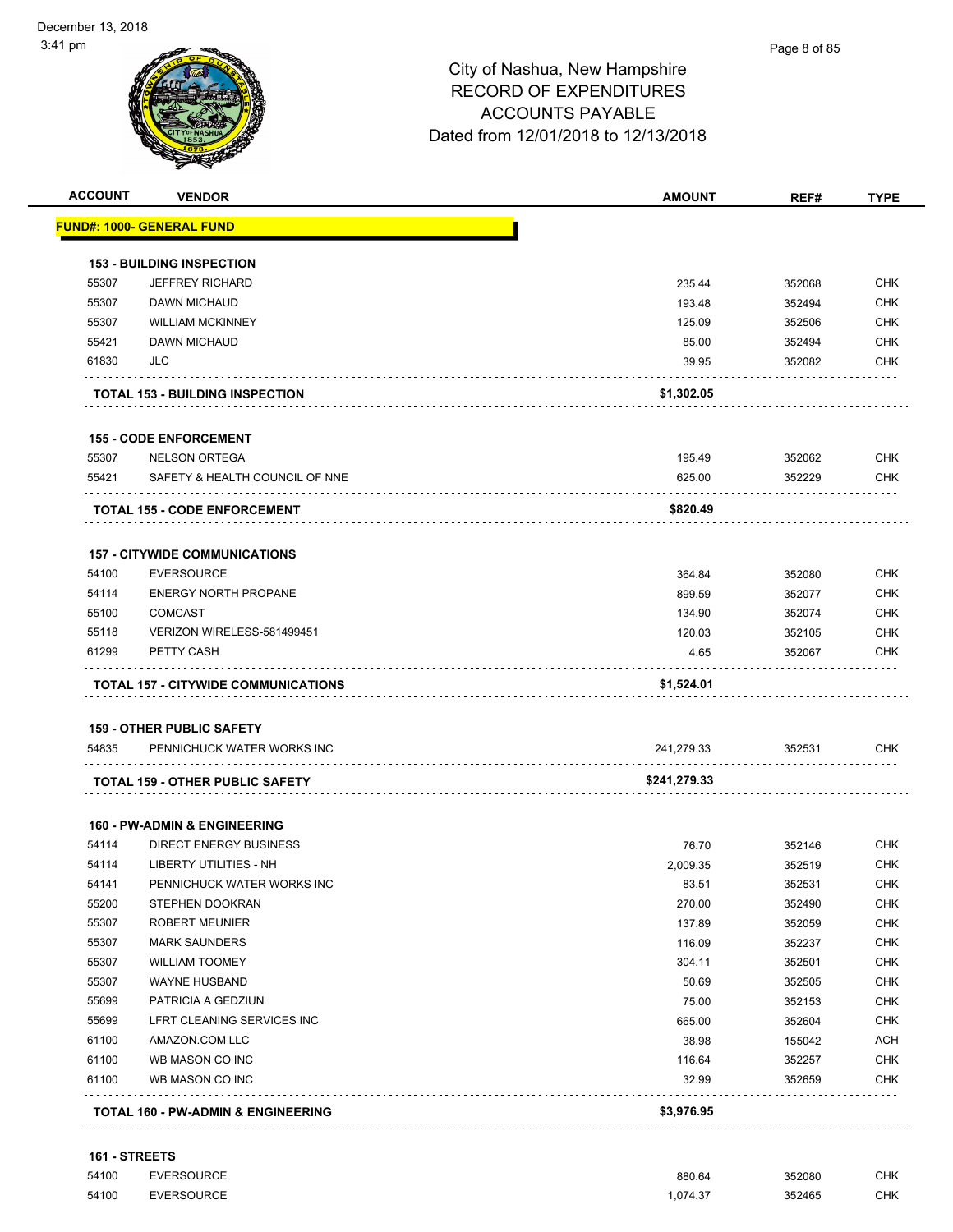

|       |                                         | <b>AMOUNT</b> | REF#   | <b>TYPE</b> |
|-------|-----------------------------------------|---------------|--------|-------------|
|       | <u> FUND#: 1000- GENERAL FUND</u>       |               |        |             |
|       | <b>153 - BUILDING INSPECTION</b>        |               |        |             |
| 55307 | <b>JEFFREY RICHARD</b>                  | 235.44        | 352068 | <b>CHK</b>  |
| 55307 | DAWN MICHAUD                            | 193.48        | 352494 | <b>CHK</b>  |
| 55307 | <b>WILLIAM MCKINNEY</b>                 | 125.09        | 352506 | <b>CHK</b>  |
| 55421 | DAWN MICHAUD                            | 85.00         | 352494 | CHK         |
| 61830 | JLC                                     | 39.95         | 352082 | <b>CHK</b>  |
|       | <b>TOTAL 153 - BUILDING INSPECTION</b>  | \$1,302.05    |        |             |
|       | <b>155 - CODE ENFORCEMENT</b>           |               |        |             |
| 55307 | <b>NELSON ORTEGA</b>                    | 195.49        | 352062 | <b>CHK</b>  |
| 55421 | SAFETY & HEALTH COUNCIL OF NNE          | 625.00        | 352229 | <b>CHK</b>  |
|       | <b>TOTAL 155 - CODE ENFORCEMENT</b>     | \$820.49      |        |             |
|       | <b>157 - CITYWIDE COMMUNICATIONS</b>    |               |        |             |
| 54100 | <b>EVERSOURCE</b>                       | 364.84        | 352080 | <b>CHK</b>  |
| 54114 | <b>ENERGY NORTH PROPANE</b>             | 899.59        | 352077 | <b>CHK</b>  |
| 55100 | <b>COMCAST</b>                          | 134.90        | 352074 | <b>CHK</b>  |
| 55118 | VERIZON WIRELESS-581499451              | 120.03        | 352105 | <b>CHK</b>  |
| 61299 | PETTY CASH                              | 4.65          | 352067 | CHK         |
|       | TOTAL 157 - CITYWIDE COMMUNICATIONS     | \$1,524.01    |        |             |
|       | <b>159 - OTHER PUBLIC SAFETY</b>        |               |        |             |
| 54835 | PENNICHUCK WATER WORKS INC              | 241,279.33    | 352531 | CHK         |
|       | <b>TOTAL 159 - OTHER PUBLIC SAFETY</b>  | \$241,279.33  |        |             |
|       | <b>160 - PW-ADMIN &amp; ENGINEERING</b> |               |        |             |
| 54114 | <b>DIRECT ENERGY BUSINESS</b>           | 76.70         | 352146 | <b>CHK</b>  |
| 54114 | <b>LIBERTY UTILITIES - NH</b>           | 2,009.35      | 352519 | CHK         |
| 54141 | PENNICHUCK WATER WORKS INC              | 83.51         | 352531 | <b>CHK</b>  |
| 55200 | STEPHEN DOOKRAN                         | 270.00        | 352490 | CHK         |
| 55307 | <b>ROBERT MEUNIER</b>                   | 137.89        | 352059 | <b>CHK</b>  |
| 55307 | <b>MARK SAUNDERS</b>                    | 116.09        | 352237 | <b>CHK</b>  |
| 55307 | <b>WILLIAM TOOMEY</b>                   | 304.11        | 352501 | <b>CHK</b>  |
| 55307 | WAYNE HUSBAND                           | 50.69         | 352505 | <b>CHK</b>  |
| 55699 | PATRICIA A GEDZIUN                      | 75.00         | 352153 | <b>CHK</b>  |
| 55699 | LFRT CLEANING SERVICES INC              | 665.00        | 352604 | <b>CHK</b>  |
| 61100 | AMAZON.COM LLC                          | 38.98         | 155042 | <b>ACH</b>  |
| 61100 | WB MASON CO INC                         | 116.64        | 352257 | <b>CHK</b>  |
| 61100 | WB MASON CO INC                         | 32.99         | 352659 | CHK         |
|       |                                         |               |        |             |

| <b>161 - STREETS</b> |            |          |        |     |
|----------------------|------------|----------|--------|-----|
| 54100                | EVERSOURCE | 880.64   | 352080 | СНК |
| 54100                | EVERSOURCE | 1.074.37 | 352465 | СНК |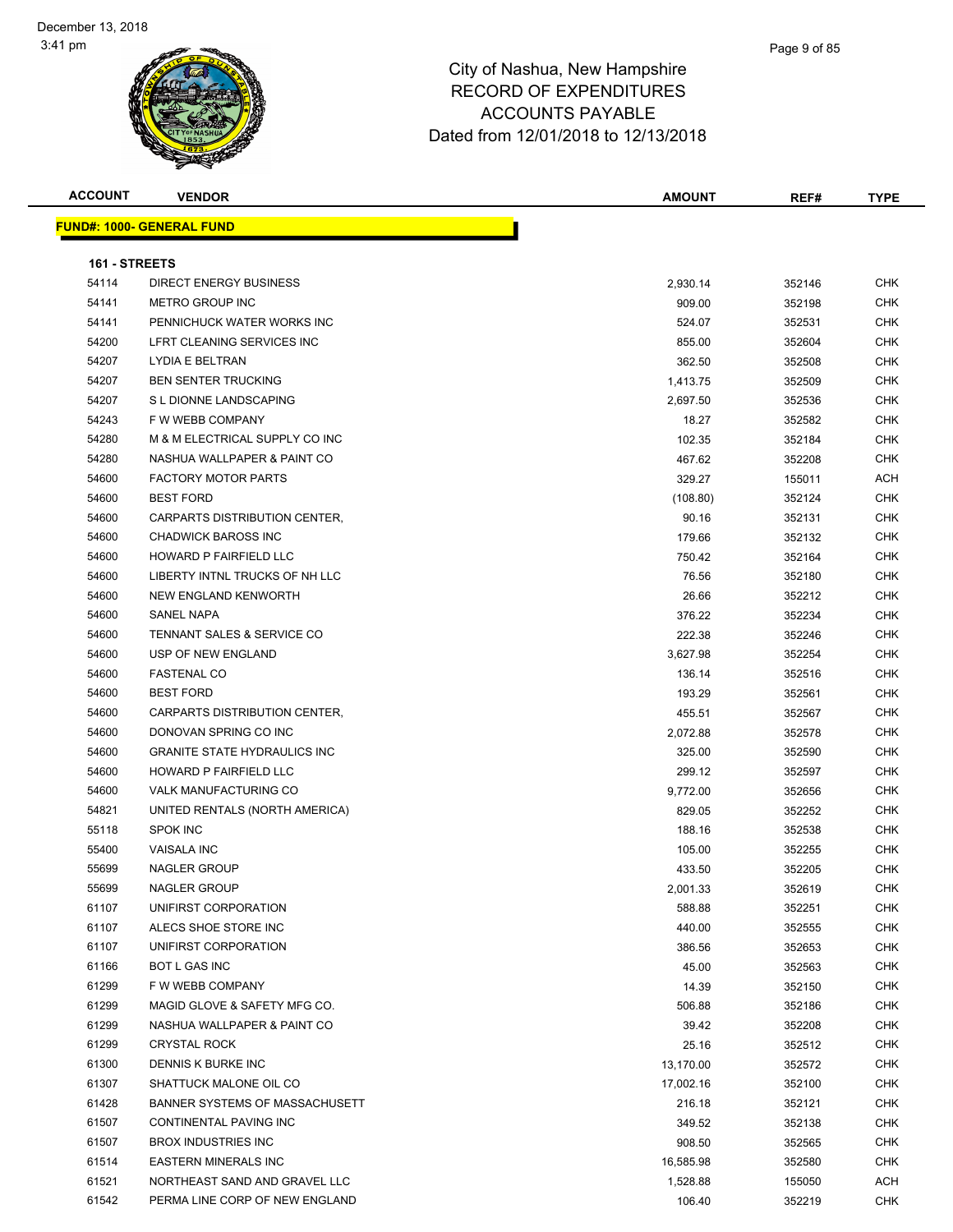| <b>ACCOUNT</b> | <b>VENDOR</b>                       | AMOUNT    | REF#   | <b>TYPE</b> |
|----------------|-------------------------------------|-----------|--------|-------------|
|                | <b>FUND#: 1000- GENERAL FUND</b>    |           |        |             |
|                |                                     |           |        |             |
| 161 - STREETS  |                                     |           |        |             |
| 54114          | DIRECT ENERGY BUSINESS              | 2,930.14  | 352146 | <b>CHK</b>  |
| 54141          | METRO GROUP INC                     | 909.00    | 352198 | <b>CHK</b>  |
| 54141          | PENNICHUCK WATER WORKS INC          | 524.07    | 352531 | CHK         |
| 54200          | LFRT CLEANING SERVICES INC          | 855.00    | 352604 | CHK         |
| 54207          | LYDIA E BELTRAN                     | 362.50    | 352508 | CHK         |
| 54207          | <b>BEN SENTER TRUCKING</b>          | 1,413.75  | 352509 | CHK         |
| 54207          | S L DIONNE LANDSCAPING              | 2,697.50  | 352536 | CHK         |
| 54243          | F W WEBB COMPANY                    | 18.27     | 352582 | <b>CHK</b>  |
| 54280          | M & M ELECTRICAL SUPPLY CO INC      | 102.35    | 352184 | CHK         |
| 54280          | NASHUA WALLPAPER & PAINT CO         | 467.62    | 352208 | <b>CHK</b>  |
| 54600          | <b>FACTORY MOTOR PARTS</b>          | 329.27    | 155011 | ACH         |
| 54600          | <b>BEST FORD</b>                    | (108.80)  | 352124 | <b>CHK</b>  |
| 54600          | CARPARTS DISTRIBUTION CENTER,       | 90.16     | 352131 | CHK         |
| 54600          | <b>CHADWICK BAROSS INC</b>          | 179.66    | 352132 | CHK         |
| 54600          | <b>HOWARD P FAIRFIELD LLC</b>       | 750.42    | 352164 | <b>CHK</b>  |
| 54600          | LIBERTY INTNL TRUCKS OF NH LLC      | 76.56     | 352180 | CHK         |
| 54600          | NEW ENGLAND KENWORTH                | 26.66     | 352212 | CHK         |
| 54600          | SANEL NAPA                          | 376.22    | 352234 | CHK         |
| 54600          | TENNANT SALES & SERVICE CO          | 222.38    | 352246 | CHK         |
| 54600          | USP OF NEW ENGLAND                  | 3,627.98  | 352254 | CHK         |
| 54600          | <b>FASTENAL CO</b>                  | 136.14    | 352516 | CHK         |
| 54600          | <b>BEST FORD</b>                    | 193.29    | 352561 | CHK         |
| 54600          | CARPARTS DISTRIBUTION CENTER,       | 455.51    | 352567 | CHK         |
| 54600          | DONOVAN SPRING CO INC               | 2,072.88  | 352578 | CHK         |
| 54600          | <b>GRANITE STATE HYDRAULICS INC</b> | 325.00    | 352590 | CHK         |
| 54600          | HOWARD P FAIRFIELD LLC              | 299.12    | 352597 | CHK         |
| 54600          | VALK MANUFACTURING CO               | 9,772.00  | 352656 | CHK         |
| 54821          | UNITED RENTALS (NORTH AMERICA)      | 829.05    | 352252 | CHK         |
| 55118          | <b>SPOK INC</b>                     | 188.16    | 352538 | CHK         |
| 55400          | <b>VAISALA INC</b>                  | 105.00    | 352255 | CHK         |
| 55699          | <b>NAGLER GROUP</b>                 | 433.50    | 352205 | <b>CHK</b>  |
| 55699          | NAGLER GROUP                        | 2,001.33  | 352619 | <b>CHK</b>  |
| 61107          | UNIFIRST CORPORATION                | 588.88    | 352251 | <b>CHK</b>  |
| 61107          | ALECS SHOE STORE INC                | 440.00    | 352555 | <b>CHK</b>  |
| 61107          | UNIFIRST CORPORATION                | 386.56    | 352653 | CHK         |
| 61166          | <b>BOT L GAS INC</b>                | 45.00     | 352563 | <b>CHK</b>  |
| 61299          | F W WEBB COMPANY                    | 14.39     | 352150 | CHK         |
| 61299          | MAGID GLOVE & SAFETY MFG CO.        | 506.88    | 352186 | <b>CHK</b>  |
| 61299          | NASHUA WALLPAPER & PAINT CO         | 39.42     | 352208 | CHK         |
| 61299          | <b>CRYSTAL ROCK</b>                 | 25.16     | 352512 | CHK         |
| 61300          | DENNIS K BURKE INC                  | 13,170.00 | 352572 | CHK         |
| 61307          | SHATTUCK MALONE OIL CO              | 17,002.16 | 352100 | CHK         |
| 61428          | BANNER SYSTEMS OF MASSACHUSETT      | 216.18    | 352121 | <b>CHK</b>  |
| 61507          | CONTINENTAL PAVING INC              | 349.52    | 352138 | <b>CHK</b>  |
| 61507          | <b>BROX INDUSTRIES INC</b>          | 908.50    | 352565 | CHK         |
| 61514          | <b>EASTERN MINERALS INC</b>         | 16,585.98 | 352580 | CHK         |
| 61521          | NORTHEAST SAND AND GRAVEL LLC       | 1,528.88  | 155050 | ACH         |
| 61542          | PERMA LINE CORP OF NEW ENGLAND      | 106.40    | 352219 | <b>CHK</b>  |
|                |                                     |           |        |             |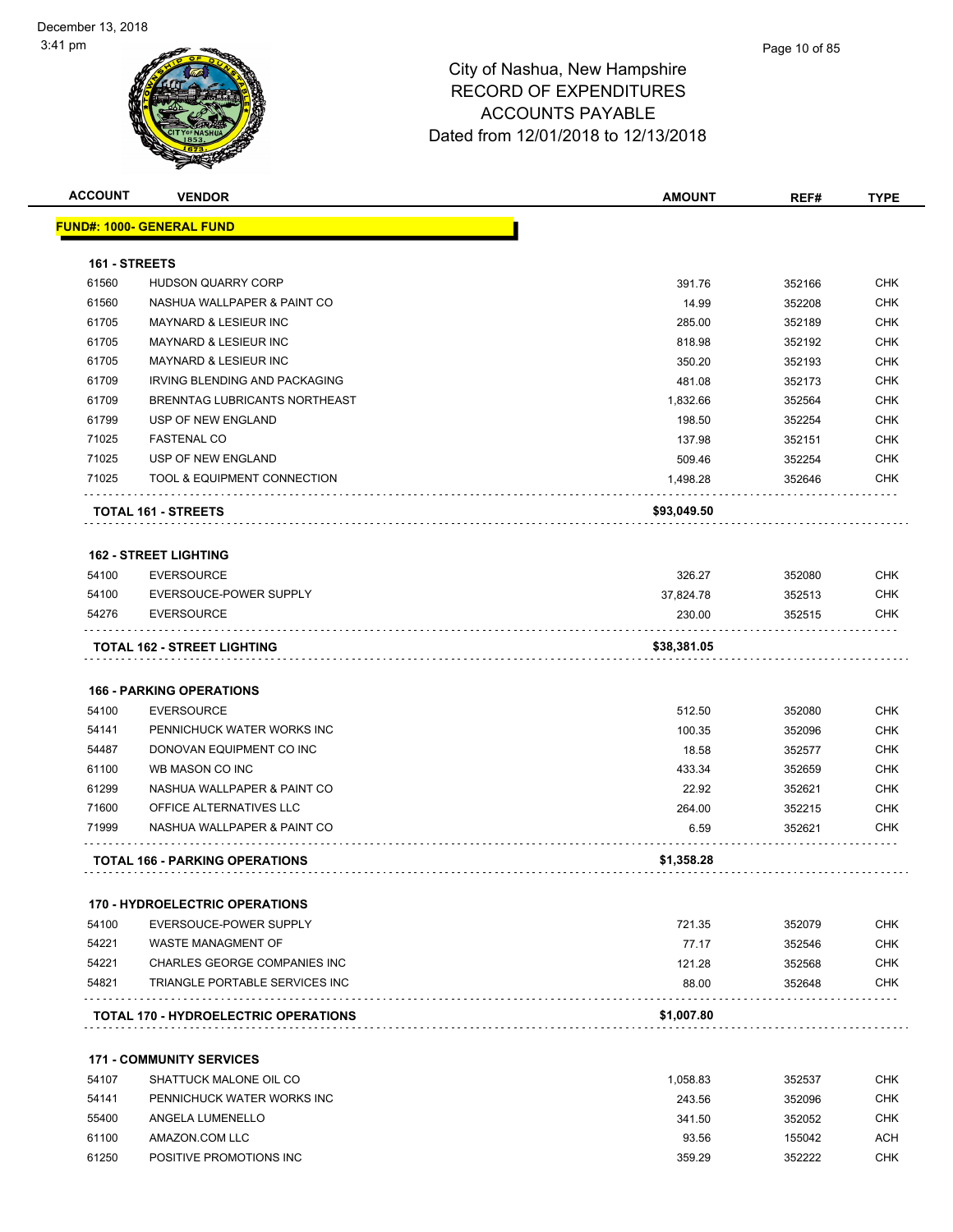| <b>ACCOUNT</b> | <b>VENDOR</b>                             | <b>AMOUNT</b> | REF#   | <b>TYPE</b> |
|----------------|-------------------------------------------|---------------|--------|-------------|
|                | FUND#: 1000- GENERAL FUND                 |               |        |             |
|                |                                           |               |        |             |
| 161 - STREETS  |                                           |               |        |             |
| 61560          | <b>HUDSON QUARRY CORP</b>                 | 391.76        | 352166 | <b>CHK</b>  |
| 61560          | NASHUA WALLPAPER & PAINT CO               | 14.99         | 352208 | <b>CHK</b>  |
| 61705          | <b>MAYNARD &amp; LESIEUR INC</b>          | 285.00        | 352189 | <b>CHK</b>  |
| 61705          | MAYNARD & LESIEUR INC                     | 818.98        | 352192 | <b>CHK</b>  |
| 61705          | MAYNARD & LESIEUR INC                     | 350.20        | 352193 | <b>CHK</b>  |
| 61709          | IRVING BLENDING AND PACKAGING             | 481.08        | 352173 | <b>CHK</b>  |
| 61709          | BRENNTAG LUBRICANTS NORTHEAST             | 1,832.66      | 352564 | <b>CHK</b>  |
| 61799          | USP OF NEW ENGLAND                        | 198.50        | 352254 | <b>CHK</b>  |
| 71025          | <b>FASTENAL CO</b>                        | 137.98        | 352151 | <b>CHK</b>  |
| 71025          | USP OF NEW ENGLAND                        | 509.46        | 352254 | <b>CHK</b>  |
| 71025          | TOOL & EQUIPMENT CONNECTION               | 1,498.28      | 352646 | <b>CHK</b>  |
|                | <b>TOTAL 161 - STREETS</b>                | \$93,049.50   |        |             |
|                | <b>162 - STREET LIGHTING</b>              |               |        |             |
| 54100          | <b>EVERSOURCE</b>                         | 326.27        | 352080 | <b>CHK</b>  |
| 54100          | EVERSOUCE-POWER SUPPLY                    | 37,824.78     | 352513 | <b>CHK</b>  |
| 54276          | <b>EVERSOURCE</b>                         | 230.00        | 352515 | <b>CHK</b>  |
|                | TOTAL 162 - STREET LIGHTING               | \$38,381.05   |        |             |
|                |                                           |               |        |             |
|                | <b>166 - PARKING OPERATIONS</b>           |               |        |             |
| 54100          | <b>EVERSOURCE</b>                         | 512.50        | 352080 | <b>CHK</b>  |
| 54141          | PENNICHUCK WATER WORKS INC                | 100.35        | 352096 | <b>CHK</b>  |
| 54487          | DONOVAN EQUIPMENT CO INC                  | 18.58         | 352577 | <b>CHK</b>  |
| 61100          | WB MASON CO INC                           | 433.34        | 352659 | <b>CHK</b>  |
| 61299          | NASHUA WALLPAPER & PAINT CO               | 22.92         | 352621 | <b>CHK</b>  |
| 71600          | OFFICE ALTERNATIVES LLC                   | 264.00        | 352215 | <b>CHK</b>  |
| 71999          | NASHUA WALLPAPER & PAINT CO               | 6.59          | 352621 | <b>CHK</b>  |
|                | <b>TOTAL 166 - PARKING OPERATIONS</b>     | \$1,358.28    |        |             |
|                | <b>170 - HYDROELECTRIC OPERATIONS</b>     |               |        |             |
| 54100          | EVERSOUCE-POWER SUPPLY                    | 721.35        | 352079 | <b>CHK</b>  |
| 54221          | WASTE MANAGMENT OF                        | 77.17         | 352546 | <b>CHK</b>  |
| 54221          | CHARLES GEORGE COMPANIES INC              | 121.28        | 352568 | <b>CHK</b>  |
| 54821          | TRIANGLE PORTABLE SERVICES INC            | 88.00         | 352648 | <b>CHK</b>  |
|                | .<br>TOTAL 170 - HYDROELECTRIC OPERATIONS | \$1,007.80    |        |             |
|                | <b>171 - COMMUNITY SERVICES</b>           |               |        |             |
| 54107          | SHATTUCK MALONE OIL CO                    | 1,058.83      | 352537 | <b>CHK</b>  |
| 54141          | PENNICHUCK WATER WORKS INC                | 243.56        | 352096 | <b>CHK</b>  |
| 55400          | ANGELA LUMENELLO                          |               |        | <b>CHK</b>  |
|                |                                           | 341.50        | 352052 | <b>ACH</b>  |
| 61100          | AMAZON.COM LLC                            | 93.56         | 155042 |             |
| 61250          | POSITIVE PROMOTIONS INC                   | 359.29        | 352222 | CHK         |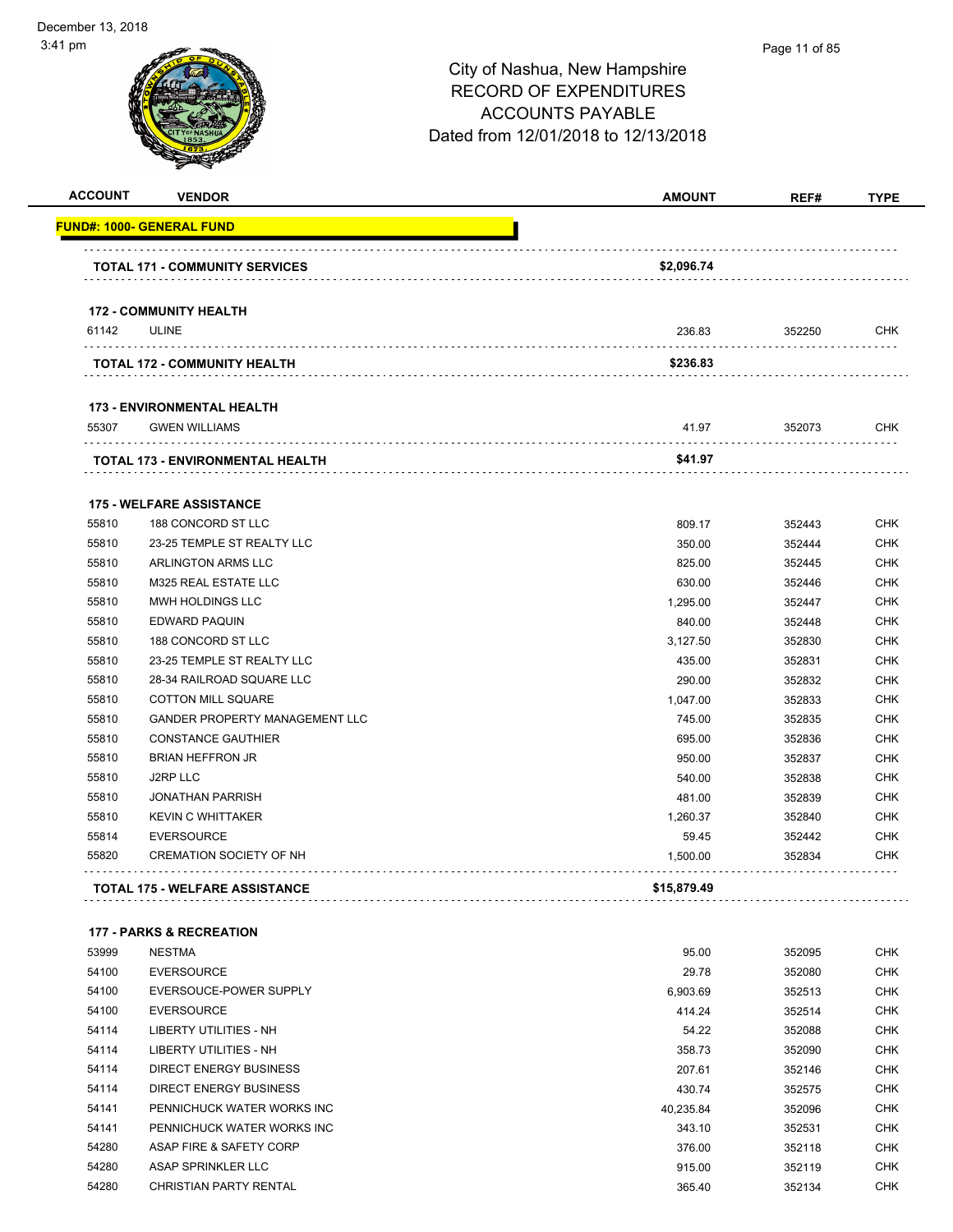| <b>ACCOUNT</b> | <b>VENDOR</b>                         | <b>AMOUNT</b> | REF#   | <b>TYPE</b> |
|----------------|---------------------------------------|---------------|--------|-------------|
|                | <u> FUND#: 1000- GENERAL FUND</u>     |               |        |             |
|                | <b>TOTAL 171 - COMMUNITY SERVICES</b> | \$2,096.74    |        |             |
|                | <b>172 - COMMUNITY HEALTH</b>         |               |        |             |
| 61142          | <b>ULINE</b>                          | 236.83        | 352250 | <b>CHK</b>  |
|                | <b>TOTAL 172 - COMMUNITY HEALTH</b>   | \$236.83      |        |             |
|                | <b>173 - ENVIRONMENTAL HEALTH</b>     |               |        |             |
| 55307          | <b>GWEN WILLIAMS</b>                  | 41.97         | 352073 | <b>CHK</b>  |
|                | TOTAL 173 - ENVIRONMENTAL HEALTH      | \$41.97       |        |             |
|                | <b>175 - WELFARE ASSISTANCE</b>       |               |        |             |
| 55810          | 188 CONCORD ST LLC                    | 809.17        | 352443 | <b>CHK</b>  |
| 55810          | 23-25 TEMPLE ST REALTY LLC            | 350.00        | 352444 | <b>CHK</b>  |
| 55810          | <b>ARLINGTON ARMS LLC</b>             | 825.00        | 352445 | <b>CHK</b>  |
| 55810          | M325 REAL ESTATE LLC                  | 630.00        | 352446 | <b>CHK</b>  |
| 55810          | MWH HOLDINGS LLC                      | 1,295.00      | 352447 | <b>CHK</b>  |
| 55810          | <b>EDWARD PAQUIN</b>                  | 840.00        | 352448 | <b>CHK</b>  |
| 55810          | 188 CONCORD ST LLC                    | 3,127.50      | 352830 | <b>CHK</b>  |
| 55810          | 23-25 TEMPLE ST REALTY LLC            | 435.00        | 352831 | <b>CHK</b>  |
| 55810          | 28-34 RAILROAD SQUARE LLC             | 290.00        | 352832 | <b>CHK</b>  |
| 55810          | <b>COTTON MILL SQUARE</b>             | 1,047.00      | 352833 | <b>CHK</b>  |
| 55810          | <b>GANDER PROPERTY MANAGEMENT LLC</b> | 745.00        | 352835 | <b>CHK</b>  |
| 55810          | <b>CONSTANCE GAUTHIER</b>             | 695.00        | 352836 | <b>CHK</b>  |
| 55810          | <b>BRIAN HEFFRON JR</b>               | 950.00        | 352837 | <b>CHK</b>  |
| 55810          | <b>J2RP LLC</b>                       | 540.00        | 352838 | <b>CHK</b>  |
| 55810          | <b>JONATHAN PARRISH</b>               | 481.00        | 352839 | <b>CHK</b>  |
| 55810          | <b>KEVIN C WHITTAKER</b>              | 1,260.37      | 352840 | <b>CHK</b>  |
| 55814          | <b>EVERSOURCE</b>                     | 59.45         | 352442 | <b>CHK</b>  |
| 55820          | <b>CREMATION SOCIETY OF NH</b>        | 1,500.00      | 352834 | <b>CHK</b>  |
|                | <b>TOTAL 175 - WELFARE ASSISTANCE</b> | \$15,879.49   |        |             |
|                | <b>177 - PARKS &amp; RECREATION</b>   |               |        |             |
| 53999          | <b>NESTMA</b>                         | 95.00         | 352095 | <b>CHK</b>  |
| 54100          | <b>EVERSOURCE</b>                     | 29.78         | 352080 | <b>CHK</b>  |
| 54100          | EVERSOUCE-POWER SUPPLY                | 6,903.69      | 352513 | <b>CHK</b>  |
| 54100          | <b>EVERSOURCE</b>                     | 414.24        | 352514 | <b>CHK</b>  |
| 54114          | <b>LIBERTY UTILITIES - NH</b>         | 54.22         | 352088 | <b>CHK</b>  |
| 54114          | <b>LIBERTY UTILITIES - NH</b>         | 358.73        | 352090 | <b>CHK</b>  |
| 54114          | DIRECT ENERGY BUSINESS                | 207.61        | 352146 | <b>CHK</b>  |
| 54114          | DIRECT ENERGY BUSINESS                | 430.74        | 352575 | <b>CHK</b>  |
| 54141          | PENNICHUCK WATER WORKS INC            | 40,235.84     | 352096 | <b>CHK</b>  |

 ASAP SPRINKLER LLC 915.00 352119 CHK CHRISTIAN PARTY RENTAL 365.40 352134 CHK

 PENNICHUCK WATER WORKS INC 343.10 352531 CHK 54280 ASAP FIRE & SAFETY CORP **376.00** 352118 CHK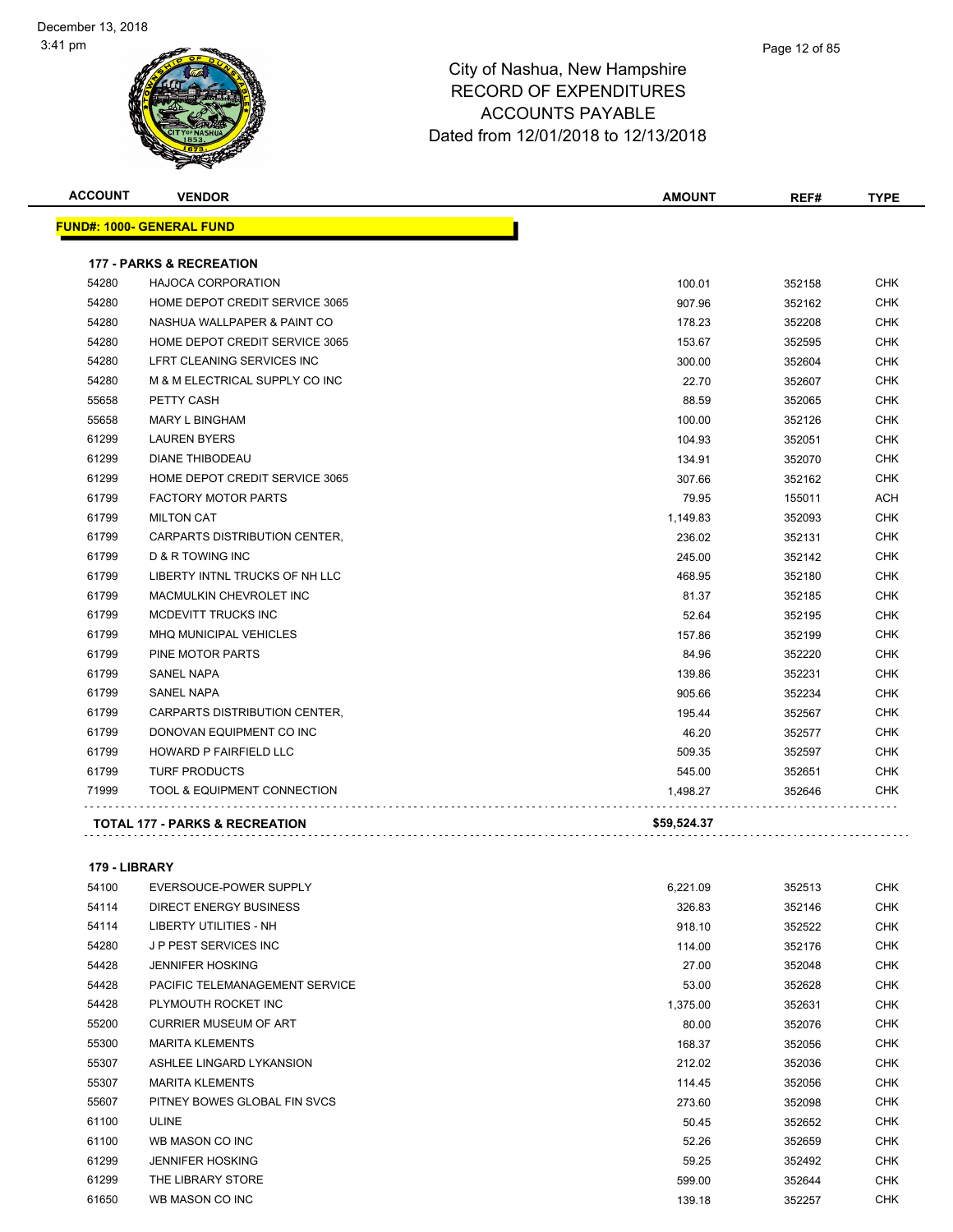| <b>ACCOUNT</b> | <b>VENDOR</b>                             | <b>AMOUNT</b> | REF#   | <b>TYPE</b> |
|----------------|-------------------------------------------|---------------|--------|-------------|
|                | <b>FUND#: 1000- GENERAL FUND</b>          |               |        |             |
|                | <b>177 - PARKS &amp; RECREATION</b>       |               |        |             |
| 54280          | <b>HAJOCA CORPORATION</b>                 | 100.01        | 352158 | <b>CHK</b>  |
| 54280          | HOME DEPOT CREDIT SERVICE 3065            | 907.96        | 352162 | <b>CHK</b>  |
| 54280          | NASHUA WALLPAPER & PAINT CO               | 178.23        | 352208 | <b>CHK</b>  |
| 54280          | HOME DEPOT CREDIT SERVICE 3065            | 153.67        | 352595 | <b>CHK</b>  |
| 54280          | LFRT CLEANING SERVICES INC                | 300.00        | 352604 | <b>CHK</b>  |
| 54280          | M & M ELECTRICAL SUPPLY CO INC            | 22.70         | 352607 | <b>CHK</b>  |
| 55658          | PETTY CASH                                | 88.59         | 352065 | <b>CHK</b>  |
| 55658          | <b>MARY L BINGHAM</b>                     | 100.00        | 352126 | CHK         |
| 61299          | <b>LAUREN BYERS</b>                       | 104.93        | 352051 | <b>CHK</b>  |
| 61299          | <b>DIANE THIBODEAU</b>                    | 134.91        | 352070 | <b>CHK</b>  |
| 61299          | HOME DEPOT CREDIT SERVICE 3065            | 307.66        | 352162 | <b>CHK</b>  |
| 61799          | <b>FACTORY MOTOR PARTS</b>                | 79.95         | 155011 | <b>ACH</b>  |
| 61799          | <b>MILTON CAT</b>                         | 1,149.83      | 352093 | <b>CHK</b>  |
| 61799          | CARPARTS DISTRIBUTION CENTER,             | 236.02        | 352131 | <b>CHK</b>  |
| 61799          | <b>D &amp; R TOWING INC</b>               | 245.00        | 352142 | <b>CHK</b>  |
| 61799          | LIBERTY INTNL TRUCKS OF NH LLC            | 468.95        | 352180 | <b>CHK</b>  |
| 61799          | MACMULKIN CHEVROLET INC                   | 81.37         | 352185 | <b>CHK</b>  |
| 61799          | MCDEVITT TRUCKS INC                       | 52.64         | 352195 | <b>CHK</b>  |
| 61799          | <b>MHQ MUNICIPAL VEHICLES</b>             | 157.86        | 352199 | <b>CHK</b>  |
| 61799          | PINE MOTOR PARTS                          | 84.96         | 352220 | <b>CHK</b>  |
| 61799          | <b>SANEL NAPA</b>                         | 139.86        | 352231 | <b>CHK</b>  |
| 61799          | <b>SANEL NAPA</b>                         | 905.66        | 352234 | <b>CHK</b>  |
| 61799          | CARPARTS DISTRIBUTION CENTER,             | 195.44        | 352567 | <b>CHK</b>  |
| 61799          | DONOVAN EQUIPMENT CO INC                  | 46.20         | 352577 | <b>CHK</b>  |
| 61799          | <b>HOWARD P FAIRFIELD LLC</b>             | 509.35        | 352597 | <b>CHK</b>  |
| 61799          | <b>TURF PRODUCTS</b>                      | 545.00        | 352651 | CHK         |
| 71999          | TOOL & EQUIPMENT CONNECTION               | 1,498.27      | 352646 | CHK         |
|                | <b>TOTAL 177 - PARKS &amp; RECREATION</b> | \$59,524.37   |        |             |

## **179 - LIBRARY**

| 54100 | EVERSOUCE-POWER SUPPLY         | 6,221.09 | 352513 | CHK        |
|-------|--------------------------------|----------|--------|------------|
| 54114 | DIRECT ENERGY BUSINESS         | 326.83   | 352146 | <b>CHK</b> |
| 54114 | LIBERTY UTILITIES - NH         | 918.10   | 352522 | <b>CHK</b> |
| 54280 | <b>JP PEST SERVICES INC</b>    | 114.00   | 352176 | <b>CHK</b> |
| 54428 | <b>JENNIFER HOSKING</b>        | 27.00    | 352048 | CHK        |
| 54428 | PACIFIC TELEMANAGEMENT SERVICE | 53.00    | 352628 | <b>CHK</b> |
| 54428 | PLYMOUTH ROCKET INC            | 1,375.00 | 352631 | <b>CHK</b> |
| 55200 | <b>CURRIER MUSEUM OF ART</b>   | 80.00    | 352076 | <b>CHK</b> |
| 55300 | <b>MARITA KLEMENTS</b>         | 168.37   | 352056 | CHK        |
| 55307 | ASHLEE LINGARD LYKANSION       | 212.02   | 352036 | <b>CHK</b> |
| 55307 | <b>MARITA KLEMENTS</b>         | 114.45   | 352056 | <b>CHK</b> |
| 55607 | PITNEY BOWES GLOBAL FIN SVCS   | 273.60   | 352098 | <b>CHK</b> |
| 61100 | <b>ULINE</b>                   | 50.45    | 352652 | CHK        |
| 61100 | WB MASON CO INC                | 52.26    | 352659 | CHK        |
| 61299 | <b>JENNIFER HOSKING</b>        | 59.25    | 352492 | <b>CHK</b> |
| 61299 | THE LIBRARY STORE              | 599.00   | 352644 | <b>CHK</b> |
| 61650 | WB MASON CO INC                | 139.18   | 352257 | <b>CHK</b> |
|       |                                |          |        |            |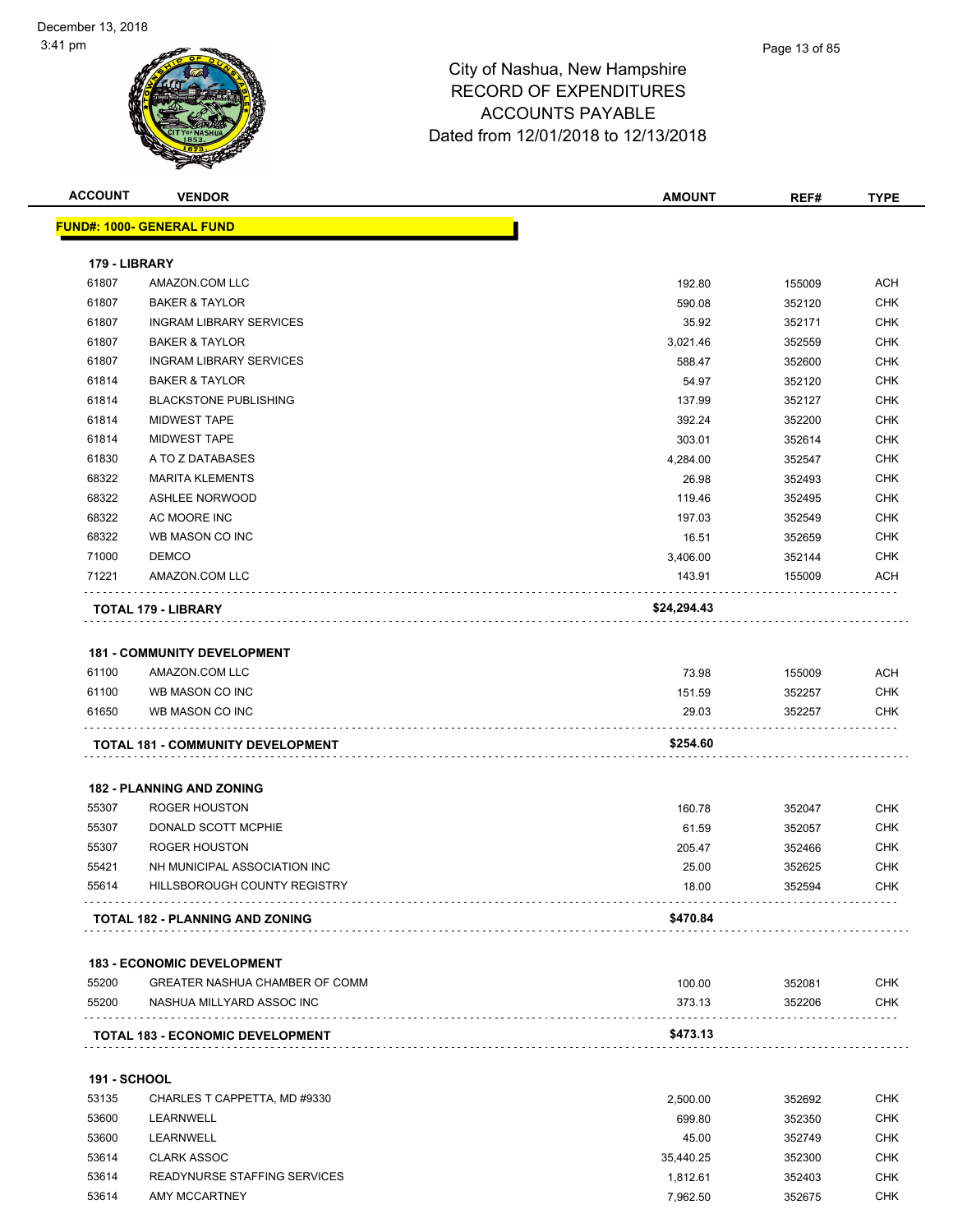| <b>ACCOUNT</b>      | <b>VENDOR</b>                            | <b>AMOUNT</b> | REF#   | <b>TYPE</b> |
|---------------------|------------------------------------------|---------------|--------|-------------|
|                     | <b>FUND#: 1000- GENERAL FUND</b>         |               |        |             |
|                     |                                          |               |        |             |
| 179 - LIBRARY       |                                          |               |        |             |
| 61807               | AMAZON.COM LLC                           | 192.80        | 155009 | <b>ACH</b>  |
| 61807               | <b>BAKER &amp; TAYLOR</b>                | 590.08        | 352120 | <b>CHK</b>  |
| 61807               | <b>INGRAM LIBRARY SERVICES</b>           | 35.92         | 352171 | <b>CHK</b>  |
| 61807               | <b>BAKER &amp; TAYLOR</b>                | 3,021.46      | 352559 | <b>CHK</b>  |
| 61807               | <b>INGRAM LIBRARY SERVICES</b>           | 588.47        | 352600 | <b>CHK</b>  |
| 61814               | <b>BAKER &amp; TAYLOR</b>                | 54.97         | 352120 | <b>CHK</b>  |
| 61814               | <b>BLACKSTONE PUBLISHING</b>             | 137.99        | 352127 | <b>CHK</b>  |
| 61814               | <b>MIDWEST TAPE</b>                      | 392.24        | 352200 | <b>CHK</b>  |
| 61814               | <b>MIDWEST TAPE</b>                      | 303.01        | 352614 | <b>CHK</b>  |
| 61830               | A TO Z DATABASES                         | 4,284.00      | 352547 | <b>CHK</b>  |
| 68322               | <b>MARITA KLEMENTS</b>                   | 26.98         | 352493 | <b>CHK</b>  |
| 68322               | <b>ASHLEE NORWOOD</b>                    | 119.46        | 352495 | <b>CHK</b>  |
| 68322               | AC MOORE INC                             | 197.03        | 352549 | <b>CHK</b>  |
| 68322               | WB MASON CO INC                          | 16.51         | 352659 | <b>CHK</b>  |
| 71000               | <b>DEMCO</b>                             | 3,406.00      | 352144 | <b>CHK</b>  |
| 71221               | AMAZON.COM LLC                           | 143.91        | 155009 | ACH         |
|                     | TOTAL 179 - LIBRARY                      | \$24,294.43   |        |             |
|                     |                                          |               |        |             |
|                     | <b>181 - COMMUNITY DEVELOPMENT</b>       |               |        |             |
| 61100               | AMAZON.COM LLC                           | 73.98         | 155009 | ACH         |
| 61100               | WB MASON CO INC                          | 151.59        | 352257 | <b>CHK</b>  |
| 61650               | WB MASON CO INC                          | 29.03         | 352257 | <b>CHK</b>  |
|                     | <b>TOTAL 181 - COMMUNITY DEVELOPMENT</b> | \$254.60      |        |             |
|                     | <b>182 - PLANNING AND ZONING</b>         |               |        |             |
| 55307               | <b>ROGER HOUSTON</b>                     | 160.78        | 352047 | <b>CHK</b>  |
| 55307               | DONALD SCOTT MCPHIE                      | 61.59         | 352057 | <b>CHK</b>  |
| 55307               | ROGER HOUSTON                            | 205.47        | 352466 | <b>CHK</b>  |
| 55421               | NH MUNICIPAL ASSOCIATION INC             | 25.00         | 352625 | <b>CHK</b>  |
| 55614               | HILLSBOROUGH COUNTY REGISTRY             | 18.00         | 352594 | <b>CHK</b>  |
|                     | TOTAL 182 - PLANNING AND ZONING          | \$470.84      |        |             |
|                     | <b>183 - ECONOMIC DEVELOPMENT</b>        |               |        |             |
| 55200               | GREATER NASHUA CHAMBER OF COMM           | 100.00        | 352081 | CHK         |
| 55200               | NASHUA MILLYARD ASSOC INC                | 373.13        | 352206 | <b>CHK</b>  |
|                     |                                          |               |        |             |
|                     | <b>TOTAL 183 - ECONOMIC DEVELOPMENT</b>  | \$473.13      |        |             |
| <b>191 - SCHOOL</b> |                                          |               |        |             |
| 53135               | CHARLES T CAPPETTA, MD #9330             | 2,500.00      | 352692 | <b>CHK</b>  |
| 53600               | LEARNWELL                                | 699.80        | 352350 | <b>CHK</b>  |
| 53600               | LEARNWELL                                | 45.00         | 352749 | <b>CHK</b>  |
| 53614               | <b>CLARK ASSOC</b>                       | 35,440.25     | 352300 | <b>CHK</b>  |
| 53614               | READYNURSE STAFFING SERVICES             | 1,812.61      | 352403 | <b>CHK</b>  |

AMY MCCARTNEY 7,962.50 352675 CHK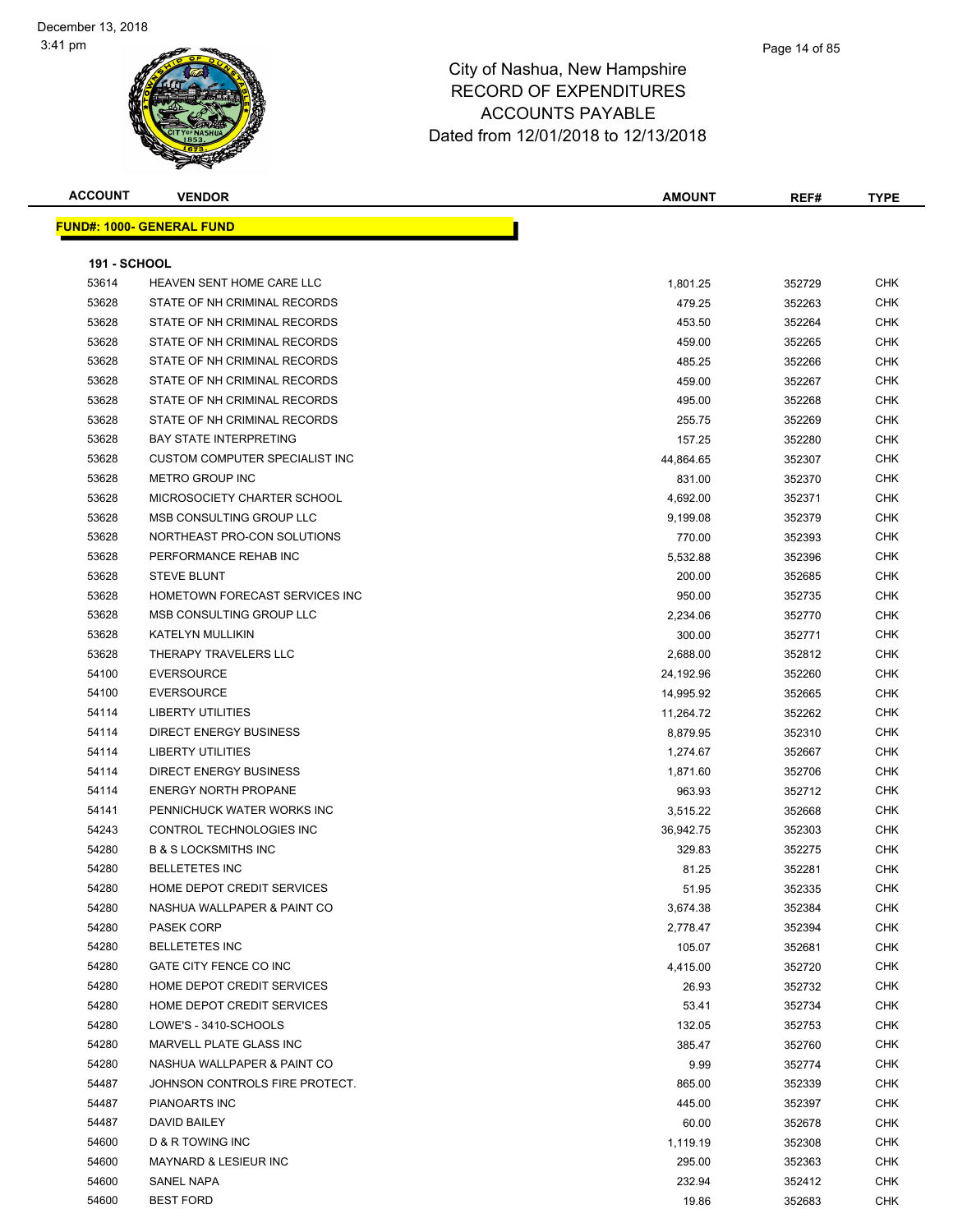| <b>ACCOUNT</b>      | <b>VENDOR</b>                    | <b>AMOUNT</b> | REF#   | <b>TYPE</b> |
|---------------------|----------------------------------|---------------|--------|-------------|
|                     | <b>FUND#: 1000- GENERAL FUND</b> |               |        |             |
|                     |                                  |               |        |             |
| <b>191 - SCHOOL</b> |                                  |               |        |             |
| 53614               | HEAVEN SENT HOME CARE LLC        | 1,801.25      | 352729 | <b>CHK</b>  |
| 53628               | STATE OF NH CRIMINAL RECORDS     | 479.25        | 352263 | CHK         |
| 53628               | STATE OF NH CRIMINAL RECORDS     | 453.50        | 352264 | CHK         |
| 53628               | STATE OF NH CRIMINAL RECORDS     | 459.00        | 352265 | CHK         |
| 53628               | STATE OF NH CRIMINAL RECORDS     | 485.25        | 352266 | CHK         |
| 53628               | STATE OF NH CRIMINAL RECORDS     | 459.00        | 352267 | CHK         |
| 53628               | STATE OF NH CRIMINAL RECORDS     | 495.00        | 352268 | <b>CHK</b>  |
| 53628               | STATE OF NH CRIMINAL RECORDS     | 255.75        | 352269 | <b>CHK</b>  |
| 53628               | <b>BAY STATE INTERPRETING</b>    | 157.25        | 352280 | <b>CHK</b>  |
| 53628               | CUSTOM COMPUTER SPECIALIST INC   | 44,864.65     | 352307 | CHK         |
| 53628               | <b>METRO GROUP INC</b>           | 831.00        | 352370 | CHK         |
| 53628               | MICROSOCIETY CHARTER SCHOOL      | 4,692.00      | 352371 | CHK         |
| 53628               | MSB CONSULTING GROUP LLC         | 9,199.08      | 352379 | CHK         |
| 53628               | NORTHEAST PRO-CON SOLUTIONS      | 770.00        | 352393 | CHK         |
| 53628               | PERFORMANCE REHAB INC            | 5,532.88      | 352396 | CHK         |
| 53628               | <b>STEVE BLUNT</b>               | 200.00        | 352685 | CHK         |
| 53628               | HOMETOWN FORECAST SERVICES INC   | 950.00        | 352735 | CHK         |
| 53628               | MSB CONSULTING GROUP LLC         | 2,234.06      | 352770 | <b>CHK</b>  |
| 53628               | KATELYN MULLIKIN                 | 300.00        | 352771 | <b>CHK</b>  |
| 53628               | THERAPY TRAVELERS LLC            | 2,688.00      | 352812 | <b>CHK</b>  |
| 54100               | <b>EVERSOURCE</b>                | 24,192.96     | 352260 | CHK         |
| 54100               | <b>EVERSOURCE</b>                | 14,995.92     | 352665 | CHK         |
| 54114               | <b>LIBERTY UTILITIES</b>         | 11,264.72     | 352262 | CHK         |
| 54114               | DIRECT ENERGY BUSINESS           | 8,879.95      | 352310 | CHK         |
| 54114               | <b>LIBERTY UTILITIES</b>         | 1,274.67      | 352667 | CHK         |
| 54114               | DIRECT ENERGY BUSINESS           | 1,871.60      | 352706 | CHK         |
| 54114               | <b>ENERGY NORTH PROPANE</b>      | 963.93        | 352712 | CHK         |
| 54141               | PENNICHUCK WATER WORKS INC       | 3,515.22      | 352668 | CHK         |
| 54243               | CONTROL TECHNOLOGIES INC         | 36,942.75     | 352303 | <b>CHK</b>  |
| 54280               | <b>B &amp; S LOCKSMITHS INC</b>  | 329.83        | 352275 | <b>CHK</b>  |
| 54280               | <b>BELLETETES INC</b>            | 81.25         | 352281 | CHK         |
| 54280               | HOME DEPOT CREDIT SERVICES       | 51.95         | 352335 | <b>CHK</b>  |
| 54280               | NASHUA WALLPAPER & PAINT CO      | 3,674.38      | 352384 | <b>CHK</b>  |
| 54280               | <b>PASEK CORP</b>                | 2,778.47      | 352394 | <b>CHK</b>  |
| 54280               | <b>BELLETETES INC</b>            | 105.07        | 352681 | <b>CHK</b>  |
| 54280               | GATE CITY FENCE CO INC           | 4,415.00      | 352720 | <b>CHK</b>  |
| 54280               | HOME DEPOT CREDIT SERVICES       | 26.93         | 352732 | <b>CHK</b>  |
| 54280               | HOME DEPOT CREDIT SERVICES       | 53.41         | 352734 | <b>CHK</b>  |
| 54280               | LOWE'S - 3410-SCHOOLS            | 132.05        | 352753 | <b>CHK</b>  |
| 54280               | MARVELL PLATE GLASS INC          | 385.47        | 352760 | CHK         |
| 54280               | NASHUA WALLPAPER & PAINT CO      | 9.99          | 352774 | <b>CHK</b>  |
| 54487               | JOHNSON CONTROLS FIRE PROTECT.   | 865.00        | 352339 | <b>CHK</b>  |
| 54487               | PIANOARTS INC                    | 445.00        | 352397 | CHK         |
| 54487               | DAVID BAILEY                     | 60.00         | 352678 | CHK         |
| 54600               | D & R TOWING INC                 | 1,119.19      | 352308 | CHK         |
| 54600               | MAYNARD & LESIEUR INC            | 295.00        | 352363 | CHK         |
| 54600               | SANEL NAPA                       | 232.94        | 352412 | CHK         |
| 54600               | <b>BEST FORD</b>                 | 19.86         | 352683 | CHK         |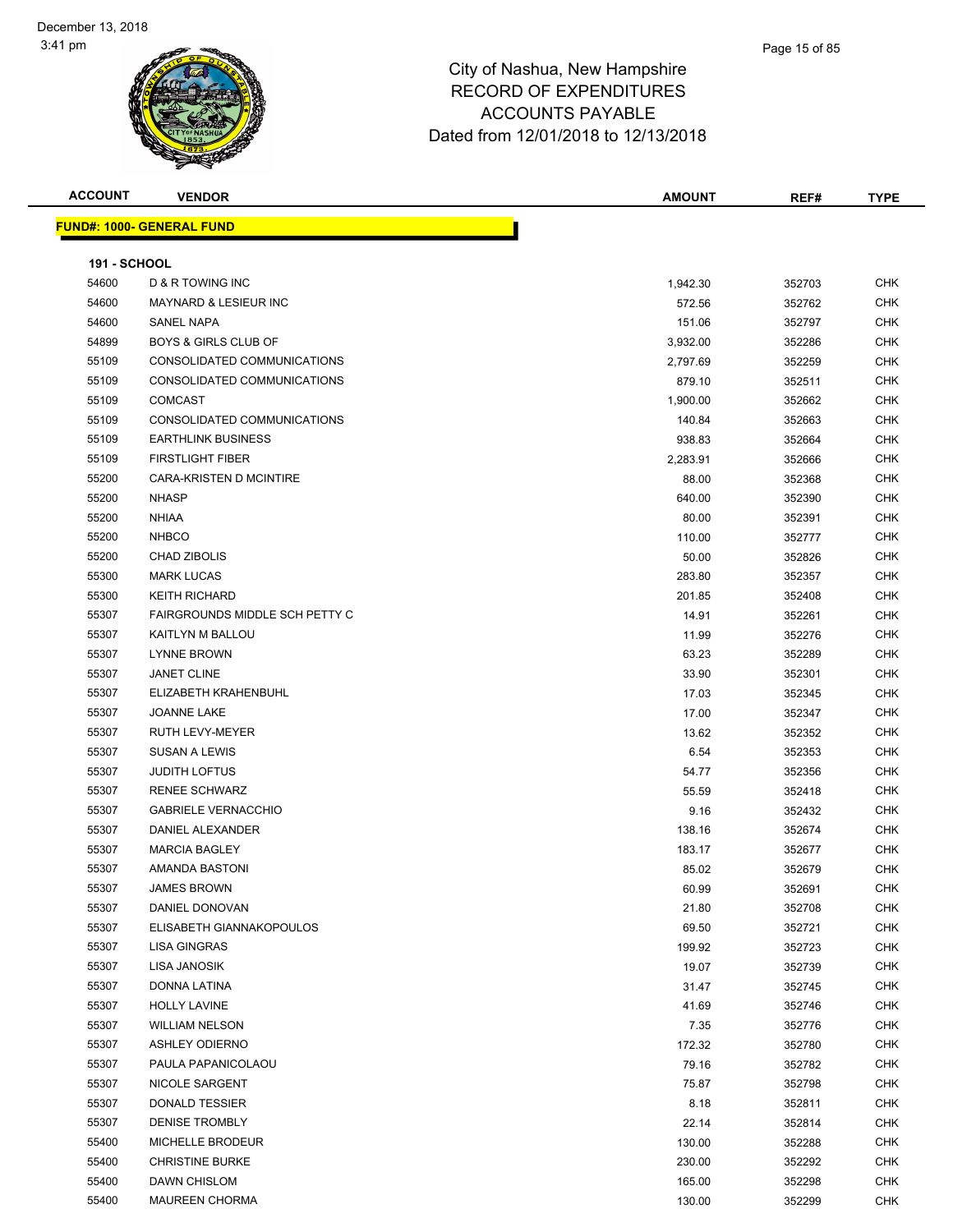| <b>ACCOUNT</b>      | <b>VENDOR</b>                     | <b>AMOUNT</b> | REF#   | <b>TYPE</b> |
|---------------------|-----------------------------------|---------------|--------|-------------|
|                     | <u> FUND#: 1000- GENERAL FUND</u> |               |        |             |
|                     |                                   |               |        |             |
| <b>191 - SCHOOL</b> |                                   |               |        |             |
| 54600               | D & R TOWING INC                  | 1,942.30      | 352703 | <b>CHK</b>  |
| 54600               | MAYNARD & LESIEUR INC             | 572.56        | 352762 | CHK         |
| 54600               | SANEL NAPA                        | 151.06        | 352797 | CHK         |
| 54899               | <b>BOYS &amp; GIRLS CLUB OF</b>   | 3,932.00      | 352286 | CHK         |
| 55109               | CONSOLIDATED COMMUNICATIONS       | 2,797.69      | 352259 | CHK         |
| 55109               | CONSOLIDATED COMMUNICATIONS       | 879.10        | 352511 | CHK         |
| 55109               | <b>COMCAST</b>                    | 1,900.00      | 352662 | CHK         |
| 55109               | CONSOLIDATED COMMUNICATIONS       | 140.84        | 352663 | CHK         |
| 55109               | <b>EARTHLINK BUSINESS</b>         | 938.83        | 352664 | <b>CHK</b>  |
| 55109               | <b>FIRSTLIGHT FIBER</b>           | 2,283.91      | 352666 | <b>CHK</b>  |
| 55200               | CARA-KRISTEN D MCINTIRE           | 88.00         | 352368 | CHK         |
| 55200               | <b>NHASP</b>                      | 640.00        | 352390 | <b>CHK</b>  |
| 55200               | <b>NHIAA</b>                      | 80.00         | 352391 | CHK         |
| 55200               | <b>NHBCO</b>                      | 110.00        | 352777 | CHK         |
| 55200               | CHAD ZIBOLIS                      | 50.00         | 352826 | CHK         |
| 55300               | <b>MARK LUCAS</b>                 | 283.80        | 352357 | CHK         |
| 55300               | <b>KEITH RICHARD</b>              | 201.85        | 352408 | CHK         |
| 55307               | FAIRGROUNDS MIDDLE SCH PETTY C    | 14.91         | 352261 | CHK         |
| 55307               | KAITLYN M BALLOU                  | 11.99         | 352276 | CHK         |
| 55307               | <b>LYNNE BROWN</b>                | 63.23         | 352289 | <b>CHK</b>  |
| 55307               | <b>JANET CLINE</b>                | 33.90         | 352301 | CHK         |
| 55307               | ELIZABETH KRAHENBUHL              | 17.03         | 352345 | <b>CHK</b>  |
| 55307               | <b>JOANNE LAKE</b>                | 17.00         | 352347 | <b>CHK</b>  |
| 55307               | RUTH LEVY-MEYER                   | 13.62         | 352352 | <b>CHK</b>  |
| 55307               | <b>SUSAN A LEWIS</b>              | 6.54          | 352353 | <b>CHK</b>  |
| 55307               | <b>JUDITH LOFTUS</b>              | 54.77         | 352356 | <b>CHK</b>  |
| 55307               | <b>RENEE SCHWARZ</b>              | 55.59         | 352418 | <b>CHK</b>  |
| 55307               | <b>GABRIELE VERNACCHIO</b>        | 9.16          | 352432 | <b>CHK</b>  |
| 55307               | DANIEL ALEXANDER                  | 138.16        | 352674 | <b>CHK</b>  |
| 55307               | <b>MARCIA BAGLEY</b>              | 183.17        | 352677 | CHK         |
| 55307               | AMANDA BASTONI                    | 85.02         | 352679 | <b>CHK</b>  |
| 55307               | <b>JAMES BROWN</b>                | 60.99         | 352691 | <b>CHK</b>  |
| 55307               | DANIEL DONOVAN                    | 21.80         | 352708 | <b>CHK</b>  |
| 55307               | ELISABETH GIANNAKOPOULOS          | 69.50         | 352721 | <b>CHK</b>  |
| 55307               | LISA GINGRAS                      | 199.92        | 352723 | <b>CHK</b>  |
| 55307               | LISA JANOSIK                      | 19.07         | 352739 | <b>CHK</b>  |
| 55307               | DONNA LATINA                      | 31.47         | 352745 | CHK         |
| 55307               | <b>HOLLY LAVINE</b>               | 41.69         | 352746 | CHK         |
| 55307               | <b>WILLIAM NELSON</b>             | 7.35          | 352776 | <b>CHK</b>  |
| 55307               | <b>ASHLEY ODIERNO</b>             | 172.32        | 352780 | <b>CHK</b>  |
| 55307               | PAULA PAPANICOLAOU                | 79.16         | 352782 | CHK         |
| 55307               | NICOLE SARGENT                    | 75.87         | 352798 | <b>CHK</b>  |
| 55307               | DONALD TESSIER                    | 8.18          | 352811 | CHK         |
| 55307               | <b>DENISE TROMBLY</b>             | 22.14         | 352814 | <b>CHK</b>  |
| 55400               | MICHELLE BRODEUR                  | 130.00        | 352288 | CHK         |
| 55400               | <b>CHRISTINE BURKE</b>            | 230.00        | 352292 | CHK         |
| 55400               | DAWN CHISLOM                      | 165.00        | 352298 | CHK         |
| 55400               | <b>MAUREEN CHORMA</b>             | 130.00        | 352299 | CHK         |
|                     |                                   |               |        |             |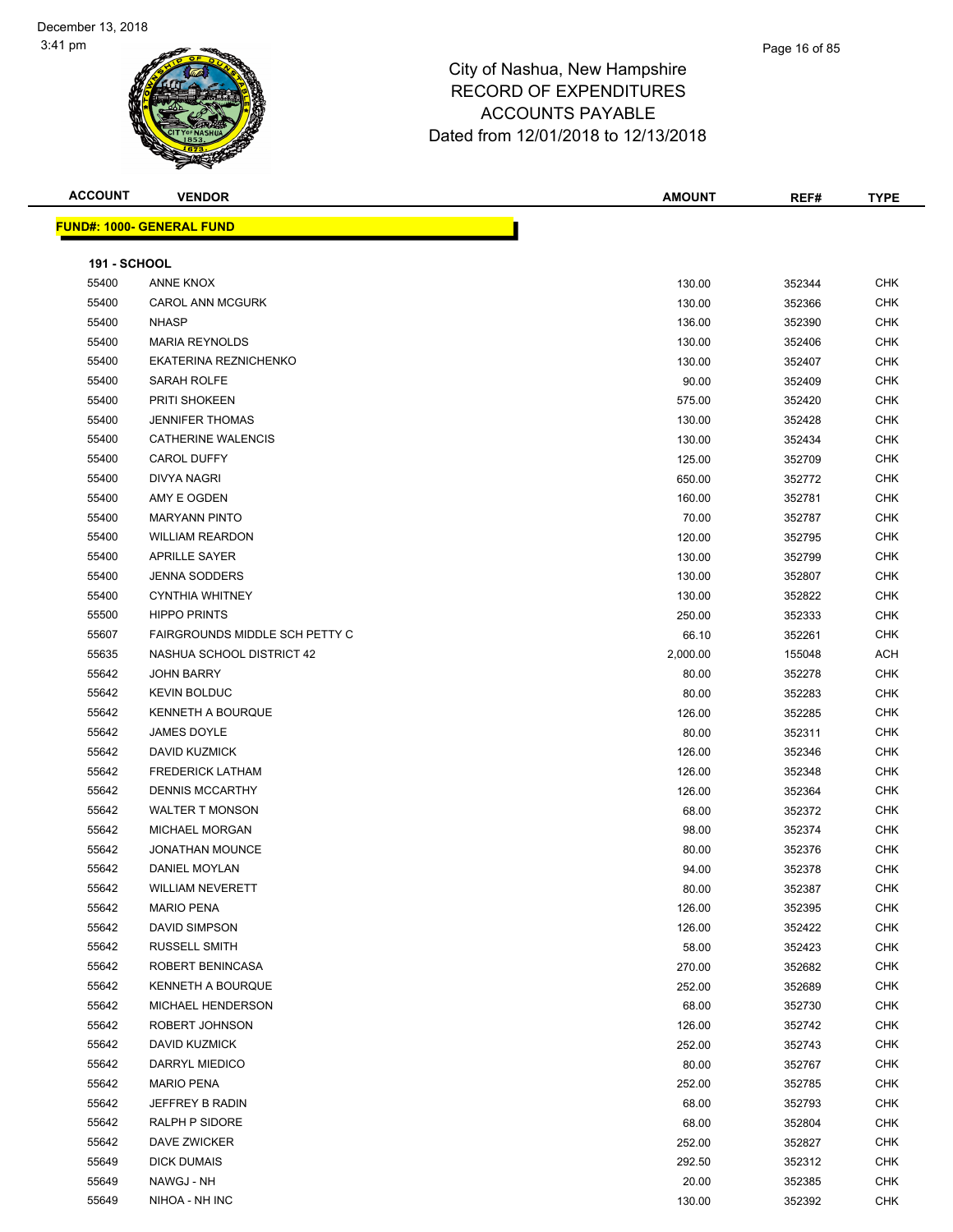### Page 16 of 85

# City of Nashua, New Hampshire RECORD OF EXPENDITURES ACCOUNTS PAYABLE Dated from 12/01/2018 to 12/13/2018

| <b>ACCOUNT</b>      | <b>VENDOR</b>                    | <b>AMOUNT</b> | REF#   | <b>TYPE</b> |
|---------------------|----------------------------------|---------------|--------|-------------|
|                     | <b>FUND#: 1000- GENERAL FUND</b> |               |        |             |
|                     |                                  |               |        |             |
| <b>191 - SCHOOL</b> |                                  |               |        |             |
| 55400               | ANNE KNOX                        | 130.00        | 352344 | <b>CHK</b>  |
| 55400               | <b>CAROL ANN MCGURK</b>          | 130.00        | 352366 | <b>CHK</b>  |
| 55400               | <b>NHASP</b>                     | 136.00        | 352390 | <b>CHK</b>  |
| 55400               | <b>MARIA REYNOLDS</b>            | 130.00        | 352406 | <b>CHK</b>  |
| 55400               | EKATERINA REZNICHENKO            | 130.00        | 352407 | <b>CHK</b>  |
| 55400               | SARAH ROLFE                      | 90.00         | 352409 | <b>CHK</b>  |
| 55400               | PRITI SHOKEEN                    | 575.00        | 352420 | <b>CHK</b>  |
| 55400               | <b>JENNIFER THOMAS</b>           | 130.00        | 352428 | CHK         |
| 55400               | <b>CATHERINE WALENCIS</b>        | 130.00        | 352434 | <b>CHK</b>  |
| 55400               | <b>CAROL DUFFY</b>               | 125.00        | 352709 | <b>CHK</b>  |
| 55400               | DIVYA NAGRI                      | 650.00        | 352772 | <b>CHK</b>  |
| 55400               | AMY E OGDEN                      | 160.00        | 352781 | <b>CHK</b>  |
| 55400               | <b>MARYANN PINTO</b>             | 70.00         | 352787 | <b>CHK</b>  |
| 55400               | <b>WILLIAM REARDON</b>           | 120.00        | 352795 | <b>CHK</b>  |
| 55400               | <b>APRILLE SAYER</b>             | 130.00        | 352799 | <b>CHK</b>  |
| 55400               | <b>JENNA SODDERS</b>             | 130.00        | 352807 | <b>CHK</b>  |
| 55400               | <b>CYNTHIA WHITNEY</b>           | 130.00        | 352822 | <b>CHK</b>  |
| 55500               | <b>HIPPO PRINTS</b>              | 250.00        | 352333 | <b>CHK</b>  |
| 55607               | FAIRGROUNDS MIDDLE SCH PETTY C   | 66.10         | 352261 | <b>CHK</b>  |
| 55635               | NASHUA SCHOOL DISTRICT 42        | 2,000.00      | 155048 | <b>ACH</b>  |
| 55642               | <b>JOHN BARRY</b>                | 80.00         | 352278 | <b>CHK</b>  |
| 55642               | <b>KEVIN BOLDUC</b>              | 80.00         | 352283 | <b>CHK</b>  |
| 55642               | <b>KENNETH A BOURQUE</b>         | 126.00        | 352285 | <b>CHK</b>  |
| 55642               | JAMES DOYLE                      | 80.00         | 352311 | <b>CHK</b>  |
| 55642               | <b>DAVID KUZMICK</b>             | 126.00        | 352346 | <b>CHK</b>  |
| 55642               | <b>FREDERICK LATHAM</b>          | 126.00        | 352348 | <b>CHK</b>  |
| 55642               | <b>DENNIS MCCARTHY</b>           | 126.00        | 352364 | <b>CHK</b>  |
| 55642               | <b>WALTER T MONSON</b>           | 68.00         | 352372 | <b>CHK</b>  |
| 55642               | <b>MICHAEL MORGAN</b>            | 98.00         | 352374 | CHK         |
| 55642               | <b>JONATHAN MOUNCE</b>           | 80.00         | 352376 | CHK         |
| 55642               | <b>DANIEL MOYLAN</b>             | 94.00         | 352378 | <b>CHK</b>  |
| 55642               | WILLIAM NEVERETT                 | 80.00         | 352387 | <b>CHK</b>  |
| 55642               | <b>MARIO PENA</b>                | 126.00        | 352395 | <b>CHK</b>  |
| 55642               | DAVID SIMPSON                    | 126.00        | 352422 | <b>CHK</b>  |
| 55642               | RUSSELL SMITH                    | 58.00         | 352423 | <b>CHK</b>  |
| 55642               | ROBERT BENINCASA                 | 270.00        | 352682 | <b>CHK</b>  |
| 55642               | <b>KENNETH A BOURQUE</b>         | 252.00        | 352689 | <b>CHK</b>  |
| 55642               | MICHAEL HENDERSON                | 68.00         | 352730 | <b>CHK</b>  |
| 55642               | ROBERT JOHNSON                   | 126.00        | 352742 | <b>CHK</b>  |
| 55642               | DAVID KUZMICK                    | 252.00        | 352743 | CHK         |
| 55642               | DARRYL MIEDICO                   | 80.00         | 352767 | CHK         |
| 55642               | <b>MARIO PENA</b>                | 252.00        | 352785 | <b>CHK</b>  |
| 55642               | JEFFREY B RADIN                  | 68.00         | 352793 | <b>CHK</b>  |
| 55642               | RALPH P SIDORE                   | 68.00         | 352804 | <b>CHK</b>  |
| 55642               | DAVE ZWICKER                     | 252.00        | 352827 | <b>CHK</b>  |
| 55649               | <b>DICK DUMAIS</b>               | 292.50        | 352312 | <b>CHK</b>  |
| 55649               | NAWGJ - NH                       | 20.00         | 352385 | <b>CHK</b>  |

NIHOA - NH INC 130.00 352392 CHK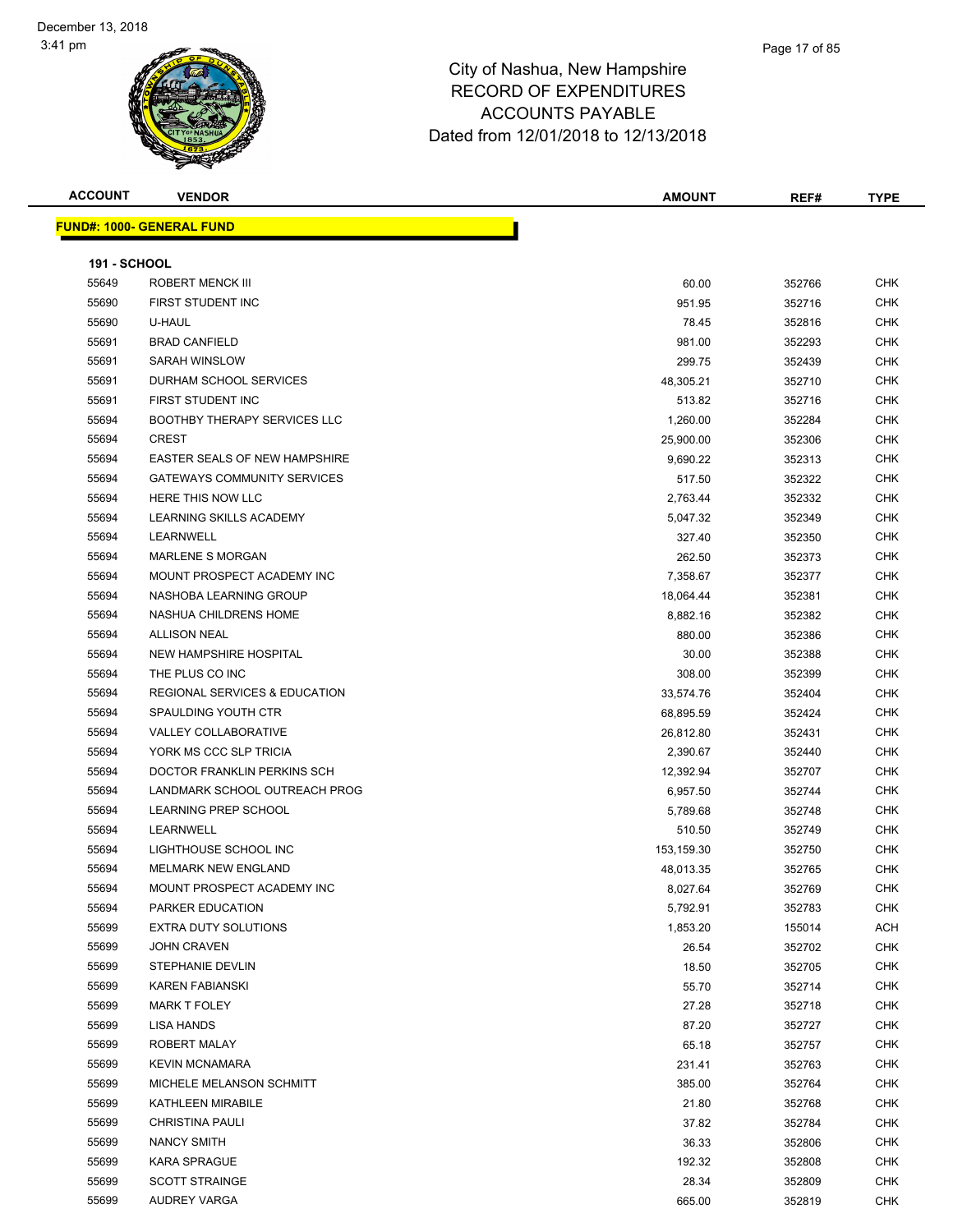**ACCOUNT VENDOR AMOUNT REF# TYPE FUND#: 1000- GENERAL FUND 191 - SCHOOL** ROBERT MENCK III 60.00 352766 CHK FIRST STUDENT INC 951.95 352716 CHK U-HAUL 78.45 352816 CHK BRAD CANFIELD 981.00 352293 CHK SARAH WINSLOW 299.75 352439 CHK DURHAM SCHOOL SERVICES 48,305.21 352710 CHK FIRST STUDENT INC 513.82 352716 CHK 55694 BOOTHBY THERAPY SERVICES LLC **1,260.00** 1,260.00 352284 CHK CREST 25,900.00 352306 CHK EASTER SEALS OF NEW HAMPSHIRE 9,690.22 352313 CHK 55694 GATEWAYS COMMUNITY SERVICES **1999 12:30 SEPTEMBER 10 STATE 10 STATE 10 STATE 10 STATE 10 STATE 10 STATE 10**  HERE THIS NOW LLC 2,763.44 352332 CHK 55694 LEARNING SKILLS ACADEMY **1.2.4.4.5.4.4.5.4.4.5.4.4.5.4.4.5.4.4.5.5.4.4.5.5.4.4.5.5.4.4.5.5.5.4.4.5.4.4.5.4.4.**  LEARNWELL 327.40 352350 CHK MARLENE S MORGAN 262.50 352373 CHK 55694 MOUNT PROSPECT ACADEMY INC **And The Contract CHK** 7,358.67 352377 CHK NASHOBA LEARNING GROUP 18,064.44 352381 CHK NASHUA CHILDRENS HOME 8,882.16 352382 CHK ALLISON NEAL 880.00 352386 CHK NEW HAMPSHIRE HOSPITAL 30.00 352388 CHK 55694 THE PLUS CO INC 308.00 352399 CHK REGIONAL SERVICES & EDUCATION 33,574.76 352404 CHK SPAULDING YOUTH CTR 68,895.59 352424 CHK VALLEY COLLABORATIVE 26,812.80 352431 CHK YORK MS CCC SLP TRICIA 2,390.67 352440 CHK

 DOCTOR FRANKLIN PERKINS SCH 12,392.94 352707 CHK LANDMARK SCHOOL OUTREACH PROG 6,957.50 352744 CHK 55694 LEARNING PREP SCHOOL SERVICES AND STRUCK STRUCK STRUCK STRUCK STRUCK STRUCK STRUCK STRUCK STRUCK STRUCK LEARNWELL 510.50 352749 CHK LIGHTHOUSE SCHOOL INC 153,159.30 352750 CHK MELMARK NEW ENGLAND 48,013.35 352765 CHK 55694 MOUNT PROSPECT ACADEMY INC **CHING ACADEMY INC CHING ACCESS AND ACCESS AND ACCESS ACCESS AND ACCESS AND ACCESS AND ACCESS AND ACCESS AND ACCESS AND ACCESS AND ACCESS AND ACCESS AND ACCESS AND ACCESS AND ACCESS AND A**  PARKER EDUCATION 5,792.91 352783 CHK EXTRA DUTY SOLUTIONS 1,853.20 155014 ACH JOHN CRAVEN 26.54 352702 CHK STEPHANIE DEVLIN 18.50 352705 CHK KAREN FABIANSKI 55.70 352714 CHK MARK T FOLEY 27.28 352718 CHK LISA HANDS 87.20 352727 CHK ROBERT MALAY 65.18 352757 CHK KEVIN MCNAMARA 231.41 352763 CHK MICHELE MELANSON SCHMITT 385.00 352764 CHK KATHLEEN MIRABILE 21.80 352768 CHK CHRISTINA PAULI 37.82 352784 CHK NANCY SMITH 36.33 352806 CHK KARA SPRAGUE 192.32 352808 CHK SCOTT STRAINGE 28.34 352809 CHK AUDREY VARGA 665.00 352819 CHK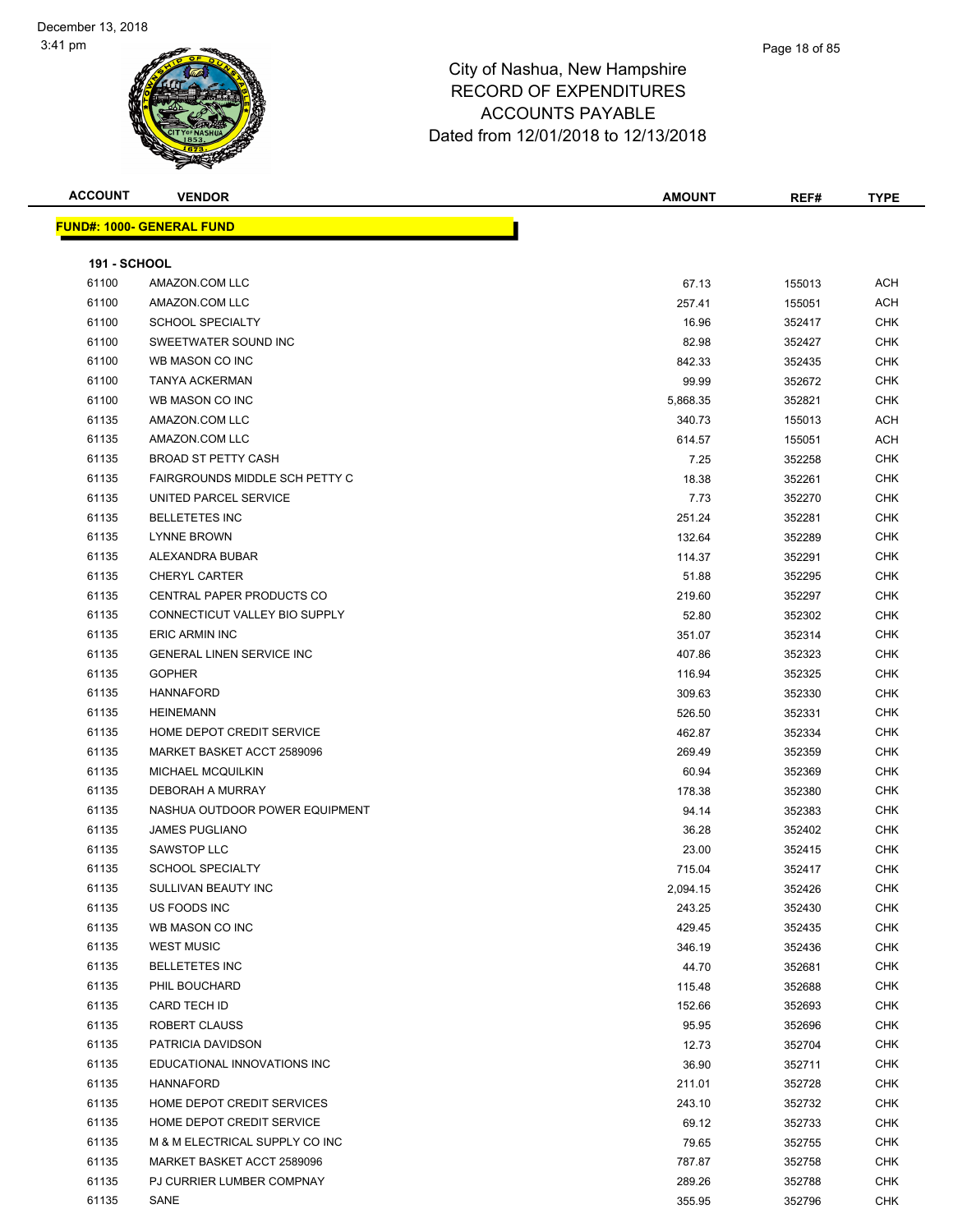| <b>ACCOUNT</b>      | <b>VENDOR</b>                        | <b>AMOUNT</b> | REF#   | <b>TYPE</b> |
|---------------------|--------------------------------------|---------------|--------|-------------|
|                     | <b>FUND#: 1000- GENERAL FUND</b>     |               |        |             |
|                     |                                      |               |        |             |
| <b>191 - SCHOOL</b> |                                      |               |        |             |
| 61100               | AMAZON.COM LLC                       | 67.13         | 155013 | ACH         |
| 61100               | AMAZON.COM LLC                       | 257.41        | 155051 | <b>ACH</b>  |
| 61100               | <b>SCHOOL SPECIALTY</b>              | 16.96         | 352417 | <b>CHK</b>  |
| 61100               | SWEETWATER SOUND INC                 | 82.98         | 352427 | CHK         |
| 61100               | WB MASON CO INC                      | 842.33        | 352435 | CHK         |
| 61100               | <b>TANYA ACKERMAN</b>                | 99.99         | 352672 | CHK         |
| 61100               | WB MASON CO INC                      | 5,868.35      | 352821 | CHK         |
| 61135               | AMAZON.COM LLC                       | 340.73        | 155013 | <b>ACH</b>  |
| 61135               | AMAZON.COM LLC                       | 614.57        | 155051 | ACH         |
| 61135               | <b>BROAD ST PETTY CASH</b>           | 7.25          | 352258 | <b>CHK</b>  |
| 61135               | FAIRGROUNDS MIDDLE SCH PETTY C       | 18.38         | 352261 | CHK         |
| 61135               | UNITED PARCEL SERVICE                | 7.73          | 352270 | <b>CHK</b>  |
| 61135               | <b>BELLETETES INC</b>                | 251.24        | 352281 | CHK         |
| 61135               | <b>LYNNE BROWN</b>                   | 132.64        | 352289 | <b>CHK</b>  |
| 61135               | ALEXANDRA BUBAR                      | 114.37        | 352291 | CHK         |
| 61135               | <b>CHERYL CARTER</b>                 | 51.88         | 352295 | CHK         |
| 61135               | CENTRAL PAPER PRODUCTS CO            | 219.60        | 352297 | CHK         |
| 61135               | <b>CONNECTICUT VALLEY BIO SUPPLY</b> | 52.80         | 352302 | CHK         |
| 61135               | <b>ERIC ARMIN INC</b>                | 351.07        | 352314 | CHK         |
| 61135               | <b>GENERAL LINEN SERVICE INC</b>     | 407.86        | 352323 | <b>CHK</b>  |
| 61135               | <b>GOPHER</b>                        | 116.94        | 352325 | <b>CHK</b>  |
| 61135               | <b>HANNAFORD</b>                     | 309.63        | 352330 | CHK         |
| 61135               | <b>HEINEMANN</b>                     | 526.50        | 352331 | CHK         |
| 61135               | HOME DEPOT CREDIT SERVICE            | 462.87        | 352334 | CHK         |
| 61135               | MARKET BASKET ACCT 2589096           | 269.49        | 352359 | <b>CHK</b>  |
| 61135               | <b>MICHAEL MCQUILKIN</b>             | 60.94         | 352369 | CHK         |
| 61135               | DEBORAH A MURRAY                     | 178.38        | 352380 | CHK         |
| 61135               | NASHUA OUTDOOR POWER EQUIPMENT       | 94.14         | 352383 | <b>CHK</b>  |
| 61135               | <b>JAMES PUGLIANO</b>                | 36.28         | 352402 | CHK         |
| 61135               | SAWSTOP LLC                          | 23.00         | 352415 | CHK         |
| 61135               | <b>SCHOOL SPECIALTY</b>              | 715.04        | 352417 | <b>CHK</b>  |
| 61135               | SULLIVAN BEAUTY INC                  | 2,094.15      | 352426 | <b>CHK</b>  |
| 61135               | US FOODS INC                         | 243.25        | 352430 | <b>CHK</b>  |
| 61135               | WB MASON CO INC                      | 429.45        | 352435 | <b>CHK</b>  |
| 61135               | <b>WEST MUSIC</b>                    | 346.19        | 352436 | CHK         |
| 61135               | <b>BELLETETES INC</b>                | 44.70         | 352681 | CHK         |
| 61135               | PHIL BOUCHARD                        | 115.48        | 352688 | CHK         |
| 61135               | CARD TECH ID                         | 152.66        | 352693 | CHK         |
| 61135               | ROBERT CLAUSS                        | 95.95         | 352696 | <b>CHK</b>  |
| 61135               | PATRICIA DAVIDSON                    | 12.73         | 352704 | <b>CHK</b>  |
| 61135               | EDUCATIONAL INNOVATIONS INC          | 36.90         | 352711 | CHK         |
| 61135               | <b>HANNAFORD</b>                     | 211.01        | 352728 | <b>CHK</b>  |
| 61135               | HOME DEPOT CREDIT SERVICES           | 243.10        | 352732 | CHK         |
| 61135               | HOME DEPOT CREDIT SERVICE            | 69.12         | 352733 | CHK         |
| 61135               | M & M ELECTRICAL SUPPLY CO INC       | 79.65         | 352755 | CHK         |
| 61135               | MARKET BASKET ACCT 2589096           | 787.87        | 352758 | CHK         |
| 61135               | PJ CURRIER LUMBER COMPNAY            | 289.26        | 352788 | CHK         |
| 61135               | SANE                                 | 355.95        | 352796 | <b>CHK</b>  |
|                     |                                      |               |        |             |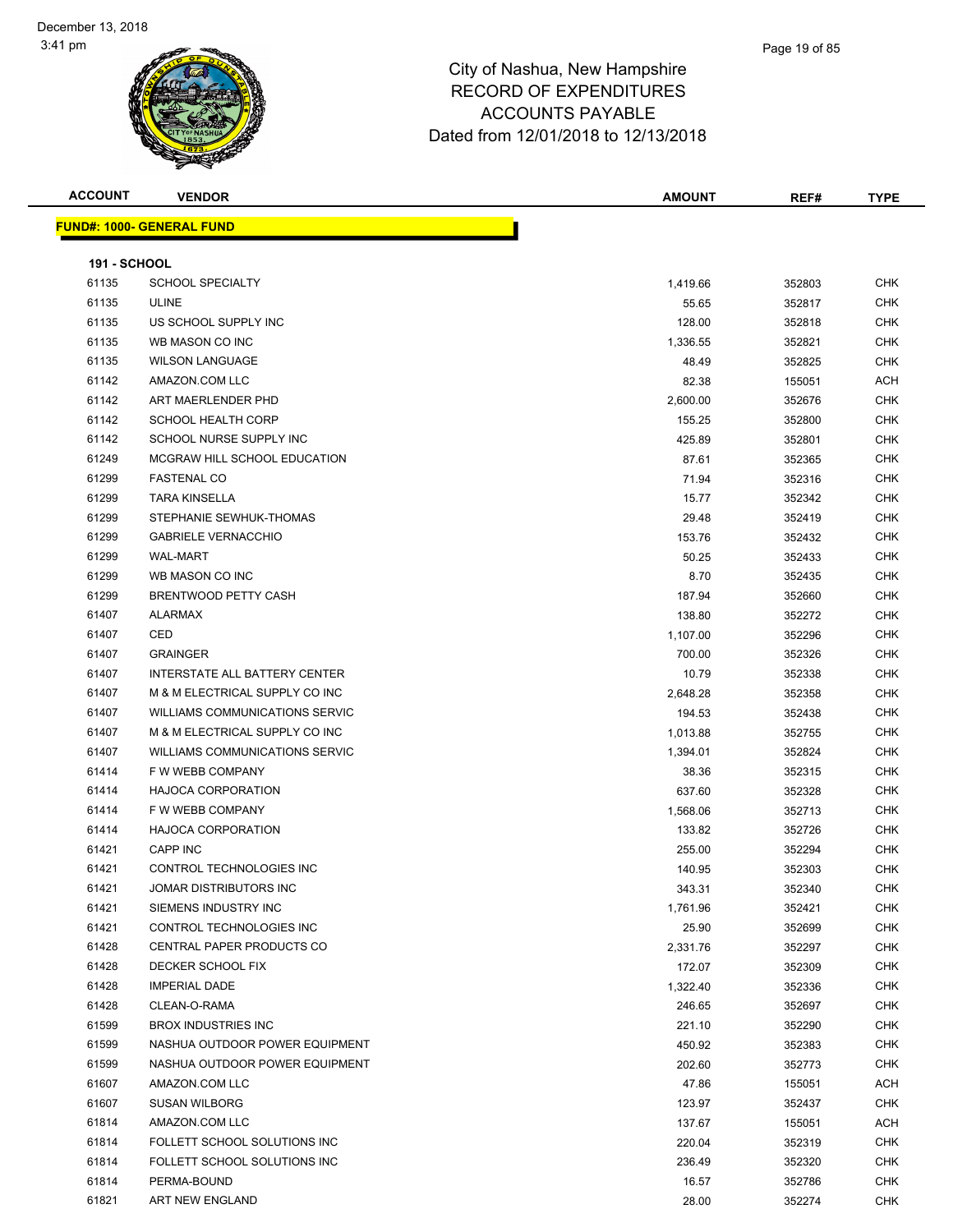### Page 19 of 85

| <b>ACCOUNT</b>      | <b>VENDOR</b>                         | <b>AMOUNT</b> | REF#   | <b>TYPE</b> |
|---------------------|---------------------------------------|---------------|--------|-------------|
|                     | <b>FUND#: 1000- GENERAL FUND</b>      |               |        |             |
|                     |                                       |               |        |             |
| <b>191 - SCHOOL</b> |                                       |               |        |             |
| 61135               | <b>SCHOOL SPECIALTY</b>               | 1,419.66      | 352803 | CHK         |
| 61135               | <b>ULINE</b>                          | 55.65         | 352817 | <b>CHK</b>  |
| 61135               | US SCHOOL SUPPLY INC                  | 128.00        | 352818 | <b>CHK</b>  |
| 61135               | WB MASON CO INC                       | 1,336.55      | 352821 | <b>CHK</b>  |
| 61135               | <b>WILSON LANGUAGE</b>                | 48.49         | 352825 | CHK         |
| 61142               | AMAZON.COM LLC                        | 82.38         | 155051 | ACH         |
| 61142               | ART MAERLENDER PHD                    | 2,600.00      | 352676 | <b>CHK</b>  |
| 61142               | <b>SCHOOL HEALTH CORP</b>             | 155.25        | 352800 | <b>CHK</b>  |
| 61142               | SCHOOL NURSE SUPPLY INC               | 425.89        | 352801 | <b>CHK</b>  |
| 61249               | MCGRAW HILL SCHOOL EDUCATION          | 87.61         | 352365 | CHK         |
| 61299               | <b>FASTENAL CO</b>                    | 71.94         | 352316 | CHK         |
| 61299               | <b>TARA KINSELLA</b>                  | 15.77         | 352342 | <b>CHK</b>  |
| 61299               | STEPHANIE SEWHUK-THOMAS               | 29.48         | 352419 | CHK         |
| 61299               | <b>GABRIELE VERNACCHIO</b>            | 153.76        | 352432 | CHK         |
| 61299               | <b>WAL-MART</b>                       | 50.25         | 352433 | CHK         |
| 61299               | WB MASON CO INC                       | 8.70          | 352435 | CHK         |
| 61299               | <b>BRENTWOOD PETTY CASH</b>           | 187.94        | 352660 | CHK         |
| 61407               | <b>ALARMAX</b>                        | 138.80        | 352272 | CHK         |
| 61407               | CED                                   | 1,107.00      | 352296 | <b>CHK</b>  |
| 61407               | <b>GRAINGER</b>                       | 700.00        | 352326 | <b>CHK</b>  |
| 61407               | INTERSTATE ALL BATTERY CENTER         | 10.79         | 352338 | CHK         |
| 61407               | M & M ELECTRICAL SUPPLY CO INC        | 2,648.28      | 352358 | CHK         |
| 61407               | WILLIAMS COMMUNICATIONS SERVIC        | 194.53        | 352438 | <b>CHK</b>  |
| 61407               | M & M ELECTRICAL SUPPLY CO INC        | 1,013.88      | 352755 | <b>CHK</b>  |
| 61407               | <b>WILLIAMS COMMUNICATIONS SERVIC</b> | 1,394.01      | 352824 | CHK         |
| 61414               | F W WEBB COMPANY                      | 38.36         | 352315 | CHK         |
| 61414               | <b>HAJOCA CORPORATION</b>             | 637.60        | 352328 | <b>CHK</b>  |
| 61414               | F W WEBB COMPANY                      | 1,568.06      | 352713 | <b>CHK</b>  |
| 61414               | <b>HAJOCA CORPORATION</b>             | 133.82        | 352726 | <b>CHK</b>  |
| 61421               | <b>CAPP INC</b>                       | 255.00        | 352294 | <b>CHK</b>  |
| 61421               | CONTROL TECHNOLOGIES INC              | 140.95        | 352303 | <b>CHK</b>  |
| 61421               | JOMAR DISTRIBUTORS INC                | 343.31        | 352340 | CHK         |
| 61421               | SIEMENS INDUSTRY INC                  | 1,761.96      | 352421 | CHK         |
| 61421               | CONTROL TECHNOLOGIES INC              | 25.90         | 352699 | CHK         |
| 61428               | CENTRAL PAPER PRODUCTS CO             | 2,331.76      | 352297 | <b>CHK</b>  |
| 61428               | DECKER SCHOOL FIX                     | 172.07        | 352309 | CHK         |
| 61428               | <b>IMPERIAL DADE</b>                  | 1,322.40      | 352336 | <b>CHK</b>  |
| 61428               | CLEAN-O-RAMA                          | 246.65        | 352697 | <b>CHK</b>  |
| 61599               | <b>BROX INDUSTRIES INC</b>            | 221.10        | 352290 | <b>CHK</b>  |
| 61599               | NASHUA OUTDOOR POWER EQUIPMENT        | 450.92        | 352383 | <b>CHK</b>  |
| 61599               | NASHUA OUTDOOR POWER EQUIPMENT        | 202.60        | 352773 | <b>CHK</b>  |
| 61607               | AMAZON.COM LLC                        | 47.86         | 155051 | ACH         |
| 61607               | <b>SUSAN WILBORG</b>                  | 123.97        | 352437 | <b>CHK</b>  |
| 61814               | AMAZON.COM LLC                        | 137.67        | 155051 | ACH         |
| 61814               | FOLLETT SCHOOL SOLUTIONS INC          | 220.04        | 352319 | CHK         |
| 61814               | FOLLETT SCHOOL SOLUTIONS INC          | 236.49        | 352320 | CHK         |
| 61814               | PERMA-BOUND                           | 16.57         | 352786 | CHK         |
| 61821               | ART NEW ENGLAND                       | 28.00         | 352274 | CHK         |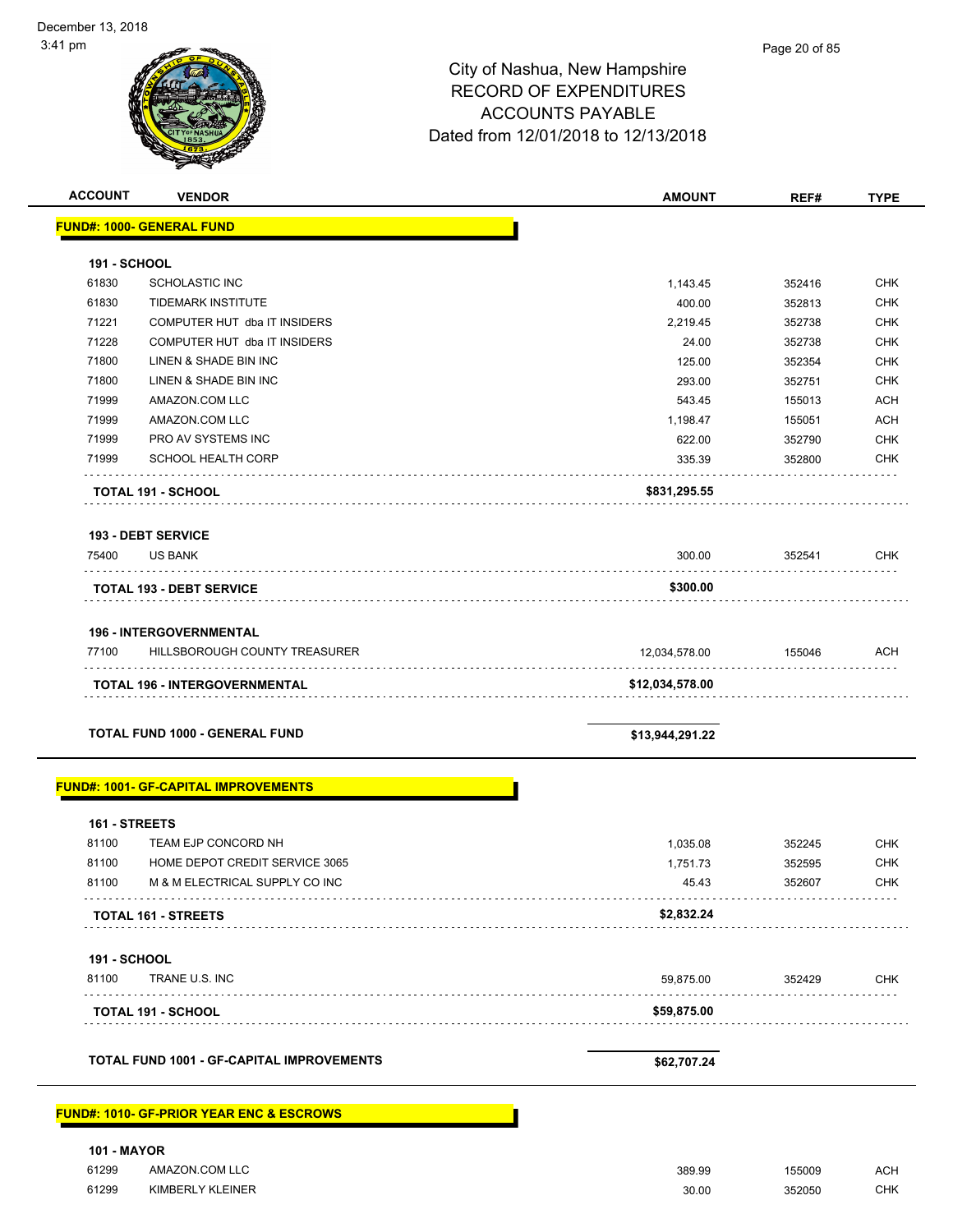| <b>ACCOUNT</b>              | <b>VENDOR</b>                                                | <b>AMOUNT</b>   | REF#             | <b>TYPE</b>              |
|-----------------------------|--------------------------------------------------------------|-----------------|------------------|--------------------------|
|                             | <b>FUND#: 1000- GENERAL FUND</b>                             |                 |                  |                          |
|                             |                                                              |                 |                  |                          |
| <b>191 - SCHOOL</b>         |                                                              |                 |                  |                          |
| 61830                       | <b>SCHOLASTIC INC</b>                                        | 1,143.45        | 352416           | <b>CHK</b><br>CHK        |
| 61830<br>71221              | <b>TIDEMARK INSTITUTE</b>                                    | 400.00          | 352813           |                          |
| 71228                       | COMPUTER HUT dba IT INSIDERS<br>COMPUTER HUT dba IT INSIDERS | 2,219.45        | 352738           | <b>CHK</b><br><b>CHK</b> |
| 71800                       | LINEN & SHADE BIN INC                                        | 24.00<br>125.00 | 352738<br>352354 | <b>CHK</b>               |
| 71800                       | LINEN & SHADE BIN INC                                        | 293.00          | 352751           | <b>CHK</b>               |
| 71999                       | AMAZON.COM LLC                                               | 543.45          | 155013           | <b>ACH</b>               |
| 71999                       | AMAZON.COM LLC                                               | 1,198.47        | 155051           | <b>ACH</b>               |
| 71999                       | PRO AV SYSTEMS INC                                           | 622.00          | 352790           | <b>CHK</b>               |
| 71999                       | <b>SCHOOL HEALTH CORP</b>                                    | 335.39          | 352800           | <b>CHK</b>               |
|                             |                                                              |                 |                  |                          |
|                             | <b>TOTAL 191 - SCHOOL</b>                                    | \$831,295.55    |                  |                          |
|                             | <b>193 - DEBT SERVICE</b>                                    |                 |                  |                          |
| 75400                       | <b>US BANK</b>                                               | 300.00          | 352541           | <b>CHK</b>               |
|                             | <b>TOTAL 193 - DEBT SERVICE</b>                              | \$300.00        |                  |                          |
|                             |                                                              |                 |                  |                          |
|                             | <b>196 - INTERGOVERNMENTAL</b>                               |                 |                  |                          |
| 77100                       | HILLSBOROUGH COUNTY TREASURER                                | 12,034,578.00   | 155046           | <b>ACH</b>               |
|                             | <b>TOTAL 196 - INTERGOVERNMENTAL</b>                         | \$12,034,578.00 |                  |                          |
|                             | <b>TOTAL FUND 1000 - GENERAL FUND</b>                        | \$13,944,291.22 |                  |                          |
|                             | <b>FUND#: 1001- GF-CAPITAL IMPROVEMENTS</b>                  |                 |                  |                          |
| 161 - STREETS               |                                                              |                 |                  |                          |
| 81100                       | TEAM EJP CONCORD NH                                          | 1,035.08        | 352245           | <b>CHK</b>               |
| 81100                       | HOME DEPOT CREDIT SERVICE 3065                               | 1,751.73        | 352595           | <b>CHK</b>               |
| 81100                       | M & M ELECTRICAL SUPPLY CO INC                               | 45.43           | 352607           | <b>CHK</b>               |
|                             | <b>TOTAL 161 - STREETS</b>                                   | \$2,832.24      |                  |                          |
| <b>191 - SCHOOL</b>         |                                                              |                 |                  |                          |
| 81100                       | TRANE U.S. INC                                               | 59,875.00       | 352429           | <b>CHK</b>               |
|                             | <b>TOTAL 191 - SCHOOL</b>                                    | \$59,875.00     |                  |                          |
|                             |                                                              |                 |                  |                          |
|                             | <b>TOTAL FUND 1001 - GF-CAPITAL IMPROVEMENTS</b>             | \$62,707.24     |                  |                          |
|                             | <b>FUND#: 1010- GF-PRIOR YEAR ENC &amp; ESCROWS</b>          |                 |                  |                          |
|                             |                                                              |                 |                  |                          |
| <b>101 - MAYOR</b><br>61299 | AMAZON.COM LLC                                               | 389.99          | 155009           | <b>ACH</b>               |

61299 KIMBERLY KLEINER 30.00 352050 CHK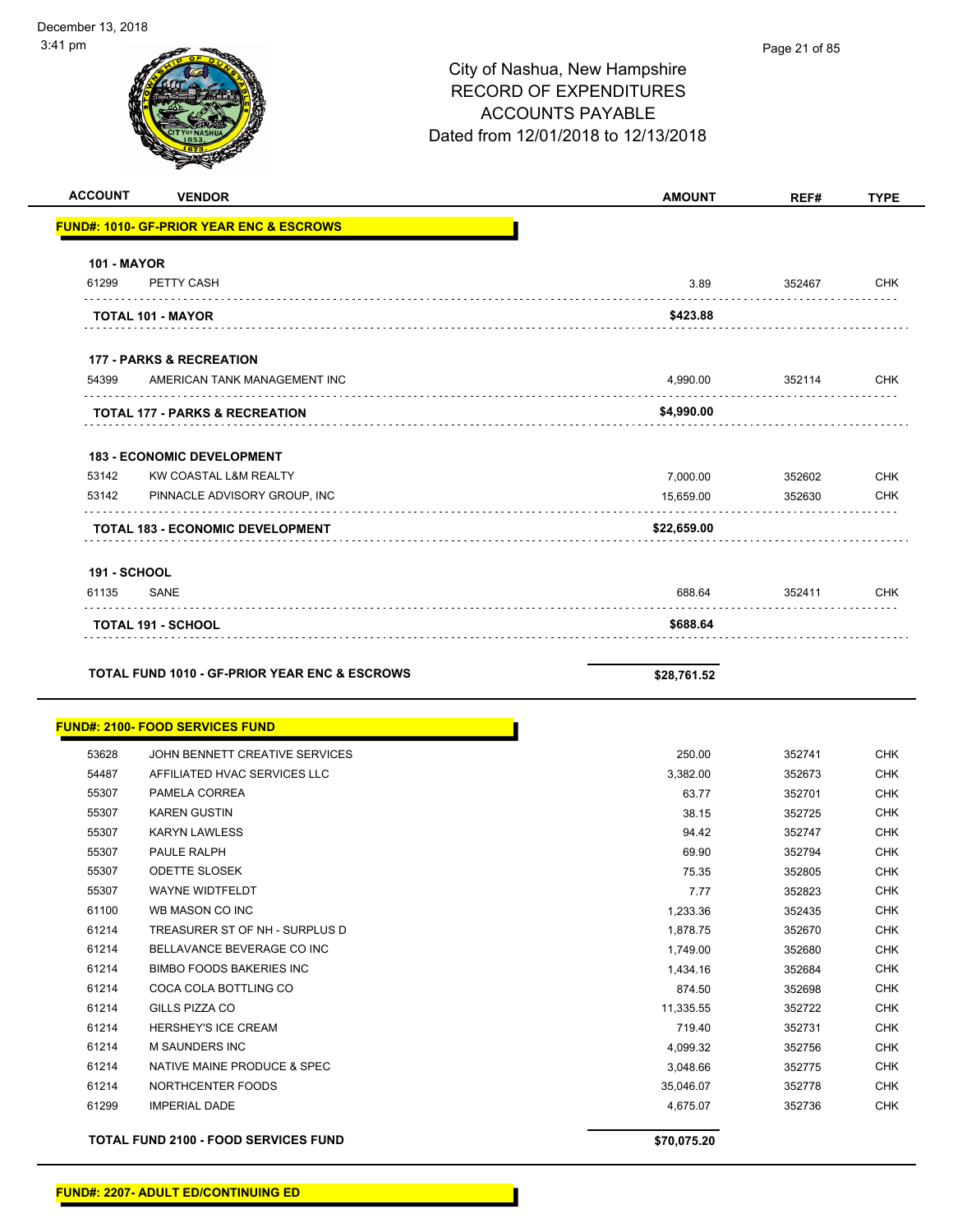| ⊦1 pm              |                                                     | City of Nashua, New Hampshire<br><b>RECORD OF EXPENDITURES</b><br><b>ACCOUNTS PAYABLE</b><br>Dated from 12/01/2018 to 12/13/2018 | Page 21 of 85 |             |
|--------------------|-----------------------------------------------------|----------------------------------------------------------------------------------------------------------------------------------|---------------|-------------|
| <b>ACCOUNT</b>     | <b>VENDOR</b>                                       | <b>AMOUNT</b>                                                                                                                    | REF#          | <b>TYPE</b> |
|                    | <b>FUND#: 1010- GF-PRIOR YEAR ENC &amp; ESCROWS</b> |                                                                                                                                  |               |             |
| <b>101 - MAYOR</b> |                                                     |                                                                                                                                  |               |             |
| 61299              | PETTY CASH                                          | 3.89                                                                                                                             | 352467        | <b>CHK</b>  |
|                    | <b>TOTAL 101 - MAYOR</b>                            | \$423.88                                                                                                                         |               |             |
|                    | <b>177 - PARKS &amp; RECREATION</b>                 |                                                                                                                                  |               |             |
| 54399              | AMERICAN TANK MANAGEMENT INC                        | 4,990.00                                                                                                                         | 352114        | <b>CHK</b>  |
|                    | <b>TOTAL 177 - PARKS &amp; RECREATION</b>           | \$4,990.00                                                                                                                       |               |             |
|                    | <b>183 - ECONOMIC DEVELOPMENT</b>                   |                                                                                                                                  |               |             |
| 53142              | KW COASTAL L&M REALTY                               | 7,000.00                                                                                                                         | 352602        | <b>CHK</b>  |
| 53142              | PINNACLE ADVISORY GROUP, INC                        | 15,659.00                                                                                                                        | 352630        | <b>CHK</b>  |
|                    | <b>TOTAL 183 - ECONOMIC DEVELOPMENT</b>             | \$22,659.00                                                                                                                      |               |             |
| 191 - SCHOOL       |                                                     |                                                                                                                                  |               |             |
| 61135              | <b>SANE</b>                                         | 688.64                                                                                                                           | 352411        | <b>CHK</b>  |
|                    | <b>TOTAL 191 - SCHOOL</b>                           | \$688.64                                                                                                                         |               |             |
|                    |                                                     |                                                                                                                                  |               |             |

**TOTAL FUND 1010 - GF-PRIOR YEAR ENC & ESCROWS \$28,761.52** 

|       | <b>FUND#: 2100- FOOD SERVICES FUND</b>      |             |        |            |
|-------|---------------------------------------------|-------------|--------|------------|
| 53628 | JOHN BENNETT CREATIVE SERVICES              | 250.00      | 352741 | <b>CHK</b> |
| 54487 | AFFILIATED HVAC SERVICES LLC                | 3,382.00    | 352673 | <b>CHK</b> |
| 55307 | PAMELA CORREA                               | 63.77       | 352701 | <b>CHK</b> |
| 55307 | <b>KAREN GUSTIN</b>                         | 38.15       | 352725 | <b>CHK</b> |
| 55307 | <b>KARYN LAWLESS</b>                        | 94.42       | 352747 | <b>CHK</b> |
| 55307 | PAULE RALPH                                 | 69.90       | 352794 | <b>CHK</b> |
| 55307 | <b>ODETTE SLOSEK</b>                        | 75.35       | 352805 | <b>CHK</b> |
| 55307 | <b>WAYNE WIDTFELDT</b>                      | 7.77        | 352823 | <b>CHK</b> |
| 61100 | WB MASON CO INC                             | 1,233.36    | 352435 | <b>CHK</b> |
| 61214 | TREASURER ST OF NH - SURPLUS D              | 1,878.75    | 352670 | <b>CHK</b> |
| 61214 | BELLAVANCE BEVERAGE CO INC                  | 1,749.00    | 352680 | <b>CHK</b> |
| 61214 | <b>BIMBO FOODS BAKERIES INC</b>             | 1,434.16    | 352684 | <b>CHK</b> |
| 61214 | COCA COLA BOTTLING CO                       | 874.50      | 352698 | <b>CHK</b> |
| 61214 | <b>GILLS PIZZA CO</b>                       | 11,335.55   | 352722 | <b>CHK</b> |
| 61214 | <b>HERSHEY'S ICE CREAM</b>                  | 719.40      | 352731 | <b>CHK</b> |
| 61214 | M SAUNDERS INC                              | 4,099.32    | 352756 | <b>CHK</b> |
| 61214 | NATIVE MAINE PRODUCE & SPEC                 | 3,048.66    | 352775 | <b>CHK</b> |
| 61214 | NORTHCENTER FOODS                           | 35,046.07   | 352778 | <b>CHK</b> |
| 61299 | <b>IMPERIAL DADE</b>                        | 4,675.07    | 352736 | <b>CHK</b> |
|       | <b>TOTAL FUND 2100 - FOOD SERVICES FUND</b> | \$70,075.20 |        |            |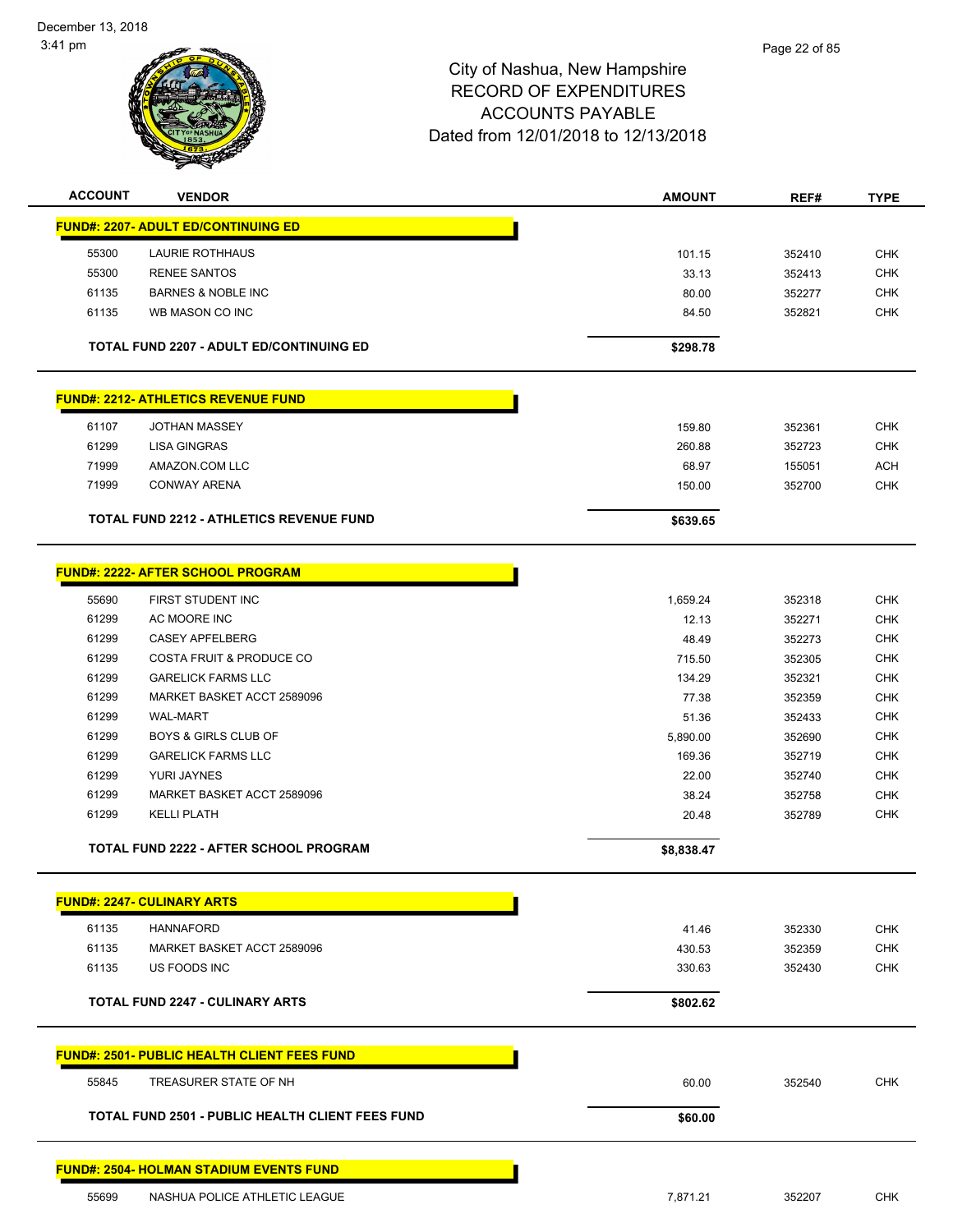

| <b>ACCOUNT</b> | <b>VENDOR</b>                                           | <b>AMOUNT</b>     | REF#             | <b>TYPE</b> |
|----------------|---------------------------------------------------------|-------------------|------------------|-------------|
|                | <b>FUND#: 2207- ADULT ED/CONTINUING ED</b>              |                   |                  |             |
| 55300          | <b>LAURIE ROTHHAUS</b>                                  | 101.15            | 352410           | <b>CHK</b>  |
| 55300          | <b>RENEE SANTOS</b>                                     | 33.13             | 352413           | <b>CHK</b>  |
| 61135          | <b>BARNES &amp; NOBLE INC</b>                           | 80.00             | 352277           | <b>CHK</b>  |
| 61135          | WB MASON CO INC                                         | 84.50             | 352821           | <b>CHK</b>  |
|                |                                                         |                   |                  |             |
|                | <b>TOTAL FUND 2207 - ADULT ED/CONTINUING ED</b>         | \$298.78          |                  |             |
|                | <b>FUND#: 2212- ATHLETICS REVENUE FUND</b>              |                   |                  |             |
| 61107          | <b>JOTHAN MASSEY</b>                                    | 159.80            | 352361           | <b>CHK</b>  |
| 61299          | <b>LISA GINGRAS</b>                                     | 260.88            | 352723           | <b>CHK</b>  |
| 71999          | AMAZON.COM LLC                                          | 68.97             | 155051           | <b>ACH</b>  |
| 71999          | <b>CONWAY ARENA</b>                                     | 150.00            | 352700           | <b>CHK</b>  |
|                |                                                         |                   |                  |             |
|                | <b>TOTAL FUND 2212 - ATHLETICS REVENUE FUND</b>         | \$639.65          |                  |             |
|                | <b>FUND#: 2222- AFTER SCHOOL PROGRAM</b>                |                   |                  |             |
|                | FIRST STUDENT INC                                       |                   |                  | <b>CHK</b>  |
| 55690<br>61299 | AC MOORE INC                                            | 1,659.24<br>12.13 | 352318<br>352271 | <b>CHK</b>  |
| 61299          | <b>CASEY APFELBERG</b>                                  | 48.49             | 352273           | <b>CHK</b>  |
| 61299          | <b>COSTA FRUIT &amp; PRODUCE CO</b>                     | 715.50            | 352305           | <b>CHK</b>  |
| 61299          | <b>GARELICK FARMS LLC</b>                               | 134.29            | 352321           | <b>CHK</b>  |
| 61299          | MARKET BASKET ACCT 2589096                              | 77.38             | 352359           | <b>CHK</b>  |
| 61299          | <b>WAL-MART</b>                                         | 51.36             | 352433           | <b>CHK</b>  |
| 61299          | <b>BOYS &amp; GIRLS CLUB OF</b>                         | 5,890.00          | 352690           | <b>CHK</b>  |
| 61299          | <b>GARELICK FARMS LLC</b>                               | 169.36            | 352719           | <b>CHK</b>  |
| 61299          | YURI JAYNES                                             | 22.00             | 352740           | <b>CHK</b>  |
| 61299          | MARKET BASKET ACCT 2589096                              | 38.24             | 352758           | <b>CHK</b>  |
| 61299          | <b>KELLI PLATH</b>                                      | 20.48             | 352789           | <b>CHK</b>  |
|                |                                                         |                   |                  |             |
|                | TOTAL FUND 2222 - AFTER SCHOOL PROGRAM                  | \$8,838.47        |                  |             |
|                | <b>FUND#: 2247- CULINARY ARTS</b>                       |                   |                  |             |
| 61135          | <b>HANNAFORD</b>                                        | 41.46             | 352330           | <b>CHK</b>  |
| 61135          | MARKET BASKET ACCT 2589096                              | 430.53            | 352359           | <b>CHK</b>  |
| 61135          | US FOODS INC                                            | 330.63            | 352430           | <b>CHK</b>  |
|                | <b>TOTAL FUND 2247 - CULINARY ARTS</b>                  |                   |                  |             |
|                |                                                         | \$802.62          |                  |             |
|                | <b>FUND#: 2501- PUBLIC HEALTH CLIENT FEES FUND</b>      |                   |                  |             |
| 55845          | TREASURER STATE OF NH                                   | 60.00             | 352540           | <b>CHK</b>  |
|                | <b>TOTAL FUND 2501 - PUBLIC HEALTH CLIENT FEES FUND</b> | \$60.00           |                  |             |
|                | <b>FUND#: 2504- HOLMAN STADIUM EVENTS FUND</b>          |                   |                  |             |
| 55699          | NASHUA POLICE ATHLETIC LEAGUE                           | 7,871.21          | 352207           | <b>CHK</b>  |
|                |                                                         |                   |                  |             |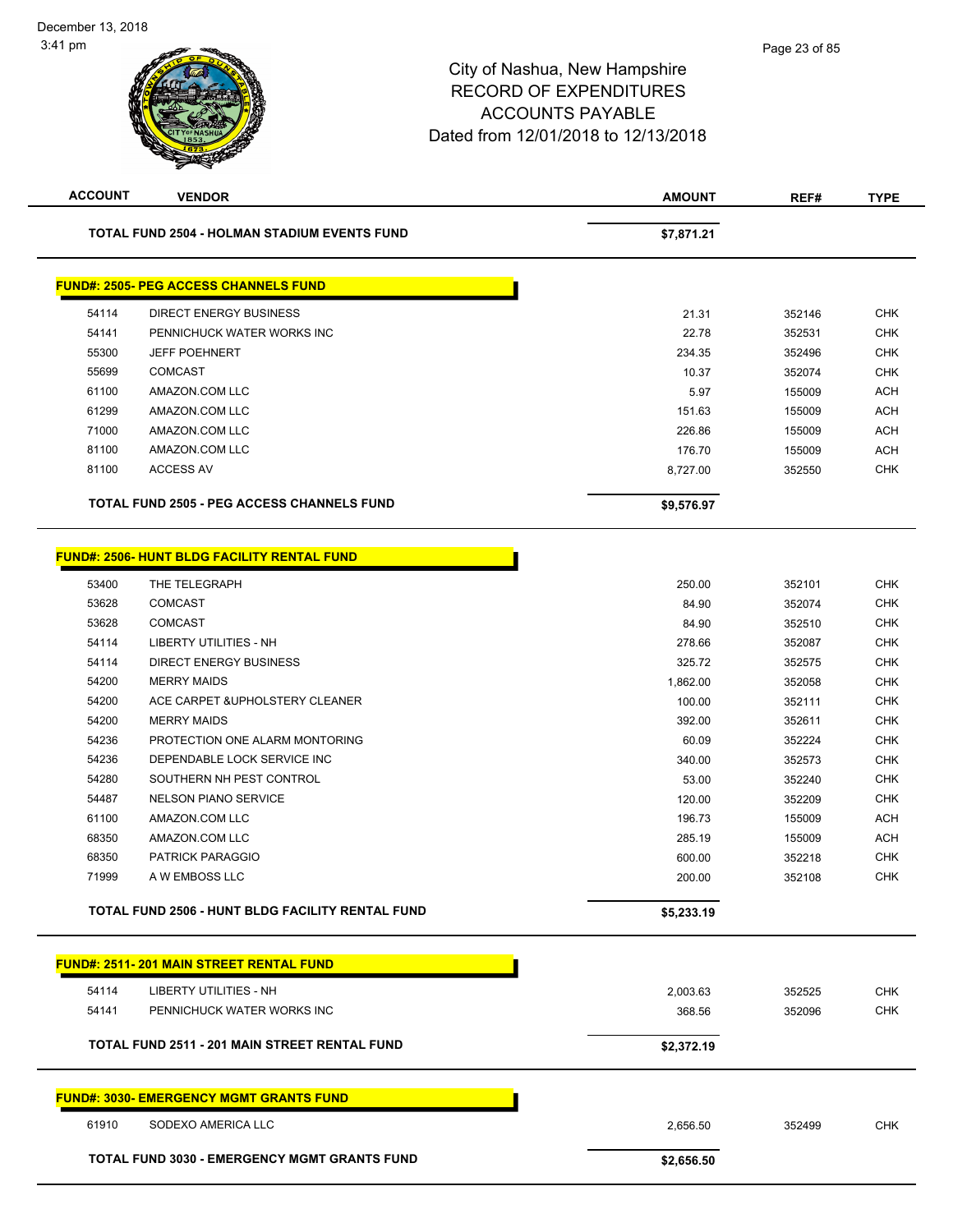| <b>ACCOUNT</b> | <b>VENDOR</b>                                           | <b>AMOUNT</b> | REF#   | <b>TYPE</b> |
|----------------|---------------------------------------------------------|---------------|--------|-------------|
|                | <b>TOTAL FUND 2504 - HOLMAN STADIUM EVENTS FUND</b>     | \$7,871.21    |        |             |
|                | <b>FUND#: 2505- PEG ACCESS CHANNELS FUND</b>            |               |        |             |
| 54114          | <b>DIRECT ENERGY BUSINESS</b>                           | 21.31         | 352146 | <b>CHK</b>  |
| 54141          | PENNICHUCK WATER WORKS INC                              | 22.78         | 352531 | <b>CHK</b>  |
| 55300          | <b>JEFF POEHNERT</b>                                    | 234.35        | 352496 | <b>CHK</b>  |
| 55699          | <b>COMCAST</b>                                          | 10.37         | 352074 | <b>CHK</b>  |
| 61100          | AMAZON.COM LLC                                          | 5.97          | 155009 | <b>ACH</b>  |
| 61299          | AMAZON.COM LLC                                          | 151.63        | 155009 | <b>ACH</b>  |
| 71000          | AMAZON.COM LLC                                          | 226.86        | 155009 | <b>ACH</b>  |
| 81100          | AMAZON.COM LLC                                          | 176.70        | 155009 | <b>ACH</b>  |
| 81100          | <b>ACCESS AV</b>                                        | 8,727.00      | 352550 | <b>CHK</b>  |
|                | <b>TOTAL FUND 2505 - PEG ACCESS CHANNELS FUND</b>       | \$9,576.97    |        |             |
|                | <b>FUND#: 2506- HUNT BLDG FACILITY RENTAL FUND</b>      |               |        |             |
|                |                                                         |               |        |             |
| 53400          | THE TELEGRAPH                                           | 250.00        | 352101 | <b>CHK</b>  |
| 53628          | <b>COMCAST</b>                                          | 84.90         | 352074 | <b>CHK</b>  |
| 53628          | <b>COMCAST</b>                                          | 84.90         | 352510 | <b>CHK</b>  |
| 54114          | LIBERTY UTILITIES - NH                                  | 278.66        | 352087 | <b>CHK</b>  |
| 54114          | <b>DIRECT ENERGY BUSINESS</b>                           | 325.72        | 352575 | <b>CHK</b>  |
| 54200          | <b>MERRY MAIDS</b>                                      | 1,862.00      | 352058 | <b>CHK</b>  |
| 54200          | ACE CARPET & UPHOLSTERY CLEANER                         | 100.00        | 352111 | <b>CHK</b>  |
| 54200          | <b>MERRY MAIDS</b>                                      | 392.00        | 352611 | <b>CHK</b>  |
| 54236          | PROTECTION ONE ALARM MONTORING                          | 60.09         | 352224 | <b>CHK</b>  |
| 54236          | DEPENDABLE LOCK SERVICE INC                             | 340.00        | 352573 | <b>CHK</b>  |
| 54280          | SOUTHERN NH PEST CONTROL                                | 53.00         | 352240 | <b>CHK</b>  |
| 54487          | <b>NELSON PIANO SERVICE</b>                             | 120.00        | 352209 | <b>CHK</b>  |
| 61100          | AMAZON.COM LLC                                          | 196.73        | 155009 | <b>ACH</b>  |
| 68350          | AMAZON.COM LLC                                          | 285.19        | 155009 | <b>ACH</b>  |
| 68350          | <b>PATRICK PARAGGIO</b>                                 | 600.00        | 352218 | <b>CHK</b>  |
| 71999          | A W EMBOSS LLC                                          | 200.00        | 352108 | <b>CHK</b>  |
|                | <b>TOTAL FUND 2506 - HUNT BLDG FACILITY RENTAL FUND</b> | \$5,233.19    |        |             |
|                | <b>FUND#: 2511-201 MAIN STREET RENTAL FUND</b>          |               |        |             |
| 54114          | LIBERTY UTILITIES - NH                                  | 2,003.63      | 352525 | <b>CHK</b>  |
| 54141          | PENNICHUCK WATER WORKS INC                              | 368.56        | 352096 | <b>CHK</b>  |
|                |                                                         |               |        |             |
|                | <b>TOTAL FUND 2511 - 201 MAIN STREET RENTAL FUND</b>    | \$2,372.19    |        |             |
|                | <b>FUND#: 3030- EMERGENCY MGMT GRANTS FUND</b>          |               |        |             |
| 61910          | SODEXO AMERICA LLC                                      | 2,656.50      | 352499 | <b>CHK</b>  |
|                | <b>TOTAL FUND 3030 - EMERGENCY MGMT GRANTS FUND</b>     | \$2,656.50    |        |             |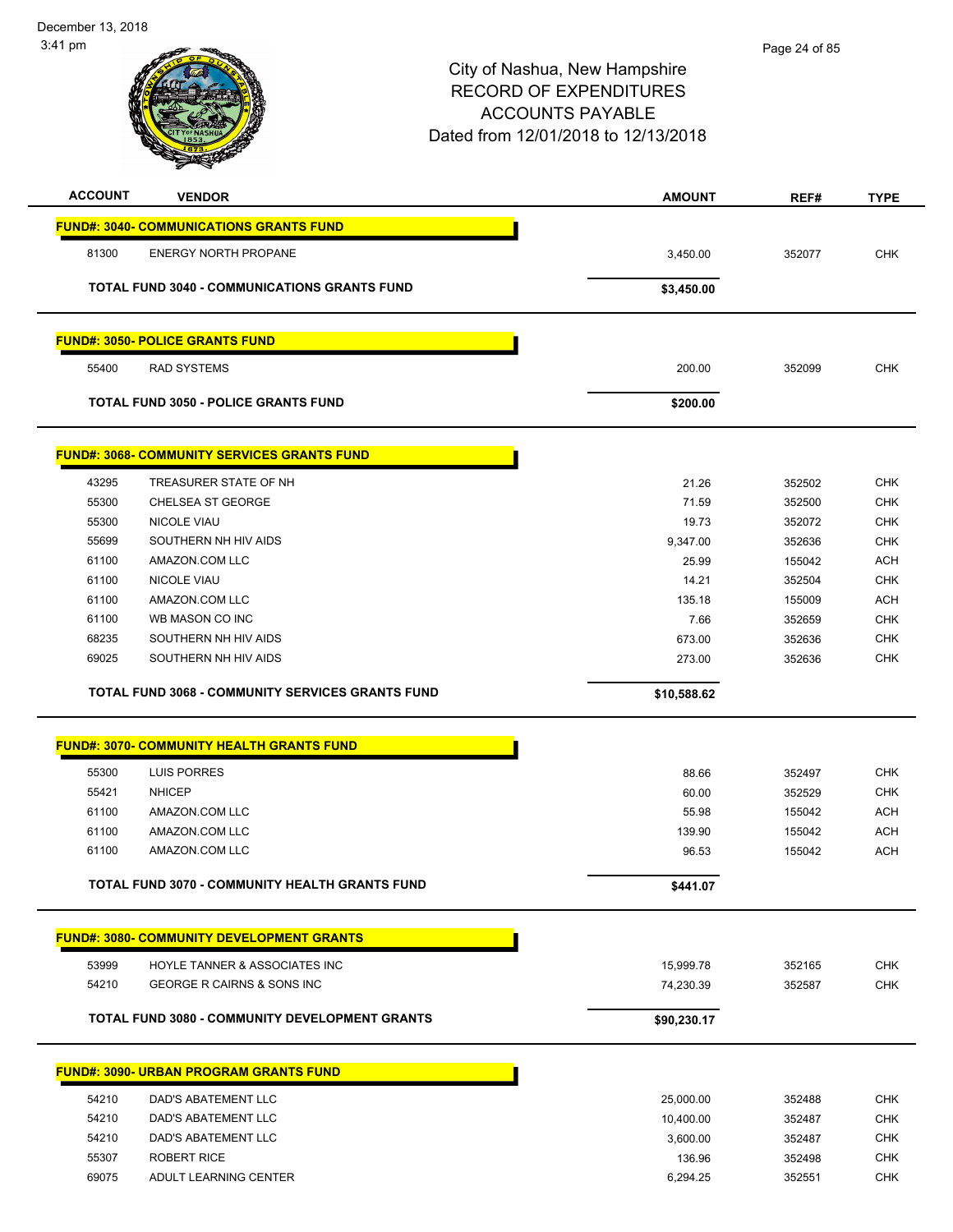| <b>GS</b><br>n f f |
|--------------------|
|                    |
|                    |
| TYOF NASHUA<br>cт  |
| 873                |

**SOL** 

جمد

| <b>ACCOUNT</b> | <b>VENDOR</b>                                           | <b>AMOUNT</b> | REF#   | <b>TYPE</b> |
|----------------|---------------------------------------------------------|---------------|--------|-------------|
|                | <b>FUND#: 3040- COMMUNICATIONS GRANTS FUND</b>          |               |        |             |
| 81300          | <b>ENERGY NORTH PROPANE</b>                             | 3,450.00      | 352077 | <b>CHK</b>  |
|                | TOTAL FUND 3040 - COMMUNICATIONS GRANTS FUND            | \$3,450.00    |        |             |
|                |                                                         |               |        |             |
|                | <b>FUND#: 3050- POLICE GRANTS FUND</b>                  |               |        |             |
| 55400          | <b>RAD SYSTEMS</b>                                      | 200.00        | 352099 | <b>CHK</b>  |
|                | <b>TOTAL FUND 3050 - POLICE GRANTS FUND</b>             | \$200.00      |        |             |
|                |                                                         |               |        |             |
|                | <b>FUND#: 3068- COMMUNITY SERVICES GRANTS FUND</b>      |               |        |             |
| 43295          | TREASURER STATE OF NH                                   | 21.26         | 352502 | <b>CHK</b>  |
| 55300          | <b>CHELSEA ST GEORGE</b>                                | 71.59         | 352500 | <b>CHK</b>  |
| 55300          | <b>NICOLE VIAU</b>                                      | 19.73         | 352072 | <b>CHK</b>  |
| 55699          | SOUTHERN NH HIV AIDS                                    | 9,347.00      | 352636 | <b>CHK</b>  |
| 61100          | AMAZON.COM LLC                                          | 25.99         | 155042 | <b>ACH</b>  |
| 61100          | <b>NICOLE VIAU</b>                                      | 14.21         | 352504 | <b>CHK</b>  |
| 61100          | AMAZON.COM LLC                                          | 135.18        | 155009 | <b>ACH</b>  |
| 61100          | WB MASON CO INC                                         | 7.66          | 352659 | <b>CHK</b>  |
| 68235          | SOUTHERN NH HIV AIDS                                    | 673.00        | 352636 | CHK         |
| 69025          | SOUTHERN NH HIV AIDS                                    | 273.00        | 352636 | <b>CHK</b>  |
|                |                                                         |               |        |             |
|                | <b>TOTAL FUND 3068 - COMMUNITY SERVICES GRANTS FUND</b> | \$10,588.62   |        |             |
|                |                                                         |               |        |             |
|                | <b>FUND#: 3070- COMMUNITY HEALTH GRANTS FUND</b>        |               |        |             |
| 55300          | <b>LUIS PORRES</b>                                      | 88.66         | 352497 | <b>CHK</b>  |
| 55421          | <b>NHICEP</b>                                           | 60.00         | 352529 | <b>CHK</b>  |
| 61100          | AMAZON.COM LLC                                          | 55.98         | 155042 | <b>ACH</b>  |
| 61100          | AMAZON.COM LLC                                          | 139.90        | 155042 | <b>ACH</b>  |
| 61100          | AMAZON.COM LLC                                          | 96.53         | 155042 | <b>ACH</b>  |
|                | <b>TOTAL FUND 3070 - COMMUNITY HEALTH GRANTS FUND</b>   | \$441.07      |        |             |
|                |                                                         |               |        |             |
|                | <b>FUND#: 3080- COMMUNITY DEVELOPMENT GRANTS</b>        |               |        |             |
| 53999          | HOYLE TANNER & ASSOCIATES INC                           | 15,999.78     | 352165 | CHK         |
| 54210          | GEORGE R CAIRNS & SONS INC                              | 74,230.39     | 352587 | CHK         |
|                | <b>TOTAL FUND 3080 - COMMUNITY DEVELOPMENT GRANTS</b>   | \$90,230.17   |        |             |
|                |                                                         |               |        |             |
|                | <b>FUND#: 3090- URBAN PROGRAM GRANTS FUND</b>           |               |        |             |
| 54210          | DAD'S ABATEMENT LLC                                     | 25,000.00     | 352488 | <b>CHK</b>  |
| 54210          | DAD'S ABATEMENT LLC                                     | 10,400.00     | 352487 | CHK         |
| 54210          | DAD'S ABATEMENT LLC                                     | 3,600.00      | 352487 | <b>CHK</b>  |
| 55307          | <b>ROBERT RICE</b>                                      | 136.96        | 352498 | <b>CHK</b>  |
| 69075          | ADULT LEARNING CENTER                                   | 6,294.25      | 352551 | <b>CHK</b>  |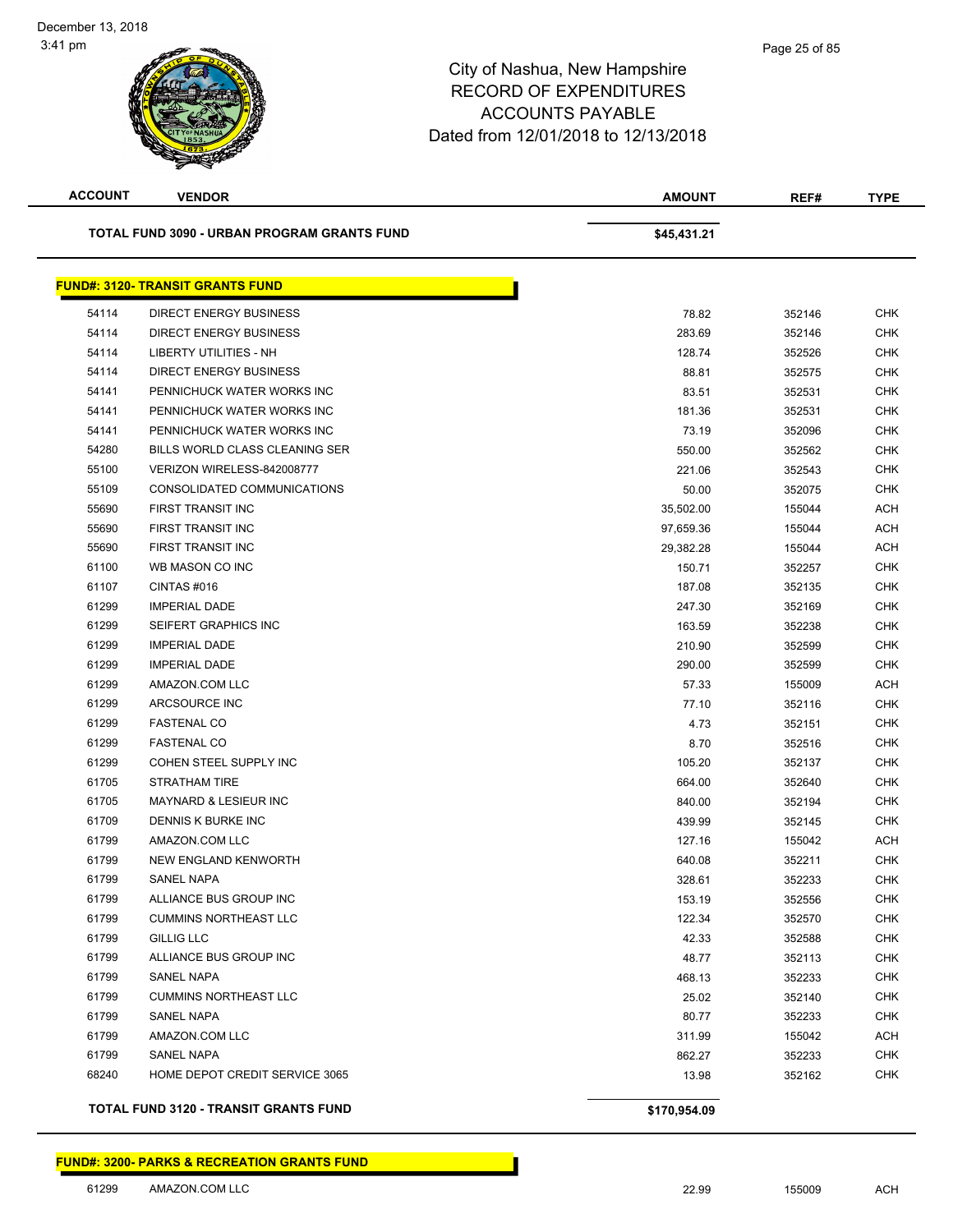| <b>ACCOUNT</b> | <b>VENDOR</b>                                | <b>AMOUNT</b> | REF#   | <b>TYPE</b> |
|----------------|----------------------------------------------|---------------|--------|-------------|
|                | TOTAL FUND 3090 - URBAN PROGRAM GRANTS FUND  | \$45,431.21   |        |             |
|                | <b>FUND#: 3120- TRANSIT GRANTS FUND</b>      |               |        |             |
| 54114          | DIRECT ENERGY BUSINESS                       | 78.82         | 352146 | <b>CHK</b>  |
| 54114          | <b>DIRECT ENERGY BUSINESS</b>                | 283.69        | 352146 | <b>CHK</b>  |
| 54114          | LIBERTY UTILITIES - NH                       | 128.74        | 352526 | CHK         |
| 54114          | <b>DIRECT ENERGY BUSINESS</b>                | 88.81         | 352575 | <b>CHK</b>  |
| 54141          | PENNICHUCK WATER WORKS INC                   | 83.51         | 352531 | <b>CHK</b>  |
| 54141          | PENNICHUCK WATER WORKS INC                   | 181.36        | 352531 | <b>CHK</b>  |
| 54141          | PENNICHUCK WATER WORKS INC                   | 73.19         | 352096 | <b>CHK</b>  |
| 54280          | BILLS WORLD CLASS CLEANING SER               | 550.00        | 352562 | <b>CHK</b>  |
| 55100          | VERIZON WIRELESS-842008777                   | 221.06        | 352543 | <b>CHK</b>  |
| 55109          | CONSOLIDATED COMMUNICATIONS                  | 50.00         | 352075 | <b>CHK</b>  |
| 55690          | FIRST TRANSIT INC                            | 35,502.00     | 155044 | <b>ACH</b>  |
| 55690          | <b>FIRST TRANSIT INC</b>                     | 97,659.36     | 155044 | <b>ACH</b>  |
| 55690          | FIRST TRANSIT INC                            | 29,382.28     | 155044 | <b>ACH</b>  |
| 61100          | WB MASON CO INC                              | 150.71        | 352257 | <b>CHK</b>  |
| 61107          | CINTAS#016                                   | 187.08        | 352135 | <b>CHK</b>  |
| 61299          | <b>IMPERIAL DADE</b>                         | 247.30        | 352169 | <b>CHK</b>  |
| 61299          | SEIFERT GRAPHICS INC                         | 163.59        | 352238 | <b>CHK</b>  |
| 61299          | <b>IMPERIAL DADE</b>                         | 210.90        | 352599 | <b>CHK</b>  |
| 61299          | <b>IMPERIAL DADE</b>                         | 290.00        | 352599 | <b>CHK</b>  |
| 61299          | AMAZON.COM LLC                               | 57.33         | 155009 | <b>ACH</b>  |
| 61299          | ARCSOURCE INC                                | 77.10         | 352116 | <b>CHK</b>  |
| 61299          | <b>FASTENAL CO</b>                           | 4.73          | 352151 | CHK         |
| 61299          | <b>FASTENAL CO</b>                           | 8.70          | 352516 | <b>CHK</b>  |
| 61299          | COHEN STEEL SUPPLY INC                       | 105.20        | 352137 | <b>CHK</b>  |
| 61705          | STRATHAM TIRE                                | 664.00        | 352640 | <b>CHK</b>  |
| 61705          | <b>MAYNARD &amp; LESIEUR INC</b>             | 840.00        | 352194 | <b>CHK</b>  |
| 61709          | DENNIS K BURKE INC                           | 439.99        | 352145 | <b>CHK</b>  |
| 61799          | AMAZON.COM LLC                               | 127.16        | 155042 | <b>ACH</b>  |
| 61799          | NEW ENGLAND KENWORTH                         | 640.08        | 352211 | <b>CHK</b>  |
| 61799          | SANEL NAPA                                   | 328.61        | 352233 | CHK         |
| 61799          | ALLIANCE BUS GROUP INC                       | 153.19        | 352556 | <b>CHK</b>  |
| 61799          | <b>CUMMINS NORTHEAST LLC</b>                 | 122.34        | 352570 | CHK         |
| 61799          | <b>GILLIG LLC</b>                            | 42.33         | 352588 | <b>CHK</b>  |
| 61799          | ALLIANCE BUS GROUP INC                       | 48.77         | 352113 | <b>CHK</b>  |
| 61799          | SANEL NAPA                                   | 468.13        | 352233 | <b>CHK</b>  |
| 61799          | <b>CUMMINS NORTHEAST LLC</b>                 | 25.02         | 352140 | CHK         |
| 61799          | SANEL NAPA                                   | 80.77         | 352233 | <b>CHK</b>  |
| 61799          | AMAZON.COM LLC                               | 311.99        | 155042 | <b>ACH</b>  |
| 61799          | <b>SANEL NAPA</b>                            | 862.27        | 352233 | <b>CHK</b>  |
| 68240          | HOME DEPOT CREDIT SERVICE 3065               | 13.98         | 352162 | <b>CHK</b>  |
|                | <b>TOTAL FUND 3120 - TRANSIT GRANTS FUND</b> | \$170,954.09  |        |             |

**FUND#: 3200- PARKS & RECREATION GRANTS FUND**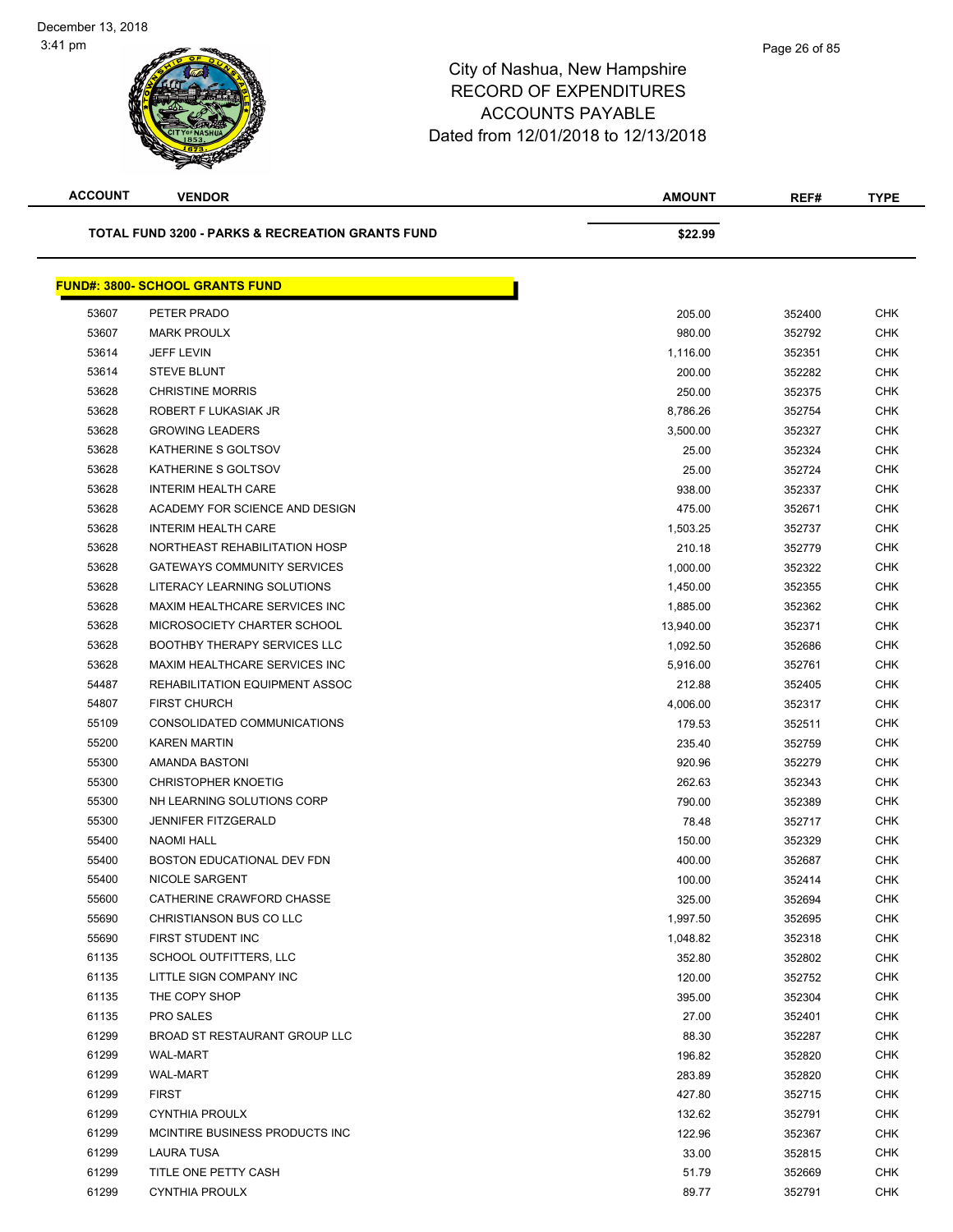| <b>ACCOUNT</b>                                              | <b>VENDOR</b>                          | AMOUNT    | REF#   | <b>TYPE</b> |
|-------------------------------------------------------------|----------------------------------------|-----------|--------|-------------|
| <b>TOTAL FUND 3200 - PARKS &amp; RECREATION GRANTS FUND</b> |                                        | \$22.99   |        |             |
|                                                             | <b>FUND#: 3800- SCHOOL GRANTS FUND</b> |           |        |             |
| 53607                                                       | PETER PRADO                            | 205.00    | 352400 | <b>CHK</b>  |
| 53607                                                       | <b>MARK PROULX</b>                     | 980.00    | 352792 | <b>CHK</b>  |
| 53614                                                       | <b>JEFF LEVIN</b>                      | 1,116.00  | 352351 | <b>CHK</b>  |
| 53614                                                       | <b>STEVE BLUNT</b>                     | 200.00    | 352282 | CHK         |
| 53628                                                       | <b>CHRISTINE MORRIS</b>                | 250.00    | 352375 | <b>CHK</b>  |
| 53628                                                       | ROBERT F LUKASIAK JR                   | 8,786.26  | 352754 | <b>CHK</b>  |
| 53628                                                       | <b>GROWING LEADERS</b>                 | 3,500.00  | 352327 | CHK         |
| 53628                                                       | KATHERINE S GOLTSOV                    | 25.00     | 352324 | <b>CHK</b>  |
| 53628                                                       | KATHERINE S GOLTSOV                    | 25.00     | 352724 | <b>CHK</b>  |
| 53628                                                       | <b>INTERIM HEALTH CARE</b>             | 938.00    | 352337 | <b>CHK</b>  |
| 53628                                                       | ACADEMY FOR SCIENCE AND DESIGN         | 475.00    | 352671 | <b>CHK</b>  |
| 53628                                                       | <b>INTERIM HEALTH CARE</b>             | 1,503.25  | 352737 | <b>CHK</b>  |
| 53628                                                       | NORTHEAST REHABILITATION HOSP          | 210.18    | 352779 | <b>CHK</b>  |
| 53628                                                       | <b>GATEWAYS COMMUNITY SERVICES</b>     | 1,000.00  | 352322 | <b>CHK</b>  |
| 53628                                                       | LITERACY LEARNING SOLUTIONS            | 1,450.00  | 352355 | <b>CHK</b>  |
| 53628                                                       | MAXIM HEALTHCARE SERVICES INC          | 1,885.00  | 352362 | <b>CHK</b>  |
| 53628                                                       | MICROSOCIETY CHARTER SCHOOL            | 13,940.00 | 352371 | <b>CHK</b>  |
| 53628                                                       | <b>BOOTHBY THERAPY SERVICES LLC</b>    | 1,092.50  | 352686 | <b>CHK</b>  |
| 53628                                                       | MAXIM HEALTHCARE SERVICES INC          | 5,916.00  | 352761 | <b>CHK</b>  |
| 54487                                                       | REHABILITATION EQUIPMENT ASSOC         | 212.88    | 352405 | <b>CHK</b>  |
| 54807                                                       | <b>FIRST CHURCH</b>                    | 4,006.00  | 352317 | <b>CHK</b>  |
| 55109                                                       | CONSOLIDATED COMMUNICATIONS            | 179.53    | 352511 | <b>CHK</b>  |
| 55200                                                       | <b>KAREN MARTIN</b>                    | 235.40    | 352759 | <b>CHK</b>  |
| 55300                                                       | AMANDA BASTONI                         | 920.96    | 352279 | <b>CHK</b>  |
| 55300                                                       | <b>CHRISTOPHER KNOETIG</b>             | 262.63    | 352343 | <b>CHK</b>  |
| 55300                                                       | NH LEARNING SOLUTIONS CORP             | 790.00    | 352389 | CHK         |
| 55300                                                       | <b>JENNIFER FITZGERALD</b>             | 78.48     | 352717 | <b>CHK</b>  |
| 55400                                                       | NAOMI HALL                             | 150.00    | 352329 | <b>CHK</b>  |
| 55400                                                       | BOSTON EDUCATIONAL DEV FDN             | 400.00    | 352687 | <b>CHK</b>  |
| 55400                                                       | NICOLE SARGENT                         | 100.00    | 352414 | <b>CHK</b>  |
| 55600                                                       | CATHERINE CRAWFORD CHASSE              | 325.00    | 352694 | <b>CHK</b>  |
| 55690                                                       | CHRISTIANSON BUS CO LLC                | 1,997.50  | 352695 | <b>CHK</b>  |
| 55690                                                       | FIRST STUDENT INC                      | 1,048.82  | 352318 | <b>CHK</b>  |
| 61135                                                       | SCHOOL OUTFITTERS, LLC                 | 352.80    | 352802 | <b>CHK</b>  |
| 61135                                                       | LITTLE SIGN COMPANY INC                | 120.00    | 352752 | <b>CHK</b>  |
| 61135                                                       | THE COPY SHOP                          | 395.00    | 352304 | <b>CHK</b>  |
| 61135                                                       | PRO SALES                              | 27.00     | 352401 | <b>CHK</b>  |
| 61299                                                       | BROAD ST RESTAURANT GROUP LLC          | 88.30     | 352287 | <b>CHK</b>  |
| 61299                                                       | WAL-MART                               | 196.82    | 352820 | <b>CHK</b>  |
| 61299                                                       | <b>WAL-MART</b>                        | 283.89    | 352820 | CHK         |
| 61299                                                       | <b>FIRST</b>                           | 427.80    | 352715 | <b>CHK</b>  |
| 61299                                                       | <b>CYNTHIA PROULX</b>                  | 132.62    | 352791 | <b>CHK</b>  |
| 61299                                                       | MCINTIRE BUSINESS PRODUCTS INC         | 122.96    | 352367 | CHK         |
| 61299                                                       | LAURA TUSA                             | 33.00     | 352815 | <b>CHK</b>  |
| 61299                                                       | TITLE ONE PETTY CASH                   | 51.79     | 352669 | <b>CHK</b>  |
| 61299                                                       | <b>CYNTHIA PROULX</b>                  | 89.77     | 352791 | <b>CHK</b>  |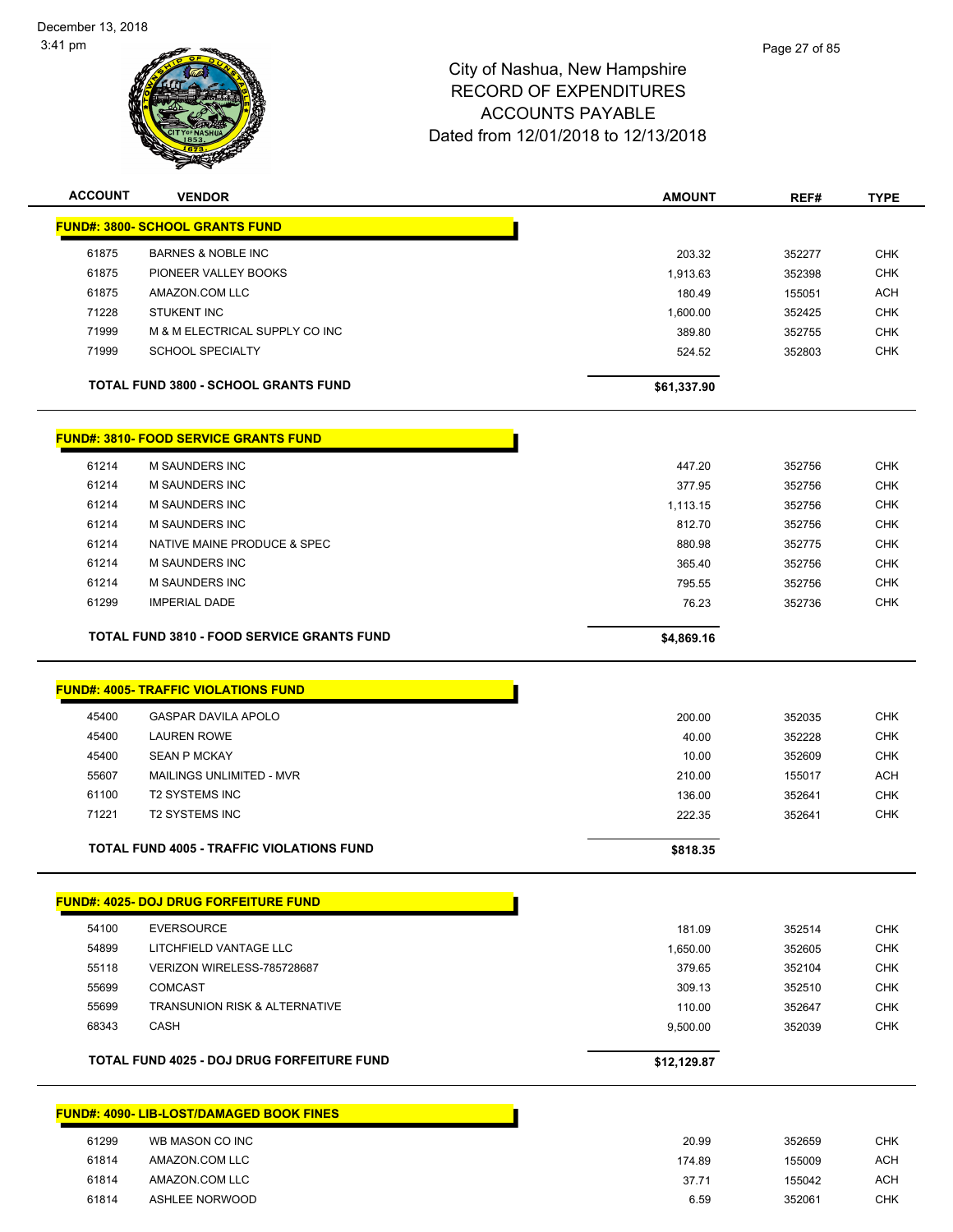

| <b>ACCOUNT</b>                                    | <b>VENDOR</b>                                     | <b>AMOUNT</b> | REF#   | <b>TYPE</b> |
|---------------------------------------------------|---------------------------------------------------|---------------|--------|-------------|
|                                                   | <b>FUND#: 3800- SCHOOL GRANTS FUND</b>            |               |        |             |
| 61875                                             | <b>BARNES &amp; NOBLE INC</b>                     | 203.32        | 352277 | <b>CHK</b>  |
| 61875                                             | PIONEER VALLEY BOOKS                              | 1,913.63      | 352398 | <b>CHK</b>  |
| 61875                                             | AMAZON.COM LLC                                    | 180.49        | 155051 | <b>ACH</b>  |
| 71228                                             | <b>STUKENT INC</b>                                | 1,600.00      | 352425 | <b>CHK</b>  |
| 71999                                             | M & M ELECTRICAL SUPPLY CO INC                    | 389.80        | 352755 | <b>CHK</b>  |
| 71999                                             | <b>SCHOOL SPECIALTY</b>                           | 524.52        | 352803 | <b>CHK</b>  |
|                                                   | <b>TOTAL FUND 3800 - SCHOOL GRANTS FUND</b>       | \$61,337.90   |        |             |
|                                                   | <b>FUND#: 3810- FOOD SERVICE GRANTS FUND</b>      |               |        |             |
| 61214                                             | <b>M SAUNDERS INC</b>                             | 447.20        | 352756 | <b>CHK</b>  |
| 61214                                             | M SAUNDERS INC                                    | 377.95        | 352756 | <b>CHK</b>  |
| 61214                                             | M SAUNDERS INC                                    | 1,113.15      | 352756 | <b>CHK</b>  |
| 61214                                             | M SAUNDERS INC                                    | 812.70        | 352756 | <b>CHK</b>  |
| 61214                                             | NATIVE MAINE PRODUCE & SPEC                       | 880.98        | 352775 | <b>CHK</b>  |
| 61214                                             | <b>M SAUNDERS INC</b>                             | 365.40        | 352756 | <b>CHK</b>  |
| 61214                                             | <b>M SAUNDERS INC</b>                             | 795.55        | 352756 | <b>CHK</b>  |
| 61299                                             | <b>IMPERIAL DADE</b>                              | 76.23         | 352736 | <b>CHK</b>  |
| <b>TOTAL FUND 3810 - FOOD SERVICE GRANTS FUND</b> |                                                   | \$4,869.16    |        |             |
|                                                   | <b>FUND#: 4005- TRAFFIC VIOLATIONS FUND</b>       |               |        |             |
| 45400                                             | <b>GASPAR DAVILA APOLO</b>                        | 200.00        | 352035 | <b>CHK</b>  |
| 45400                                             | <b>LAUREN ROWE</b>                                | 40.00         | 352228 | <b>CHK</b>  |
| 45400                                             | <b>SEAN P MCKAY</b>                               | 10.00         | 352609 | <b>CHK</b>  |
| 55607                                             | MAILINGS UNLIMITED - MVR                          | 210.00        | 155017 | <b>ACH</b>  |
| 61100                                             | <b>T2 SYSTEMS INC</b>                             | 136.00        | 352641 | <b>CHK</b>  |
| 71221                                             | <b>T2 SYSTEMS INC</b>                             | 222.35        | 352641 | <b>CHK</b>  |
|                                                   |                                                   |               |        |             |
|                                                   | <b>TOTAL FUND 4005 - TRAFFIC VIOLATIONS FUND</b>  | \$818.35      |        |             |
|                                                   | <b>FUND#: 4025- DOJ DRUG FORFEITURE FUND</b>      |               |        |             |
| 54100                                             | <b>EVERSOURCE</b>                                 | 181.09        | 352514 | <b>CHK</b>  |
| 54899                                             | LITCHFIELD VANTAGE LLC                            | 1,650.00      | 352605 | <b>CHK</b>  |
| 55118                                             | VERIZON WIRELESS-785728687                        | 379.65        | 352104 | <b>CHK</b>  |
| 55699                                             | <b>COMCAST</b>                                    | 309.13        | 352510 | <b>CHK</b>  |
| 55699                                             | <b>TRANSUNION RISK &amp; ALTERNATIVE</b>          | 110.00        | 352647 | <b>CHK</b>  |
| 68343                                             | <b>CASH</b>                                       | 9,500.00      | 352039 | <b>CHK</b>  |
|                                                   | <b>TOTAL FUND 4025 - DOJ DRUG FORFEITURE FUND</b> | \$12,129.87   |        |             |
|                                                   | <b>FUND#: 4090- LIB-LOST/DAMAGED BOOK FINES</b>   |               |        |             |
|                                                   |                                                   |               |        |             |
| 61299                                             | WB MASON CO INC                                   | 20.99         | 352659 | <b>CHK</b>  |
| 61814                                             | AMAZON.COM LLC                                    | 174.89        | 155009 | <b>ACH</b>  |
| 61814                                             | AMAZON.COM LLC                                    | 37.71         | 155042 | <b>ACH</b>  |
| 61814                                             | <b>ASHLEE NORWOOD</b>                             | 6.59          | 352061 | <b>CHK</b>  |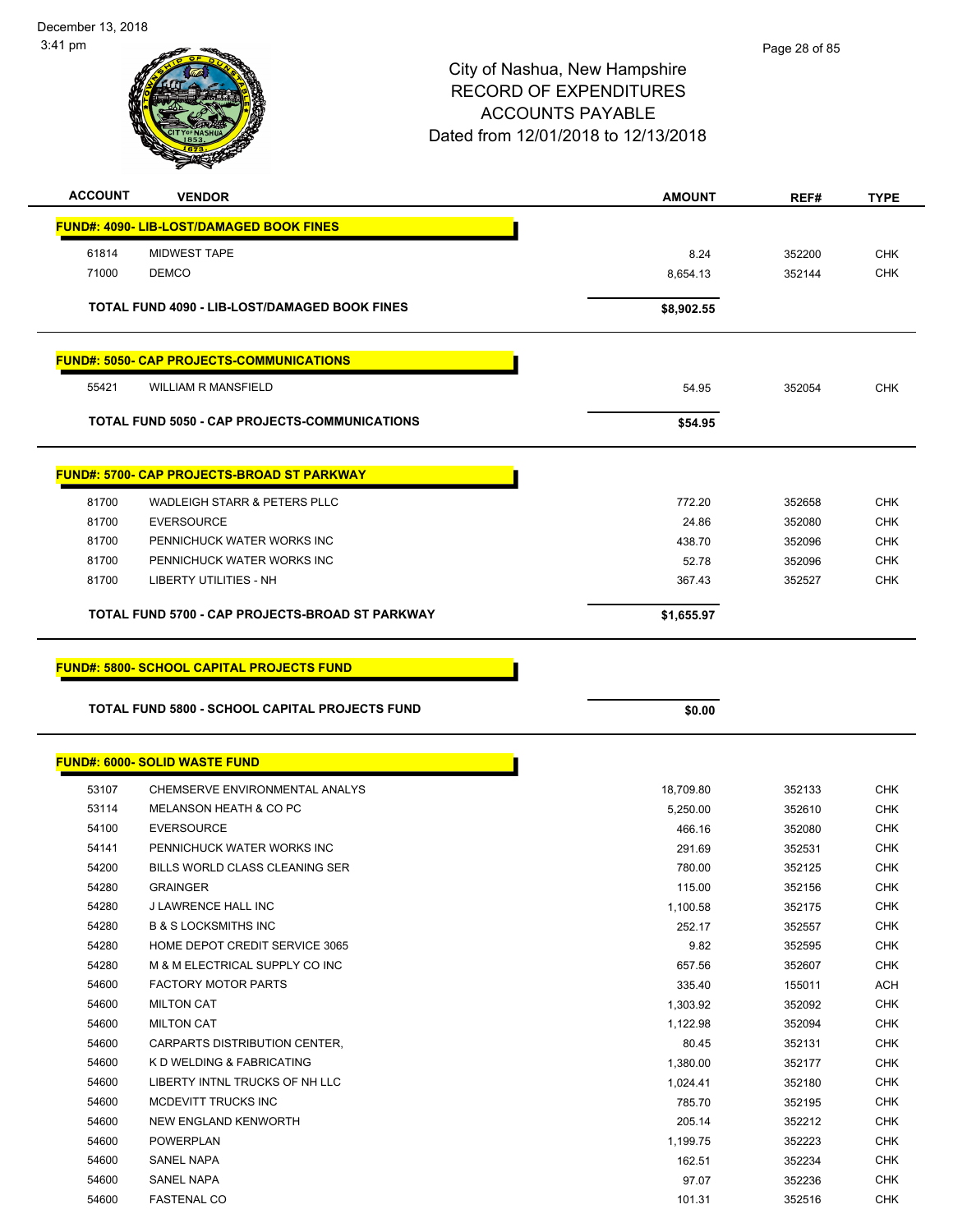December 13, 2018 3:41 pm



| <b>ACCOUNT</b> | <b>VENDOR</b>                                         | <b>AMOUNT</b>   | REF#             | <b>TYPE</b>              |
|----------------|-------------------------------------------------------|-----------------|------------------|--------------------------|
|                | <b>FUND#: 4090- LIB-LOST/DAMAGED BOOK FINES</b>       |                 |                  |                          |
|                |                                                       |                 |                  |                          |
| 61814          | <b>MIDWEST TAPE</b>                                   | 8.24            | 352200           | <b>CHK</b>               |
| 71000          | <b>DEMCO</b>                                          | 8,654.13        | 352144           | <b>CHK</b>               |
|                | <b>TOTAL FUND 4090 - LIB-LOST/DAMAGED BOOK FINES</b>  | \$8,902.55      |                  |                          |
|                |                                                       |                 |                  |                          |
|                |                                                       |                 |                  |                          |
|                | <b>FUND#: 5050- CAP PROJECTS-COMMUNICATIONS</b>       |                 |                  |                          |
| 55421          | <b>WILLIAM R MANSFIELD</b>                            | 54.95           | 352054           | <b>CHK</b>               |
|                |                                                       |                 |                  |                          |
|                | TOTAL FUND 5050 - CAP PROJECTS-COMMUNICATIONS         | \$54.95         |                  |                          |
|                |                                                       |                 |                  |                          |
|                | <b>FUND#: 5700- CAP PROJECTS-BROAD ST PARKWAY</b>     |                 |                  |                          |
| 81700          | WADLEIGH STARR & PETERS PLLC                          | 772.20          | 352658           | <b>CHK</b>               |
| 81700          | <b>EVERSOURCE</b>                                     | 24.86           | 352080           | <b>CHK</b>               |
| 81700          | PENNICHUCK WATER WORKS INC                            | 438.70          | 352096           | CHK                      |
| 81700          | PENNICHUCK WATER WORKS INC                            | 52.78           | 352096           | <b>CHK</b>               |
| 81700          | <b>LIBERTY UTILITIES - NH</b>                         | 367.43          | 352527           | <b>CHK</b>               |
|                | TOTAL FUND 5700 - CAP PROJECTS-BROAD ST PARKWAY       | \$1,655.97      |                  |                          |
|                |                                                       |                 |                  |                          |
|                |                                                       |                 |                  |                          |
|                | <b>FUND#: 5800- SCHOOL CAPITAL PROJECTS FUND</b>      |                 |                  |                          |
|                |                                                       |                 |                  |                          |
|                |                                                       |                 |                  |                          |
|                | <b>TOTAL FUND 5800 - SCHOOL CAPITAL PROJECTS FUND</b> | \$0.00          |                  |                          |
|                |                                                       |                 |                  |                          |
|                | <b>FUND#: 6000- SOLID WASTE FUND</b>                  |                 |                  |                          |
| 53107          | CHEMSERVE ENVIRONMENTAL ANALYS                        | 18,709.80       | 352133           | <b>CHK</b>               |
| 53114          | MELANSON HEATH & CO PC                                | 5,250.00        | 352610           | <b>CHK</b>               |
| 54100          | <b>EVERSOURCE</b>                                     | 466.16          | 352080           | <b>CHK</b>               |
| 54141          | PENNICHUCK WATER WORKS INC                            | 291.69          | 352531           | <b>CHK</b>               |
| 54200          | BILLS WORLD CLASS CLEANING SER                        | 780.00          | 352125           | CHK                      |
| 54280          | GRAINGER                                              | 115.00          | 352156           | <b>CHK</b>               |
| 54280          | J LAWRENCE HALL INC                                   | 1,100.58        | 352175           | <b>CHK</b>               |
| 54280          | <b>B &amp; S LOCKSMITHS INC</b>                       | 252.17          | 352557           | <b>CHK</b>               |
| 54280          | HOME DEPOT CREDIT SERVICE 3065                        | 9.82            | 352595           | <b>CHK</b>               |
| 54280          | M & M ELECTRICAL SUPPLY CO INC                        | 657.56          | 352607           | <b>CHK</b>               |
| 54600          | <b>FACTORY MOTOR PARTS</b>                            | 335.40          | 155011           | <b>ACH</b>               |
| 54600          | <b>MILTON CAT</b>                                     | 1,303.92        | 352092           | <b>CHK</b>               |
| 54600          | <b>MILTON CAT</b>                                     | 1,122.98        | 352094           | <b>CHK</b>               |
| 54600          | CARPARTS DISTRIBUTION CENTER,                         | 80.45           | 352131           | <b>CHK</b>               |
| 54600          | K D WELDING & FABRICATING                             | 1,380.00        | 352177           | <b>CHK</b>               |
| 54600          | LIBERTY INTNL TRUCKS OF NH LLC                        | 1,024.41        | 352180           | <b>CHK</b>               |
| 54600          | MCDEVITT TRUCKS INC                                   | 785.70          | 352195           | <b>CHK</b>               |
| 54600          | NEW ENGLAND KENWORTH                                  | 205.14          | 352212           | <b>CHK</b>               |
| 54600          | <b>POWERPLAN</b>                                      | 1,199.75        | 352223           | <b>CHK</b>               |
| 54600          | SANEL NAPA                                            | 162.51          | 352234           | <b>CHK</b>               |
| 54600<br>54600 | <b>SANEL NAPA</b><br><b>FASTENAL CO</b>               | 97.07<br>101.31 | 352236<br>352516 | <b>CHK</b><br><b>CHK</b> |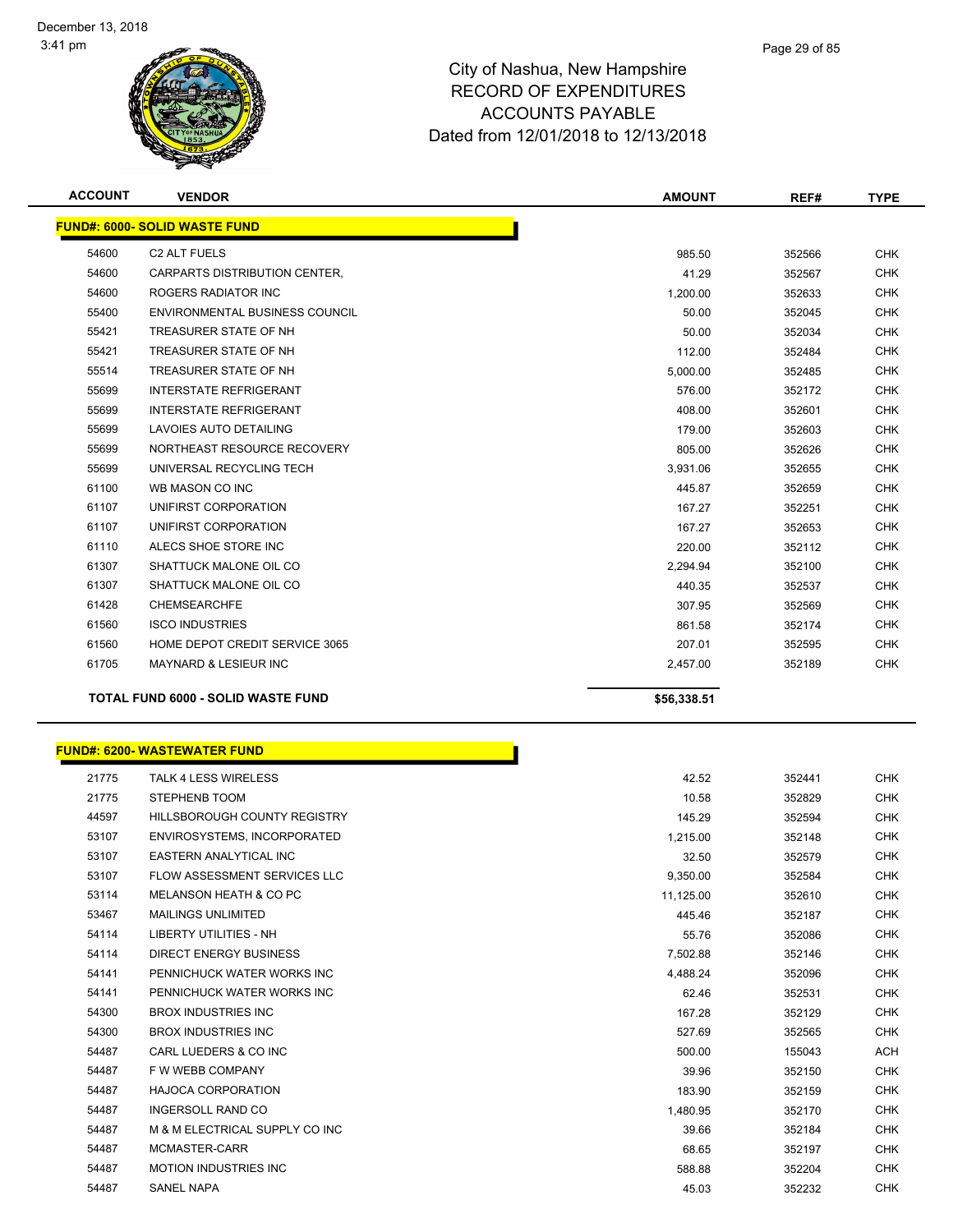

| <b>ACCOUNT</b> | <b>VENDOR</b>                             | <b>AMOUNT</b> | REF#   | <b>TYPE</b> |
|----------------|-------------------------------------------|---------------|--------|-------------|
|                | <b>FUND#: 6000- SOLID WASTE FUND</b>      |               |        |             |
| 54600          | <b>C2 ALT FUELS</b>                       | 985.50        | 352566 | <b>CHK</b>  |
| 54600          | CARPARTS DISTRIBUTION CENTER,             | 41.29         | 352567 | <b>CHK</b>  |
| 54600          | <b>ROGERS RADIATOR INC</b>                | 1,200.00      | 352633 | <b>CHK</b>  |
| 55400          | <b>ENVIRONMENTAL BUSINESS COUNCIL</b>     | 50.00         | 352045 | <b>CHK</b>  |
| 55421          | TREASURER STATE OF NH                     | 50.00         | 352034 | <b>CHK</b>  |
| 55421          | TREASURER STATE OF NH                     | 112.00        | 352484 | <b>CHK</b>  |
| 55514          | TREASURER STATE OF NH                     | 5,000.00      | 352485 | <b>CHK</b>  |
| 55699          | <b>INTERSTATE REFRIGERANT</b>             | 576.00        | 352172 | <b>CHK</b>  |
| 55699          | <b>INTERSTATE REFRIGERANT</b>             | 408.00        | 352601 | <b>CHK</b>  |
| 55699          | LAVOIES AUTO DETAILING                    | 179.00        | 352603 | <b>CHK</b>  |
| 55699          | NORTHEAST RESOURCE RECOVERY               | 805.00        | 352626 | <b>CHK</b>  |
| 55699          | UNIVERSAL RECYCLING TECH                  | 3,931.06      | 352655 | <b>CHK</b>  |
| 61100          | WB MASON CO INC                           | 445.87        | 352659 | <b>CHK</b>  |
| 61107          | UNIFIRST CORPORATION                      | 167.27        | 352251 | <b>CHK</b>  |
| 61107          | UNIFIRST CORPORATION                      | 167.27        | 352653 | <b>CHK</b>  |
| 61110          | ALECS SHOE STORE INC                      | 220.00        | 352112 | <b>CHK</b>  |
| 61307          | SHATTUCK MALONE OIL CO                    | 2,294.94      | 352100 | <b>CHK</b>  |
| 61307          | SHATTUCK MALONE OIL CO                    | 440.35        | 352537 | <b>CHK</b>  |
| 61428          | <b>CHEMSEARCHFE</b>                       | 307.95        | 352569 | <b>CHK</b>  |
| 61560          | <b>ISCO INDUSTRIES</b>                    | 861.58        | 352174 | <b>CHK</b>  |
| 61560          | HOME DEPOT CREDIT SERVICE 3065            | 207.01        | 352595 | <b>CHK</b>  |
| 61705          | <b>MAYNARD &amp; LESIEUR INC</b>          | 2,457.00      | 352189 | <b>CHK</b>  |
|                | <b>TOTAL FUND 6000 - SOLID WASTE FUND</b> | \$56,338.51   |        |             |

|       | FUND#: 6200- WASTEWATER FUND        |           |        |
|-------|-------------------------------------|-----------|--------|
| 21775 | <b>TALK 4 LESS WIRELESS</b>         | 42.52     | 352441 |
| 21775 | STEPHENB TOOM                       | 10.58     | 352829 |
| 44597 | <b>HILLSBOROUGH COUNTY REGISTRY</b> | 145.29    | 352594 |
| 53107 | ENVIROSYSTEMS, INCORPORATED         | 1,215.00  | 352148 |
| 53107 | <b>EASTERN ANALYTICAL INC</b>       | 32.50     | 352579 |
| 53107 | <b>FLOW ASSESSMENT SERVICES LLC</b> | 9,350.00  | 352584 |
| 53114 | MELANSON HEATH & CO PC              | 11,125.00 | 352610 |
| 53467 | <b>MAILINGS UNLIMITED</b>           | 445.46    | 352187 |
| 54114 | <b>LIBERTY UTILITIES - NH</b>       | 55.76     | 352086 |
| 54114 | <b>DIRECT ENERGY BUSINESS</b>       | 7,502.88  | 352146 |
| 54141 | PENNICHUCK WATER WORKS INC          | 4,488.24  | 352096 |
| 54141 | PENNICHUCK WATER WORKS INC          | 62.46     | 352531 |
| 54300 | <b>BROX INDUSTRIES INC</b>          | 167.28    | 352129 |
| 54300 | <b>BROX INDUSTRIES INC</b>          | 527.69    | 352565 |
| 54487 | CARL LUEDERS & CO INC               | 500.00    | 155043 |
| 54487 | F W WEBB COMPANY                    | 39.96     | 352150 |
| 54487 | <b>HAJOCA CORPORATION</b>           | 183.90    | 352159 |
| 54487 | <b>INGERSOLL RAND CO</b>            | 1,480.95  | 352170 |
| 54487 | M & M ELECTRICAL SUPPLY CO INC      | 39.66     | 352184 |
| 54487 | MCMASTER-CARR                       | 68.65     | 352197 |
| 54487 | <b>MOTION INDUSTRIES INC</b>        | 588.88    | 352204 |
| 54487 | <b>SANEL NAPA</b>                   | 45.03     | 352232 |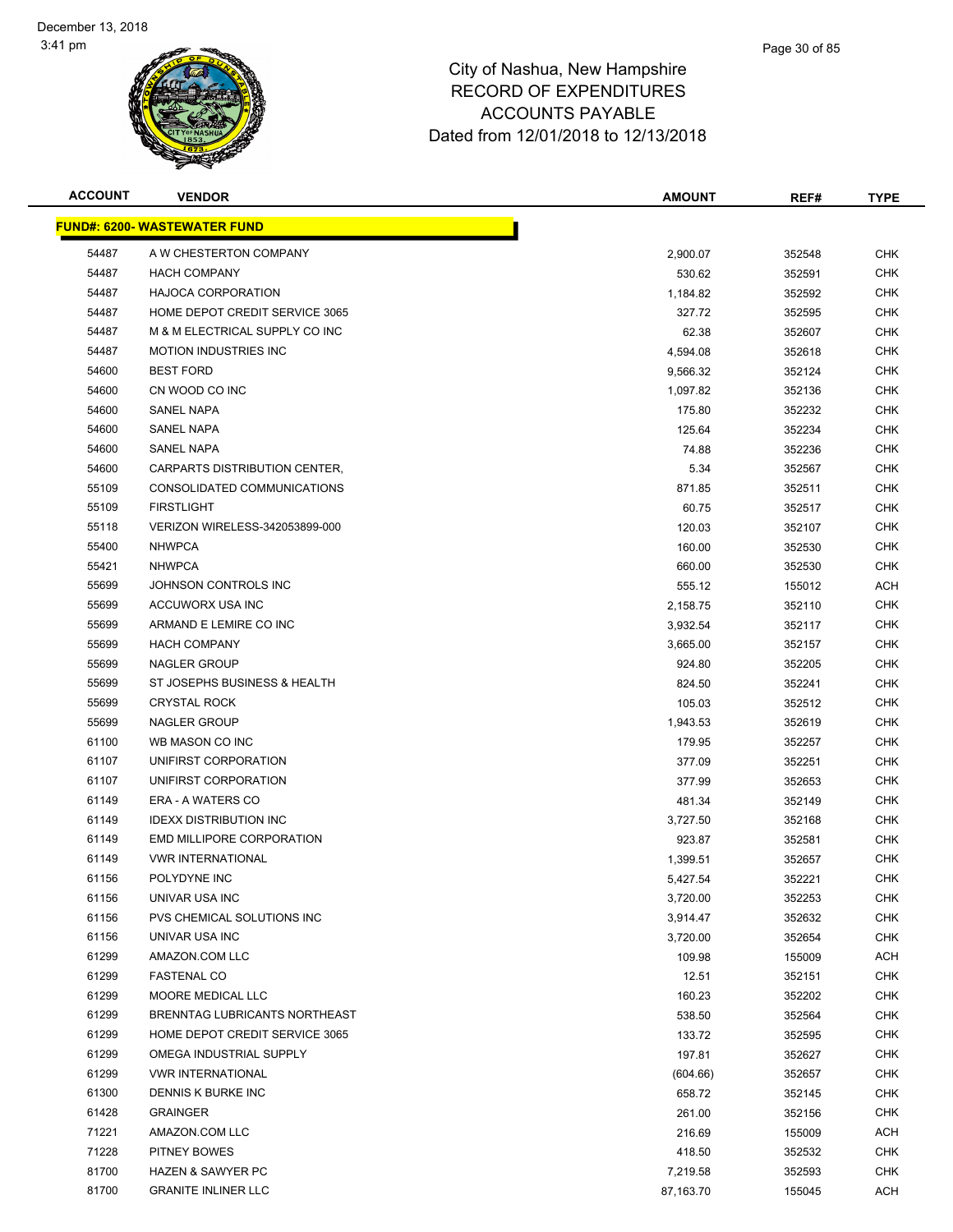

| <b>ACCOUNT</b> | <b>VENDOR</b>                       | <b>AMOUNT</b> | REF#   | <b>TYPE</b> |
|----------------|-------------------------------------|---------------|--------|-------------|
|                | <u>FUND#: 6200- WASTEWATER FUND</u> |               |        |             |
| 54487          | A W CHESTERTON COMPANY              | 2,900.07      | 352548 | <b>CHK</b>  |
| 54487          | <b>HACH COMPANY</b>                 | 530.62        | 352591 | <b>CHK</b>  |
| 54487          | <b>HAJOCA CORPORATION</b>           | 1,184.82      | 352592 | <b>CHK</b>  |
| 54487          | HOME DEPOT CREDIT SERVICE 3065      | 327.72        | 352595 | <b>CHK</b>  |
| 54487          | M & M ELECTRICAL SUPPLY CO INC      | 62.38         | 352607 | <b>CHK</b>  |
| 54487          | <b>MOTION INDUSTRIES INC</b>        | 4,594.08      | 352618 | <b>CHK</b>  |
| 54600          | <b>BEST FORD</b>                    | 9,566.32      | 352124 | <b>CHK</b>  |
| 54600          | CN WOOD CO INC                      | 1,097.82      | 352136 | <b>CHK</b>  |
| 54600          | <b>SANEL NAPA</b>                   | 175.80        | 352232 | <b>CHK</b>  |
| 54600          | <b>SANEL NAPA</b>                   | 125.64        | 352234 | <b>CHK</b>  |
| 54600          | SANEL NAPA                          | 74.88         | 352236 | CHK         |
| 54600          | CARPARTS DISTRIBUTION CENTER,       | 5.34          | 352567 | <b>CHK</b>  |
| 55109          | CONSOLIDATED COMMUNICATIONS         | 871.85        | 352511 | CHK         |
| 55109          | <b>FIRSTLIGHT</b>                   | 60.75         | 352517 | <b>CHK</b>  |
| 55118          | VERIZON WIRELESS-342053899-000      | 120.03        | 352107 | <b>CHK</b>  |
| 55400          | <b>NHWPCA</b>                       | 160.00        | 352530 | <b>CHK</b>  |
| 55421          | <b>NHWPCA</b>                       | 660.00        | 352530 | <b>CHK</b>  |
| 55699          | JOHNSON CONTROLS INC                | 555.12        | 155012 | <b>ACH</b>  |
| 55699          | ACCUWORX USA INC                    | 2,158.75      | 352110 | <b>CHK</b>  |
| 55699          | ARMAND E LEMIRE CO INC              | 3,932.54      | 352117 | <b>CHK</b>  |
| 55699          | <b>HACH COMPANY</b>                 | 3,665.00      | 352157 | <b>CHK</b>  |
| 55699          | NAGLER GROUP                        | 924.80        | 352205 | <b>CHK</b>  |
| 55699          | ST JOSEPHS BUSINESS & HEALTH        | 824.50        | 352241 | <b>CHK</b>  |
| 55699          | <b>CRYSTAL ROCK</b>                 | 105.03        | 352512 | <b>CHK</b>  |
| 55699          | <b>NAGLER GROUP</b>                 | 1,943.53      | 352619 | <b>CHK</b>  |
| 61100          | WB MASON CO INC                     | 179.95        | 352257 | <b>CHK</b>  |
| 61107          | UNIFIRST CORPORATION                | 377.09        | 352251 | <b>CHK</b>  |
| 61107          | UNIFIRST CORPORATION                | 377.99        | 352653 | <b>CHK</b>  |
| 61149          | ERA - A WATERS CO                   | 481.34        | 352149 | <b>CHK</b>  |
| 61149          | <b>IDEXX DISTRIBUTION INC</b>       | 3,727.50      | 352168 | <b>CHK</b>  |
| 61149          | <b>EMD MILLIPORE CORPORATION</b>    | 923.87        | 352581 | <b>CHK</b>  |
| 61149          | <b>VWR INTERNATIONAL</b>            | 1,399.51      | 352657 | CHK         |
| 61156          | POLYDYNE INC                        | 5,427.54      | 352221 | <b>CHK</b>  |
| 61156          | UNIVAR USA INC                      | 3,720.00      | 352253 | <b>CHK</b>  |
| 61156          | PVS CHEMICAL SOLUTIONS INC          | 3,914.47      | 352632 | <b>CHK</b>  |
| 61156          | UNIVAR USA INC                      | 3,720.00      | 352654 | <b>CHK</b>  |
| 61299          | AMAZON.COM LLC                      | 109.98        | 155009 | <b>ACH</b>  |
| 61299          | <b>FASTENAL CO</b>                  | 12.51         | 352151 | <b>CHK</b>  |
| 61299          | MOORE MEDICAL LLC                   | 160.23        | 352202 | <b>CHK</b>  |
| 61299          | BRENNTAG LUBRICANTS NORTHEAST       | 538.50        | 352564 | <b>CHK</b>  |
| 61299          | HOME DEPOT CREDIT SERVICE 3065      | 133.72        | 352595 | <b>CHK</b>  |
| 61299          | OMEGA INDUSTRIAL SUPPLY             | 197.81        | 352627 | <b>CHK</b>  |
| 61299          | <b>VWR INTERNATIONAL</b>            | (604.66)      | 352657 | <b>CHK</b>  |
| 61300          | DENNIS K BURKE INC                  | 658.72        | 352145 | CHK         |
| 61428          | <b>GRAINGER</b>                     | 261.00        | 352156 | <b>CHK</b>  |
| 71221          | AMAZON.COM LLC                      | 216.69        | 155009 | ACH         |
| 71228          | PITNEY BOWES                        | 418.50        | 352532 | <b>CHK</b>  |
| 81700          | <b>HAZEN &amp; SAWYER PC</b>        | 7,219.58      | 352593 | <b>CHK</b>  |
| 81700          | <b>GRANITE INLINER LLC</b>          | 87,163.70     | 155045 | <b>ACH</b>  |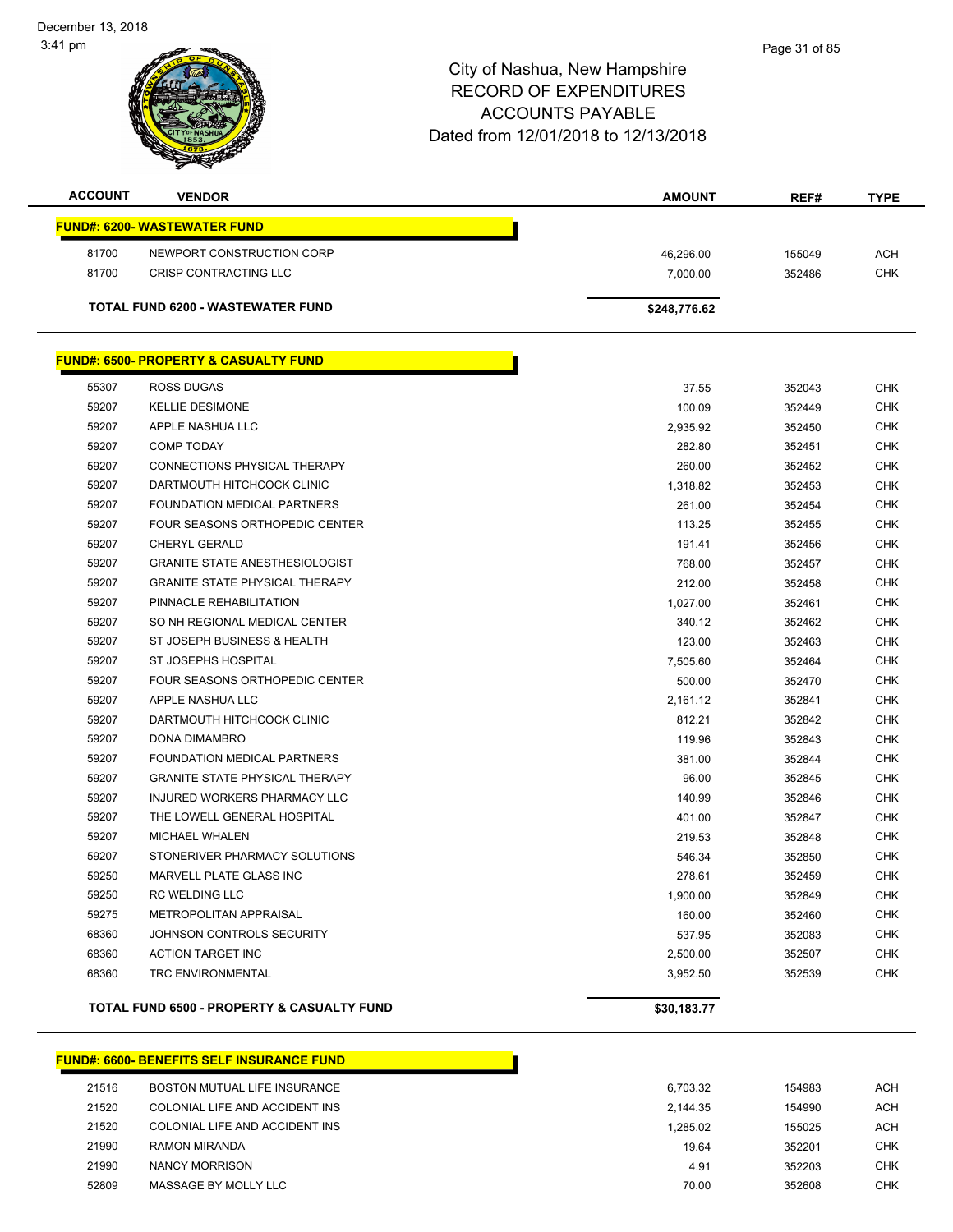December 13, 2018 3:41 pm



# City of Nashua, New Hampshire RECORD OF EXPENDITURES ACCOUNTS PAYABLE Dated from 12/01/2018 to 12/13/2018

| <b>ACCOUNT</b> | <b>VENDOR</b>                                         | <b>AMOUNT</b> | REF#   | <b>TYPE</b> |
|----------------|-------------------------------------------------------|---------------|--------|-------------|
|                | <b>FUND#: 6200- WASTEWATER FUND</b>                   |               |        |             |
| 81700          | NEWPORT CONSTRUCTION CORP                             | 46,296.00     | 155049 | ACH         |
| 81700          | <b>CRISP CONTRACTING LLC</b>                          | 7,000.00      | 352486 | <b>CHK</b>  |
|                | <b>TOTAL FUND 6200 - WASTEWATER FUND</b>              | \$248,776.62  |        |             |
|                | <b>FUND#: 6500- PROPERTY &amp; CASUALTY FUND</b>      |               |        |             |
| 55307          | ROSS DUGAS                                            | 37.55         | 352043 | <b>CHK</b>  |
| 59207          | <b>KELLIE DESIMONE</b>                                | 100.09        | 352449 | <b>CHK</b>  |
| 59207          | APPLE NASHUA LLC                                      | 2,935.92      | 352450 | <b>CHK</b>  |
| 59207          | <b>COMP TODAY</b>                                     | 282.80        | 352451 | <b>CHK</b>  |
| 59207          | CONNECTIONS PHYSICAL THERAPY                          | 260.00        | 352452 | <b>CHK</b>  |
| 59207          | DARTMOUTH HITCHCOCK CLINIC                            | 1,318.82      | 352453 | <b>CHK</b>  |
| 59207          | FOUNDATION MEDICAL PARTNERS                           | 261.00        | 352454 | <b>CHK</b>  |
| 59207          | FOUR SEASONS ORTHOPEDIC CENTER                        | 113.25        | 352455 | <b>CHK</b>  |
| 59207          | <b>CHERYL GERALD</b>                                  | 191.41        | 352456 | <b>CHK</b>  |
| 59207          | <b>GRANITE STATE ANESTHESIOLOGIST</b>                 | 768.00        | 352457 | <b>CHK</b>  |
| 59207          | <b>GRANITE STATE PHYSICAL THERAPY</b>                 | 212.00        | 352458 | <b>CHK</b>  |
| 59207          | PINNACLE REHABILITATION                               | 1,027.00      | 352461 | <b>CHK</b>  |
| 59207          | SO NH REGIONAL MEDICAL CENTER                         | 340.12        | 352462 | <b>CHK</b>  |
| 59207          | ST JOSEPH BUSINESS & HEALTH                           | 123.00        | 352463 | <b>CHK</b>  |
| 59207          | ST JOSEPHS HOSPITAL                                   | 7,505.60      | 352464 | <b>CHK</b>  |
| 59207          | FOUR SEASONS ORTHOPEDIC CENTER                        | 500.00        | 352470 | <b>CHK</b>  |
| 59207          | APPLE NASHUA LLC                                      | 2,161.12      | 352841 | <b>CHK</b>  |
| 59207          | DARTMOUTH HITCHCOCK CLINIC                            | 812.21        | 352842 | <b>CHK</b>  |
| 59207          | DONA DIMAMBRO                                         | 119.96        | 352843 | <b>CHK</b>  |
| 59207          | FOUNDATION MEDICAL PARTNERS                           | 381.00        | 352844 | <b>CHK</b>  |
| 59207          | <b>GRANITE STATE PHYSICAL THERAPY</b>                 | 96.00         | 352845 | <b>CHK</b>  |
| 59207          | INJURED WORKERS PHARMACY LLC                          | 140.99        | 352846 | <b>CHK</b>  |
| 59207          | THE LOWELL GENERAL HOSPITAL                           | 401.00        | 352847 | <b>CHK</b>  |
| 59207          | <b>MICHAEL WHALEN</b>                                 | 219.53        | 352848 | <b>CHK</b>  |
| 59207          | STONERIVER PHARMACY SOLUTIONS                         | 546.34        | 352850 | <b>CHK</b>  |
| 59250          | <b>MARVELL PLATE GLASS INC</b>                        | 278.61        | 352459 | <b>CHK</b>  |
| 59250          | RC WELDING LLC                                        | 1,900.00      | 352849 | <b>CHK</b>  |
| 59275          | METROPOLITAN APPRAISAL                                | 160.00        | 352460 | <b>CHK</b>  |
| 68360          | JOHNSON CONTROLS SECURITY                             | 537.95        | 352083 | <b>CHK</b>  |
| 68360          | ACTION TARGET INC                                     | 2,500.00      | 352507 | <b>CHK</b>  |
| 68360          | <b>TRC ENVIRONMENTAL</b>                              | 3,952.50      | 352539 | <b>CHK</b>  |
|                | <b>TOTAL FUND 6500 - PROPERTY &amp; CASUALTY FUND</b> | \$30,183.77   |        |             |
|                |                                                       |               |        |             |

## **FUND#: 6600- BENEFITS SELF INSURANCE FUND**

| <b>BOSTON MUTUAL LIFE INSURANCE</b> |
|-------------------------------------|
| COLONIAL LIFE AND ACCIDENT INS      |
| COLONIAL LIFE AND ACCIDENT INS      |
| <b>RAMON MIRANDA</b>                |
| NANCY MORRISON                      |
| MASSAGE BY MOLLY LLC                |
|                                     |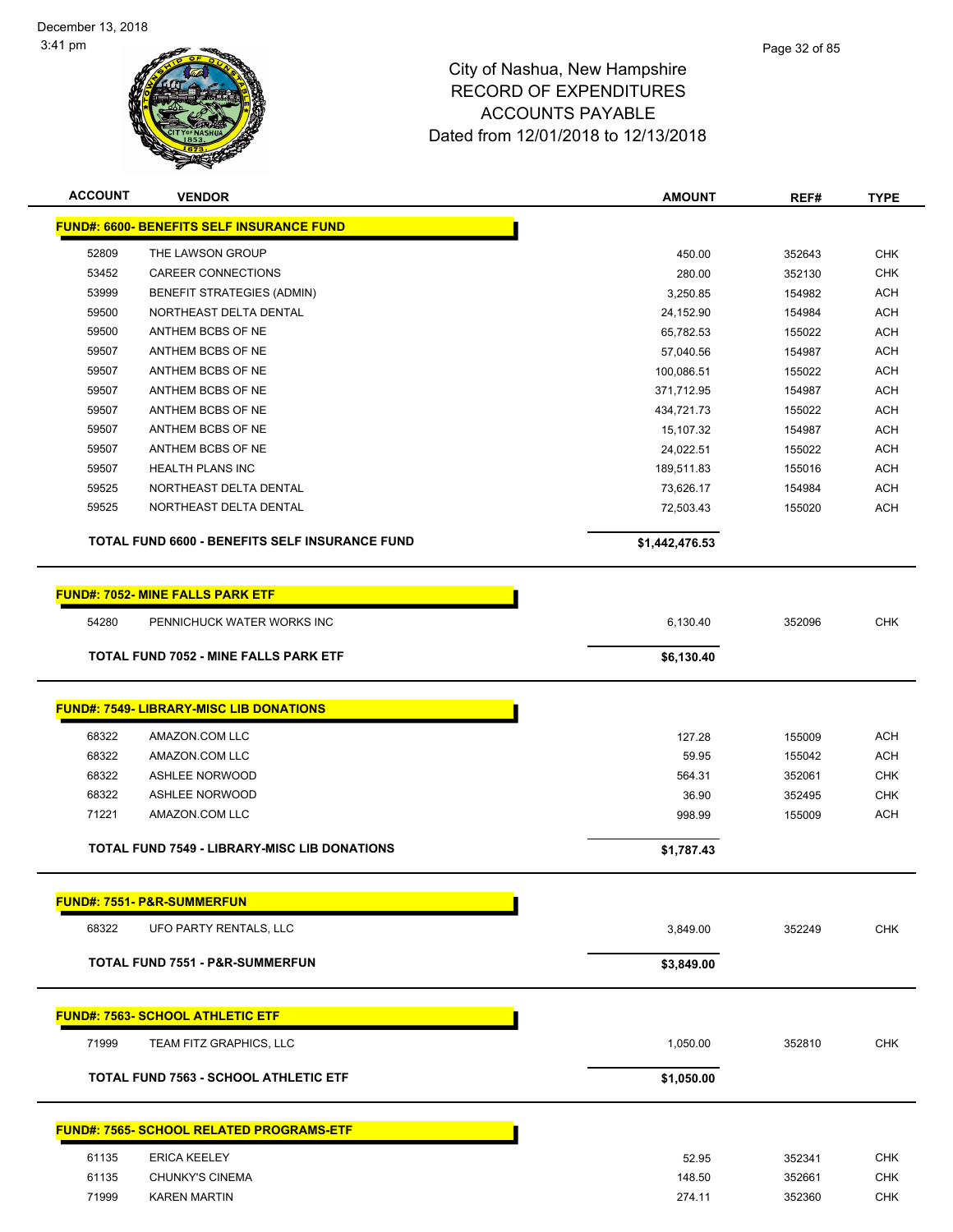

| <b>ACCOUNT</b> | <b>VENDOR</b>                                       | <b>AMOUNT</b>    | REF#             | <b>TYPE</b> |
|----------------|-----------------------------------------------------|------------------|------------------|-------------|
|                | <b>FUND#: 6600- BENEFITS SELF INSURANCE FUND</b>    |                  |                  |             |
| 52809          | THE LAWSON GROUP                                    |                  |                  | <b>CHK</b>  |
| 53452          | <b>CAREER CONNECTIONS</b>                           | 450.00<br>280.00 | 352643<br>352130 | <b>CHK</b>  |
| 53999          | BENEFIT STRATEGIES (ADMIN)                          | 3,250.85         | 154982           | <b>ACH</b>  |
| 59500          | NORTHEAST DELTA DENTAL                              | 24,152.90        | 154984           | <b>ACH</b>  |
| 59500          | ANTHEM BCBS OF NE                                   | 65,782.53        | 155022           | <b>ACH</b>  |
| 59507          | ANTHEM BCBS OF NE                                   | 57,040.56        | 154987           | <b>ACH</b>  |
| 59507          | ANTHEM BCBS OF NE                                   | 100,086.51       | 155022           | <b>ACH</b>  |
| 59507          | ANTHEM BCBS OF NE                                   | 371,712.95       | 154987           | <b>ACH</b>  |
| 59507          | ANTHEM BCBS OF NE                                   | 434,721.73       | 155022           | <b>ACH</b>  |
| 59507          | ANTHEM BCBS OF NE                                   | 15,107.32        | 154987           | <b>ACH</b>  |
| 59507          | ANTHEM BCBS OF NE                                   | 24,022.51        | 155022           | <b>ACH</b>  |
| 59507          | <b>HEALTH PLANS INC</b>                             | 189,511.83       | 155016           | <b>ACH</b>  |
| 59525          | NORTHEAST DELTA DENTAL                              | 73,626.17        | 154984           | <b>ACH</b>  |
| 59525          | NORTHEAST DELTA DENTAL                              | 72,503.43        | 155020           | <b>ACH</b>  |
|                | TOTAL FUND 6600 - BENEFITS SELF INSURANCE FUND      |                  |                  |             |
|                |                                                     | \$1,442,476.53   |                  |             |
|                |                                                     |                  |                  |             |
|                | <b>FUND#: 7052- MINE FALLS PARK ETF</b>             |                  |                  |             |
| 54280          | PENNICHUCK WATER WORKS INC                          | 6,130.40         | 352096           | <b>CHK</b>  |
|                | <b>TOTAL FUND 7052 - MINE FALLS PARK ETF</b>        | \$6,130.40       |                  |             |
|                |                                                     |                  |                  |             |
|                | <b>FUND#: 7549- LIBRARY-MISC LIB DONATIONS</b>      |                  |                  |             |
| 68322          | AMAZON.COM LLC                                      | 127.28           | 155009           | <b>ACH</b>  |
| 68322          | AMAZON.COM LLC                                      | 59.95            | 155042           | <b>ACH</b>  |
| 68322          | <b>ASHLEE NORWOOD</b>                               | 564.31           | 352061           | <b>CHK</b>  |
| 68322          | <b>ASHLEE NORWOOD</b>                               | 36.90            | 352495           | <b>CHK</b>  |
| 71221          | AMAZON.COM LLC                                      | 998.99           | 155009           | <b>ACH</b>  |
|                |                                                     |                  |                  |             |
|                | <b>TOTAL FUND 7549 - LIBRARY-MISC LIB DONATIONS</b> | \$1,787.43       |                  |             |
|                |                                                     |                  |                  |             |
|                | <b>FUND#: 7551- P&amp;R-SUMMERFUN</b>               |                  |                  |             |
| 68322          | UFO PARTY RENTALS, LLC                              | 3,849.00         | 352249           | <b>CHK</b>  |
|                | TOTAL FUND 7551 - P&R-SUMMERFUN                     | \$3,849.00       |                  |             |
|                |                                                     |                  |                  |             |
|                | <b>FUND#: 7563- SCHOOL ATHLETIC ETF</b>             |                  |                  |             |
| 71999          | TEAM FITZ GRAPHICS, LLC                             |                  |                  |             |
|                |                                                     | 1,050.00         | 352810           | <b>CHK</b>  |
|                | <b>TOTAL FUND 7563 - SCHOOL ATHLETIC ETF</b>        | \$1,050.00       |                  |             |
|                |                                                     |                  |                  |             |
|                | <b>FUND#: 7565- SCHOOL RELATED PROGRAMS-ETF</b>     |                  |                  |             |
| 61135          | <b>ERICA KEELEY</b>                                 | 52.95            | 352341           | <b>CHK</b>  |
| 61135          | CHUNKY'S CINEMA                                     | 148.50           | 352661           | <b>CHK</b>  |
| 71999          | <b>KAREN MARTIN</b>                                 | 274.11           | 352360           | <b>CHK</b>  |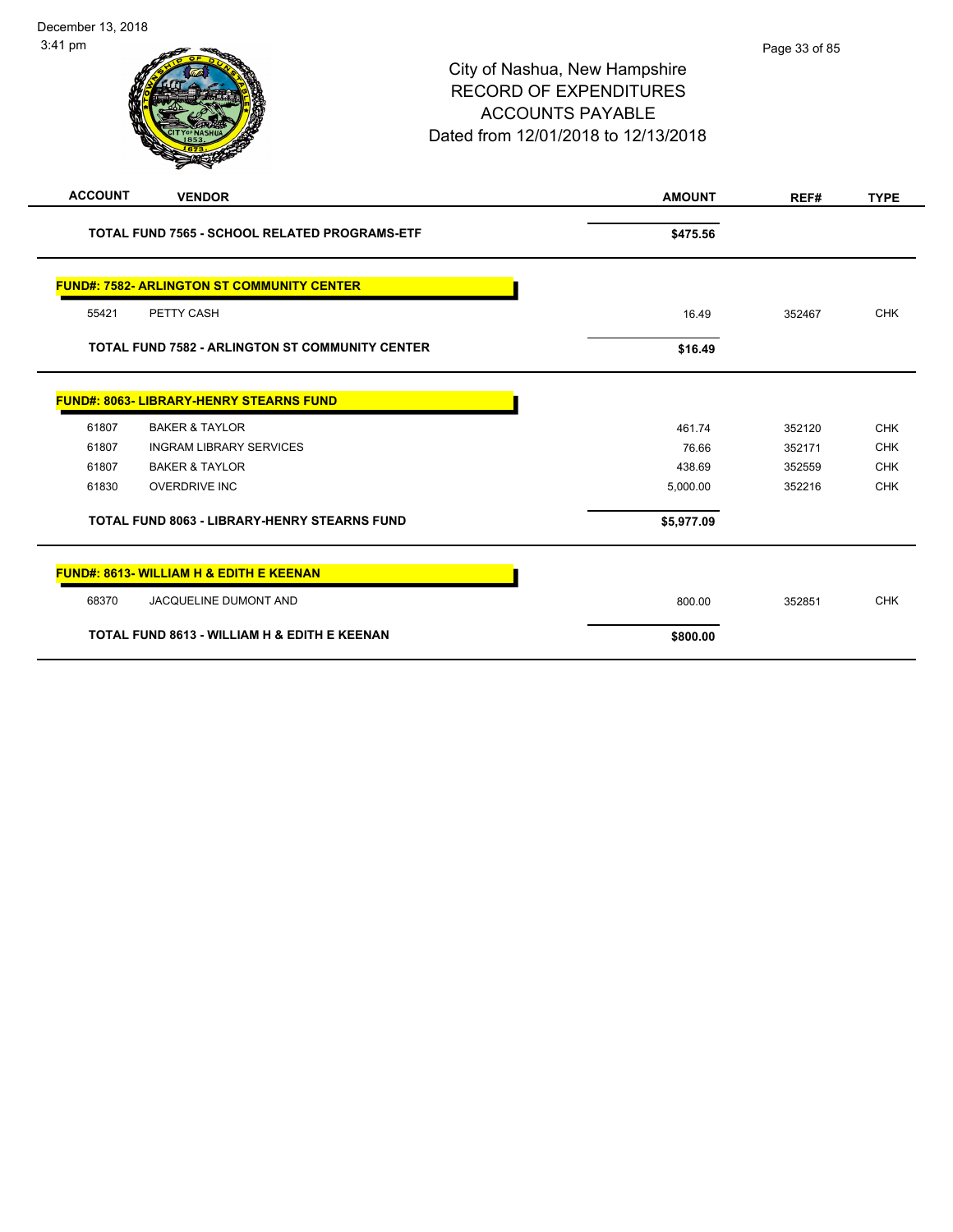| <b>ACCOUNT</b> | <b>VENDOR</b>                                          | <b>AMOUNT</b> | REF#   | <b>TYPE</b> |
|----------------|--------------------------------------------------------|---------------|--------|-------------|
|                | <b>TOTAL FUND 7565 - SCHOOL RELATED PROGRAMS-ETF</b>   | \$475.56      |        |             |
|                | <b>FUND#: 7582- ARLINGTON ST COMMUNITY CENTER</b>      |               |        |             |
| 55421          | PETTY CASH                                             | 16.49         | 352467 | <b>CHK</b>  |
|                | <b>TOTAL FUND 7582 - ARLINGTON ST COMMUNITY CENTER</b> | \$16.49       |        |             |
|                | <b>FUND#: 8063- LIBRARY-HENRY STEARNS FUND</b>         |               |        |             |
| 61807          | <b>BAKER &amp; TAYLOR</b>                              | 461.74        | 352120 | <b>CHK</b>  |
| 61807          | <b>INGRAM LIBRARY SERVICES</b>                         | 76.66         | 352171 | <b>CHK</b>  |
| 61807          | <b>BAKER &amp; TAYLOR</b>                              | 438.69        | 352559 | <b>CHK</b>  |
| 61830          | <b>OVERDRIVE INC</b>                                   | 5,000.00      | 352216 | <b>CHK</b>  |
|                | <b>TOTAL FUND 8063 - LIBRARY-HENRY STEARNS FUND</b>    | \$5,977.09    |        |             |
|                | FUND#: 8613- WILLIAM H & EDITH E KEENAN                |               |        |             |
| 68370          | JACQUELINE DUMONT AND                                  | 800.00        | 352851 | <b>CHK</b>  |
|                | TOTAL FUND 8613 - WILLIAM H & EDITH E KEENAN           | \$800.00      |        |             |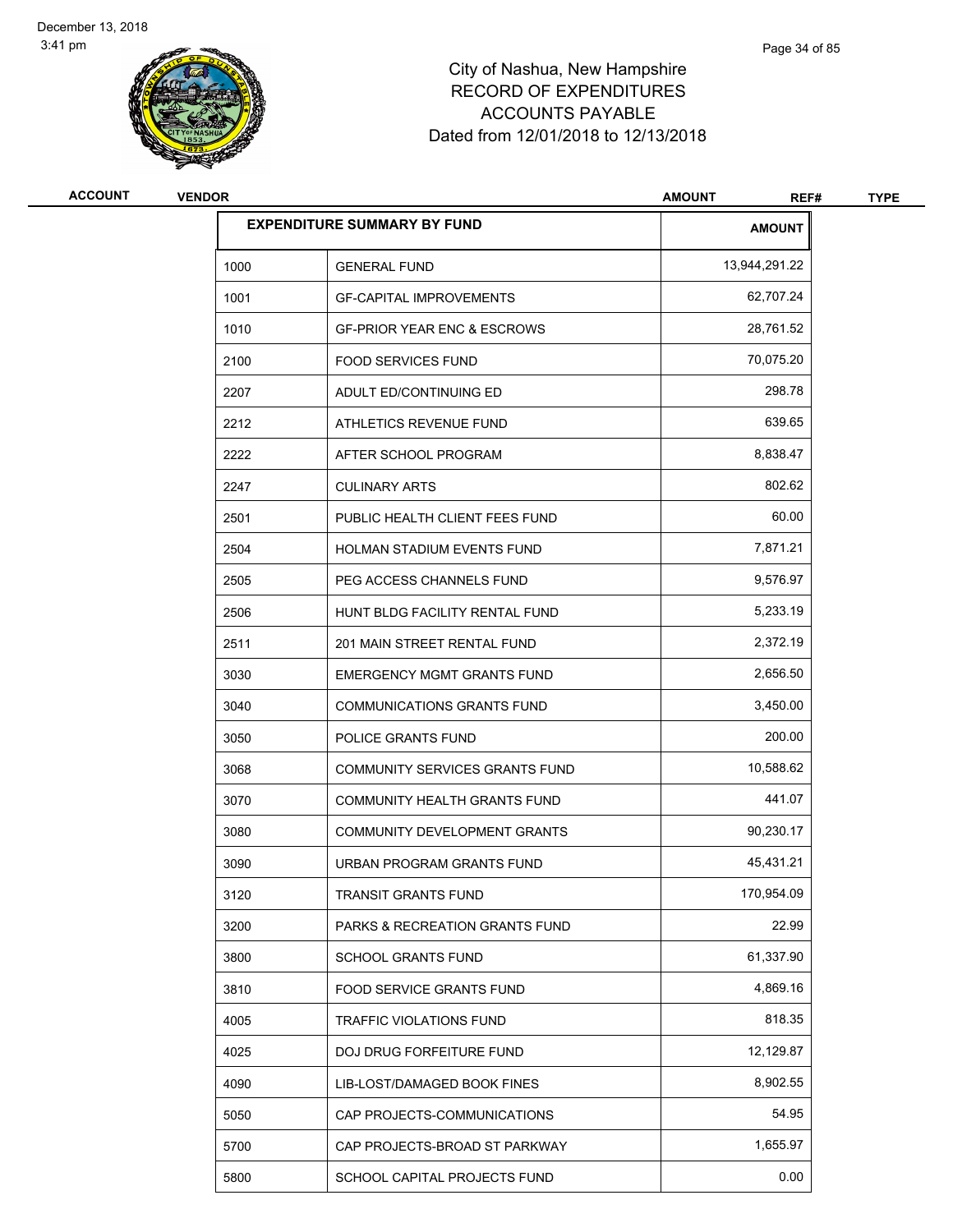

| <b>ACCOUNT</b> | <b>VENDOR</b> |                                           | <b>AMOUNT</b><br>REF# | <b>TYPE</b> |
|----------------|---------------|-------------------------------------------|-----------------------|-------------|
|                |               | <b>EXPENDITURE SUMMARY BY FUND</b>        | <b>AMOUNT</b>         |             |
|                | 1000          | <b>GENERAL FUND</b>                       | 13,944,291.22         |             |
|                | 1001          | <b>GF-CAPITAL IMPROVEMENTS</b>            | 62,707.24             |             |
|                | 1010          | <b>GF-PRIOR YEAR ENC &amp; ESCROWS</b>    | 28,761.52             |             |
|                | 2100          | <b>FOOD SERVICES FUND</b>                 | 70,075.20             |             |
|                | 2207          | ADULT ED/CONTINUING ED                    | 298.78                |             |
|                | 2212          | ATHLETICS REVENUE FUND                    | 639.65                |             |
|                | 2222          | AFTER SCHOOL PROGRAM                      | 8,838.47              |             |
|                | 2247          | <b>CULINARY ARTS</b>                      | 802.62                |             |
|                | 2501          | PUBLIC HEALTH CLIENT FEES FUND            | 60.00                 |             |
|                | 2504          | HOLMAN STADIUM EVENTS FUND                | 7,871.21              |             |
|                | 2505          | PEG ACCESS CHANNELS FUND                  | 9,576.97              |             |
|                | 2506          | HUNT BLDG FACILITY RENTAL FUND            | 5,233.19              |             |
|                | 2511          | 201 MAIN STREET RENTAL FUND               | 2,372.19              |             |
|                | 3030          | <b>EMERGENCY MGMT GRANTS FUND</b>         | 2,656.50              |             |
|                | 3040          | <b>COMMUNICATIONS GRANTS FUND</b>         | 3,450.00              |             |
|                | 3050          | POLICE GRANTS FUND                        | 200.00                |             |
|                | 3068          | COMMUNITY SERVICES GRANTS FUND            | 10,588.62             |             |
|                | 3070          | COMMUNITY HEALTH GRANTS FUND              | 441.07                |             |
|                | 3080          | COMMUNITY DEVELOPMENT GRANTS              | 90,230.17             |             |
|                | 3090          | URBAN PROGRAM GRANTS FUND                 | 45,431.21             |             |
|                | 3120          | TRANSIT GRANTS FUND                       | 170,954.09            |             |
|                | 3200          | <b>PARKS &amp; RECREATION GRANTS FUND</b> | 22.99                 |             |
|                | 3800          | SCHOOL GRANTS FUND                        | 61,337.90             |             |
|                | 3810          | FOOD SERVICE GRANTS FUND                  | 4,869.16              |             |
|                | 4005          | TRAFFIC VIOLATIONS FUND                   | 818.35                |             |
|                | 4025          | DOJ DRUG FORFEITURE FUND                  | 12,129.87             |             |
|                | 4090          | LIB-LOST/DAMAGED BOOK FINES               | 8,902.55              |             |
|                | 5050          | CAP PROJECTS-COMMUNICATIONS               | 54.95                 |             |
|                | 5700          | CAP PROJECTS-BROAD ST PARKWAY             | 1,655.97              |             |
|                | 5800          | SCHOOL CAPITAL PROJECTS FUND              | 0.00                  |             |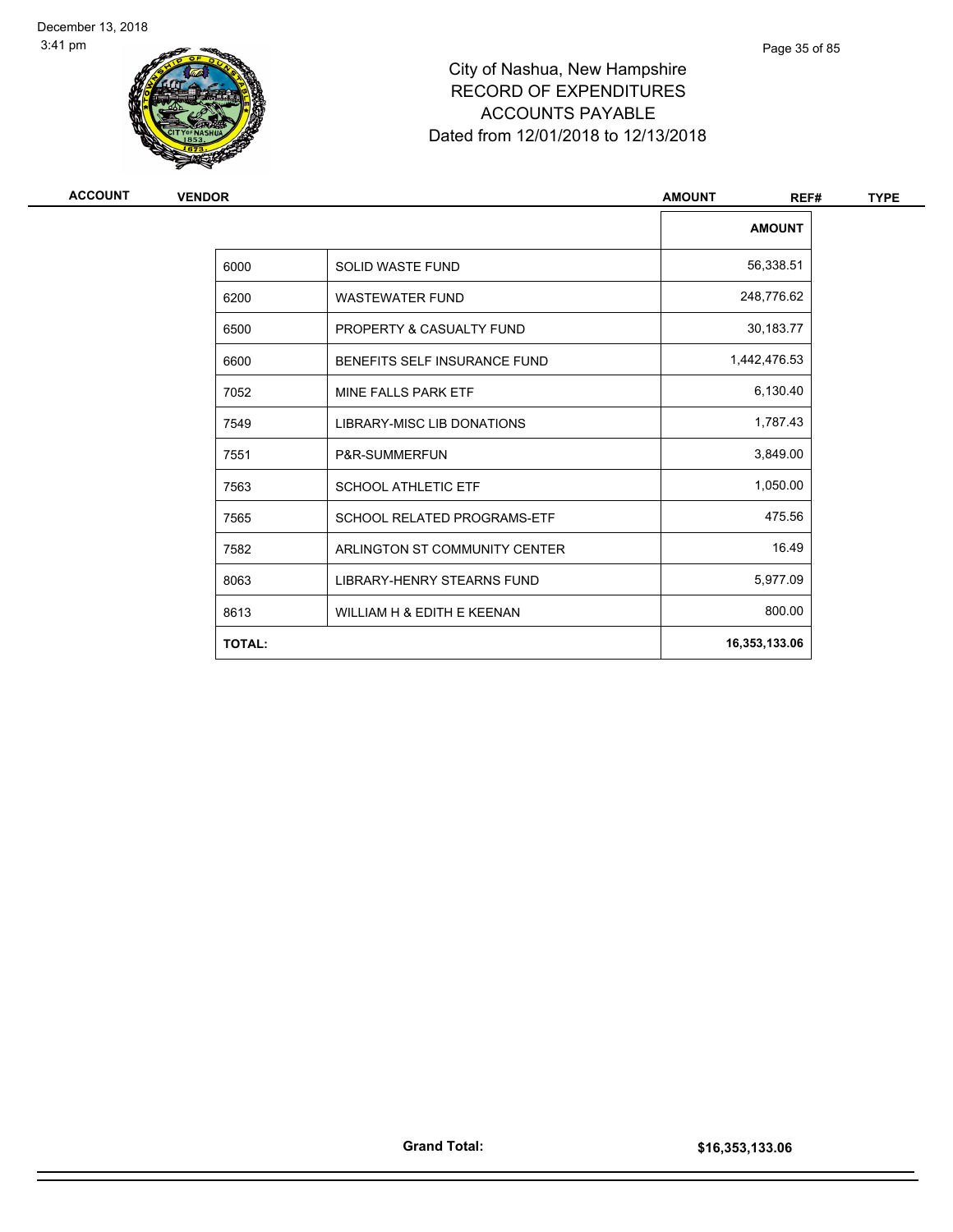

| <b>ACCOUNT</b> | <b>VENDOR</b> |                                    | <b>AMOUNT</b><br>REF# | <b>TYPE</b> |
|----------------|---------------|------------------------------------|-----------------------|-------------|
|                |               |                                    | <b>AMOUNT</b>         |             |
|                | 6000          | <b>SOLID WASTE FUND</b>            | 56,338.51             |             |
|                | 6200          | <b>WASTEWATER FUND</b>             | 248,776.62            |             |
|                | 6500          | PROPERTY & CASUALTY FUND           | 30,183.77             |             |
|                | 6600          | BENEFITS SELF INSURANCE FUND       | 1,442,476.53          |             |
|                | 7052          | MINE FALLS PARK ETF                | 6,130.40              |             |
|                | 7549          | LIBRARY-MISC LIB DONATIONS         | 1,787.43              |             |
|                | 7551          | P&R-SUMMERFUN                      | 3,849.00              |             |
|                | 7563          | <b>SCHOOL ATHLETIC ETF</b>         | 1,050.00              |             |
|                | 7565          | <b>SCHOOL RELATED PROGRAMS-ETF</b> | 475.56                |             |
|                | 7582          | ARLINGTON ST COMMUNITY CENTER      | 16.49                 |             |
|                | 8063          | LIBRARY-HENRY STEARNS FUND         | 5,977.09              |             |
|                | 8613          | WILLIAM H & EDITH E KEENAN         | 800.00                |             |
|                | <b>TOTAL:</b> |                                    | 16,353,133.06         |             |
|                |               |                                    |                       |             |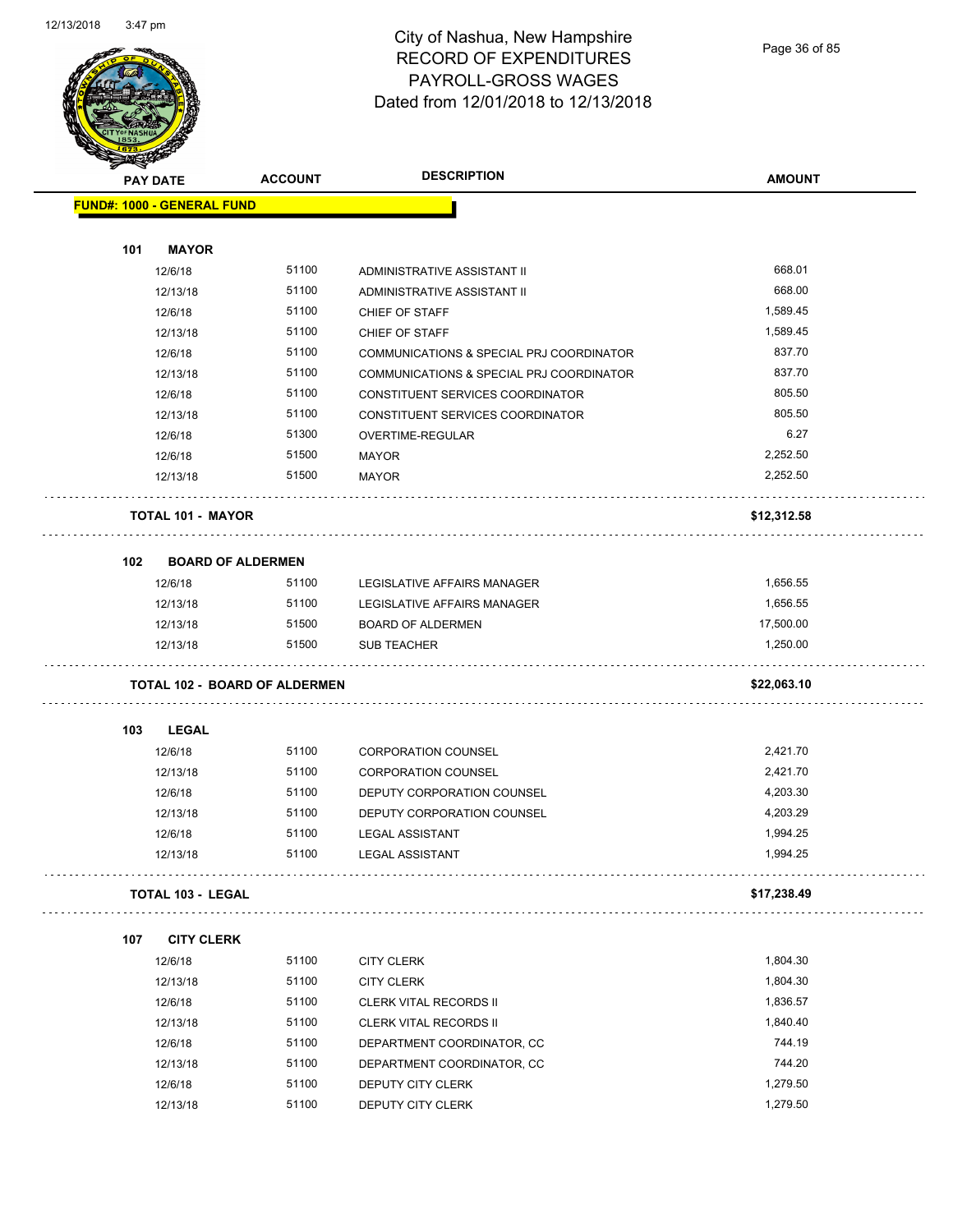

# City of Nashua, New Hampshire RECORD OF EXPENDITURES PAYROLL-GROSS WAGES Dated from 12/01/2018 to 12/13/2018

Page 36 of 85

|     | <b>PAY DATE</b>                   | <b>ACCOUNT</b>                       | <b>DESCRIPTION</b>                       | <b>AMOUNT</b> |
|-----|-----------------------------------|--------------------------------------|------------------------------------------|---------------|
|     |                                   |                                      |                                          |               |
|     | <b>FUND#: 1000 - GENERAL FUND</b> |                                      |                                          |               |
| 101 | <b>MAYOR</b>                      |                                      |                                          |               |
|     | 12/6/18                           | 51100                                | ADMINISTRATIVE ASSISTANT II              | 668.01        |
|     | 12/13/18                          | 51100                                | ADMINISTRATIVE ASSISTANT II              | 668.00        |
|     | 12/6/18                           | 51100                                | CHIEF OF STAFF                           | 1,589.45      |
|     | 12/13/18                          | 51100                                | CHIEF OF STAFF                           | 1,589.45      |
|     | 12/6/18                           | 51100                                | COMMUNICATIONS & SPECIAL PRJ COORDINATOR | 837.70        |
|     | 12/13/18                          | 51100                                | COMMUNICATIONS & SPECIAL PRJ COORDINATOR | 837.70        |
|     | 12/6/18                           | 51100                                | CONSTITUENT SERVICES COORDINATOR         | 805.50        |
|     | 12/13/18                          | 51100                                | CONSTITUENT SERVICES COORDINATOR         | 805.50        |
|     | 12/6/18                           | 51300                                | OVERTIME-REGULAR                         | 6.27          |
|     | 12/6/18                           | 51500                                | <b>MAYOR</b>                             | 2,252.50      |
|     | 12/13/18                          | 51500                                | <b>MAYOR</b>                             | 2,252.50      |
|     | <b>TOTAL 101 - MAYOR</b>          |                                      |                                          | \$12,312.58   |
| 102 |                                   | <b>BOARD OF ALDERMEN</b>             |                                          |               |
|     | 12/6/18                           | 51100                                | <b>LEGISLATIVE AFFAIRS MANAGER</b>       | 1,656.55      |
|     | 12/13/18                          | 51100                                | LEGISLATIVE AFFAIRS MANAGER              | 1,656.55      |
|     | 12/13/18                          | 51500                                | <b>BOARD OF ALDERMEN</b>                 | 17,500.00     |
|     | 12/13/18                          | 51500                                | <b>SUB TEACHER</b>                       | 1,250.00      |
|     |                                   | <b>TOTAL 102 - BOARD OF ALDERMEN</b> |                                          | \$22,063.10   |
| 103 | <b>LEGAL</b>                      |                                      |                                          |               |
|     | 12/6/18                           | 51100                                | <b>CORPORATION COUNSEL</b>               | 2,421.70      |
|     | 12/13/18                          | 51100                                | <b>CORPORATION COUNSEL</b>               | 2,421.70      |
|     | 12/6/18                           | 51100                                | DEPUTY CORPORATION COUNSEL               | 4,203.30      |
|     | 12/13/18                          | 51100                                | DEPUTY CORPORATION COUNSEL               | 4,203.29      |
|     | 12/6/18                           | 51100                                | <b>LEGAL ASSISTANT</b>                   | 1,994.25      |
|     | 12/13/18                          | 51100                                | LEGAL ASSISTANT                          | 1,994.25      |
|     | <b>TOTAL 103 - LEGAL</b>          |                                      |                                          | \$17,238.49   |
| 107 | <b>CITY CLERK</b>                 |                                      |                                          |               |
|     | 12/6/18                           | 51100                                | <b>CITY CLERK</b>                        | 1,804.30      |
|     | 12/13/18                          | 51100                                | <b>CITY CLERK</b>                        | 1,804.30      |
|     | 12/6/18                           | 51100                                | <b>CLERK VITAL RECORDS II</b>            | 1,836.57      |
|     | 12/13/18                          | 51100                                | <b>CLERK VITAL RECORDS II</b>            | 1,840.40      |
|     | 12/6/18                           | 51100                                | DEPARTMENT COORDINATOR, CC               | 744.19        |
|     | 12/13/18                          | 51100                                | DEPARTMENT COORDINATOR, CC               | 744.20        |
|     |                                   | 51100                                |                                          | 1,279.50      |
|     | 12/6/18                           |                                      | DEPUTY CITY CLERK                        |               |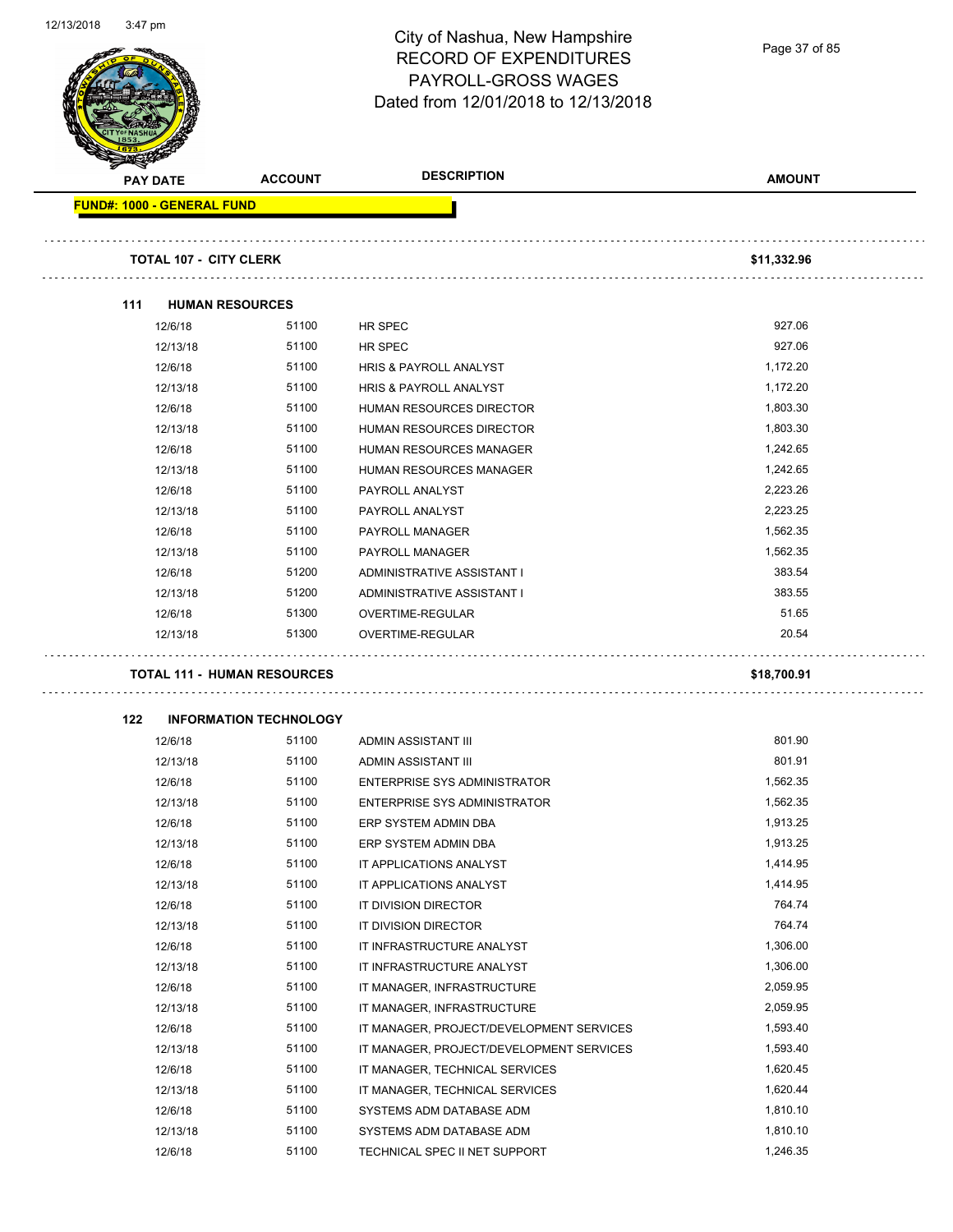Page 37 of 85

| <b>PAY DATE</b>                   |          | <b>ACCOUNT</b>                     | <b>DESCRIPTION</b>                       | <b>AMOUNT</b> |
|-----------------------------------|----------|------------------------------------|------------------------------------------|---------------|
| <b>FUND#: 1000 - GENERAL FUND</b> |          |                                    |                                          |               |
|                                   |          | <b>TOTAL 107 - CITY CLERK</b>      |                                          | \$11,332.96   |
|                                   |          |                                    |                                          |               |
| 111                               |          | <b>HUMAN RESOURCES</b>             |                                          |               |
|                                   | 12/6/18  | 51100                              | HR SPEC                                  | 927.06        |
|                                   | 12/13/18 | 51100                              | <b>HR SPEC</b>                           | 927.06        |
|                                   | 12/6/18  | 51100                              | <b>HRIS &amp; PAYROLL ANALYST</b>        | 1,172.20      |
|                                   | 12/13/18 | 51100                              | HRIS & PAYROLL ANALYST                   | 1,172.20      |
|                                   | 12/6/18  | 51100                              | HUMAN RESOURCES DIRECTOR                 | 1,803.30      |
|                                   | 12/13/18 | 51100                              | <b>HUMAN RESOURCES DIRECTOR</b>          | 1,803.30      |
|                                   | 12/6/18  | 51100                              | HUMAN RESOURCES MANAGER                  | 1,242.65      |
|                                   | 12/13/18 | 51100                              | HUMAN RESOURCES MANAGER                  | 1,242.65      |
|                                   | 12/6/18  | 51100                              | PAYROLL ANALYST                          | 2.223.26      |
|                                   | 12/13/18 | 51100                              | PAYROLL ANALYST                          | 2,223.25      |
|                                   | 12/6/18  | 51100                              | PAYROLL MANAGER                          | 1,562.35      |
|                                   | 12/13/18 | 51100                              | PAYROLL MANAGER                          | 1,562.35      |
|                                   | 12/6/18  | 51200                              | ADMINISTRATIVE ASSISTANT I               | 383.54        |
|                                   | 12/13/18 | 51200                              | ADMINISTRATIVE ASSISTANT I               | 383.55        |
|                                   | 12/6/18  | 51300                              | OVERTIME-REGULAR                         | 51.65         |
|                                   | 12/13/18 | 51300                              | OVERTIME-REGULAR                         | 20.54         |
|                                   |          |                                    |                                          |               |
|                                   |          | <b>TOTAL 111 - HUMAN RESOURCES</b> |                                          | \$18,700.91   |
| 122                               |          | <b>INFORMATION TECHNOLOGY</b>      |                                          |               |
|                                   | 12/6/18  | 51100                              | ADMIN ASSISTANT III                      | 801.90        |
|                                   | 12/13/18 | 51100                              | ADMIN ASSISTANT III                      | 801.91        |
|                                   | 12/6/18  | 51100                              | <b>ENTERPRISE SYS ADMINISTRATOR</b>      | 1,562.35      |
|                                   | 12/13/18 | 51100                              | <b>ENTERPRISE SYS ADMINISTRATOR</b>      | 1,562.35      |
|                                   | 12/6/18  | 51100                              | ERP SYSTEM ADMIN DBA                     | 1,913.25      |
|                                   | 12/13/18 | 51100                              | ERP SYSTEM ADMIN DBA                     | 1,913.25      |
|                                   | 12/6/18  | 51100                              | IT APPLICATIONS ANALYST                  | 1,414.95      |
|                                   | 12/13/18 | 51100                              | IT APPLICATIONS ANALYST                  | 1,414.95      |
|                                   | 12/6/18  | 51100                              | IT DIVISION DIRECTOR                     | 764.74        |
|                                   | 12/13/18 | 51100                              | IT DIVISION DIRECTOR                     | 764.74        |
|                                   | 12/6/18  | 51100                              | IT INFRASTRUCTURE ANALYST                | 1,306.00      |
|                                   | 12/13/18 | 51100                              | IT INFRASTRUCTURE ANALYST                | 1,306.00      |
|                                   | 12/6/18  | 51100                              | IT MANAGER, INFRASTRUCTURE               | 2,059.95      |
|                                   | 12/13/18 | 51100                              | IT MANAGER, INFRASTRUCTURE               | 2,059.95      |
|                                   | 12/6/18  | 51100                              | IT MANAGER, PROJECT/DEVELOPMENT SERVICES | 1,593.40      |
|                                   | 12/13/18 | 51100                              | IT MANAGER, PROJECT/DEVELOPMENT SERVICES | 1,593.40      |
|                                   | 12/6/18  | 51100                              | IT MANAGER, TECHNICAL SERVICES           | 1,620.45      |
|                                   | 12/13/18 | 51100                              | IT MANAGER, TECHNICAL SERVICES           | 1,620.44      |
|                                   |          | 51100                              | SYSTEMS ADM DATABASE ADM                 | 1,810.10      |
|                                   | 12/6/18  |                                    |                                          |               |
|                                   | 12/13/18 | 51100                              | SYSTEMS ADM DATABASE ADM                 | 1,810.10      |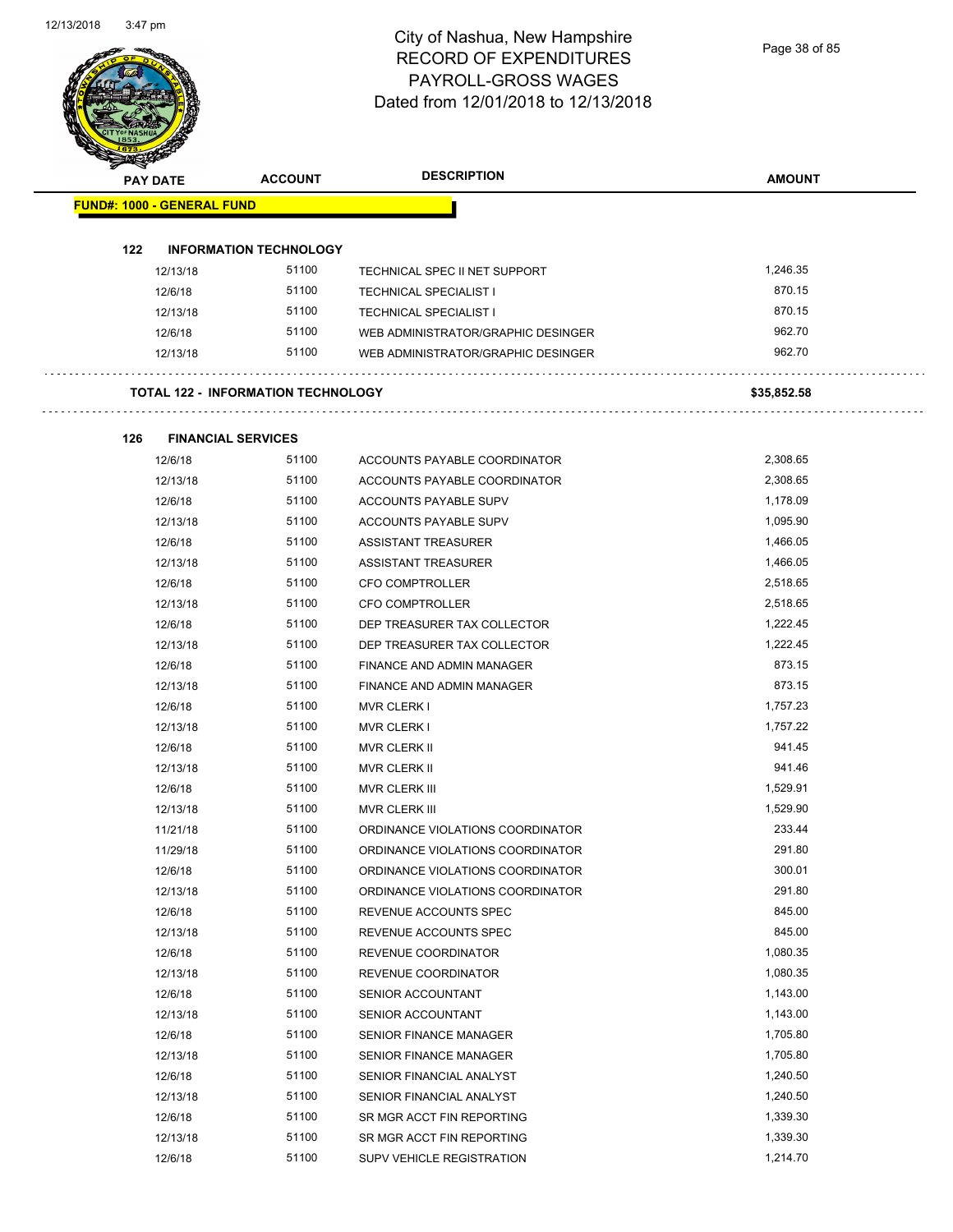|     | PAY DATE                          | <b>ACCOUNT</b>                            | <b>DESCRIPTION</b>                 | <b>AMOUNT</b> |
|-----|-----------------------------------|-------------------------------------------|------------------------------------|---------------|
|     | <b>FUND#: 1000 - GENERAL FUND</b> |                                           |                                    |               |
|     |                                   |                                           |                                    |               |
| 122 |                                   | <b>INFORMATION TECHNOLOGY</b>             |                                    |               |
|     | 12/13/18                          | 51100                                     | TECHNICAL SPEC II NET SUPPORT      | 1,246.35      |
|     | 12/6/18                           | 51100                                     | <b>TECHNICAL SPECIALIST I</b>      | 870.15        |
|     | 12/13/18                          | 51100                                     | <b>TECHNICAL SPECIALIST I</b>      | 870.15        |
|     | 12/6/18                           | 51100                                     | WEB ADMINISTRATOR/GRAPHIC DESINGER | 962.70        |
|     | 12/13/18                          | 51100                                     | WEB ADMINISTRATOR/GRAPHIC DESINGER | 962.70        |
|     |                                   | <b>TOTAL 122 - INFORMATION TECHNOLOGY</b> |                                    | \$35,852.58   |
| 126 |                                   | <b>FINANCIAL SERVICES</b>                 |                                    |               |
|     | 12/6/18                           | 51100                                     | ACCOUNTS PAYABLE COORDINATOR       | 2,308.65      |
|     | 12/13/18                          | 51100                                     | ACCOUNTS PAYABLE COORDINATOR       | 2,308.65      |
|     | 12/6/18                           | 51100                                     | ACCOUNTS PAYABLE SUPV              | 1,178.09      |
|     | 12/13/18                          | 51100                                     | ACCOUNTS PAYABLE SUPV              | 1,095.90      |
|     | 12/6/18                           | 51100                                     | ASSISTANT TREASURER                | 1,466.05      |
|     | 12/13/18                          | 51100                                     | <b>ASSISTANT TREASURER</b>         | 1,466.05      |
|     | 12/6/18                           | 51100                                     | <b>CFO COMPTROLLER</b>             | 2,518.65      |
|     | 12/13/18                          | 51100                                     | CFO COMPTROLLER                    | 2,518.65      |
|     | 12/6/18                           | 51100                                     | DEP TREASURER TAX COLLECTOR        | 1,222.45      |
|     | 12/13/18                          | 51100                                     | DEP TREASURER TAX COLLECTOR        | 1,222.45      |
|     | 12/6/18                           | 51100                                     | FINANCE AND ADMIN MANAGER          | 873.15        |
|     | 12/13/18                          | 51100                                     | FINANCE AND ADMIN MANAGER          | 873.15        |
|     | 12/6/18                           | 51100                                     | <b>MVR CLERK I</b>                 | 1,757.23      |
|     | 12/13/18                          | 51100                                     | <b>MVR CLERK I</b>                 | 1,757.22      |
|     | 12/6/18                           | 51100                                     | <b>MVR CLERK II</b>                | 941.45        |
|     | 12/13/18                          | 51100                                     | MVR CLERK II                       | 941.46        |
|     | 12/6/18                           | 51100                                     | MVR CLERK III                      | 1,529.91      |
|     | 12/13/18                          | 51100                                     | MVR CLERK III                      | 1,529.90      |
|     | 11/21/18                          | 51100                                     | ORDINANCE VIOLATIONS COORDINATOR   | 233.44        |
|     | 11/29/18                          | 51100                                     | ORDINANCE VIOLATIONS COORDINATOR   | 291.80        |
|     | 12/6/18                           | 51100                                     | ORDINANCE VIOLATIONS COORDINATOR   | 300.01        |
|     | 12/13/18                          | 51100                                     | ORDINANCE VIOLATIONS COORDINATOR   | 291.80        |
|     | 12/6/18                           | 51100                                     | REVENUE ACCOUNTS SPEC              | 845.00        |
|     | 12/13/18                          | 51100                                     | REVENUE ACCOUNTS SPEC              | 845.00        |
|     | 12/6/18                           | 51100                                     | REVENUE COORDINATOR                | 1,080.35      |
|     | 12/13/18                          | 51100                                     | REVENUE COORDINATOR                | 1,080.35      |
|     | 12/6/18                           | 51100                                     | SENIOR ACCOUNTANT                  | 1,143.00      |
|     | 12/13/18                          | 51100                                     | SENIOR ACCOUNTANT                  | 1,143.00      |
|     | 12/6/18                           | 51100                                     | SENIOR FINANCE MANAGER             | 1,705.80      |
|     | 12/13/18                          | 51100                                     | SENIOR FINANCE MANAGER             | 1,705.80      |
|     | 12/6/18                           | 51100                                     | SENIOR FINANCIAL ANALYST           | 1,240.50      |
|     | 12/13/18                          | 51100                                     | SENIOR FINANCIAL ANALYST           | 1,240.50      |
|     | 12/6/18                           | 51100                                     | SR MGR ACCT FIN REPORTING          | 1,339.30      |
|     | 12/13/18                          | 51100                                     | SR MGR ACCT FIN REPORTING          | 1,339.30      |
|     | 12/6/18                           | 51100                                     | SUPV VEHICLE REGISTRATION          | 1,214.70      |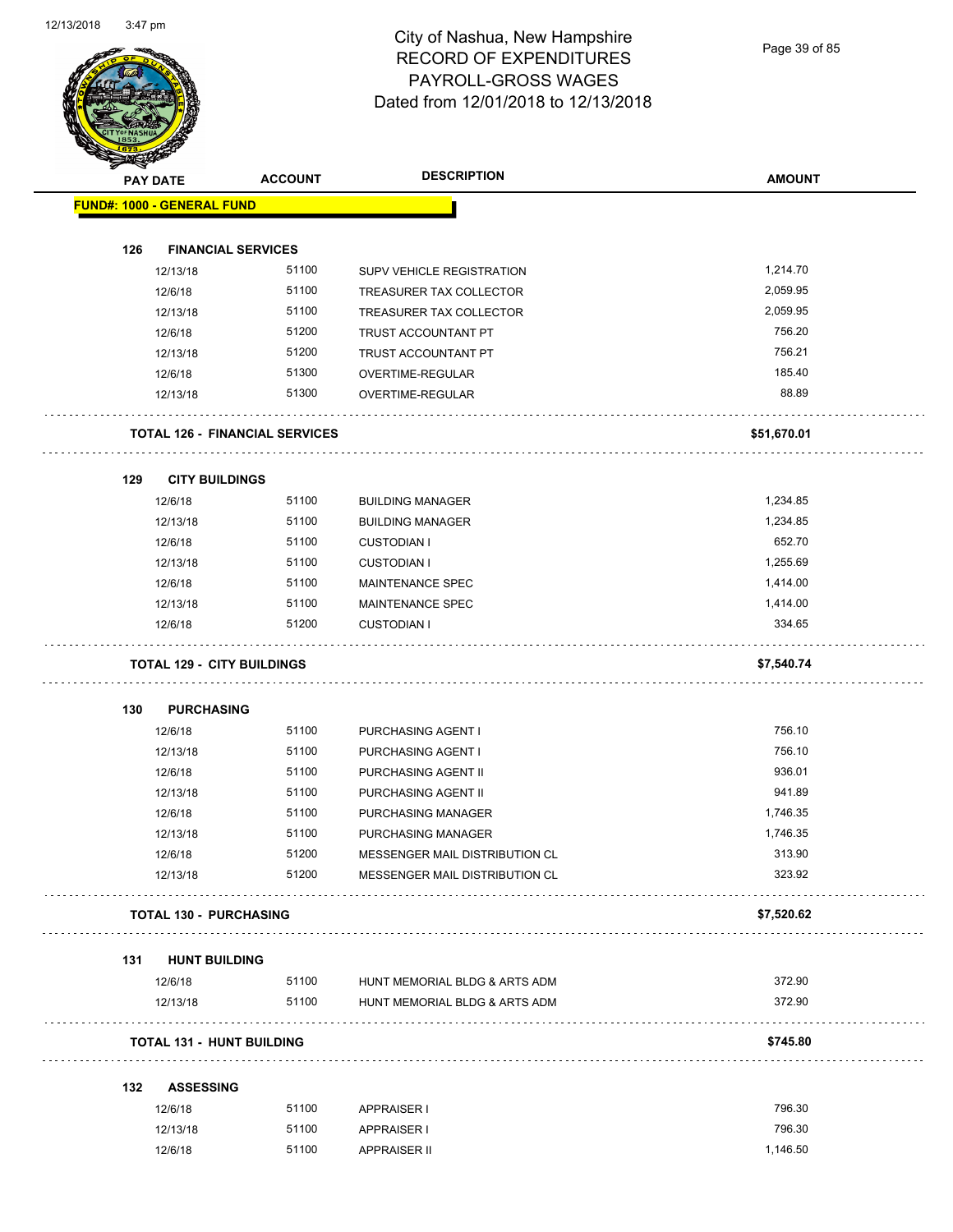Page 39 of 85

|     | <b>PAY DATE</b>                       | <b>ACCOUNT</b> | <b>DESCRIPTION</b>                  | <b>AMOUNT</b> |
|-----|---------------------------------------|----------------|-------------------------------------|---------------|
|     | FUND#: 1000 - GENERAL FUND            |                |                                     |               |
| 126 | <b>FINANCIAL SERVICES</b>             |                |                                     |               |
|     | 12/13/18                              | 51100          | SUPV VEHICLE REGISTRATION           | 1,214.70      |
|     | 12/6/18                               | 51100          | TREASURER TAX COLLECTOR             | 2,059.95      |
|     | 12/13/18                              | 51100          | TREASURER TAX COLLECTOR             | 2,059.95      |
|     | 12/6/18                               | 51200          | TRUST ACCOUNTANT PT                 | 756.20        |
|     | 12/13/18                              | 51200          | TRUST ACCOUNTANT PT                 | 756.21        |
|     | 12/6/18                               | 51300          | OVERTIME-REGULAR                    | 185.40        |
|     | 12/13/18                              | 51300          | OVERTIME-REGULAR                    | 88.89         |
|     |                                       |                |                                     |               |
|     | <b>TOTAL 126 - FINANCIAL SERVICES</b> |                |                                     | \$51,670.01   |
| 129 | <b>CITY BUILDINGS</b>                 |                |                                     |               |
|     | 12/6/18                               | 51100          | <b>BUILDING MANAGER</b>             | 1,234.85      |
|     | 12/13/18                              | 51100          | <b>BUILDING MANAGER</b>             | 1,234.85      |
|     | 12/6/18                               | 51100          | <b>CUSTODIAN I</b>                  | 652.70        |
|     | 12/13/18                              | 51100          | <b>CUSTODIAN I</b>                  | 1,255.69      |
|     | 12/6/18                               | 51100          | MAINTENANCE SPEC                    | 1,414.00      |
|     | 12/13/18                              | 51100          | <b>MAINTENANCE SPEC</b>             | 1,414.00      |
|     | 12/6/18                               | 51200          | <b>CUSTODIAN I</b>                  | 334.65        |
|     | <b>TOTAL 129 - CITY BUILDINGS</b>     |                |                                     | \$7,540.74    |
|     |                                       |                |                                     |               |
| 130 | <b>PURCHASING</b>                     |                |                                     |               |
|     | 12/6/18                               | 51100          | PURCHASING AGENT I                  | 756.10        |
|     | 12/13/18                              | 51100          | PURCHASING AGENT I                  | 756.10        |
|     | 12/6/18                               | 51100          | PURCHASING AGENT II                 | 936.01        |
|     | 12/13/18                              | 51100          | PURCHASING AGENT II                 | 941.89        |
|     | 12/6/18                               | 51100          | PURCHASING MANAGER                  | 1,746.35      |
|     | 12/13/18                              | 51100          | PURCHASING MANAGER                  | 1,746.35      |
|     | 12/6/18                               | 51200          | MESSENGER MAIL DISTRIBUTION CL      | 313.90        |
|     | 12/13/18                              | 51200          | MESSENGER MAIL DISTRIBUTION CL      | 323.92        |
|     | <b>TOTAL 130 - PURCHASING</b>         |                |                                     | \$7,520.62    |
| 131 | <b>HUNT BUILDING</b>                  |                |                                     |               |
|     | 12/6/18                               |                | 51100 HUNT MEMORIAL BLDG & ARTS ADM | 372.90        |
|     | 12/13/18                              | 51100          | HUNT MEMORIAL BLDG & ARTS ADM       | 372.90        |
|     |                                       |                |                                     |               |
|     | <b>TOTAL 131 - HUNT BUILDING</b>      |                |                                     | \$745.80      |
|     | ASSESSING                             |                |                                     |               |
| 132 |                                       |                |                                     | 796.30        |
|     | 12/6/18                               | 51100          | APPRAISER I                         |               |
|     | 12/13/18                              | 51100          | APPRAISER I                         | 796.30        |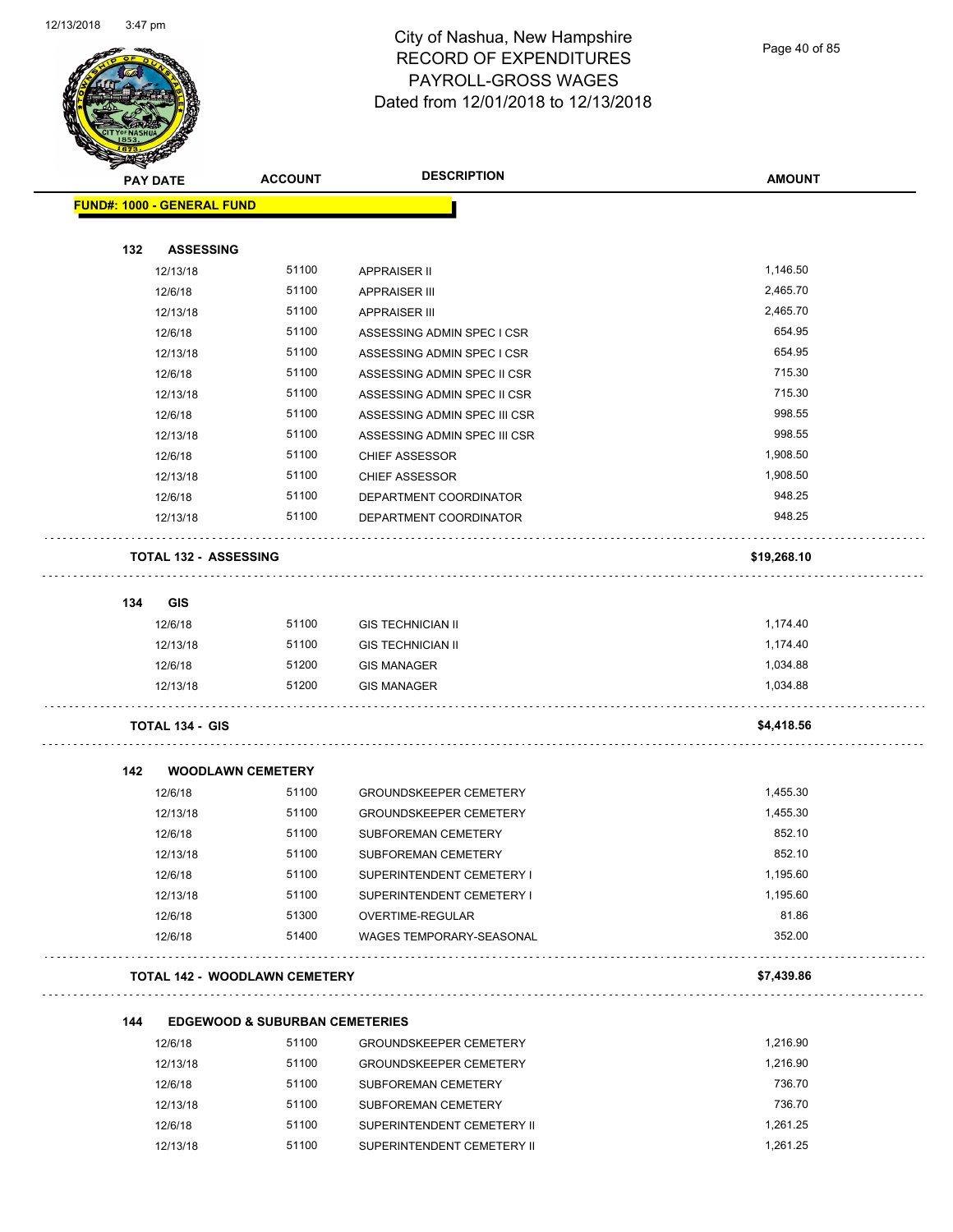

Page 40 of 85

| <b>STATERS</b> |                                      |                                           |                                              |               |
|----------------|--------------------------------------|-------------------------------------------|----------------------------------------------|---------------|
|                | <b>PAY DATE</b>                      | <b>ACCOUNT</b>                            | <b>DESCRIPTION</b>                           | <b>AMOUNT</b> |
|                | <b>FUND#: 1000 - GENERAL FUND</b>    |                                           |                                              |               |
|                |                                      |                                           |                                              |               |
| 132            | <b>ASSESSING</b>                     |                                           |                                              |               |
|                | 12/13/18                             | 51100                                     | <b>APPRAISER II</b>                          | 1,146.50      |
|                | 12/6/18                              | 51100                                     | <b>APPRAISER III</b>                         | 2,465.70      |
|                | 12/13/18                             | 51100                                     | <b>APPRAISER III</b>                         | 2,465.70      |
|                | 12/6/18                              | 51100                                     | ASSESSING ADMIN SPEC I CSR                   | 654.95        |
|                | 12/13/18                             | 51100                                     | ASSESSING ADMIN SPEC I CSR                   | 654.95        |
|                | 12/6/18                              | 51100                                     | ASSESSING ADMIN SPEC II CSR                  | 715.30        |
|                | 12/13/18                             | 51100                                     | ASSESSING ADMIN SPEC II CSR                  | 715.30        |
|                | 12/6/18                              | 51100                                     | ASSESSING ADMIN SPEC III CSR                 | 998.55        |
|                | 12/13/18                             | 51100                                     | ASSESSING ADMIN SPEC III CSR                 | 998.55        |
|                | 12/6/18                              | 51100                                     | <b>CHIEF ASSESSOR</b>                        | 1,908.50      |
|                | 12/13/18                             | 51100                                     | <b>CHIEF ASSESSOR</b>                        | 1,908.50      |
|                | 12/6/18                              | 51100                                     | DEPARTMENT COORDINATOR                       | 948.25        |
|                | 12/13/18                             | 51100                                     | DEPARTMENT COORDINATOR                       | 948.25        |
|                | <b>TOTAL 132 - ASSESSING</b>         |                                           |                                              | \$19,268.10   |
|                |                                      |                                           |                                              |               |
| 134            | <b>GIS</b>                           |                                           |                                              |               |
|                | 12/6/18                              | 51100                                     | <b>GIS TECHNICIAN II</b>                     | 1,174.40      |
|                | 12/13/18                             | 51100                                     | <b>GIS TECHNICIAN II</b>                     | 1,174.40      |
|                | 12/6/18                              | 51200                                     | <b>GIS MANAGER</b>                           | 1,034.88      |
|                | 12/13/18                             | 51200                                     | <b>GIS MANAGER</b>                           | 1,034.88      |
|                | <b>TOTAL 134 - GIS</b>               |                                           |                                              | \$4,418.56    |
| 142            | <b>WOODLAWN CEMETERY</b>             |                                           |                                              |               |
|                | 12/6/18                              | 51100                                     | <b>GROUNDSKEEPER CEMETERY</b>                | 1,455.30      |
|                | 12/13/18                             | 51100                                     | <b>GROUNDSKEEPER CEMETERY</b>                | 1,455.30      |
|                | 12/6/18                              | 51100                                     | SUBFOREMAN CEMETERY                          | 852.10        |
|                | 12/13/18                             | 51100                                     | SUBFOREMAN CEMETERY                          | 852.10        |
|                | 12/6/18                              | 51100                                     | SUPERINTENDENT CEMETERY I                    | 1,195.60      |
|                | 12/13/18                             | 51100                                     | SUPERINTENDENT CEMETERY I                    | 1,195.60      |
|                |                                      |                                           |                                              | 81.86         |
|                | 12/6/18<br>12/6/18                   | 51300<br>51400                            | OVERTIME-REGULAR<br>WAGES TEMPORARY-SEASONAL | 352.00        |
|                |                                      |                                           |                                              |               |
|                | <b>TOTAL 142 - WOODLAWN CEMETERY</b> |                                           |                                              | \$7,439.86    |
| 144            |                                      | <b>EDGEWOOD &amp; SUBURBAN CEMETERIES</b> |                                              |               |
|                | 12/6/18                              | 51100                                     | GROUNDSKEEPER CEMETERY                       | 1,216.90      |
|                | 12/13/18                             | 51100                                     | <b>GROUNDSKEEPER CEMETERY</b>                | 1,216.90      |
|                | 12/6/18                              | 51100                                     | SUBFOREMAN CEMETERY                          | 736.70        |
|                | 12/13/18                             | 51100                                     | SUBFOREMAN CEMETERY                          | 736.70        |
|                | 12/6/18                              | 51100                                     | SUPERINTENDENT CEMETERY II                   | 1,261.25      |

12/13/18 51100 SUPERINTENDENT CEMETERY II 1,261.25 1,261.25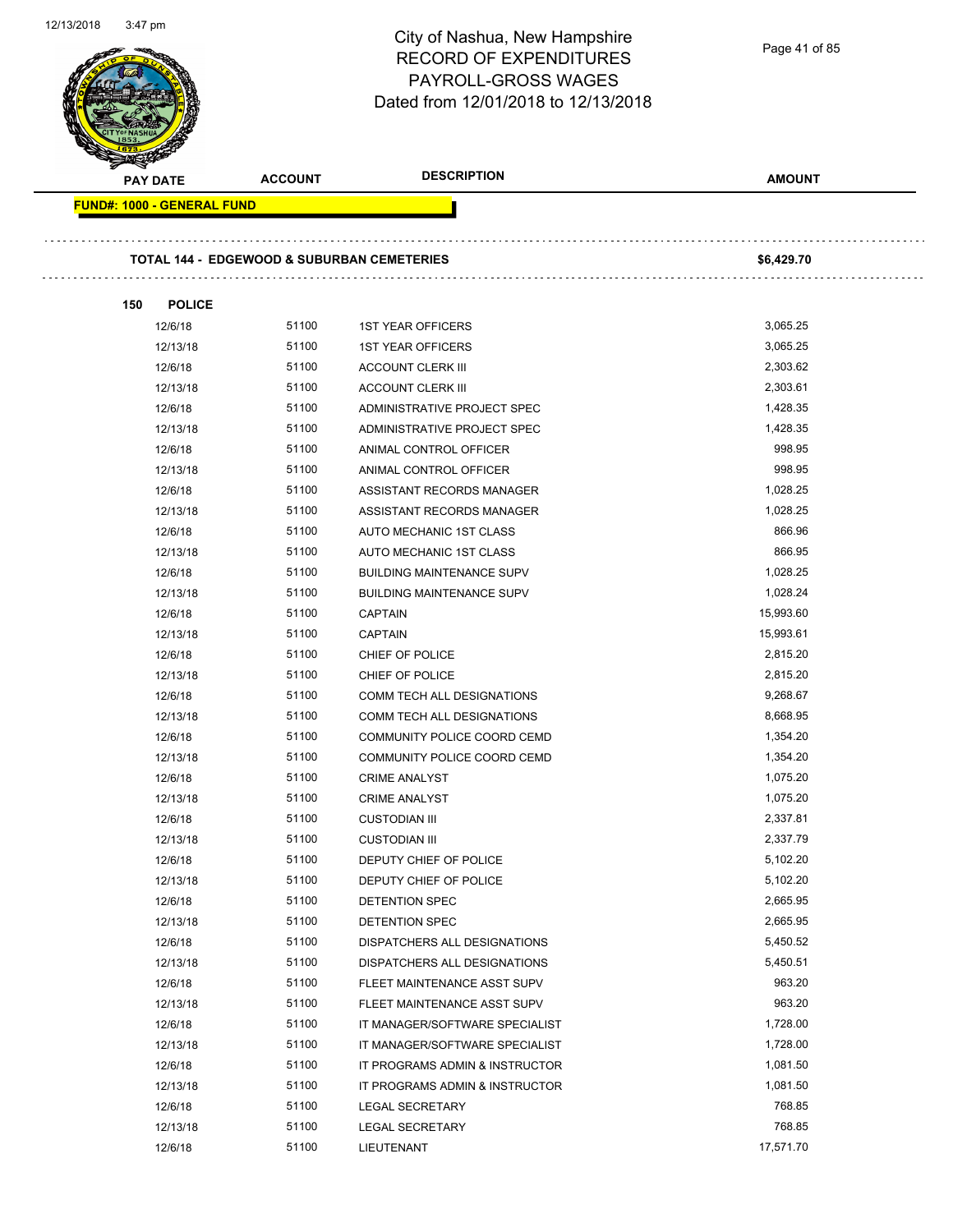| <b>PAY DATE</b>                   | <b>ACCOUNT</b>                                        | <b>DESCRIPTION</b>               | <b>AMOUNT</b> |
|-----------------------------------|-------------------------------------------------------|----------------------------------|---------------|
| <b>FUND#: 1000 - GENERAL FUND</b> |                                                       |                                  |               |
|                                   | <b>TOTAL 144 - EDGEWOOD &amp; SUBURBAN CEMETERIES</b> |                                  | \$6,429.70    |
|                                   |                                                       |                                  |               |
| 150<br><b>POLICE</b>              |                                                       |                                  |               |
| 12/6/18                           | 51100                                                 | <b>1ST YEAR OFFICERS</b>         | 3,065.25      |
| 12/13/18                          | 51100                                                 | <b>1ST YEAR OFFICERS</b>         | 3,065.25      |
| 12/6/18                           | 51100                                                 | <b>ACCOUNT CLERK III</b>         | 2,303.62      |
| 12/13/18                          | 51100                                                 | <b>ACCOUNT CLERK III</b>         | 2,303.61      |
| 12/6/18                           | 51100                                                 | ADMINISTRATIVE PROJECT SPEC      | 1,428.35      |
| 12/13/18                          | 51100                                                 | ADMINISTRATIVE PROJECT SPEC      | 1,428.35      |
| 12/6/18                           | 51100                                                 | ANIMAL CONTROL OFFICER           | 998.95        |
| 12/13/18                          | 51100                                                 | ANIMAL CONTROL OFFICER           | 998.95        |
| 12/6/18                           | 51100                                                 | ASSISTANT RECORDS MANAGER        | 1,028.25      |
| 12/13/18                          | 51100                                                 | ASSISTANT RECORDS MANAGER        | 1,028.25      |
| 12/6/18                           | 51100                                                 | AUTO MECHANIC 1ST CLASS          | 866.96        |
| 12/13/18                          | 51100                                                 | AUTO MECHANIC 1ST CLASS          | 866.95        |
| 12/6/18                           | 51100                                                 | <b>BUILDING MAINTENANCE SUPV</b> | 1,028.25      |
| 12/13/18                          | 51100                                                 | <b>BUILDING MAINTENANCE SUPV</b> | 1,028.24      |
| 12/6/18                           | 51100                                                 | <b>CAPTAIN</b>                   | 15,993.60     |
| 12/13/18                          | 51100                                                 | <b>CAPTAIN</b>                   | 15,993.61     |
| 12/6/18                           | 51100                                                 | CHIEF OF POLICE                  | 2,815.20      |
| 12/13/18                          | 51100                                                 | CHIEF OF POLICE                  | 2,815.20      |
| 12/6/18                           | 51100                                                 | COMM TECH ALL DESIGNATIONS       | 9,268.67      |
| 12/13/18                          | 51100                                                 | COMM TECH ALL DESIGNATIONS       | 8,668.95      |
| 12/6/18                           | 51100                                                 | COMMUNITY POLICE COORD CEMD      | 1,354.20      |
| 12/13/18                          | 51100                                                 | COMMUNITY POLICE COORD CEMD      | 1,354.20      |
| 12/6/18                           | 51100                                                 | <b>CRIME ANALYST</b>             | 1,075.20      |
| 12/13/18                          | 51100                                                 | <b>CRIME ANALYST</b>             | 1,075.20      |
| 12/6/18                           | 51100                                                 | <b>CUSTODIAN III</b>             | 2,337.81      |
| 12/13/18                          | 51100                                                 | <b>CUSTODIAN III</b>             | 2,337.79      |
| 12/6/18                           | 51100                                                 | DEPUTY CHIEF OF POLICE           | 5,102.20      |
| 12/13/18                          | 51100                                                 | DEPUTY CHIEF OF POLICE           | 5,102.20      |
| 12/6/18                           | 51100                                                 | DETENTION SPEC                   | 2,665.95      |
| 12/13/18                          | 51100                                                 | DETENTION SPEC                   | 2,665.95      |
| 12/6/18                           | 51100                                                 | DISPATCHERS ALL DESIGNATIONS     | 5,450.52      |
| 12/13/18                          | 51100                                                 | DISPATCHERS ALL DESIGNATIONS     | 5,450.51      |
| 12/6/18                           | 51100                                                 | FLEET MAINTENANCE ASST SUPV      | 963.20        |
| 12/13/18                          | 51100                                                 | FLEET MAINTENANCE ASST SUPV      | 963.20        |
| 12/6/18                           | 51100                                                 | IT MANAGER/SOFTWARE SPECIALIST   | 1,728.00      |
| 12/13/18                          | 51100                                                 | IT MANAGER/SOFTWARE SPECIALIST   | 1,728.00      |
| 12/6/18                           | 51100                                                 | IT PROGRAMS ADMIN & INSTRUCTOR   | 1,081.50      |
| 12/13/18                          | 51100                                                 | IT PROGRAMS ADMIN & INSTRUCTOR   | 1,081.50      |
| 12/6/18                           | 51100                                                 | <b>LEGAL SECRETARY</b>           | 768.85        |
| 12/13/18                          | 51100                                                 | <b>LEGAL SECRETARY</b>           | 768.85        |
| 12/6/18                           | 51100                                                 | LIEUTENANT                       | 17,571.70     |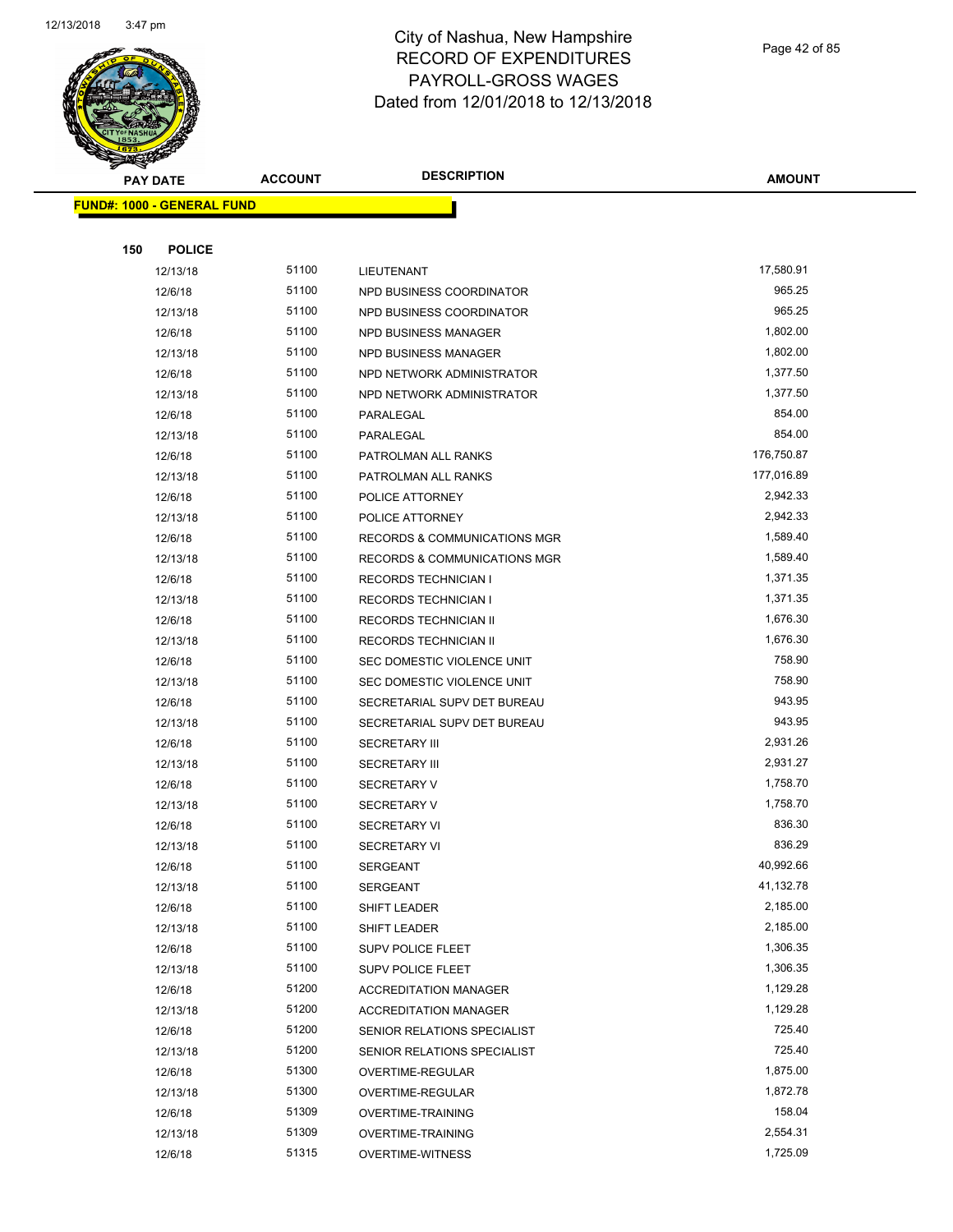

Page 42 of 85

| $\tilde{\phantom{a}}$<br><b>PAY DATE</b> | <b>ACCOUNT</b> | <b>DESCRIPTION</b>                      | <b>AMOUNT</b> |
|------------------------------------------|----------------|-----------------------------------------|---------------|
| <b>FUND#: 1000 - GENERAL FUND</b>        |                |                                         |               |
|                                          |                |                                         |               |
| 150<br><b>POLICE</b>                     |                |                                         |               |
| 12/13/18                                 | 51100          | LIEUTENANT                              | 17,580.91     |
| 12/6/18                                  | 51100          | NPD BUSINESS COORDINATOR                | 965.25        |
| 12/13/18                                 | 51100          | NPD BUSINESS COORDINATOR                | 965.25        |
| 12/6/18                                  | 51100          | NPD BUSINESS MANAGER                    | 1,802.00      |
| 12/13/18                                 | 51100          | NPD BUSINESS MANAGER                    | 1,802.00      |
| 12/6/18                                  | 51100          | NPD NETWORK ADMINISTRATOR               | 1,377.50      |
| 12/13/18                                 | 51100          | NPD NETWORK ADMINISTRATOR               | 1,377.50      |
| 12/6/18                                  | 51100          | PARALEGAL                               | 854.00        |
| 12/13/18                                 | 51100          | PARALEGAL                               | 854.00        |
| 12/6/18                                  | 51100          | PATROLMAN ALL RANKS                     | 176,750.87    |
| 12/13/18                                 | 51100          | PATROLMAN ALL RANKS                     | 177,016.89    |
| 12/6/18                                  | 51100          | POLICE ATTORNEY                         | 2,942.33      |
| 12/13/18                                 | 51100          | POLICE ATTORNEY                         | 2,942.33      |
| 12/6/18                                  | 51100          | <b>RECORDS &amp; COMMUNICATIONS MGR</b> | 1,589.40      |
| 12/13/18                                 | 51100          | RECORDS & COMMUNICATIONS MGR            | 1,589.40      |
| 12/6/18                                  | 51100          | <b>RECORDS TECHNICIAN I</b>             | 1,371.35      |
| 12/13/18                                 | 51100          | <b>RECORDS TECHNICIAN I</b>             | 1,371.35      |
| 12/6/18                                  | 51100          | RECORDS TECHNICIAN II                   | 1,676.30      |
| 12/13/18                                 | 51100          | RECORDS TECHNICIAN II                   | 1,676.30      |
| 12/6/18                                  | 51100          | SEC DOMESTIC VIOLENCE UNIT              | 758.90        |
| 12/13/18                                 | 51100          | SEC DOMESTIC VIOLENCE UNIT              | 758.90        |
| 12/6/18                                  | 51100          | SECRETARIAL SUPV DET BUREAU             | 943.95        |
| 12/13/18                                 | 51100          | SECRETARIAL SUPV DET BUREAU             | 943.95        |
| 12/6/18                                  | 51100          | <b>SECRETARY III</b>                    | 2,931.26      |
| 12/13/18                                 | 51100          | <b>SECRETARY III</b>                    | 2,931.27      |
| 12/6/18                                  | 51100          | <b>SECRETARY V</b>                      | 1,758.70      |
| 12/13/18                                 | 51100          | <b>SECRETARY V</b>                      | 1,758.70      |
| 12/6/18                                  | 51100          | <b>SECRETARY VI</b>                     | 836.30        |
| 12/13/18                                 | 51100          | <b>SECRETARY VI</b>                     | 836.29        |
| 12/6/18                                  | 51100          | SERGEANT                                | 40,992.66     |
| 12/13/18                                 | 51100          | SERGEANT                                | 41,132.78     |
| 12/6/18                                  | 51100          | SHIFT LEADER                            | 2,185.00      |
| 12/13/18                                 | 51100          | SHIFT LEADER                            | 2,185.00      |
| 12/6/18                                  | 51100          | <b>SUPV POLICE FLEET</b>                | 1,306.35      |
| 12/13/18                                 | 51100          | <b>SUPV POLICE FLEET</b>                | 1,306.35      |
| 12/6/18                                  | 51200          | <b>ACCREDITATION MANAGER</b>            | 1,129.28      |
| 12/13/18                                 | 51200          | <b>ACCREDITATION MANAGER</b>            | 1,129.28      |
| 12/6/18                                  | 51200          | SENIOR RELATIONS SPECIALIST             | 725.40        |
| 12/13/18                                 | 51200          | SENIOR RELATIONS SPECIALIST             | 725.40        |
| 12/6/18                                  | 51300          | OVERTIME-REGULAR                        | 1,875.00      |
| 12/13/18                                 | 51300          | OVERTIME-REGULAR                        | 1,872.78      |
| 12/6/18                                  | 51309          | <b>OVERTIME-TRAINING</b>                | 158.04        |
| 12/13/18                                 | 51309          | <b>OVERTIME-TRAINING</b>                | 2,554.31      |
| 12/6/18                                  | 51315          | <b>OVERTIME-WITNESS</b>                 | 1,725.09      |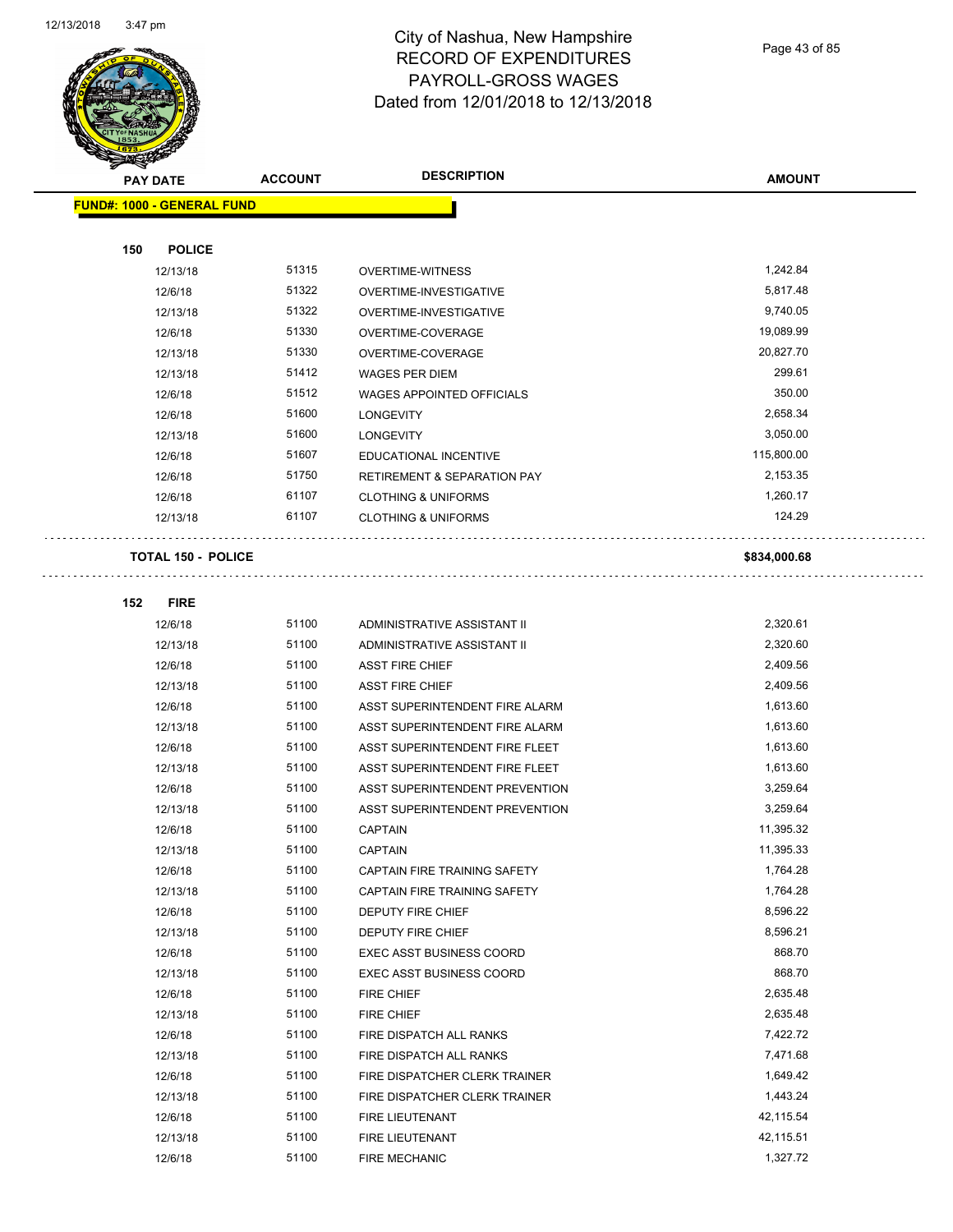$\overline{a}$ 



## City of Nashua, New Hampshire RECORD OF EXPENDITURES PAYROLL-GROSS WAGES Dated from 12/01/2018 to 12/13/2018

Page 43 of 85

| <b>PAY DATE</b>                   | <b>ACCOUNT</b> | <b>DESCRIPTION</b>                     | <b>AMOUNT</b> |
|-----------------------------------|----------------|----------------------------------------|---------------|
| <b>FUND#: 1000 - GENERAL FUND</b> |                |                                        |               |
|                                   |                |                                        |               |
| 150<br><b>POLICE</b>              |                |                                        |               |
| 12/13/18                          | 51315          | <b>OVERTIME-WITNESS</b>                | 1,242.84      |
| 12/6/18                           | 51322          | OVERTIME-INVESTIGATIVE                 | 5,817.48      |
| 12/13/18                          | 51322          | OVERTIME-INVESTIGATIVE                 | 9,740.05      |
| 12/6/18                           | 51330          | OVERTIME-COVERAGE                      | 19,089.99     |
| 12/13/18                          | 51330          | OVERTIME-COVERAGE                      | 20,827.70     |
| 12/13/18                          | 51412          | <b>WAGES PER DIEM</b>                  | 299.61        |
| 12/6/18                           | 51512          | <b>WAGES APPOINTED OFFICIALS</b>       | 350.00        |
| 12/6/18                           | 51600          | <b>LONGEVITY</b>                       | 2,658.34      |
| 12/13/18                          | 51600          | <b>LONGEVITY</b>                       | 3,050.00      |
| 12/6/18                           | 51607          | EDUCATIONAL INCENTIVE                  | 115,800.00    |
| 12/6/18                           | 51750          | <b>RETIREMENT &amp; SEPARATION PAY</b> | 2,153.35      |
| 12/6/18                           | 61107          | <b>CLOTHING &amp; UNIFORMS</b>         | 1,260.17      |
| 12/13/18                          | 61107          | <b>CLOTHING &amp; UNIFORMS</b>         | 124.29        |
| <b>TOTAL 150 - POLICE</b>         |                |                                        | \$834,000.68  |
| 152<br><b>FIRE</b>                |                |                                        |               |
| 12/6/18                           | 51100          | ADMINISTRATIVE ASSISTANT II            | 2,320.61      |
| 12/13/18                          | 51100          | ADMINISTRATIVE ASSISTANT II            | 2,320.60      |
| 12/6/18                           | 51100          | <b>ASST FIRE CHIEF</b>                 | 2,409.56      |
| 12/13/18                          | 51100          | <b>ASST FIRE CHIEF</b>                 | 2,409.56      |
| 12/6/18                           | 51100          | ASST SUPERINTENDENT FIRE ALARM         | 1,613.60      |
| 12/13/18                          | 51100          | ASST SUPERINTENDENT FIRE ALARM         | 1,613.60      |
| 12/6/18                           | 51100          | ASST SUPERINTENDENT FIRE FLEET         | 1,613.60      |
| 12/13/18                          | 51100          | ASST SUPERINTENDENT FIRE FLEET         | 1,613.60      |
| 12/6/18                           | 51100          | ASST SUPERINTENDENT PREVENTION         | 3,259.64      |
| 12/13/18                          | 51100          | ASST SUPERINTENDENT PREVENTION         | 3,259.64      |
| 12/6/18                           | 51100          | <b>CAPTAIN</b>                         | 11,395.32     |
| 12/13/18                          | 51100          | <b>CAPTAIN</b>                         | 11,395.33     |
| 12/6/18                           | 51100          | CAPTAIN FIRE TRAINING SAFETY           | 1,764.28      |
| 12/13/18                          | 51100          | CAPTAIN FIRE TRAINING SAFETY           | 1,764.28      |
| 12/6/18                           | 51100          | <b>DEPUTY FIRE CHIEF</b>               | 8,596.22      |
| 12/13/18                          | 51100          | <b>DEPUTY FIRE CHIEF</b>               | 8,596.21      |
| 12/6/18                           | 51100          | EXEC ASST BUSINESS COORD               | 868.70        |
| 12/13/18                          | 51100          | <b>EXEC ASST BUSINESS COORD</b>        | 868.70        |
| 12/6/18                           | 51100          | FIRE CHIEF                             | 2,635.48      |
| 12/13/18                          | 51100          | FIRE CHIEF                             | 2,635.48      |
| 12/6/18                           | 51100          | FIRE DISPATCH ALL RANKS                | 7,422.72      |
| 12/13/18                          | 51100          | FIRE DISPATCH ALL RANKS                | 7,471.68      |
| 12/6/18                           | 51100          | FIRE DISPATCHER CLERK TRAINER          | 1,649.42      |
| 12/13/18                          | 51100          | FIRE DISPATCHER CLERK TRAINER          | 1,443.24      |
| 12/6/18                           | 51100          | FIRE LIEUTENANT                        | 42,115.54     |
| 12/13/18                          | 51100          | FIRE LIEUTENANT                        | 42,115.51     |
| 12/6/18                           | 51100          | FIRE MECHANIC                          | 1,327.72      |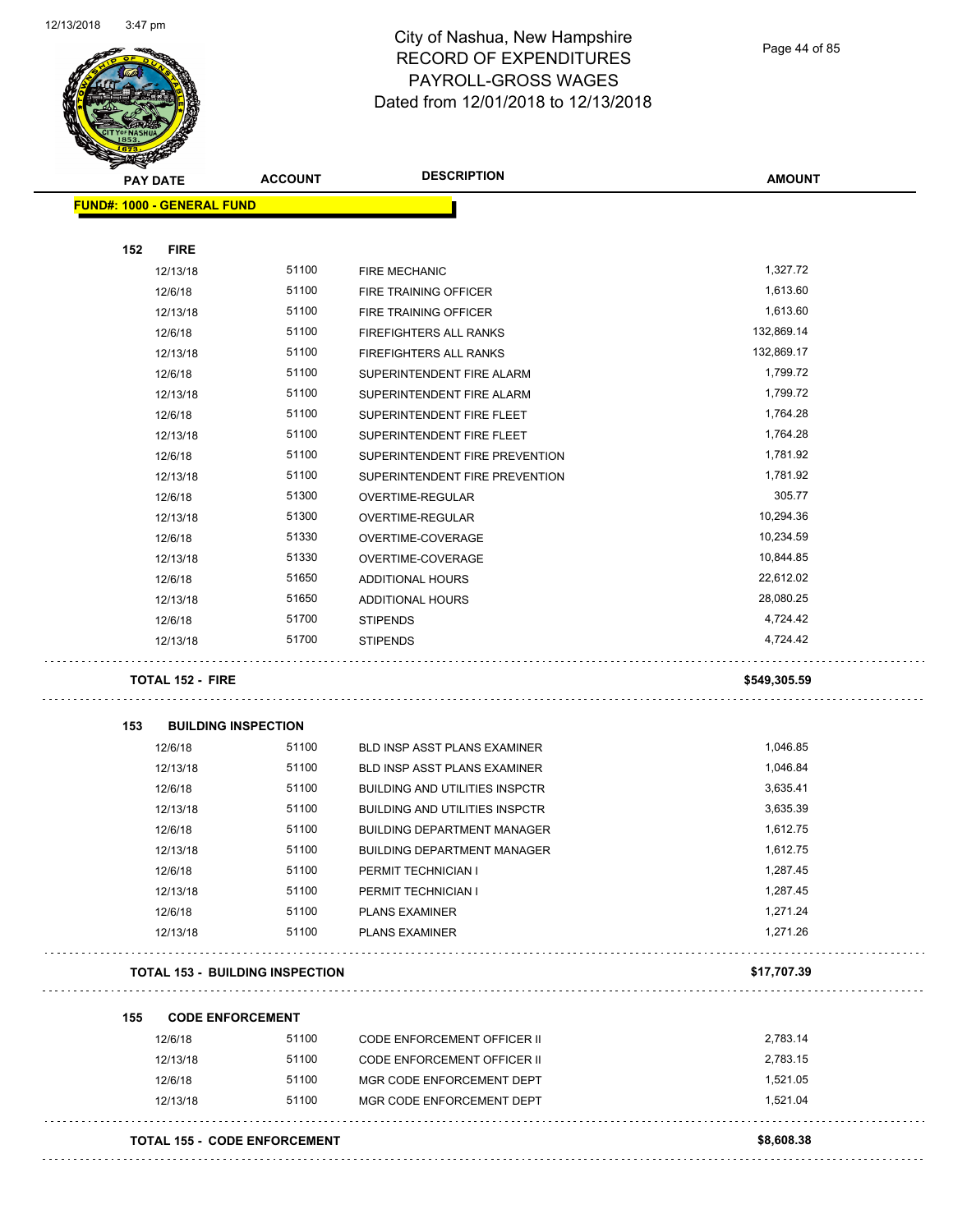

Page 44 of 85

| <b>PAY DATE</b>                   | <b>ACCOUNT</b>                         | <b>DESCRIPTION</b>                    | <b>AMOUNT</b> |
|-----------------------------------|----------------------------------------|---------------------------------------|---------------|
| <b>FUND#: 1000 - GENERAL FUND</b> |                                        |                                       |               |
|                                   |                                        |                                       |               |
| 152<br><b>FIRE</b>                |                                        |                                       |               |
| 12/13/18                          | 51100                                  | FIRE MECHANIC                         | 1,327.72      |
| 12/6/18                           | 51100                                  | FIRE TRAINING OFFICER                 | 1,613.60      |
| 12/13/18                          | 51100                                  | FIRE TRAINING OFFICER                 | 1,613.60      |
| 12/6/18                           | 51100                                  | <b>FIREFIGHTERS ALL RANKS</b>         | 132,869.14    |
| 12/13/18                          | 51100                                  | FIREFIGHTERS ALL RANKS                | 132,869.17    |
| 12/6/18                           | 51100                                  | SUPERINTENDENT FIRE ALARM             | 1,799.72      |
| 12/13/18                          | 51100                                  | SUPERINTENDENT FIRE ALARM             | 1,799.72      |
| 12/6/18                           | 51100                                  | SUPERINTENDENT FIRE FLEET             | 1,764.28      |
| 12/13/18                          | 51100                                  | SUPERINTENDENT FIRE FLEET             | 1,764.28      |
| 12/6/18                           | 51100                                  | SUPERINTENDENT FIRE PREVENTION        | 1,781.92      |
| 12/13/18                          | 51100                                  | SUPERINTENDENT FIRE PREVENTION        | 1,781.92      |
| 12/6/18                           | 51300                                  | OVERTIME-REGULAR                      | 305.77        |
| 12/13/18                          | 51300                                  | OVERTIME-REGULAR                      | 10,294.36     |
| 12/6/18                           | 51330                                  | OVERTIME-COVERAGE                     | 10,234.59     |
| 12/13/18                          | 51330                                  | OVERTIME-COVERAGE                     | 10,844.85     |
| 12/6/18                           | 51650                                  | <b>ADDITIONAL HOURS</b>               | 22,612.02     |
| 12/13/18                          | 51650                                  | ADDITIONAL HOURS                      | 28,080.25     |
| 12/6/18                           | 51700                                  | <b>STIPENDS</b>                       | 4,724.42      |
| 12/13/18                          | 51700                                  | <b>STIPENDS</b>                       | 4,724.42      |
| <b>TOTAL 152 - FIRE</b>           |                                        |                                       | \$549,305.59  |
| 153                               | <b>BUILDING INSPECTION</b>             |                                       |               |
| 12/6/18                           | 51100                                  | BLD INSP ASST PLANS EXAMINER          | 1,046.85      |
| 12/13/18                          | 51100                                  | BLD INSP ASST PLANS EXAMINER          | 1,046.84      |
| 12/6/18                           | 51100                                  | <b>BUILDING AND UTILITIES INSPCTR</b> | 3,635.41      |
| 12/13/18                          | 51100                                  | <b>BUILDING AND UTILITIES INSPCTR</b> | 3,635.39      |
| 12/6/18                           | 51100                                  | <b>BUILDING DEPARTMENT MANAGER</b>    | 1,612.75      |
| 12/13/18                          | 51100                                  | <b>BUILDING DEPARTMENT MANAGER</b>    | 1,612.75      |
| 12/6/18                           | 51100                                  | PERMIT TECHNICIAN I                   | 1,287.45      |
| 12/13/18                          | 51100                                  | PERMIT TECHNICIAN I                   | 1,287.45      |
| 12/6/18                           | 51100                                  | <b>PLANS EXAMINER</b>                 | 1,271.24      |
| 12/13/18                          | 51100                                  | <b>PLANS EXAMINER</b>                 | 1,271.26      |
|                                   | <b>TOTAL 153 - BUILDING INSPECTION</b> |                                       | \$17,707.39   |
| 155                               | <b>CODE ENFORCEMENT</b>                |                                       |               |
| 12/6/18                           | 51100                                  | CODE ENFORCEMENT OFFICER II           | 2,783.14      |
| 12/13/18                          | 51100                                  | <b>CODE ENFORCEMENT OFFICER II</b>    | 2,783.15      |
| 12/6/18                           | 51100                                  | MGR CODE ENFORCEMENT DEPT             | 1,521.05      |
| 12/13/18                          | 51100                                  | MGR CODE ENFORCEMENT DEPT             | 1,521.04      |
|                                   |                                        |                                       |               |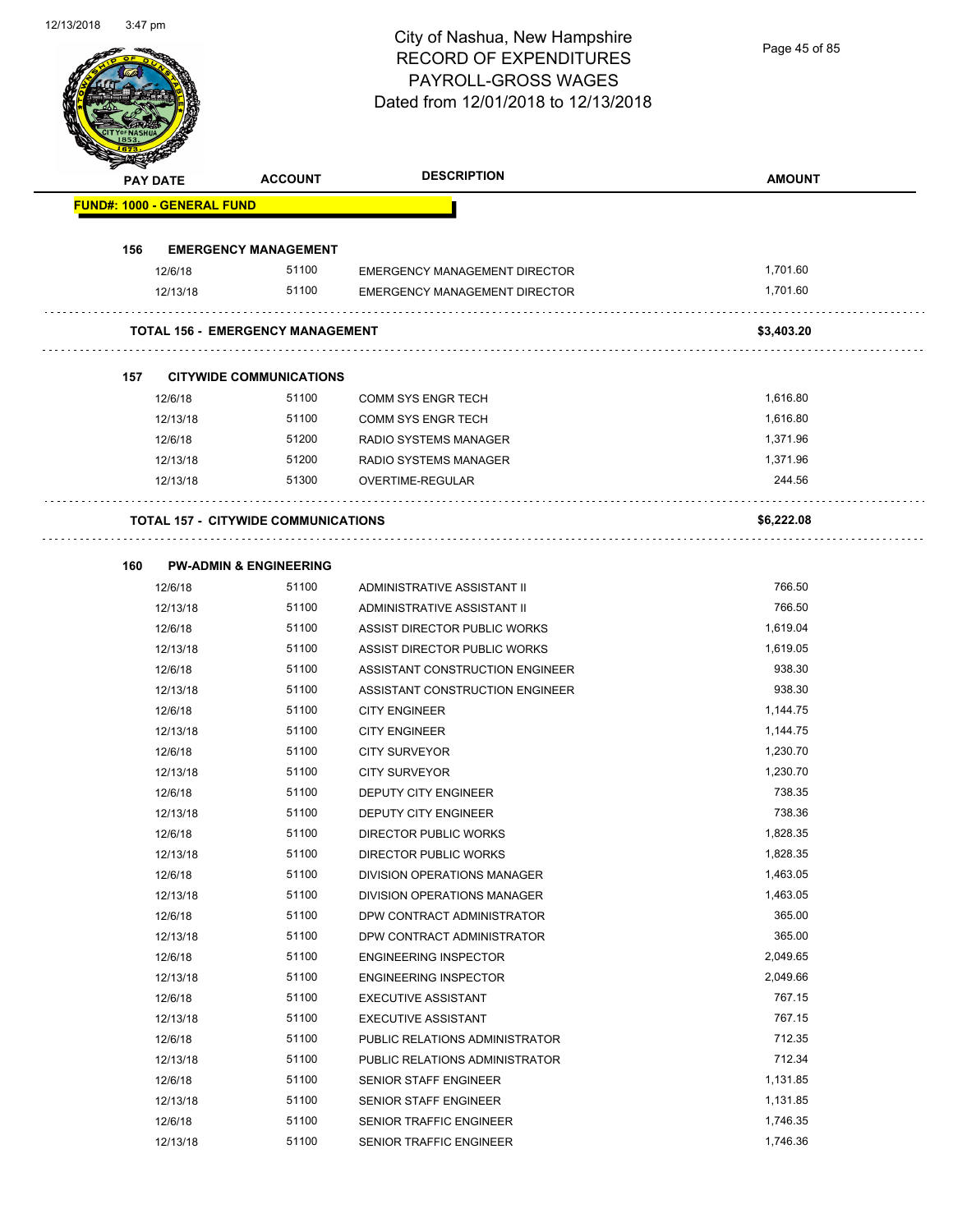Page 45 of 85

| <b>FUND#: 1000 - GENERAL FUND</b><br><b>EMERGENCY MANAGEMENT</b><br>156<br>51100<br>1,701.60<br>12/6/18<br><b>EMERGENCY MANAGEMENT DIRECTOR</b><br>51100<br><b>EMERGENCY MANAGEMENT DIRECTOR</b><br>1,701.60<br>12/13/18<br>TOTAL 156 - EMERGENCY MANAGEMENT<br>157<br><b>CITYWIDE COMMUNICATIONS</b><br>12/6/18<br>51100<br><b>COMM SYS ENGR TECH</b><br>12/13/18<br>51100<br><b>COMM SYS ENGR TECH</b><br>1,616.80<br>1,371.96<br>51200<br>12/6/18<br>RADIO SYSTEMS MANAGER<br>51200<br>1,371.96<br>12/13/18<br>RADIO SYSTEMS MANAGER<br>244.56<br>51300<br>OVERTIME-REGULAR<br>12/13/18<br><b>TOTAL 157 - CITYWIDE COMMUNICATIONS</b><br><b>PW-ADMIN &amp; ENGINEERING</b><br>160<br>51100<br>766.50<br>12/6/18<br>ADMINISTRATIVE ASSISTANT II<br>766.50<br>12/13/18<br>51100<br>ADMINISTRATIVE ASSISTANT II<br>ASSIST DIRECTOR PUBLIC WORKS<br>12/6/18<br>51100<br>1,619.04<br>1,619.05<br>51100<br>12/13/18<br>ASSIST DIRECTOR PUBLIC WORKS<br>938.30<br>12/6/18<br>51100<br>ASSISTANT CONSTRUCTION ENGINEER<br>938.30<br>51100<br>12/13/18<br>ASSISTANT CONSTRUCTION ENGINEER<br>12/6/18<br>51100<br><b>CITY ENGINEER</b><br>1,144.75<br>51100<br>1,144.75<br>12/13/18<br><b>CITY ENGINEER</b><br>51100<br>1.230.70<br>12/6/18<br><b>CITY SURVEYOR</b><br>1,230.70<br>12/13/18<br>51100<br><b>CITY SURVEYOR</b><br>738.35<br>51100<br><b>DEPUTY CITY ENGINEER</b><br>12/6/18<br>51100<br>738.36<br>12/13/18<br>DEPUTY CITY ENGINEER<br>51100<br>1,828.35<br>12/6/18<br>DIRECTOR PUBLIC WORKS<br>1,828.35<br>51100<br>12/13/18<br>DIRECTOR PUBLIC WORKS<br>51100<br>1,463.05<br>12/6/18<br>DIVISION OPERATIONS MANAGER<br>51100<br>1,463.05<br>12/13/18<br>DIVISION OPERATIONS MANAGER<br>365.00<br>51100<br>12/6/18<br>DPW CONTRACT ADMINISTRATOR<br>365.00<br>51100<br>12/13/18<br>DPW CONTRACT ADMINISTRATOR<br>51100<br>2,049.65<br>12/6/18<br><b>ENGINEERING INSPECTOR</b><br>51100<br>2,049.66<br>12/13/18<br><b>ENGINEERING INSPECTOR</b><br>767.15<br>51100<br>12/6/18<br><b>EXECUTIVE ASSISTANT</b><br>767.15<br>51100<br>12/13/18<br><b>EXECUTIVE ASSISTANT</b><br>712.35<br>12/6/18<br>51100<br>PUBLIC RELATIONS ADMINISTRATOR<br>712.34<br>51100<br>PUBLIC RELATIONS ADMINISTRATOR<br>12/13/18<br>51100<br>1,131.85<br>12/6/18<br>SENIOR STAFF ENGINEER | <b>PAY DATE</b> | <b>ACCOUNT</b> | <b>DESCRIPTION</b> | <b>AMOUNT</b> |
|--------------------------------------------------------------------------------------------------------------------------------------------------------------------------------------------------------------------------------------------------------------------------------------------------------------------------------------------------------------------------------------------------------------------------------------------------------------------------------------------------------------------------------------------------------------------------------------------------------------------------------------------------------------------------------------------------------------------------------------------------------------------------------------------------------------------------------------------------------------------------------------------------------------------------------------------------------------------------------------------------------------------------------------------------------------------------------------------------------------------------------------------------------------------------------------------------------------------------------------------------------------------------------------------------------------------------------------------------------------------------------------------------------------------------------------------------------------------------------------------------------------------------------------------------------------------------------------------------------------------------------------------------------------------------------------------------------------------------------------------------------------------------------------------------------------------------------------------------------------------------------------------------------------------------------------------------------------------------------------------------------------------------------------------------------------------------------------------------------------------------------------------------------------------------------------------------------------------------------------------------------------------------|-----------------|----------------|--------------------|---------------|
|                                                                                                                                                                                                                                                                                                                                                                                                                                                                                                                                                                                                                                                                                                                                                                                                                                                                                                                                                                                                                                                                                                                                                                                                                                                                                                                                                                                                                                                                                                                                                                                                                                                                                                                                                                                                                                                                                                                                                                                                                                                                                                                                                                                                                                                                          |                 |                |                    |               |
|                                                                                                                                                                                                                                                                                                                                                                                                                                                                                                                                                                                                                                                                                                                                                                                                                                                                                                                                                                                                                                                                                                                                                                                                                                                                                                                                                                                                                                                                                                                                                                                                                                                                                                                                                                                                                                                                                                                                                                                                                                                                                                                                                                                                                                                                          |                 |                |                    |               |
|                                                                                                                                                                                                                                                                                                                                                                                                                                                                                                                                                                                                                                                                                                                                                                                                                                                                                                                                                                                                                                                                                                                                                                                                                                                                                                                                                                                                                                                                                                                                                                                                                                                                                                                                                                                                                                                                                                                                                                                                                                                                                                                                                                                                                                                                          |                 |                |                    |               |
|                                                                                                                                                                                                                                                                                                                                                                                                                                                                                                                                                                                                                                                                                                                                                                                                                                                                                                                                                                                                                                                                                                                                                                                                                                                                                                                                                                                                                                                                                                                                                                                                                                                                                                                                                                                                                                                                                                                                                                                                                                                                                                                                                                                                                                                                          |                 |                |                    |               |
|                                                                                                                                                                                                                                                                                                                                                                                                                                                                                                                                                                                                                                                                                                                                                                                                                                                                                                                                                                                                                                                                                                                                                                                                                                                                                                                                                                                                                                                                                                                                                                                                                                                                                                                                                                                                                                                                                                                                                                                                                                                                                                                                                                                                                                                                          |                 |                |                    |               |
|                                                                                                                                                                                                                                                                                                                                                                                                                                                                                                                                                                                                                                                                                                                                                                                                                                                                                                                                                                                                                                                                                                                                                                                                                                                                                                                                                                                                                                                                                                                                                                                                                                                                                                                                                                                                                                                                                                                                                                                                                                                                                                                                                                                                                                                                          |                 |                |                    | \$3,403.20    |
|                                                                                                                                                                                                                                                                                                                                                                                                                                                                                                                                                                                                                                                                                                                                                                                                                                                                                                                                                                                                                                                                                                                                                                                                                                                                                                                                                                                                                                                                                                                                                                                                                                                                                                                                                                                                                                                                                                                                                                                                                                                                                                                                                                                                                                                                          |                 |                |                    |               |
|                                                                                                                                                                                                                                                                                                                                                                                                                                                                                                                                                                                                                                                                                                                                                                                                                                                                                                                                                                                                                                                                                                                                                                                                                                                                                                                                                                                                                                                                                                                                                                                                                                                                                                                                                                                                                                                                                                                                                                                                                                                                                                                                                                                                                                                                          |                 |                |                    | 1,616.80      |
|                                                                                                                                                                                                                                                                                                                                                                                                                                                                                                                                                                                                                                                                                                                                                                                                                                                                                                                                                                                                                                                                                                                                                                                                                                                                                                                                                                                                                                                                                                                                                                                                                                                                                                                                                                                                                                                                                                                                                                                                                                                                                                                                                                                                                                                                          |                 |                |                    |               |
|                                                                                                                                                                                                                                                                                                                                                                                                                                                                                                                                                                                                                                                                                                                                                                                                                                                                                                                                                                                                                                                                                                                                                                                                                                                                                                                                                                                                                                                                                                                                                                                                                                                                                                                                                                                                                                                                                                                                                                                                                                                                                                                                                                                                                                                                          |                 |                |                    |               |
|                                                                                                                                                                                                                                                                                                                                                                                                                                                                                                                                                                                                                                                                                                                                                                                                                                                                                                                                                                                                                                                                                                                                                                                                                                                                                                                                                                                                                                                                                                                                                                                                                                                                                                                                                                                                                                                                                                                                                                                                                                                                                                                                                                                                                                                                          |                 |                |                    |               |
|                                                                                                                                                                                                                                                                                                                                                                                                                                                                                                                                                                                                                                                                                                                                                                                                                                                                                                                                                                                                                                                                                                                                                                                                                                                                                                                                                                                                                                                                                                                                                                                                                                                                                                                                                                                                                                                                                                                                                                                                                                                                                                                                                                                                                                                                          |                 |                |                    |               |
|                                                                                                                                                                                                                                                                                                                                                                                                                                                                                                                                                                                                                                                                                                                                                                                                                                                                                                                                                                                                                                                                                                                                                                                                                                                                                                                                                                                                                                                                                                                                                                                                                                                                                                                                                                                                                                                                                                                                                                                                                                                                                                                                                                                                                                                                          |                 |                |                    | \$6,222.08    |
|                                                                                                                                                                                                                                                                                                                                                                                                                                                                                                                                                                                                                                                                                                                                                                                                                                                                                                                                                                                                                                                                                                                                                                                                                                                                                                                                                                                                                                                                                                                                                                                                                                                                                                                                                                                                                                                                                                                                                                                                                                                                                                                                                                                                                                                                          |                 |                |                    |               |
|                                                                                                                                                                                                                                                                                                                                                                                                                                                                                                                                                                                                                                                                                                                                                                                                                                                                                                                                                                                                                                                                                                                                                                                                                                                                                                                                                                                                                                                                                                                                                                                                                                                                                                                                                                                                                                                                                                                                                                                                                                                                                                                                                                                                                                                                          |                 |                |                    |               |
|                                                                                                                                                                                                                                                                                                                                                                                                                                                                                                                                                                                                                                                                                                                                                                                                                                                                                                                                                                                                                                                                                                                                                                                                                                                                                                                                                                                                                                                                                                                                                                                                                                                                                                                                                                                                                                                                                                                                                                                                                                                                                                                                                                                                                                                                          |                 |                |                    |               |
|                                                                                                                                                                                                                                                                                                                                                                                                                                                                                                                                                                                                                                                                                                                                                                                                                                                                                                                                                                                                                                                                                                                                                                                                                                                                                                                                                                                                                                                                                                                                                                                                                                                                                                                                                                                                                                                                                                                                                                                                                                                                                                                                                                                                                                                                          |                 |                |                    |               |
|                                                                                                                                                                                                                                                                                                                                                                                                                                                                                                                                                                                                                                                                                                                                                                                                                                                                                                                                                                                                                                                                                                                                                                                                                                                                                                                                                                                                                                                                                                                                                                                                                                                                                                                                                                                                                                                                                                                                                                                                                                                                                                                                                                                                                                                                          |                 |                |                    |               |
|                                                                                                                                                                                                                                                                                                                                                                                                                                                                                                                                                                                                                                                                                                                                                                                                                                                                                                                                                                                                                                                                                                                                                                                                                                                                                                                                                                                                                                                                                                                                                                                                                                                                                                                                                                                                                                                                                                                                                                                                                                                                                                                                                                                                                                                                          |                 |                |                    |               |
|                                                                                                                                                                                                                                                                                                                                                                                                                                                                                                                                                                                                                                                                                                                                                                                                                                                                                                                                                                                                                                                                                                                                                                                                                                                                                                                                                                                                                                                                                                                                                                                                                                                                                                                                                                                                                                                                                                                                                                                                                                                                                                                                                                                                                                                                          |                 |                |                    |               |
|                                                                                                                                                                                                                                                                                                                                                                                                                                                                                                                                                                                                                                                                                                                                                                                                                                                                                                                                                                                                                                                                                                                                                                                                                                                                                                                                                                                                                                                                                                                                                                                                                                                                                                                                                                                                                                                                                                                                                                                                                                                                                                                                                                                                                                                                          |                 |                |                    |               |
|                                                                                                                                                                                                                                                                                                                                                                                                                                                                                                                                                                                                                                                                                                                                                                                                                                                                                                                                                                                                                                                                                                                                                                                                                                                                                                                                                                                                                                                                                                                                                                                                                                                                                                                                                                                                                                                                                                                                                                                                                                                                                                                                                                                                                                                                          |                 |                |                    |               |
|                                                                                                                                                                                                                                                                                                                                                                                                                                                                                                                                                                                                                                                                                                                                                                                                                                                                                                                                                                                                                                                                                                                                                                                                                                                                                                                                                                                                                                                                                                                                                                                                                                                                                                                                                                                                                                                                                                                                                                                                                                                                                                                                                                                                                                                                          |                 |                |                    |               |
|                                                                                                                                                                                                                                                                                                                                                                                                                                                                                                                                                                                                                                                                                                                                                                                                                                                                                                                                                                                                                                                                                                                                                                                                                                                                                                                                                                                                                                                                                                                                                                                                                                                                                                                                                                                                                                                                                                                                                                                                                                                                                                                                                                                                                                                                          |                 |                |                    |               |
|                                                                                                                                                                                                                                                                                                                                                                                                                                                                                                                                                                                                                                                                                                                                                                                                                                                                                                                                                                                                                                                                                                                                                                                                                                                                                                                                                                                                                                                                                                                                                                                                                                                                                                                                                                                                                                                                                                                                                                                                                                                                                                                                                                                                                                                                          |                 |                |                    |               |
|                                                                                                                                                                                                                                                                                                                                                                                                                                                                                                                                                                                                                                                                                                                                                                                                                                                                                                                                                                                                                                                                                                                                                                                                                                                                                                                                                                                                                                                                                                                                                                                                                                                                                                                                                                                                                                                                                                                                                                                                                                                                                                                                                                                                                                                                          |                 |                |                    |               |
|                                                                                                                                                                                                                                                                                                                                                                                                                                                                                                                                                                                                                                                                                                                                                                                                                                                                                                                                                                                                                                                                                                                                                                                                                                                                                                                                                                                                                                                                                                                                                                                                                                                                                                                                                                                                                                                                                                                                                                                                                                                                                                                                                                                                                                                                          |                 |                |                    |               |
|                                                                                                                                                                                                                                                                                                                                                                                                                                                                                                                                                                                                                                                                                                                                                                                                                                                                                                                                                                                                                                                                                                                                                                                                                                                                                                                                                                                                                                                                                                                                                                                                                                                                                                                                                                                                                                                                                                                                                                                                                                                                                                                                                                                                                                                                          |                 |                |                    |               |
|                                                                                                                                                                                                                                                                                                                                                                                                                                                                                                                                                                                                                                                                                                                                                                                                                                                                                                                                                                                                                                                                                                                                                                                                                                                                                                                                                                                                                                                                                                                                                                                                                                                                                                                                                                                                                                                                                                                                                                                                                                                                                                                                                                                                                                                                          |                 |                |                    |               |
|                                                                                                                                                                                                                                                                                                                                                                                                                                                                                                                                                                                                                                                                                                                                                                                                                                                                                                                                                                                                                                                                                                                                                                                                                                                                                                                                                                                                                                                                                                                                                                                                                                                                                                                                                                                                                                                                                                                                                                                                                                                                                                                                                                                                                                                                          |                 |                |                    |               |
|                                                                                                                                                                                                                                                                                                                                                                                                                                                                                                                                                                                                                                                                                                                                                                                                                                                                                                                                                                                                                                                                                                                                                                                                                                                                                                                                                                                                                                                                                                                                                                                                                                                                                                                                                                                                                                                                                                                                                                                                                                                                                                                                                                                                                                                                          |                 |                |                    |               |
|                                                                                                                                                                                                                                                                                                                                                                                                                                                                                                                                                                                                                                                                                                                                                                                                                                                                                                                                                                                                                                                                                                                                                                                                                                                                                                                                                                                                                                                                                                                                                                                                                                                                                                                                                                                                                                                                                                                                                                                                                                                                                                                                                                                                                                                                          |                 |                |                    |               |
|                                                                                                                                                                                                                                                                                                                                                                                                                                                                                                                                                                                                                                                                                                                                                                                                                                                                                                                                                                                                                                                                                                                                                                                                                                                                                                                                                                                                                                                                                                                                                                                                                                                                                                                                                                                                                                                                                                                                                                                                                                                                                                                                                                                                                                                                          |                 |                |                    |               |
|                                                                                                                                                                                                                                                                                                                                                                                                                                                                                                                                                                                                                                                                                                                                                                                                                                                                                                                                                                                                                                                                                                                                                                                                                                                                                                                                                                                                                                                                                                                                                                                                                                                                                                                                                                                                                                                                                                                                                                                                                                                                                                                                                                                                                                                                          |                 |                |                    |               |
|                                                                                                                                                                                                                                                                                                                                                                                                                                                                                                                                                                                                                                                                                                                                                                                                                                                                                                                                                                                                                                                                                                                                                                                                                                                                                                                                                                                                                                                                                                                                                                                                                                                                                                                                                                                                                                                                                                                                                                                                                                                                                                                                                                                                                                                                          |                 |                |                    |               |
|                                                                                                                                                                                                                                                                                                                                                                                                                                                                                                                                                                                                                                                                                                                                                                                                                                                                                                                                                                                                                                                                                                                                                                                                                                                                                                                                                                                                                                                                                                                                                                                                                                                                                                                                                                                                                                                                                                                                                                                                                                                                                                                                                                                                                                                                          |                 |                |                    |               |
|                                                                                                                                                                                                                                                                                                                                                                                                                                                                                                                                                                                                                                                                                                                                                                                                                                                                                                                                                                                                                                                                                                                                                                                                                                                                                                                                                                                                                                                                                                                                                                                                                                                                                                                                                                                                                                                                                                                                                                                                                                                                                                                                                                                                                                                                          |                 |                |                    |               |
|                                                                                                                                                                                                                                                                                                                                                                                                                                                                                                                                                                                                                                                                                                                                                                                                                                                                                                                                                                                                                                                                                                                                                                                                                                                                                                                                                                                                                                                                                                                                                                                                                                                                                                                                                                                                                                                                                                                                                                                                                                                                                                                                                                                                                                                                          |                 |                |                    |               |
|                                                                                                                                                                                                                                                                                                                                                                                                                                                                                                                                                                                                                                                                                                                                                                                                                                                                                                                                                                                                                                                                                                                                                                                                                                                                                                                                                                                                                                                                                                                                                                                                                                                                                                                                                                                                                                                                                                                                                                                                                                                                                                                                                                                                                                                                          |                 |                |                    |               |
| 51100<br>12/13/18<br>SENIOR STAFF ENGINEER                                                                                                                                                                                                                                                                                                                                                                                                                                                                                                                                                                                                                                                                                                                                                                                                                                                                                                                                                                                                                                                                                                                                                                                                                                                                                                                                                                                                                                                                                                                                                                                                                                                                                                                                                                                                                                                                                                                                                                                                                                                                                                                                                                                                                               |                 |                |                    | 1,131.85      |
| 51100<br>1,746.35<br>12/6/18<br>SENIOR TRAFFIC ENGINEER                                                                                                                                                                                                                                                                                                                                                                                                                                                                                                                                                                                                                                                                                                                                                                                                                                                                                                                                                                                                                                                                                                                                                                                                                                                                                                                                                                                                                                                                                                                                                                                                                                                                                                                                                                                                                                                                                                                                                                                                                                                                                                                                                                                                                  |                 |                |                    |               |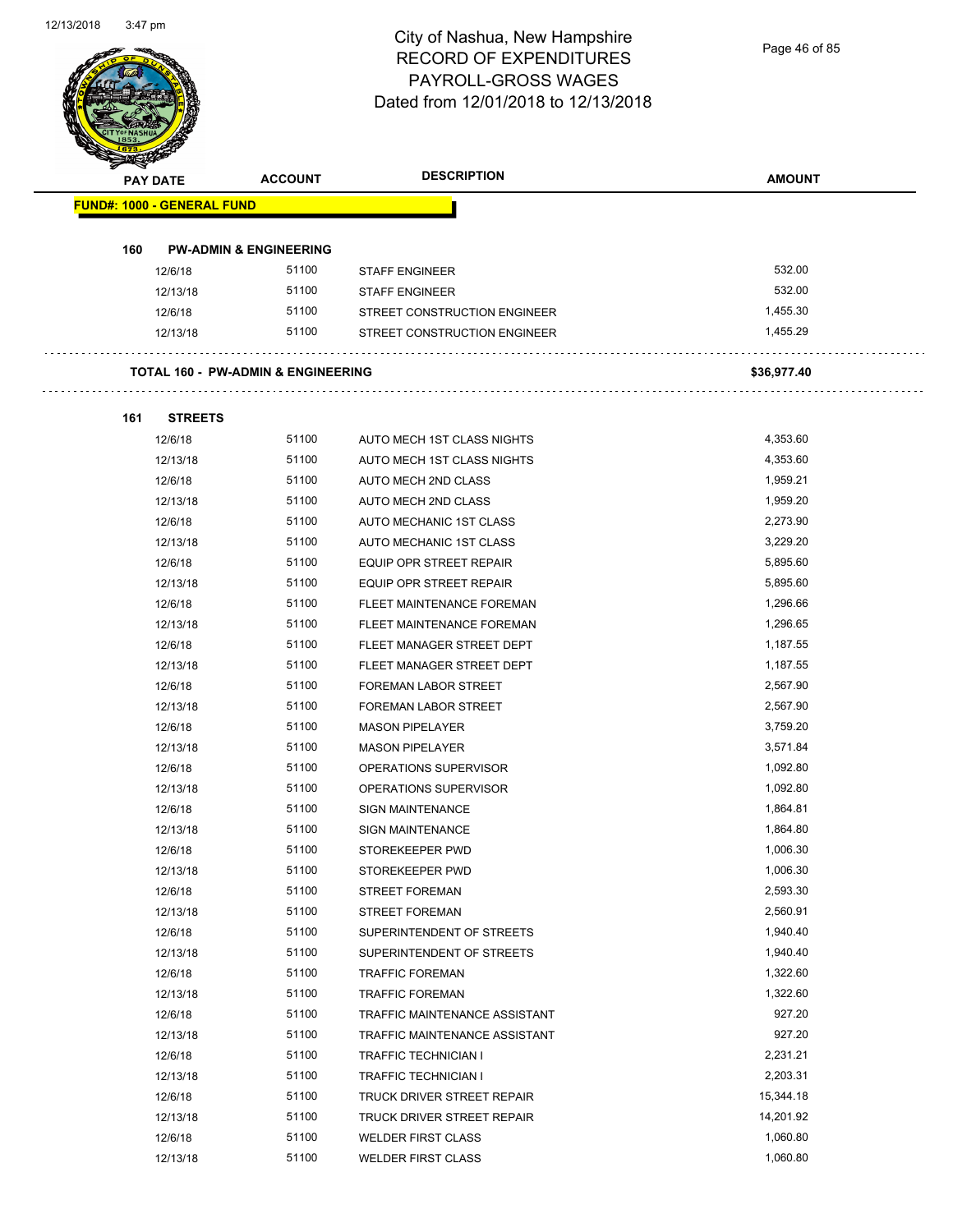Page 46 of 85

|                                   | <b>PAY DATE</b> | <b>ACCOUNT</b>                                | <b>DESCRIPTION</b>             | <b>AMOUNT</b> |
|-----------------------------------|-----------------|-----------------------------------------------|--------------------------------|---------------|
| <b>FUND#: 1000 - GENERAL FUND</b> |                 |                                               |                                |               |
| 160                               |                 | <b>PW-ADMIN &amp; ENGINEERING</b>             |                                |               |
|                                   | 12/6/18         | 51100                                         | <b>STAFF ENGINEER</b>          | 532.00        |
|                                   | 12/13/18        | 51100                                         | <b>STAFF ENGINEER</b>          | 532.00        |
|                                   | 12/6/18         | 51100                                         | STREET CONSTRUCTION ENGINEER   | 1,455.30      |
|                                   | 12/13/18        | 51100                                         | STREET CONSTRUCTION ENGINEER   | 1,455.29      |
|                                   |                 | <b>TOTAL 160 - PW-ADMIN &amp; ENGINEERING</b> |                                | \$36,977.40   |
| 161                               | <b>STREETS</b>  |                                               |                                |               |
|                                   | 12/6/18         | 51100                                         | AUTO MECH 1ST CLASS NIGHTS     | 4,353.60      |
|                                   | 12/13/18        | 51100                                         | AUTO MECH 1ST CLASS NIGHTS     | 4,353.60      |
|                                   | 12/6/18         | 51100                                         | AUTO MECH 2ND CLASS            | 1,959.21      |
|                                   | 12/13/18        | 51100                                         | AUTO MECH 2ND CLASS            | 1,959.20      |
|                                   | 12/6/18         | 51100                                         | AUTO MECHANIC 1ST CLASS        | 2,273.90      |
|                                   | 12/13/18        | 51100                                         | AUTO MECHANIC 1ST CLASS        | 3,229.20      |
|                                   | 12/6/18         | 51100                                         | <b>EQUIP OPR STREET REPAIR</b> | 5,895.60      |
|                                   | 12/13/18        | 51100                                         | EQUIP OPR STREET REPAIR        | 5,895.60      |
|                                   | 12/6/18         | 51100                                         | FLEET MAINTENANCE FOREMAN      | 1,296.66      |
|                                   | 12/13/18        | 51100                                         | FLEET MAINTENANCE FOREMAN      | 1,296.65      |
|                                   | 12/6/18         | 51100                                         | FLEET MANAGER STREET DEPT      | 1,187.55      |
|                                   | 12/13/18        | 51100                                         | FLEET MANAGER STREET DEPT      | 1,187.55      |
|                                   | 12/6/18         | 51100                                         | <b>FOREMAN LABOR STREET</b>    | 2,567.90      |
|                                   | 12/13/18        | 51100                                         | <b>FOREMAN LABOR STREET</b>    | 2,567.90      |
|                                   | 12/6/18         | 51100                                         | <b>MASON PIPELAYER</b>         | 3,759.20      |
|                                   | 12/13/18        | 51100                                         | <b>MASON PIPELAYER</b>         | 3,571.84      |
|                                   | 12/6/18         | 51100                                         | OPERATIONS SUPERVISOR          | 1,092.80      |
|                                   | 12/13/18        | 51100                                         | OPERATIONS SUPERVISOR          | 1,092.80      |
|                                   | 12/6/18         | 51100                                         | <b>SIGN MAINTENANCE</b>        | 1,864.81      |
|                                   | 12/13/18        | 51100                                         | <b>SIGN MAINTENANCE</b>        | 1,864.80      |
|                                   | 12/6/18         | 51100                                         | STOREKEEPER PWD                | 1,006.30      |
|                                   | 12/13/18        | 51100                                         | STOREKEEPER PWD                | 1,006.30      |
|                                   | 12/6/18         | 51100                                         | <b>STREET FOREMAN</b>          | 2,593.30      |
|                                   | 12/13/18        | 51100                                         | STREET FOREMAN                 | 2,560.91      |
|                                   | 12/6/18         | 51100                                         | SUPERINTENDENT OF STREETS      | 1,940.40      |
|                                   | 12/13/18        | 51100                                         | SUPERINTENDENT OF STREETS      | 1,940.40      |
|                                   | 12/6/18         | 51100                                         | <b>TRAFFIC FOREMAN</b>         | 1,322.60      |
|                                   | 12/13/18        | 51100                                         | <b>TRAFFIC FOREMAN</b>         | 1,322.60      |
|                                   | 12/6/18         | 51100                                         | TRAFFIC MAINTENANCE ASSISTANT  | 927.20        |
|                                   | 12/13/18        | 51100                                         | TRAFFIC MAINTENANCE ASSISTANT  | 927.20        |
|                                   | 12/6/18         | 51100                                         | <b>TRAFFIC TECHNICIAN I</b>    | 2,231.21      |
|                                   | 12/13/18        | 51100                                         | TRAFFIC TECHNICIAN I           | 2,203.31      |
|                                   | 12/6/18         | 51100                                         | TRUCK DRIVER STREET REPAIR     | 15,344.18     |
|                                   | 12/13/18        | 51100                                         | TRUCK DRIVER STREET REPAIR     | 14,201.92     |
|                                   | 12/6/18         | 51100                                         | <b>WELDER FIRST CLASS</b>      | 1,060.80      |
|                                   |                 |                                               |                                |               |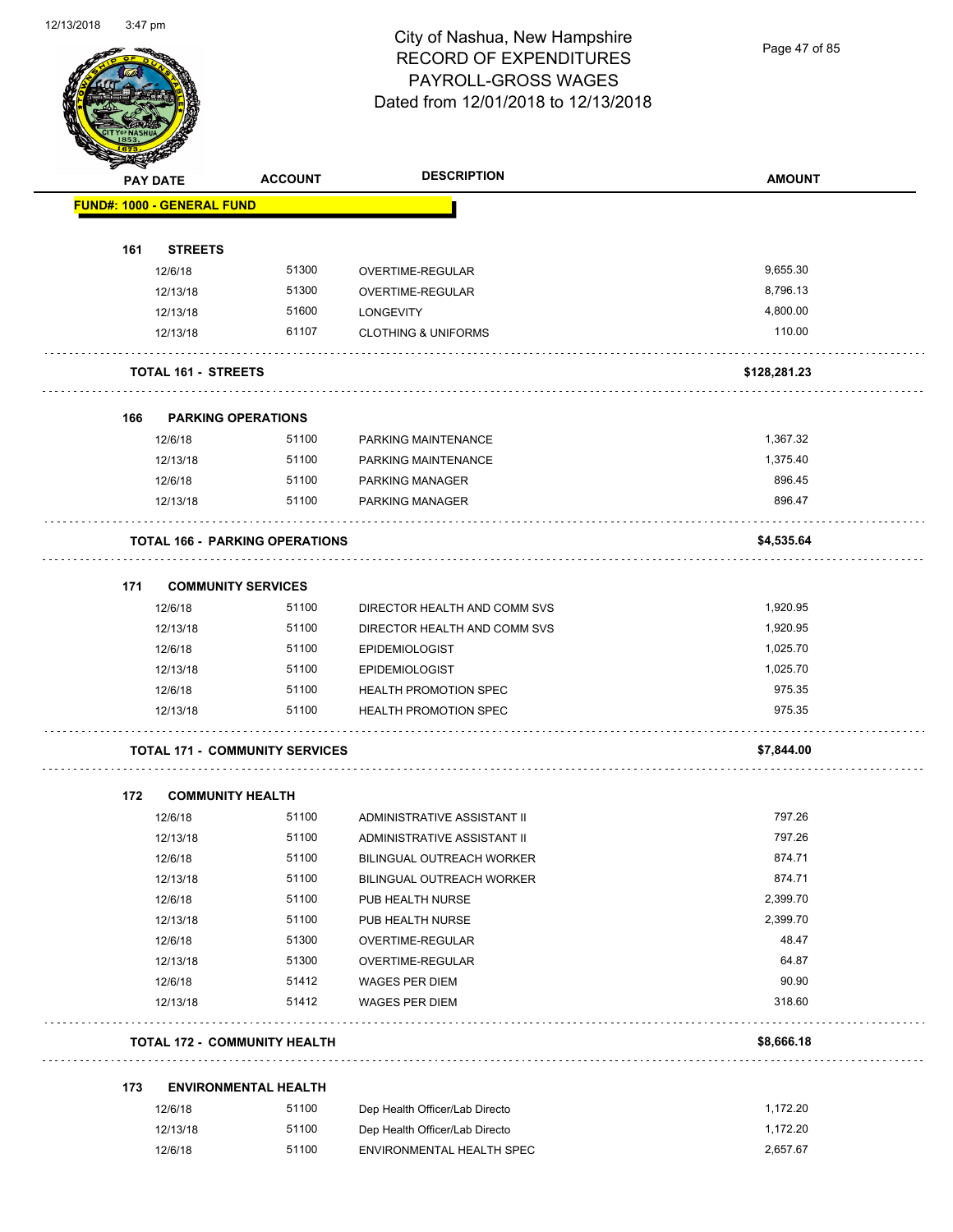Page 47 of 85

|     | <b>PAY DATE</b>                   | <b>ACCOUNT</b>                        | <b>DESCRIPTION</b>                        | <b>AMOUNT</b>    |
|-----|-----------------------------------|---------------------------------------|-------------------------------------------|------------------|
|     | <b>FUND#: 1000 - GENERAL FUND</b> |                                       |                                           |                  |
| 161 | <b>STREETS</b>                    |                                       |                                           |                  |
|     | 12/6/18                           | 51300                                 | OVERTIME-REGULAR                          | 9,655.30         |
|     | 12/13/18                          | 51300                                 | OVERTIME-REGULAR                          | 8,796.13         |
|     | 12/13/18                          | 51600                                 | <b>LONGEVITY</b>                          | 4,800.00         |
|     | 12/13/18                          | 61107                                 | <b>CLOTHING &amp; UNIFORMS</b>            | 110.00           |
|     | <b>TOTAL 161 - STREETS</b>        |                                       |                                           | \$128,281.23     |
|     |                                   |                                       |                                           |                  |
| 166 | <b>PARKING OPERATIONS</b>         |                                       |                                           |                  |
|     | 12/6/18                           | 51100                                 | PARKING MAINTENANCE                       | 1,367.32         |
|     | 12/13/18                          | 51100                                 | PARKING MAINTENANCE                       | 1,375.40         |
|     | 12/6/18<br>12/13/18               | 51100<br>51100                        | <b>PARKING MANAGER</b><br>PARKING MANAGER | 896.45<br>896.47 |
|     |                                   |                                       |                                           |                  |
|     |                                   | <b>TOTAL 166 - PARKING OPERATIONS</b> |                                           | \$4,535.64       |
| 171 | <b>COMMUNITY SERVICES</b>         |                                       |                                           |                  |
|     | 12/6/18                           | 51100                                 | DIRECTOR HEALTH AND COMM SVS              | 1,920.95         |
|     | 12/13/18                          | 51100                                 | DIRECTOR HEALTH AND COMM SVS              | 1,920.95         |
|     | 12/6/18                           | 51100                                 | <b>EPIDEMIOLOGIST</b>                     | 1,025.70         |
|     | 12/13/18                          | 51100                                 | <b>EPIDEMIOLOGIST</b>                     | 1,025.70         |
|     | 12/6/18                           | 51100                                 | <b>HEALTH PROMOTION SPEC</b>              | 975.35           |
|     | 12/13/18                          | 51100                                 | <b>HEALTH PROMOTION SPEC</b>              | 975.35           |
|     |                                   | <b>TOTAL 171 - COMMUNITY SERVICES</b> |                                           | \$7,844.00       |
| 172 | <b>COMMUNITY HEALTH</b>           |                                       |                                           |                  |
|     | 12/6/18                           | 51100                                 | ADMINISTRATIVE ASSISTANT II               | 797.26           |
|     | 12/13/18                          | 51100                                 | ADMINISTRATIVE ASSISTANT II               | 797.26           |
|     | 12/6/18                           | 51100                                 | BILINGUAL OUTREACH WORKER                 | 874.71           |
|     | 12/13/18                          | 51100                                 | BILINGUAL OUTREACH WORKER                 | 874.71           |
|     | 12/6/18                           | 51100                                 | PUB HEALTH NURSE                          | 2,399.70         |
|     | 12/13/18                          | 51100                                 | PUB HEALTH NURSE                          | 2,399.70         |
|     | 12/6/18                           | 51300                                 | OVERTIME-REGULAR                          | 48.47            |
|     | 12/13/18                          | 51300                                 | OVERTIME-REGULAR                          | 64.87            |
|     | 12/6/18                           | 51412                                 | <b>WAGES PER DIEM</b>                     | 90.90            |
|     | 12/13/18                          | 51412                                 | <b>WAGES PER DIEM</b>                     | 318.60           |
|     |                                   | <b>TOTAL 172 - COMMUNITY HEALTH</b>   |                                           | \$8,666.18       |
|     |                                   |                                       |                                           |                  |
| 173 |                                   | <b>ENVIRONMENTAL HEALTH</b>           |                                           |                  |
|     | 12/6/18                           | 51100                                 | Dep Health Officer/Lab Directo            | 1,172.20         |
|     | 12/13/18                          | 51100                                 | Dep Health Officer/Lab Directo            | 1,172.20         |
|     | 12/6/18                           | 51100                                 | ENVIRONMENTAL HEALTH SPEC                 | 2,657.67         |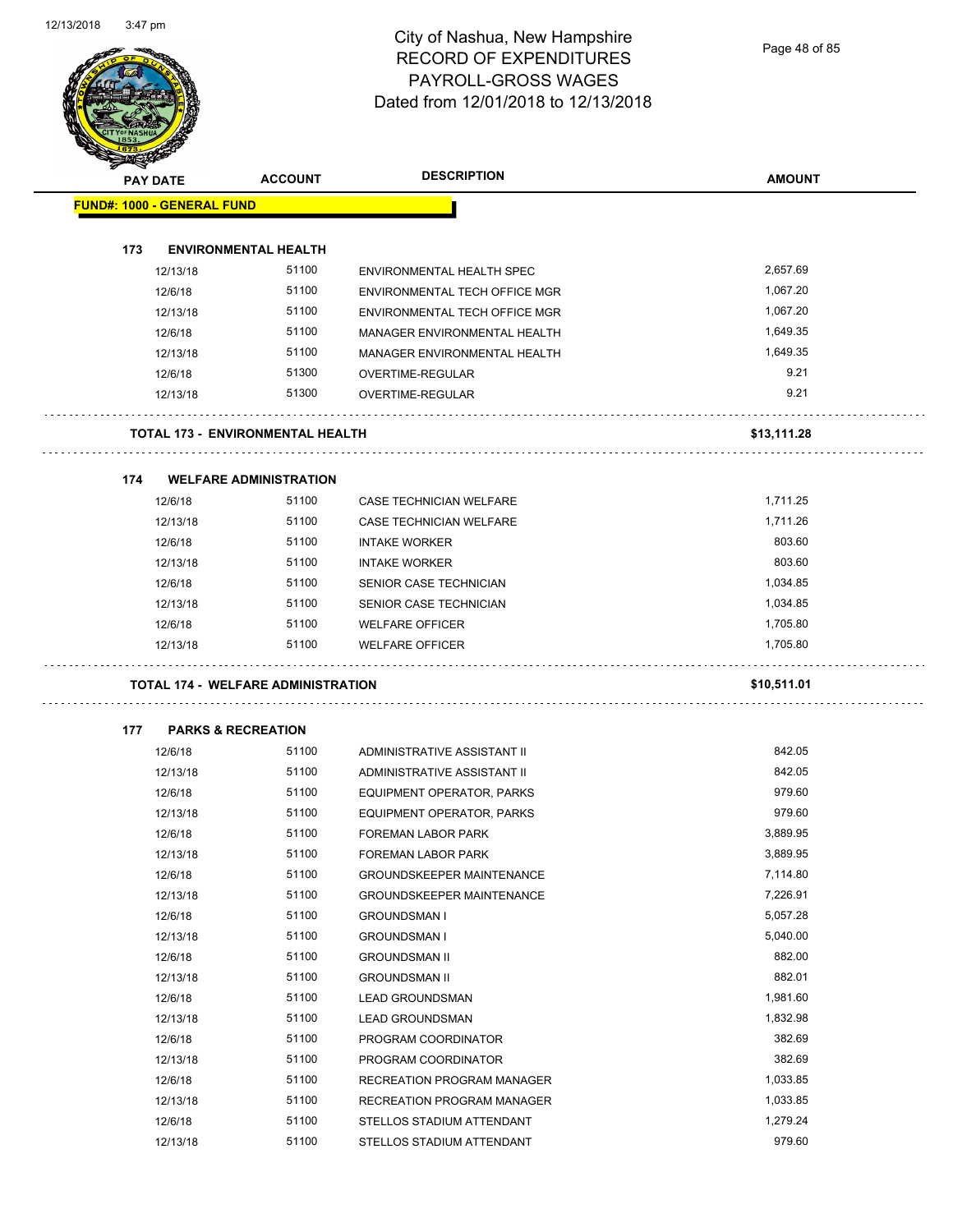Page 48 of 85

| <b>PAY DATE</b>                   | <b>ACCOUNT</b>                            | <b>DESCRIPTION</b>                   | <b>AMOUNT</b>        |
|-----------------------------------|-------------------------------------------|--------------------------------------|----------------------|
| <b>FUND#: 1000 - GENERAL FUND</b> |                                           |                                      |                      |
|                                   |                                           |                                      |                      |
| 173<br>12/13/18                   | <b>ENVIRONMENTAL HEALTH</b><br>51100      | ENVIRONMENTAL HEALTH SPEC            | 2,657.69             |
|                                   | 51100                                     |                                      |                      |
| 12/6/18                           | 51100                                     | ENVIRONMENTAL TECH OFFICE MGR        | 1,067.20<br>1,067.20 |
| 12/13/18<br>12/6/18               | 51100                                     | ENVIRONMENTAL TECH OFFICE MGR        | 1,649.35             |
|                                   | 51100                                     | MANAGER ENVIRONMENTAL HEALTH         | 1,649.35             |
| 12/13/18                          | 51300                                     | MANAGER ENVIRONMENTAL HEALTH         | 9.21                 |
| 12/6/18                           | 51300                                     | OVERTIME-REGULAR<br>OVERTIME-REGULAR | 9.21                 |
| 12/13/18                          |                                           |                                      |                      |
|                                   | <b>TOTAL 173 - ENVIRONMENTAL HEALTH</b>   |                                      | \$13,111.28          |
| 174                               | <b>WELFARE ADMINISTRATION</b>             |                                      |                      |
| 12/6/18                           | 51100                                     | CASE TECHNICIAN WELFARE              | 1,711.25             |
| 12/13/18                          | 51100                                     | <b>CASE TECHNICIAN WELFARE</b>       | 1,711.26             |
| 12/6/18                           | 51100                                     | <b>INTAKE WORKER</b>                 | 803.60               |
| 12/13/18                          | 51100                                     | <b>INTAKE WORKER</b>                 | 803.60               |
| 12/6/18                           | 51100                                     | SENIOR CASE TECHNICIAN               | 1,034.85             |
| 12/13/18                          | 51100                                     | SENIOR CASE TECHNICIAN               | 1,034.85             |
| 12/6/18                           | 51100                                     | <b>WELFARE OFFICER</b>               | 1,705.80             |
| 12/13/18                          | 51100                                     | <b>WELFARE OFFICER</b>               | 1,705.80             |
|                                   | <b>TOTAL 174 - WELFARE ADMINISTRATION</b> |                                      | \$10,511.01          |
| 177                               | <b>PARKS &amp; RECREATION</b>             |                                      |                      |
| 12/6/18                           | 51100                                     | ADMINISTRATIVE ASSISTANT II          | 842.05               |
| 12/13/18                          | 51100                                     | ADMINISTRATIVE ASSISTANT II          | 842.05               |
| 12/6/18                           | 51100                                     | EQUIPMENT OPERATOR, PARKS            | 979.60               |
| 12/13/18                          | 51100                                     | EQUIPMENT OPERATOR, PARKS            | 979.60               |
| 12/6/18                           | 51100                                     | <b>FOREMAN LABOR PARK</b>            | 3,889.95             |
| 12/13/18                          | 51100                                     | FOREMAN LABOR PARK                   | 3,889.95             |
| 12/6/18                           | 51100                                     | <b>GROUNDSKEEPER MAINTENANCE</b>     | 7,114.80             |
| 12/13/18                          | 51100                                     | <b>GROUNDSKEEPER MAINTENANCE</b>     | 7,226.91             |
| 12/6/18                           | 51100                                     | <b>GROUNDSMAN I</b>                  | 5,057.28             |
| 12/13/18                          | 51100                                     | <b>GROUNDSMAN I</b>                  | 5,040.00             |
| 12/6/18                           | 51100                                     | <b>GROUNDSMAN II</b>                 | 882.00               |
| 12/13/18                          | 51100                                     | <b>GROUNDSMAN II</b>                 | 882.01               |
| 12/6/18                           | 51100                                     | <b>LEAD GROUNDSMAN</b>               | 1,981.60             |
| 12/13/18                          | 51100                                     | <b>LEAD GROUNDSMAN</b>               | 1,832.98             |
| 12/6/18                           | 51100                                     | PROGRAM COORDINATOR                  | 382.69               |
| 12/13/18                          | 51100                                     | PROGRAM COORDINATOR                  | 382.69               |
| 12/6/18                           | 51100                                     | RECREATION PROGRAM MANAGER           | 1,033.85             |
| 12/13/18                          | 51100                                     | RECREATION PROGRAM MANAGER           | 1,033.85             |
|                                   | 51100                                     |                                      |                      |
| 12/6/18                           | 51100                                     | STELLOS STADIUM ATTENDANT            | 1,279.24<br>979.60   |
| 12/13/18                          |                                           | STELLOS STADIUM ATTENDANT            |                      |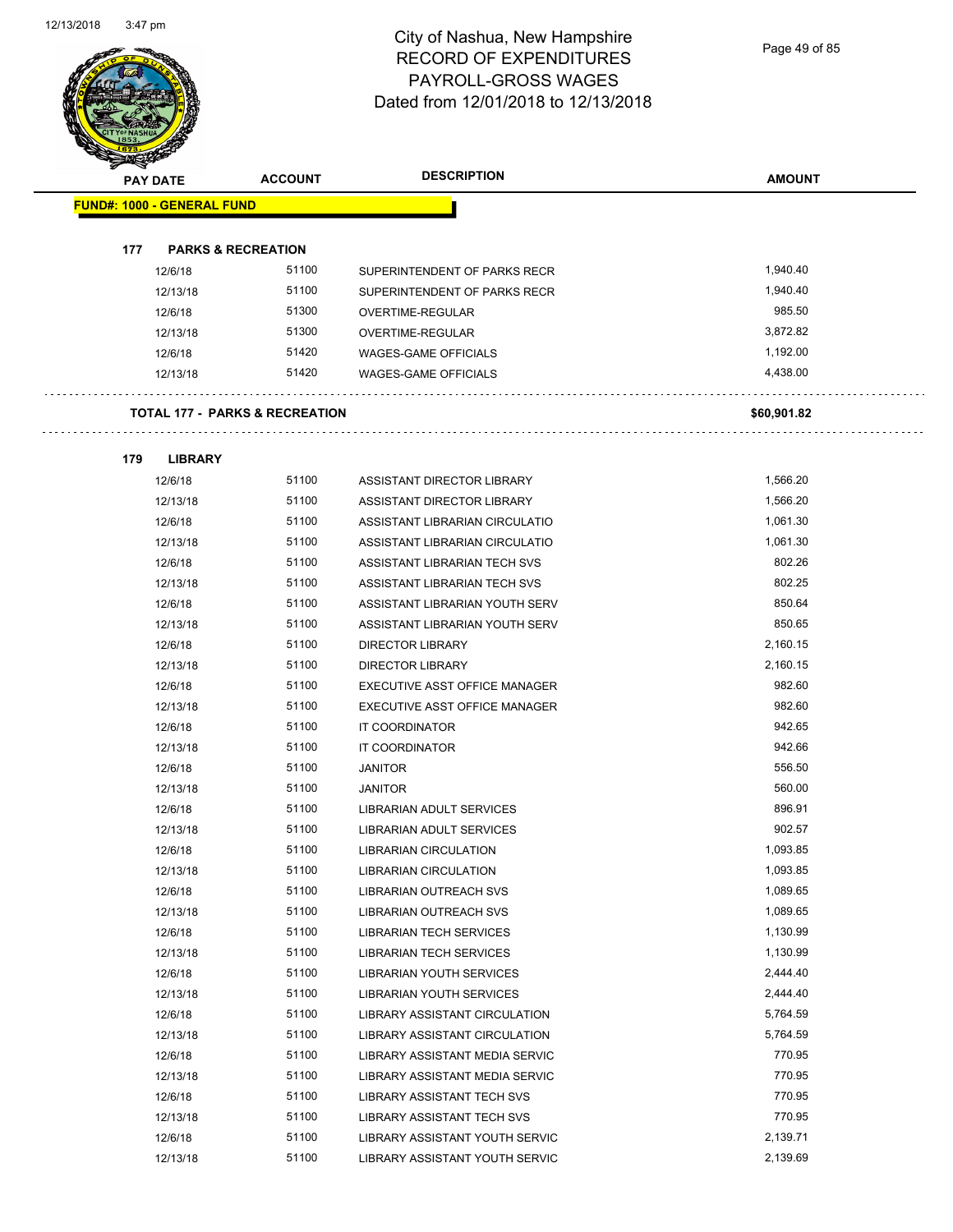Page 49 of 85

| <b>PAY DATE</b>                   | <b>ACCOUNT</b>                            | <b>DESCRIPTION</b>             | <b>AMOUNT</b>        |
|-----------------------------------|-------------------------------------------|--------------------------------|----------------------|
| <b>FUND#: 1000 - GENERAL FUND</b> |                                           |                                |                      |
|                                   |                                           |                                |                      |
| 177                               | <b>PARKS &amp; RECREATION</b>             |                                |                      |
| 12/6/18                           | 51100                                     | SUPERINTENDENT OF PARKS RECR   | 1,940.40             |
| 12/13/18                          | 51100                                     | SUPERINTENDENT OF PARKS RECR   | 1,940.40             |
| 12/6/18                           | 51300                                     | OVERTIME-REGULAR               | 985.50               |
| 12/13/18                          | 51300                                     | OVERTIME-REGULAR               | 3,872.82             |
| 12/6/18                           | 51420<br>51420                            | <b>WAGES-GAME OFFICIALS</b>    | 1,192.00<br>4,438.00 |
| 12/13/18                          |                                           | <b>WAGES-GAME OFFICIALS</b>    |                      |
|                                   | <b>TOTAL 177 - PARKS &amp; RECREATION</b> |                                | \$60,901.82          |
| 179                               | <b>LIBRARY</b>                            |                                |                      |
| 12/6/18                           | 51100                                     | ASSISTANT DIRECTOR LIBRARY     | 1,566.20             |
| 12/13/18                          | 51100                                     | ASSISTANT DIRECTOR LIBRARY     | 1,566.20             |
| 12/6/18                           | 51100                                     | ASSISTANT LIBRARIAN CIRCULATIO | 1.061.30             |
| 12/13/18                          | 51100                                     | ASSISTANT LIBRARIAN CIRCULATIO | 1,061.30             |
| 12/6/18                           | 51100                                     | ASSISTANT LIBRARIAN TECH SVS   | 802.26               |
| 12/13/18                          | 51100                                     | ASSISTANT LIBRARIAN TECH SVS   | 802.25               |
| 12/6/18                           | 51100                                     | ASSISTANT LIBRARIAN YOUTH SERV | 850.64               |
| 12/13/18                          | 51100                                     | ASSISTANT LIBRARIAN YOUTH SERV | 850.65               |
| 12/6/18                           | 51100                                     | <b>DIRECTOR LIBRARY</b>        | 2,160.15             |
| 12/13/18                          | 51100                                     | <b>DIRECTOR LIBRARY</b>        | 2,160.15             |
| 12/6/18                           | 51100                                     | EXECUTIVE ASST OFFICE MANAGER  | 982.60               |
| 12/13/18                          | 51100                                     | EXECUTIVE ASST OFFICE MANAGER  | 982.60               |
| 12/6/18                           | 51100                                     | IT COORDINATOR                 | 942.65               |
| 12/13/18                          | 51100                                     | IT COORDINATOR                 | 942.66               |
| 12/6/18                           | 51100                                     | <b>JANITOR</b>                 | 556.50               |
| 12/13/18                          | 51100                                     | <b>JANITOR</b>                 | 560.00               |
| 12/6/18                           | 51100                                     | LIBRARIAN ADULT SERVICES       | 896.91               |
| 12/13/18                          | 51100                                     | LIBRARIAN ADULT SERVICES       | 902.57               |
| 12/6/18                           | 51100                                     | <b>LIBRARIAN CIRCULATION</b>   | 1,093.85             |
| 12/13/18                          | 51100                                     | <b>LIBRARIAN CIRCULATION</b>   | 1,093.85             |
| 12/6/18                           | 51100                                     | <b>LIBRARIAN OUTREACH SVS</b>  | 1,089.65             |
| 12/13/18                          | 51100                                     | LIBRARIAN OUTREACH SVS         | 1,089.65             |
| 12/6/18                           | 51100                                     | <b>LIBRARIAN TECH SERVICES</b> | 1,130.99             |
| 12/13/18                          | 51100                                     | <b>LIBRARIAN TECH SERVICES</b> | 1,130.99             |
| 12/6/18                           | 51100                                     | LIBRARIAN YOUTH SERVICES       | 2,444.40             |
| 12/13/18                          | 51100                                     | LIBRARIAN YOUTH SERVICES       | 2,444.40             |
| 12/6/18                           | 51100                                     | LIBRARY ASSISTANT CIRCULATION  | 5,764.59             |
| 12/13/18                          | 51100                                     | LIBRARY ASSISTANT CIRCULATION  | 5,764.59             |
| 12/6/18                           | 51100                                     | LIBRARY ASSISTANT MEDIA SERVIC | 770.95               |
| 12/13/18                          | 51100                                     | LIBRARY ASSISTANT MEDIA SERVIC | 770.95               |
| 12/6/18                           | 51100                                     | LIBRARY ASSISTANT TECH SVS     | 770.95               |
| 12/13/18                          | 51100                                     | LIBRARY ASSISTANT TECH SVS     | 770.95               |
| 12/6/18                           | 51100                                     | LIBRARY ASSISTANT YOUTH SERVIC | 2,139.71             |

12/13/18 51100 LIBRARY ASSISTANT YOUTH SERVIC 2,139.69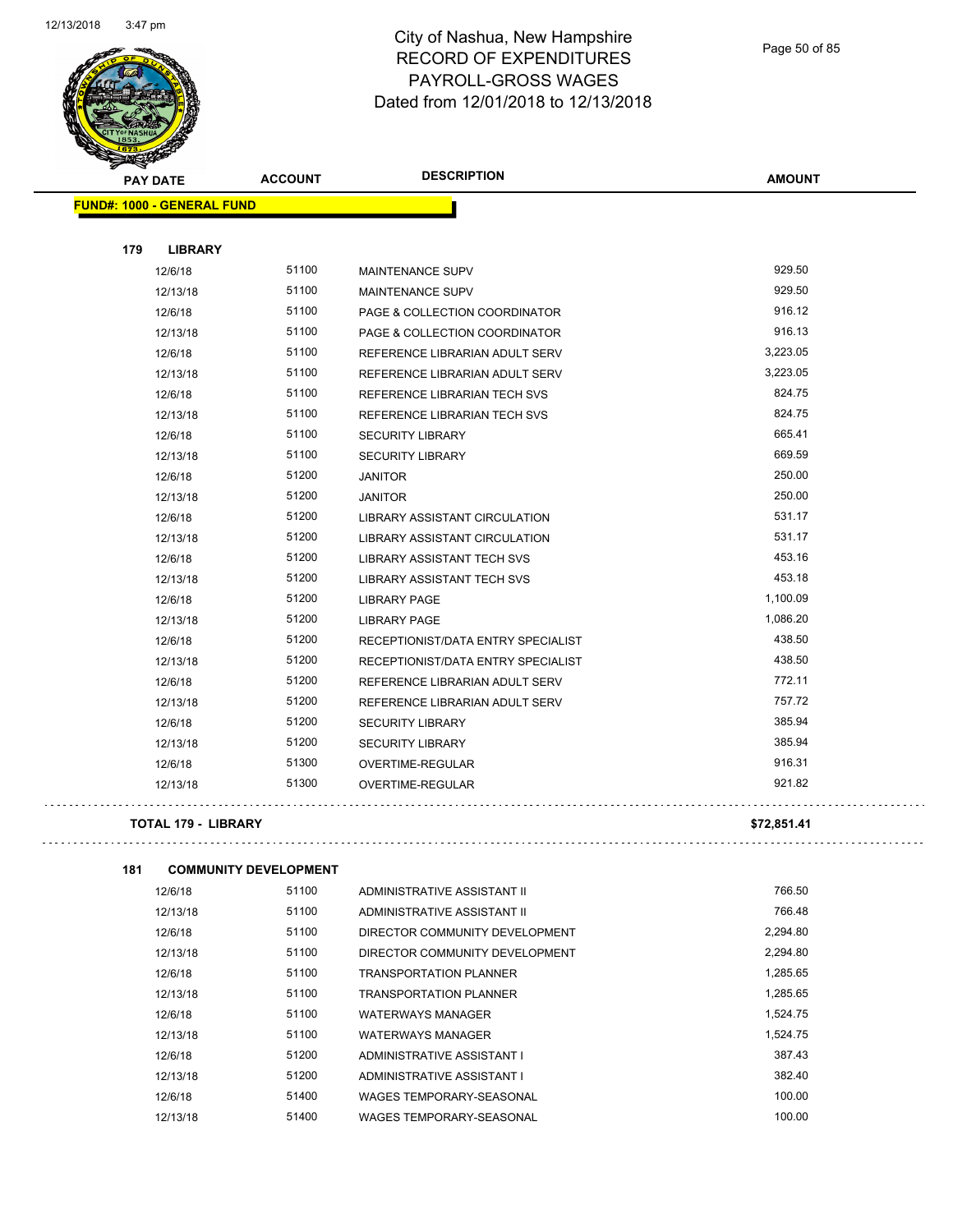

Page 50 of 85

| <b>PAY DATE</b>                   | <b>ACCOUNT</b> | <b>DESCRIPTION</b>                       | <b>AMOUNT</b> |
|-----------------------------------|----------------|------------------------------------------|---------------|
| <b>FUND#: 1000 - GENERAL FUND</b> |                |                                          |               |
|                                   |                |                                          |               |
| 179<br><b>LIBRARY</b>             |                |                                          |               |
| 12/6/18                           | 51100          | <b>MAINTENANCE SUPV</b>                  | 929.50        |
| 12/13/18                          | 51100          | <b>MAINTENANCE SUPV</b>                  | 929.50        |
| 12/6/18                           | 51100          | <b>PAGE &amp; COLLECTION COORDINATOR</b> | 916.12        |
| 12/13/18                          | 51100          | <b>PAGE &amp; COLLECTION COORDINATOR</b> | 916.13        |
| 12/6/18                           | 51100          | REFERENCE LIBRARIAN ADULT SERV           | 3,223.05      |
| 12/13/18                          | 51100          | REFERENCE LIBRARIAN ADULT SERV           | 3,223.05      |
| 12/6/18                           | 51100          | REFERENCE LIBRARIAN TECH SVS             | 824.75        |
| 12/13/18                          | 51100          | REFERENCE LIBRARIAN TECH SVS             | 824.75        |
| 12/6/18                           | 51100          | <b>SECURITY LIBRARY</b>                  | 665.41        |
| 12/13/18                          | 51100          | <b>SECURITY LIBRARY</b>                  | 669.59        |
| 12/6/18                           | 51200          | <b>JANITOR</b>                           | 250.00        |
| 12/13/18                          | 51200          | <b>JANITOR</b>                           | 250.00        |
| 12/6/18                           | 51200          | LIBRARY ASSISTANT CIRCULATION            | 531.17        |
| 12/13/18                          | 51200          | <b>LIBRARY ASSISTANT CIRCULATION</b>     | 531.17        |
| 12/6/18                           | 51200          | <b>LIBRARY ASSISTANT TECH SVS</b>        | 453.16        |
| 12/13/18                          | 51200          | <b>LIBRARY ASSISTANT TECH SVS</b>        | 453.18        |
| 12/6/18                           | 51200          | <b>LIBRARY PAGE</b>                      | 1,100.09      |
| 12/13/18                          | 51200          | <b>LIBRARY PAGE</b>                      | 1,086.20      |
| 12/6/18                           | 51200          | RECEPTIONIST/DATA ENTRY SPECIALIST       | 438.50        |
| 12/13/18                          | 51200          | RECEPTIONIST/DATA ENTRY SPECIALIST       | 438.50        |
| 12/6/18                           | 51200          | REFERENCE LIBRARIAN ADULT SERV           | 772.11        |
| 12/13/18                          | 51200          | REFERENCE LIBRARIAN ADULT SERV           | 757.72        |
| 12/6/18                           | 51200          | <b>SECURITY LIBRARY</b>                  | 385.94        |
| 12/13/18                          | 51200          | <b>SECURITY LIBRARY</b>                  | 385.94        |
| 12/6/18                           | 51300          | OVERTIME-REGULAR                         | 916.31        |
| 12/13/18                          | 51300          | <b>OVERTIME-REGULAR</b>                  | 921.82        |
| <b>TOTAL 179 - LIBRARY</b>        |                |                                          | \$72,851.41   |
|                                   |                |                                          |               |

| 181 |         | <b>COMMUNITY DEVELOPMENT</b> |                 |
|-----|---------|------------------------------|-----------------|
|     | 12/6/18 | 51100                        | <b>ADMINIST</b> |

| 12/6/18  | 51100 | ADMINISTRATIVE ASSISTANT II    | 766.50   |
|----------|-------|--------------------------------|----------|
| 12/13/18 | 51100 | ADMINISTRATIVE ASSISTANT II    | 766.48   |
| 12/6/18  | 51100 | DIRECTOR COMMUNITY DEVELOPMENT | 2.294.80 |
| 12/13/18 | 51100 | DIRECTOR COMMUNITY DEVELOPMENT | 2,294.80 |
| 12/6/18  | 51100 | <b>TRANSPORTATION PLANNER</b>  | 1,285.65 |
| 12/13/18 | 51100 | TRANSPORTATION PLANNER         | 1,285.65 |
| 12/6/18  | 51100 | <b>WATERWAYS MANAGER</b>       | 1.524.75 |
| 12/13/18 | 51100 | <b>WATERWAYS MANAGER</b>       | 1.524.75 |
| 12/6/18  | 51200 | ADMINISTRATIVE ASSISTANT I     | 387.43   |
| 12/13/18 | 51200 | ADMINISTRATIVE ASSISTANT I     | 382.40   |
| 12/6/18  | 51400 | WAGES TEMPORARY-SEASONAL       | 100.00   |
| 12/13/18 | 51400 | WAGES TEMPORARY-SEASONAL       | 100.00   |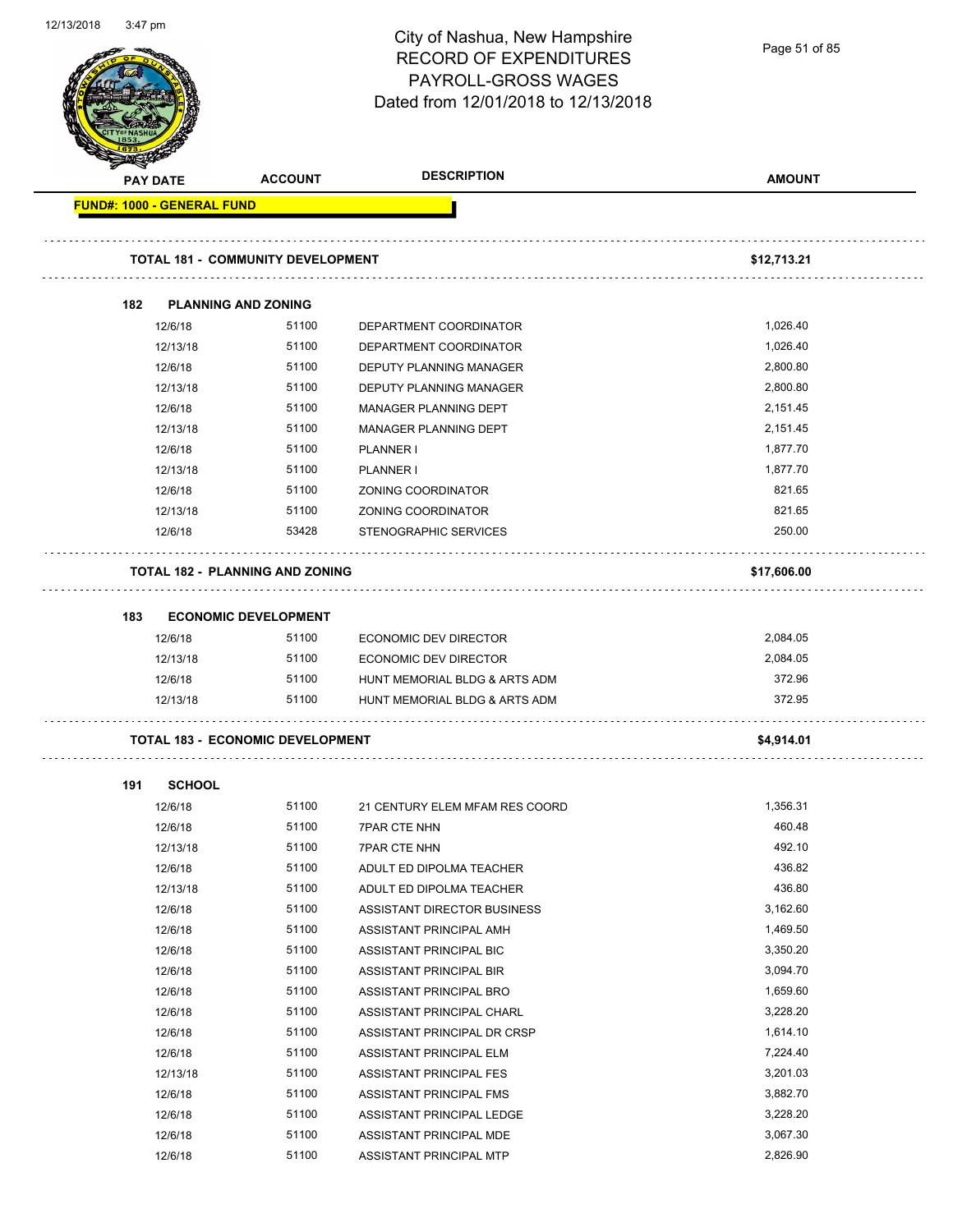| 12/13/2010 | 3.47 pm                    |                                          | City of Nashua, New Hampshire<br><b>RECORD OF EXPENDITURES</b><br>PAYROLL-GROSS WAGES<br>Dated from 12/01/2018 to 12/13/2018 | Page 51 of 85 |
|------------|----------------------------|------------------------------------------|------------------------------------------------------------------------------------------------------------------------------|---------------|
|            | <b>PAY DATE</b>            | <b>ACCOUNT</b>                           | <b>DESCRIPTION</b>                                                                                                           | <b>AMOUNT</b> |
|            | FUND#: 1000 - GENERAL FUND |                                          |                                                                                                                              |               |
|            |                            | <b>TOTAL 181 - COMMUNITY DEVELOPMENT</b> |                                                                                                                              | \$12,713.21   |
|            | 182                        | <b>PLANNING AND ZONING</b>               |                                                                                                                              |               |
|            | 12/6/18                    | 51100                                    | DEPARTMENT COORDINATOR                                                                                                       | 1,026.40      |
|            | 12/13/18                   | 51100                                    | DEPARTMENT COORDINATOR                                                                                                       | 1,026.40      |
|            | 12/6/18                    | 51100                                    | <b>DEPUTY PLANNING MANAGER</b>                                                                                               | 2,800.80      |
|            | 12/13/18                   | 51100                                    | DEPUTY PLANNING MANAGER                                                                                                      | 2,800.80      |
|            | 12/6/18                    | 51100                                    | MANAGER PLANNING DEPT                                                                                                        | 2,151.45      |
|            | 12/13/18                   | 51100                                    | MANAGER PLANNING DEPT                                                                                                        | 2,151.45      |
|            | 12/6/18                    | 51100                                    | PLANNER I                                                                                                                    | 1,877.70      |
|            | 12/13/18                   | 51100                                    | PLANNER I                                                                                                                    | 1,877.70      |
|            | 12/6/18                    | 51100                                    | ZONING COORDINATOR                                                                                                           | 821.65        |
|            | 12/13/18                   | 51100                                    | ZONING COORDINATOR                                                                                                           | 821.65        |
|            | 12/6/18                    | 53428                                    | STENOGRAPHIC SERVICES                                                                                                        | 250.00        |
|            |                            | <b>TOTAL 182 - PLANNING AND ZONING</b>   |                                                                                                                              |               |
|            |                            |                                          |                                                                                                                              | \$17,606.00   |
|            | 183                        | <b>ECONOMIC DEVELOPMENT</b>              |                                                                                                                              |               |
|            | 12/6/18                    | 51100                                    | <b>ECONOMIC DEV DIRECTOR</b>                                                                                                 | 2,084.05      |
|            | 12/13/18                   | 51100                                    | ECONOMIC DEV DIRECTOR                                                                                                        | 2,084.05      |
|            | 12/6/18                    | 51100                                    | HUNT MEMORIAL BLDG & ARTS ADM                                                                                                | 372.96        |
|            | 12/13/18                   | 51100                                    | HUNT MEMORIAL BLDG & ARTS ADM                                                                                                | 372.95        |
|            |                            | <b>TOTAL 183 - ECONOMIC DEVELOPMENT</b>  |                                                                                                                              | \$4,914.01    |
|            | 191<br><b>SCHOOL</b>       |                                          |                                                                                                                              |               |
|            | 12/6/18                    | 51100                                    | 21 CENTURY ELEM MFAM RES COORD                                                                                               | 1,356.31      |
|            | 12/6/18                    | 51100                                    | <b>7PAR CTE NHN</b>                                                                                                          | 460.48        |
|            | 12/13/18                   | 51100                                    | <b>7PAR CTE NHN</b>                                                                                                          | 492.10        |
|            | 12/6/18                    | 51100                                    | ADULT ED DIPOLMA TEACHER                                                                                                     | 436.82        |
|            | 12/13/18                   | 51100                                    | ADULT ED DIPOLMA TEACHER                                                                                                     | 436.80        |
|            | 12/6/18                    | 51100                                    | ASSISTANT DIRECTOR BUSINESS                                                                                                  | 3,162.60      |
|            | 12/6/18                    | 51100                                    | ASSISTANT PRINCIPAL AMH                                                                                                      | 1,469.50      |
|            | 12/6/18                    | 51100                                    | ASSISTANT PRINCIPAL BIC                                                                                                      | 3,350.20      |
|            | 12/6/18                    | 51100                                    | ASSISTANT PRINCIPAL BIR                                                                                                      | 3,094.70      |
|            | 12/6/18                    | 51100                                    | ASSISTANT PRINCIPAL BRO                                                                                                      | 1,659.60      |
|            | 12/6/18                    | 51100                                    | ASSISTANT PRINCIPAL CHARL                                                                                                    | 3,228.20      |
|            | 12/6/18                    | 51100                                    | ASSISTANT PRINCIPAL DR CRSP                                                                                                  | 1,614.10      |
|            | 12/6/18                    | 51100                                    | ASSISTANT PRINCIPAL ELM                                                                                                      | 7,224.40      |
|            | 12/13/18                   | 51100                                    | ASSISTANT PRINCIPAL FES                                                                                                      | 3,201.03      |
|            | 12/6/18                    | 51100                                    | ASSISTANT PRINCIPAL FMS                                                                                                      | 3,882.70      |
|            | 12/6/18                    | 51100                                    | ASSISTANT PRINCIPAL LEDGE                                                                                                    | 3,228.20      |
|            | 12/6/18                    | 51100                                    | ASSISTANT PRINCIPAL MDE                                                                                                      | 3,067.30      |

12/6/18 51100 ASSISTANT PRINCIPAL MTP 2,826.90

12/13/2018 3:47 pm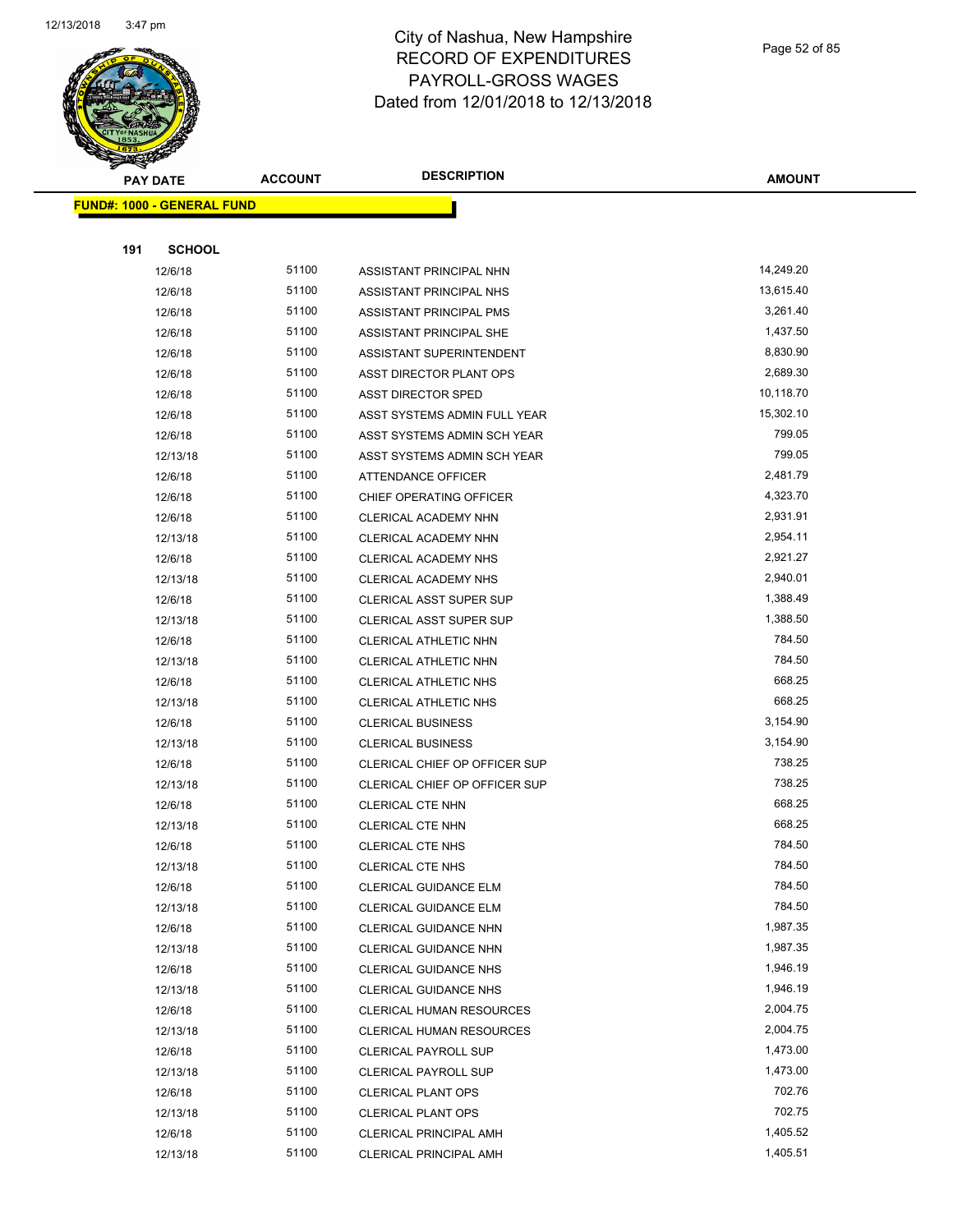

Page 52 of 85

| <b>PAY DATE</b>                   | <b>ACCOUNT</b> | <b>DESCRIPTION</b>             | <b>AMOUNT</b> |
|-----------------------------------|----------------|--------------------------------|---------------|
| <b>FUND#: 1000 - GENERAL FUND</b> |                |                                |               |
|                                   |                |                                |               |
| 191<br><b>SCHOOL</b>              |                |                                |               |
| 12/6/18                           | 51100          | ASSISTANT PRINCIPAL NHN        | 14,249.20     |
| 12/6/18                           | 51100          | ASSISTANT PRINCIPAL NHS        | 13,615.40     |
| 12/6/18                           | 51100          | ASSISTANT PRINCIPAL PMS        | 3,261.40      |
| 12/6/18                           | 51100          | ASSISTANT PRINCIPAL SHE        | 1,437.50      |
| 12/6/18                           | 51100          | ASSISTANT SUPERINTENDENT       | 8,830.90      |
| 12/6/18                           | 51100          | ASST DIRECTOR PLANT OPS        | 2,689.30      |
| 12/6/18                           | 51100          | <b>ASST DIRECTOR SPED</b>      | 10,118.70     |
| 12/6/18                           | 51100          | ASST SYSTEMS ADMIN FULL YEAR   | 15,302.10     |
| 12/6/18                           | 51100          | ASST SYSTEMS ADMIN SCH YEAR    | 799.05        |
| 12/13/18                          | 51100          | ASST SYSTEMS ADMIN SCH YEAR    | 799.05        |
| 12/6/18                           | 51100          | ATTENDANCE OFFICER             | 2,481.79      |
| 12/6/18                           | 51100          | CHIEF OPERATING OFFICER        | 4,323.70      |
| 12/6/18                           | 51100          | CLERICAL ACADEMY NHN           | 2,931.91      |
| 12/13/18                          | 51100          | CLERICAL ACADEMY NHN           | 2,954.11      |
| 12/6/18                           | 51100          | CLERICAL ACADEMY NHS           | 2,921.27      |
| 12/13/18                          | 51100          | CLERICAL ACADEMY NHS           | 2,940.01      |
| 12/6/18                           | 51100          | <b>CLERICAL ASST SUPER SUP</b> | 1,388.49      |
| 12/13/18                          | 51100          | <b>CLERICAL ASST SUPER SUP</b> | 1,388.50      |
| 12/6/18                           | 51100          | CLERICAL ATHLETIC NHN          | 784.50        |
| 12/13/18                          | 51100          | CLERICAL ATHLETIC NHN          | 784.50        |
| 12/6/18                           | 51100          | CLERICAL ATHLETIC NHS          | 668.25        |
| 12/13/18                          | 51100          | CLERICAL ATHLETIC NHS          | 668.25        |
| 12/6/18                           | 51100          | <b>CLERICAL BUSINESS</b>       | 3,154.90      |
| 12/13/18                          | 51100          | <b>CLERICAL BUSINESS</b>       | 3,154.90      |
| 12/6/18                           | 51100          | CLERICAL CHIEF OP OFFICER SUP  | 738.25        |
| 12/13/18                          | 51100          | CLERICAL CHIEF OP OFFICER SUP  | 738.25        |
| 12/6/18                           | 51100          | CLERICAL CTE NHN               | 668.25        |
| 12/13/18                          | 51100          | CLERICAL CTE NHN               | 668.25        |
| 12/6/18                           | 51100          | <b>CLERICAL CTE NHS</b>        | 784.50        |
| 12/13/18                          | 51100          | <b>CLERICAL CTE NHS</b>        | 784.50        |
| 12/6/18                           | 51100          | CLERICAL GUIDANCE ELM          | 784.50        |
| 12/13/18                          | 51100          | CLERICAL GUIDANCE ELM          | 784.50        |
| 12/6/18                           | 51100          | CLERICAL GUIDANCE NHN          | 1,987.35      |
| 12/13/18                          | 51100          | CLERICAL GUIDANCE NHN          | 1,987.35      |
| 12/6/18                           | 51100          | <b>CLERICAL GUIDANCE NHS</b>   | 1,946.19      |
| 12/13/18                          | 51100          | <b>CLERICAL GUIDANCE NHS</b>   | 1,946.19      |
| 12/6/18                           | 51100          | CLERICAL HUMAN RESOURCES       | 2,004.75      |
| 12/13/18                          | 51100          | CLERICAL HUMAN RESOURCES       | 2,004.75      |
| 12/6/18                           | 51100          | CLERICAL PAYROLL SUP           | 1,473.00      |
| 12/13/18                          | 51100          | <b>CLERICAL PAYROLL SUP</b>    | 1,473.00      |
| 12/6/18                           | 51100          | <b>CLERICAL PLANT OPS</b>      | 702.76        |
| 12/13/18                          | 51100          | <b>CLERICAL PLANT OPS</b>      | 702.75        |
| 12/6/18                           | 51100          | CLERICAL PRINCIPAL AMH         | 1,405.52      |
| 12/13/18                          | 51100          | CLERICAL PRINCIPAL AMH         | 1,405.51      |
|                                   |                |                                |               |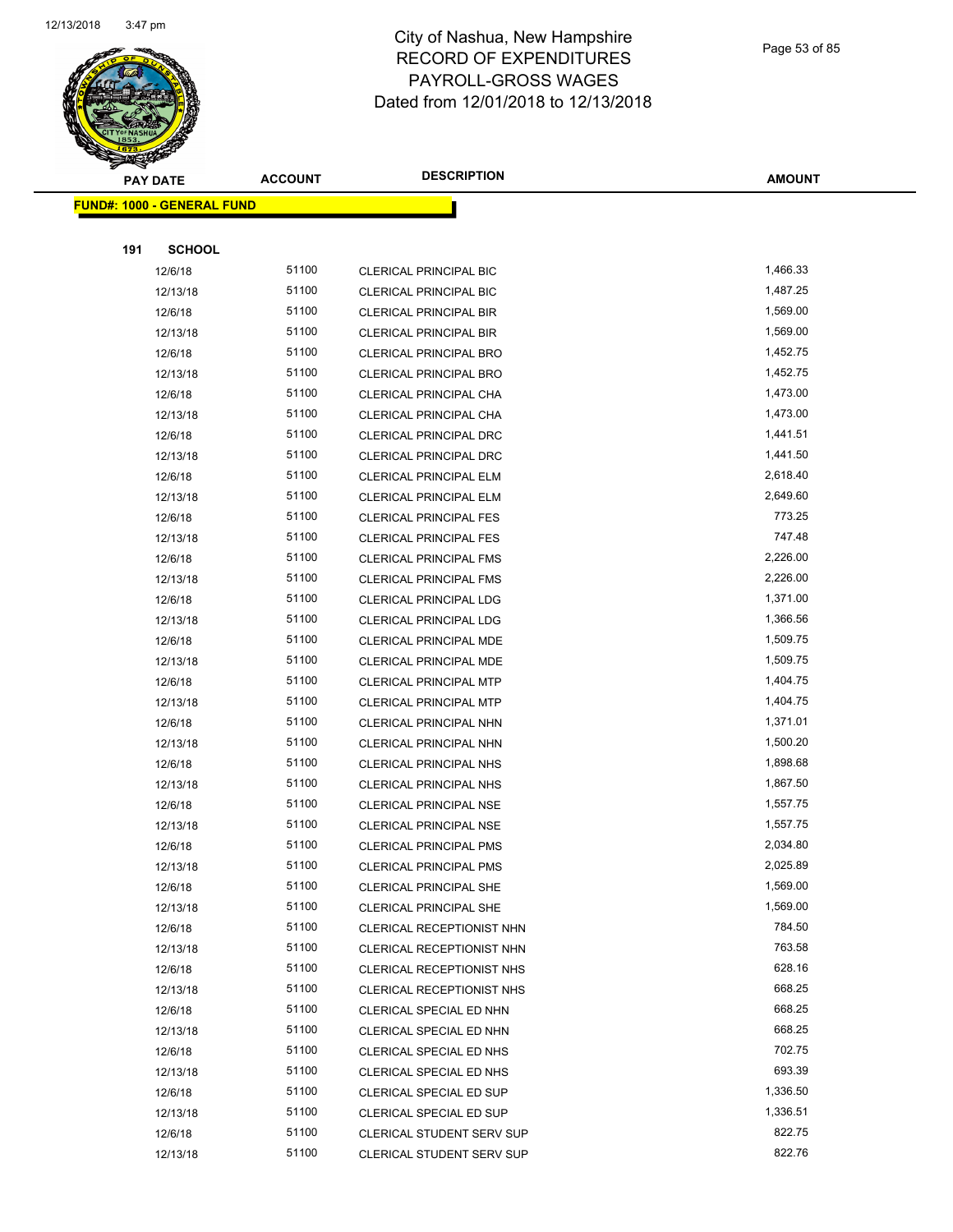

Page 53 of 85

| <b>PAY DATE</b>                   | <b>ACCOUNT</b> | <b>DESCRIPTION</b>               | <b>AMOUNT</b> |
|-----------------------------------|----------------|----------------------------------|---------------|
| <b>FUND#: 1000 - GENERAL FUND</b> |                |                                  |               |
|                                   |                |                                  |               |
| <b>SCHOOL</b><br>191              |                |                                  |               |
| 12/6/18                           | 51100          | <b>CLERICAL PRINCIPAL BIC</b>    | 1,466.33      |
| 12/13/18                          | 51100          | <b>CLERICAL PRINCIPAL BIC</b>    | 1,487.25      |
| 12/6/18                           | 51100          | <b>CLERICAL PRINCIPAL BIR</b>    | 1,569.00      |
| 12/13/18                          | 51100          | <b>CLERICAL PRINCIPAL BIR</b>    | 1,569.00      |
| 12/6/18                           | 51100          | <b>CLERICAL PRINCIPAL BRO</b>    | 1,452.75      |
| 12/13/18                          | 51100          | CLERICAL PRINCIPAL BRO           | 1,452.75      |
| 12/6/18                           | 51100          | CLERICAL PRINCIPAL CHA           | 1,473.00      |
| 12/13/18                          | 51100          | CLERICAL PRINCIPAL CHA           | 1,473.00      |
| 12/6/18                           | 51100          | <b>CLERICAL PRINCIPAL DRC</b>    | 1,441.51      |
| 12/13/18                          | 51100          | <b>CLERICAL PRINCIPAL DRC</b>    | 1,441.50      |
| 12/6/18                           | 51100          | CLERICAL PRINCIPAL ELM           | 2,618.40      |
| 12/13/18                          | 51100          | <b>CLERICAL PRINCIPAL ELM</b>    | 2,649.60      |
| 12/6/18                           | 51100          | <b>CLERICAL PRINCIPAL FES</b>    | 773.25        |
| 12/13/18                          | 51100          | <b>CLERICAL PRINCIPAL FES</b>    | 747.48        |
| 12/6/18                           | 51100          | <b>CLERICAL PRINCIPAL FMS</b>    | 2,226.00      |
| 12/13/18                          | 51100          | <b>CLERICAL PRINCIPAL FMS</b>    | 2,226.00      |
| 12/6/18                           | 51100          | <b>CLERICAL PRINCIPAL LDG</b>    | 1,371.00      |
| 12/13/18                          | 51100          | <b>CLERICAL PRINCIPAL LDG</b>    | 1,366.56      |
| 12/6/18                           | 51100          | <b>CLERICAL PRINCIPAL MDE</b>    | 1,509.75      |
| 12/13/18                          | 51100          | <b>CLERICAL PRINCIPAL MDE</b>    | 1,509.75      |
| 12/6/18                           | 51100          | <b>CLERICAL PRINCIPAL MTP</b>    | 1,404.75      |
| 12/13/18                          | 51100          | <b>CLERICAL PRINCIPAL MTP</b>    | 1,404.75      |
| 12/6/18                           | 51100          | CLERICAL PRINCIPAL NHN           | 1,371.01      |
| 12/13/18                          | 51100          | CLERICAL PRINCIPAL NHN           | 1,500.20      |
| 12/6/18                           | 51100          | <b>CLERICAL PRINCIPAL NHS</b>    | 1,898.68      |
| 12/13/18                          | 51100          | <b>CLERICAL PRINCIPAL NHS</b>    | 1,867.50      |
| 12/6/18                           | 51100          | <b>CLERICAL PRINCIPAL NSE</b>    | 1,557.75      |
| 12/13/18                          | 51100          | <b>CLERICAL PRINCIPAL NSE</b>    | 1,557.75      |
| 12/6/18                           | 51100          | <b>CLERICAL PRINCIPAL PMS</b>    | 2,034.80      |
| 12/13/18                          | 51100          | <b>CLERICAL PRINCIPAL PMS</b>    | 2,025.89      |
| 12/6/18                           | 51100          | <b>CLERICAL PRINCIPAL SHE</b>    | 1,569.00      |
| 12/13/18                          | 51100          | CLERICAL PRINCIPAL SHE           | 1,569.00      |
| 12/6/18                           | 51100          | CLERICAL RECEPTIONIST NHN        | 784.50        |
| 12/13/18                          | 51100          | CLERICAL RECEPTIONIST NHN        | 763.58        |
| 12/6/18                           | 51100          | CLERICAL RECEPTIONIST NHS        | 628.16        |
| 12/13/18                          | 51100          | CLERICAL RECEPTIONIST NHS        | 668.25        |
| 12/6/18                           | 51100          | CLERICAL SPECIAL ED NHN          | 668.25        |
| 12/13/18                          | 51100          | CLERICAL SPECIAL ED NHN          | 668.25        |
| 12/6/18                           | 51100          | CLERICAL SPECIAL ED NHS          | 702.75        |
| 12/13/18                          | 51100          | CLERICAL SPECIAL ED NHS          | 693.39        |
| 12/6/18                           | 51100          | CLERICAL SPECIAL ED SUP          | 1,336.50      |
| 12/13/18                          | 51100          | CLERICAL SPECIAL ED SUP          | 1,336.51      |
| 12/6/18                           | 51100          | <b>CLERICAL STUDENT SERV SUP</b> | 822.75        |
| 12/13/18                          | 51100          | CLERICAL STUDENT SERV SUP        | 822.76        |
|                                   |                |                                  |               |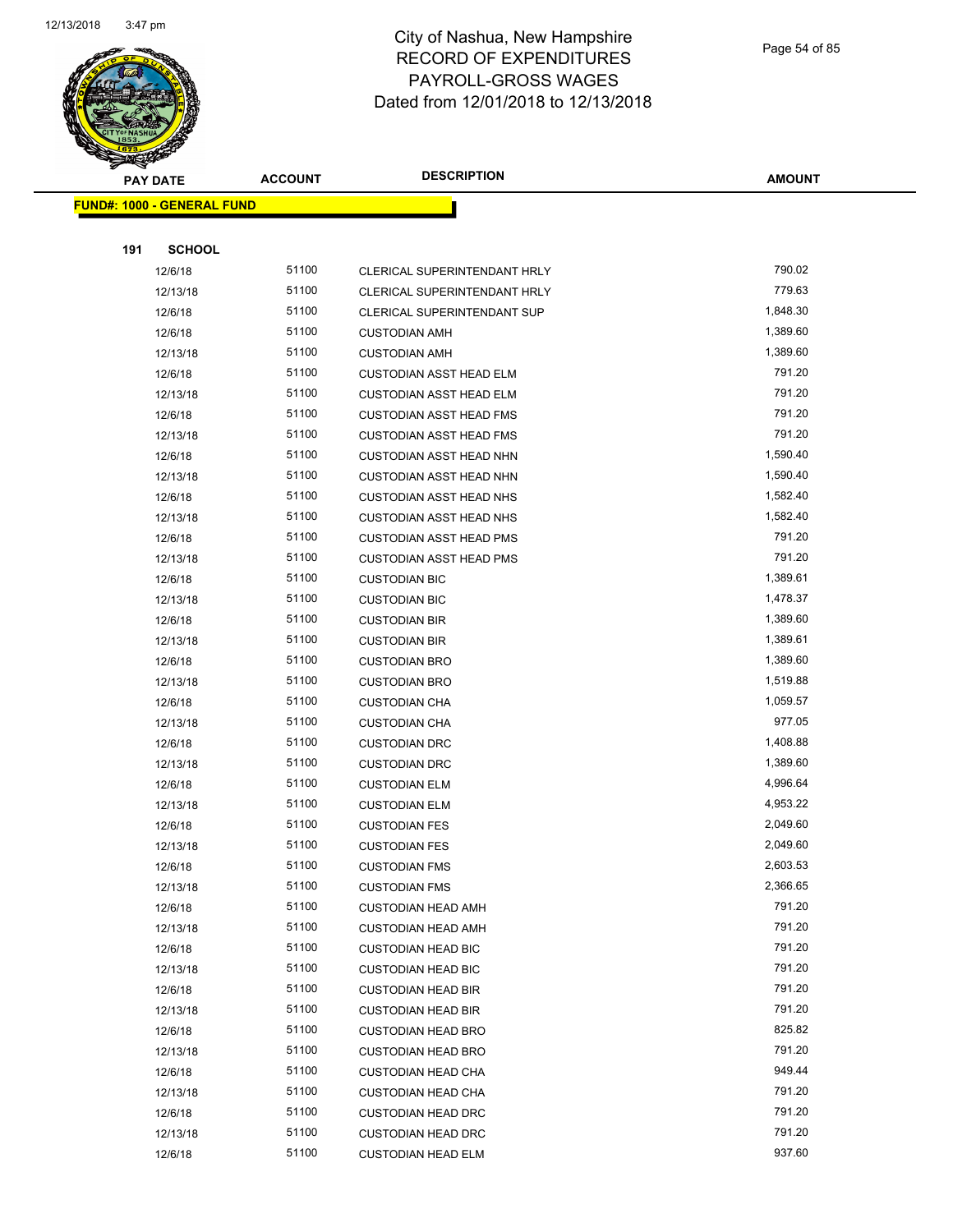

Page 54 of 85

| <b>Alla</b><br><b>PAY DATE</b>    | <b>ACCOUNT</b> | <b>DESCRIPTION</b>             | <b>AMOUNT</b>    |
|-----------------------------------|----------------|--------------------------------|------------------|
| <b>FUND#: 1000 - GENERAL FUND</b> |                |                                |                  |
|                                   |                |                                |                  |
| 191<br><b>SCHOOL</b>              |                |                                |                  |
| 12/6/18                           | 51100          | CLERICAL SUPERINTENDANT HRLY   | 790.02           |
| 12/13/18                          | 51100          | CLERICAL SUPERINTENDANT HRLY   | 779.63           |
| 12/6/18                           | 51100          | CLERICAL SUPERINTENDANT SUP    | 1,848.30         |
| 12/6/18                           | 51100          | <b>CUSTODIAN AMH</b>           | 1,389.60         |
| 12/13/18                          | 51100          | <b>CUSTODIAN AMH</b>           | 1,389.60         |
| 12/6/18                           | 51100          | <b>CUSTODIAN ASST HEAD ELM</b> | 791.20           |
| 12/13/18                          | 51100          | <b>CUSTODIAN ASST HEAD ELM</b> | 791.20           |
| 12/6/18                           | 51100          | <b>CUSTODIAN ASST HEAD FMS</b> | 791.20           |
| 12/13/18                          | 51100          | <b>CUSTODIAN ASST HEAD FMS</b> | 791.20           |
| 12/6/18                           | 51100          | <b>CUSTODIAN ASST HEAD NHN</b> | 1,590.40         |
| 12/13/18                          | 51100          | <b>CUSTODIAN ASST HEAD NHN</b> | 1,590.40         |
| 12/6/18                           | 51100          | <b>CUSTODIAN ASST HEAD NHS</b> | 1,582.40         |
| 12/13/18                          | 51100          | <b>CUSTODIAN ASST HEAD NHS</b> | 1,582.40         |
| 12/6/18                           | 51100          | <b>CUSTODIAN ASST HEAD PMS</b> | 791.20           |
| 12/13/18                          | 51100          | <b>CUSTODIAN ASST HEAD PMS</b> | 791.20           |
| 12/6/18                           | 51100          | <b>CUSTODIAN BIC</b>           | 1,389.61         |
| 12/13/18                          | 51100          | <b>CUSTODIAN BIC</b>           | 1,478.37         |
| 12/6/18                           | 51100          | <b>CUSTODIAN BIR</b>           | 1,389.60         |
| 12/13/18                          | 51100          | <b>CUSTODIAN BIR</b>           | 1,389.61         |
| 12/6/18                           | 51100          | <b>CUSTODIAN BRO</b>           | 1,389.60         |
| 12/13/18                          | 51100          | <b>CUSTODIAN BRO</b>           | 1,519.88         |
| 12/6/18                           | 51100          | <b>CUSTODIAN CHA</b>           | 1,059.57         |
| 12/13/18                          | 51100          | <b>CUSTODIAN CHA</b>           | 977.05           |
| 12/6/18                           | 51100          | <b>CUSTODIAN DRC</b>           | 1,408.88         |
| 12/13/18                          | 51100          | <b>CUSTODIAN DRC</b>           | 1,389.60         |
| 12/6/18                           | 51100          | <b>CUSTODIAN ELM</b>           | 4,996.64         |
| 12/13/18                          | 51100          | <b>CUSTODIAN ELM</b>           | 4,953.22         |
| 12/6/18                           | 51100          | <b>CUSTODIAN FES</b>           | 2,049.60         |
| 12/13/18                          | 51100          | <b>CUSTODIAN FES</b>           | 2,049.60         |
| 12/6/18                           | 51100          | <b>CUSTODIAN FMS</b>           | 2,603.53         |
| 12/13/18                          | 51100          | <b>CUSTODIAN FMS</b>           | 2,366.65         |
| 12/6/18                           | 51100          | <b>CUSTODIAN HEAD AMH</b>      | 791.20           |
| 12/13/18                          | 51100          | <b>CUSTODIAN HEAD AMH</b>      | 791.20           |
| 12/6/18                           | 51100          | <b>CUSTODIAN HEAD BIC</b>      | 791.20           |
| 12/13/18                          | 51100          | <b>CUSTODIAN HEAD BIC</b>      | 791.20           |
| 12/6/18                           | 51100          | <b>CUSTODIAN HEAD BIR</b>      | 791.20           |
| 12/13/18                          | 51100          | <b>CUSTODIAN HEAD BIR</b>      | 791.20           |
| 12/6/18                           | 51100          | <b>CUSTODIAN HEAD BRO</b>      | 825.82           |
| 12/13/18                          | 51100          | <b>CUSTODIAN HEAD BRO</b>      | 791.20           |
| 12/6/18                           | 51100<br>51100 | <b>CUSTODIAN HEAD CHA</b>      | 949.44<br>791.20 |
| 12/13/18                          |                | <b>CUSTODIAN HEAD CHA</b>      | 791.20           |
| 12/6/18                           | 51100          | <b>CUSTODIAN HEAD DRC</b>      |                  |
| 12/13/18                          | 51100          | <b>CUSTODIAN HEAD DRC</b>      | 791.20           |
| 12/6/18                           | 51100          | <b>CUSTODIAN HEAD ELM</b>      | 937.60           |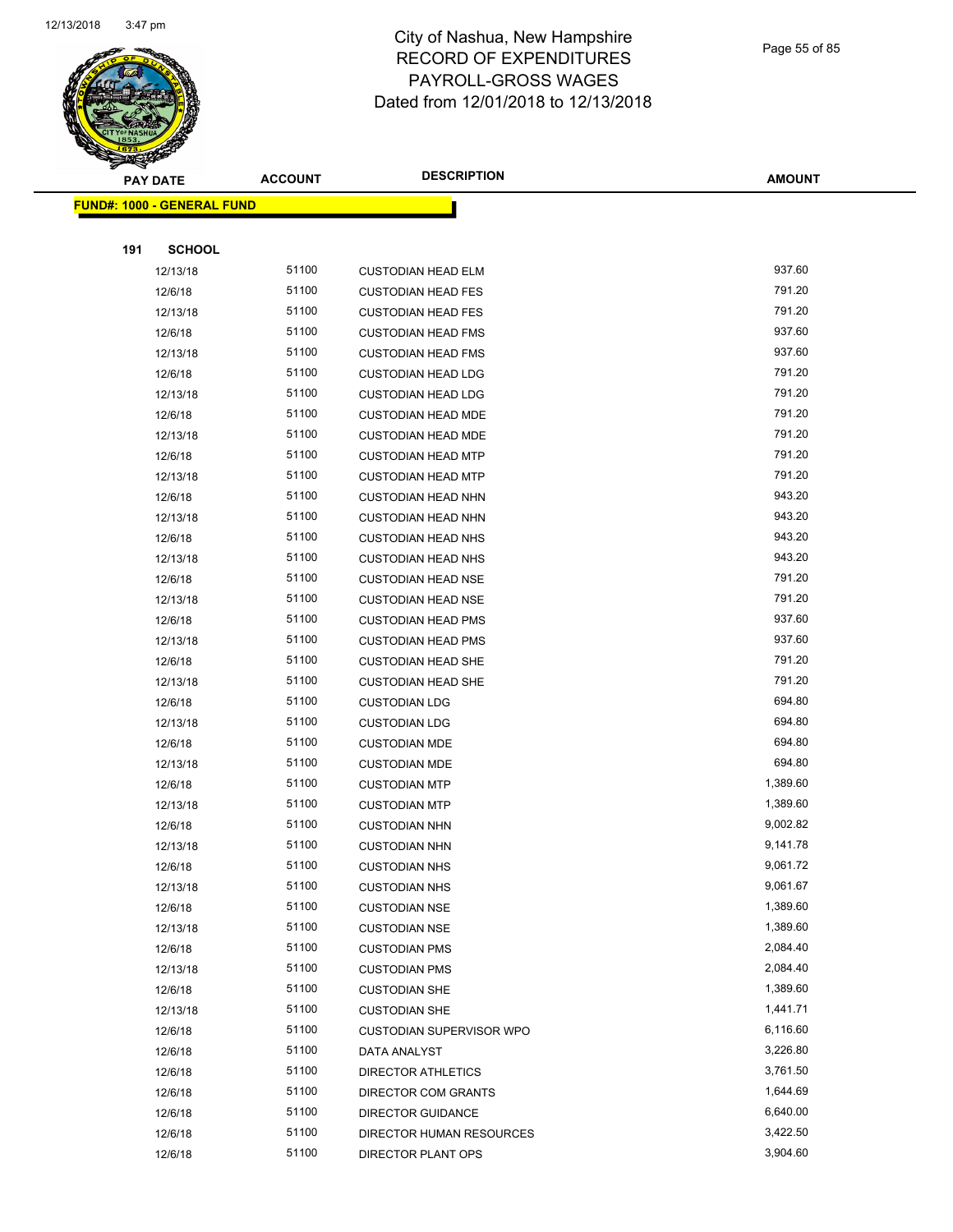

Page 55 of 85

| $\tilde{\phantom{a}}$ | <b>PAY DATE</b>            | <b>ACCOUNT</b> | <b>DESCRIPTION</b>        | <b>AMOUNT</b> |
|-----------------------|----------------------------|----------------|---------------------------|---------------|
|                       | FUND#: 1000 - GENERAL FUND |                |                           |               |
|                       |                            |                |                           |               |
| 191                   | <b>SCHOOL</b>              |                |                           |               |
|                       | 12/13/18                   | 51100          | <b>CUSTODIAN HEAD ELM</b> | 937.60        |
|                       | 12/6/18                    | 51100          | <b>CUSTODIAN HEAD FES</b> | 791.20        |
|                       | 12/13/18                   | 51100          | <b>CUSTODIAN HEAD FES</b> | 791.20        |
|                       | 12/6/18                    | 51100          | <b>CUSTODIAN HEAD FMS</b> | 937.60        |
|                       | 12/13/18                   | 51100          | <b>CUSTODIAN HEAD FMS</b> | 937.60        |
|                       | 12/6/18                    | 51100          | <b>CUSTODIAN HEAD LDG</b> | 791.20        |
|                       | 12/13/18                   | 51100          | <b>CUSTODIAN HEAD LDG</b> | 791.20        |
|                       | 12/6/18                    | 51100          | <b>CUSTODIAN HEAD MDE</b> | 791.20        |
|                       | 12/13/18                   | 51100          | <b>CUSTODIAN HEAD MDE</b> | 791.20        |
|                       | 12/6/18                    | 51100          | <b>CUSTODIAN HEAD MTP</b> | 791.20        |
|                       | 12/13/18                   | 51100          | <b>CUSTODIAN HEAD MTP</b> | 791.20        |
|                       | 12/6/18                    | 51100          | <b>CUSTODIAN HEAD NHN</b> | 943.20        |
|                       | 12/13/18                   | 51100          | <b>CUSTODIAN HEAD NHN</b> | 943.20        |
|                       | 12/6/18                    | 51100          | <b>CUSTODIAN HEAD NHS</b> | 943.20        |
|                       | 12/13/18                   | 51100          | <b>CUSTODIAN HEAD NHS</b> | 943.20        |
|                       | 12/6/18                    | 51100          | <b>CUSTODIAN HEAD NSE</b> | 791.20        |
|                       | 12/13/18                   | 51100          | <b>CUSTODIAN HEAD NSE</b> | 791.20        |
|                       | 12/6/18                    | 51100          | <b>CUSTODIAN HEAD PMS</b> | 937.60        |
|                       | 12/13/18                   | 51100          | <b>CUSTODIAN HEAD PMS</b> | 937.60        |
|                       | 12/6/18                    | 51100          | <b>CUSTODIAN HEAD SHE</b> | 791.20        |
|                       | 12/13/18                   | 51100          | <b>CUSTODIAN HEAD SHE</b> | 791.20        |
|                       | 12/6/18                    | 51100          | <b>CUSTODIAN LDG</b>      | 694.80        |
|                       | 12/13/18                   | 51100          | <b>CUSTODIAN LDG</b>      | 694.80        |
|                       | 12/6/18                    | 51100          | <b>CUSTODIAN MDE</b>      | 694.80        |
|                       | 12/13/18                   | 51100          | <b>CUSTODIAN MDE</b>      | 694.80        |
|                       | 12/6/18                    | 51100          | <b>CUSTODIAN MTP</b>      | 1,389.60      |
|                       | 12/13/18                   | 51100          | <b>CUSTODIAN MTP</b>      | 1,389.60      |
|                       | 12/6/18                    | 51100          | <b>CUSTODIAN NHN</b>      | 9,002.82      |
|                       | 12/13/18                   | 51100          | <b>CUSTODIAN NHN</b>      | 9,141.78      |
|                       | 12/6/18                    | 51100          | <b>CUSTODIAN NHS</b>      | 9,061.72      |
|                       | 12/13/18                   | 51100          | <b>CUSTODIAN NHS</b>      | 9,061.67      |
|                       | 12/6/18                    | 51100          | <b>CUSTODIAN NSE</b>      | 1,389.60      |
|                       | 12/13/18                   | 51100          | <b>CUSTODIAN NSE</b>      | 1,389.60      |
|                       | 12/6/18                    | 51100          | <b>CUSTODIAN PMS</b>      | 2,084.40      |
|                       | 12/13/18                   | 51100          | <b>CUSTODIAN PMS</b>      | 2,084.40      |
|                       | 12/6/18                    | 51100          | <b>CUSTODIAN SHE</b>      | 1,389.60      |
|                       | 12/13/18                   | 51100          | <b>CUSTODIAN SHE</b>      | 1,441.71      |
|                       | 12/6/18                    | 51100          | CUSTODIAN SUPERVISOR WPO  | 6,116.60      |
|                       | 12/6/18                    | 51100          | DATA ANALYST              | 3,226.80      |
|                       | 12/6/18                    | 51100          | <b>DIRECTOR ATHLETICS</b> | 3,761.50      |
|                       | 12/6/18                    | 51100          | DIRECTOR COM GRANTS       | 1,644.69      |
|                       | 12/6/18                    | 51100          | <b>DIRECTOR GUIDANCE</b>  | 6,640.00      |
|                       | 12/6/18                    | 51100          | DIRECTOR HUMAN RESOURCES  | 3,422.50      |
|                       | 12/6/18                    | 51100          | DIRECTOR PLANT OPS        | 3,904.60      |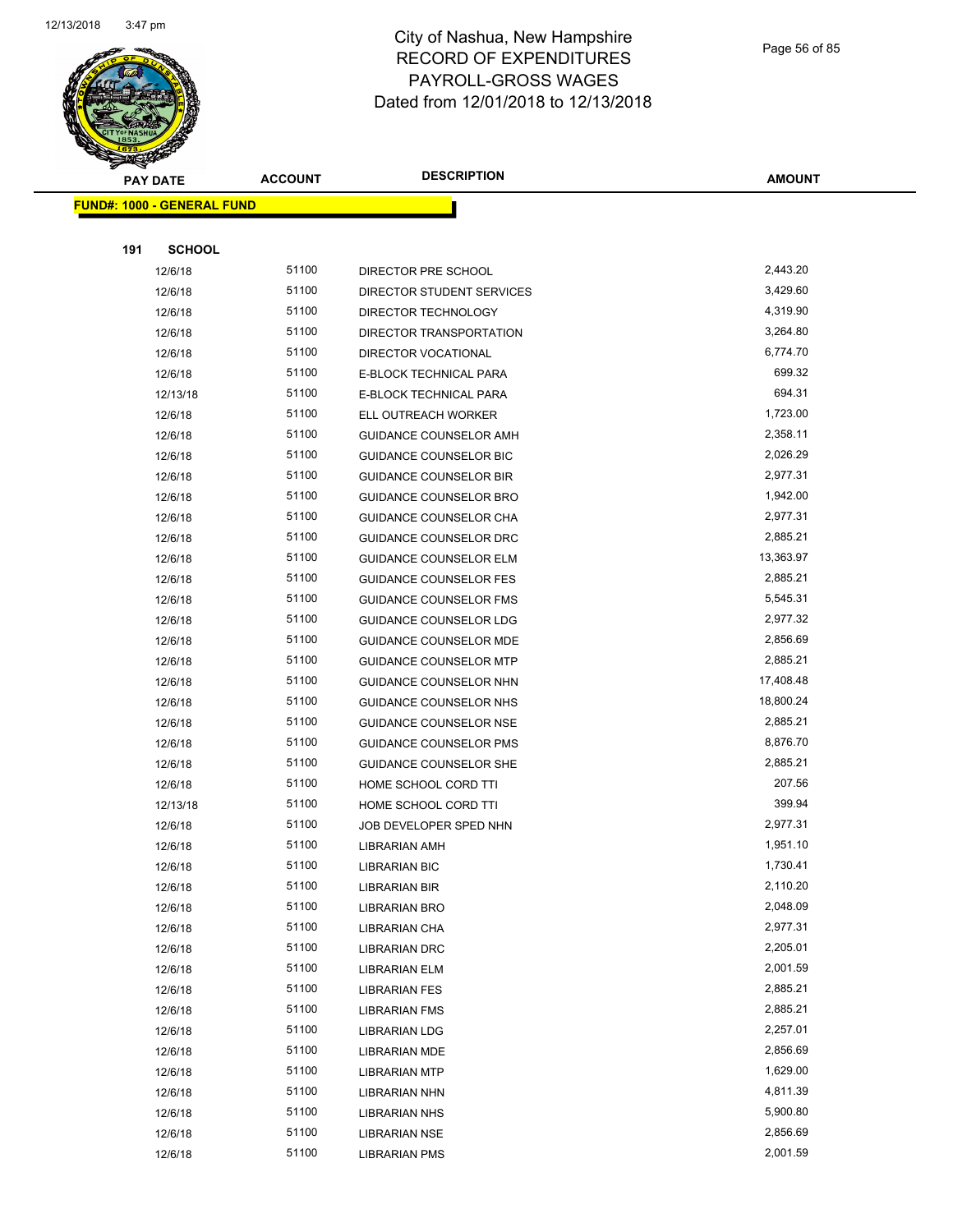

Page 56 of 85

| <b>PAY DATE</b>                   | <b>ACCOUNT</b> | <b>DESCRIPTION</b>            | <b>AMOUNT</b> |
|-----------------------------------|----------------|-------------------------------|---------------|
| <b>FUND#: 1000 - GENERAL FUND</b> |                |                               |               |
|                                   |                |                               |               |
| 191<br><b>SCHOOL</b>              |                |                               |               |
| 12/6/18                           | 51100          | DIRECTOR PRE SCHOOL           | 2,443.20      |
| 12/6/18                           | 51100          | DIRECTOR STUDENT SERVICES     | 3,429.60      |
| 12/6/18                           | 51100          | DIRECTOR TECHNOLOGY           | 4,319.90      |
| 12/6/18                           | 51100          | DIRECTOR TRANSPORTATION       | 3,264.80      |
| 12/6/18                           | 51100          | <b>DIRECTOR VOCATIONAL</b>    | 6,774.70      |
| 12/6/18                           | 51100          | E-BLOCK TECHNICAL PARA        | 699.32        |
| 12/13/18                          | 51100          | E-BLOCK TECHNICAL PARA        | 694.31        |
| 12/6/18                           | 51100          | ELL OUTREACH WORKER           | 1,723.00      |
| 12/6/18                           | 51100          | GUIDANCE COUNSELOR AMH        | 2,358.11      |
| 12/6/18                           | 51100          | GUIDANCE COUNSELOR BIC        | 2,026.29      |
| 12/6/18                           | 51100          | <b>GUIDANCE COUNSELOR BIR</b> | 2,977.31      |
| 12/6/18                           | 51100          | <b>GUIDANCE COUNSELOR BRO</b> | 1,942.00      |
| 12/6/18                           | 51100          | GUIDANCE COUNSELOR CHA        | 2,977.31      |
| 12/6/18                           | 51100          | GUIDANCE COUNSELOR DRC        | 2,885.21      |
| 12/6/18                           | 51100          | <b>GUIDANCE COUNSELOR ELM</b> | 13,363.97     |
| 12/6/18                           | 51100          | <b>GUIDANCE COUNSELOR FES</b> | 2,885.21      |
| 12/6/18                           | 51100          | <b>GUIDANCE COUNSELOR FMS</b> | 5,545.31      |
| 12/6/18                           | 51100          | GUIDANCE COUNSELOR LDG        | 2,977.32      |
| 12/6/18                           | 51100          | GUIDANCE COUNSELOR MDE        | 2,856.69      |
| 12/6/18                           | 51100          | <b>GUIDANCE COUNSELOR MTP</b> | 2,885.21      |
| 12/6/18                           | 51100          | GUIDANCE COUNSELOR NHN        | 17,408.48     |
| 12/6/18                           | 51100          | GUIDANCE COUNSELOR NHS        | 18,800.24     |
| 12/6/18                           | 51100          | <b>GUIDANCE COUNSELOR NSE</b> | 2,885.21      |
| 12/6/18                           | 51100          | GUIDANCE COUNSELOR PMS        | 8,876.70      |
| 12/6/18                           | 51100          | GUIDANCE COUNSELOR SHE        | 2,885.21      |
| 12/6/18                           | 51100          | HOME SCHOOL CORD TTI          | 207.56        |
| 12/13/18                          | 51100          | HOME SCHOOL CORD TTI          | 399.94        |
| 12/6/18                           | 51100          | JOB DEVELOPER SPED NHN        | 2,977.31      |
| 12/6/18                           | 51100          | LIBRARIAN AMH                 | 1,951.10      |
| 12/6/18                           | 51100          | <b>LIBRARIAN BIC</b>          | 1,730.41      |
| 12/6/18                           | 51100          | LIBRARIAN BIR                 | 2,110.20      |
| 12/6/18                           | 51100          | LIBRARIAN BRO                 | 2,048.09      |
| 12/6/18                           | 51100          | LIBRARIAN CHA                 | 2,977.31      |
| 12/6/18                           | 51100          | <b>LIBRARIAN DRC</b>          | 2,205.01      |
| 12/6/18                           | 51100          | LIBRARIAN ELM                 | 2,001.59      |
| 12/6/18                           | 51100          | <b>LIBRARIAN FES</b>          | 2,885.21      |
| 12/6/18                           | 51100          | <b>LIBRARIAN FMS</b>          | 2,885.21      |
| 12/6/18                           | 51100          | LIBRARIAN LDG                 | 2,257.01      |
| 12/6/18                           | 51100          | LIBRARIAN MDE                 | 2,856.69      |
| 12/6/18                           | 51100          | <b>LIBRARIAN MTP</b>          | 1,629.00      |
| 12/6/18                           | 51100          | LIBRARIAN NHN                 | 4,811.39      |
| 12/6/18                           | 51100          | LIBRARIAN NHS                 | 5,900.80      |
| 12/6/18                           | 51100          | LIBRARIAN NSE                 | 2,856.69      |
| 12/6/18                           | 51100          | <b>LIBRARIAN PMS</b>          | 2,001.59      |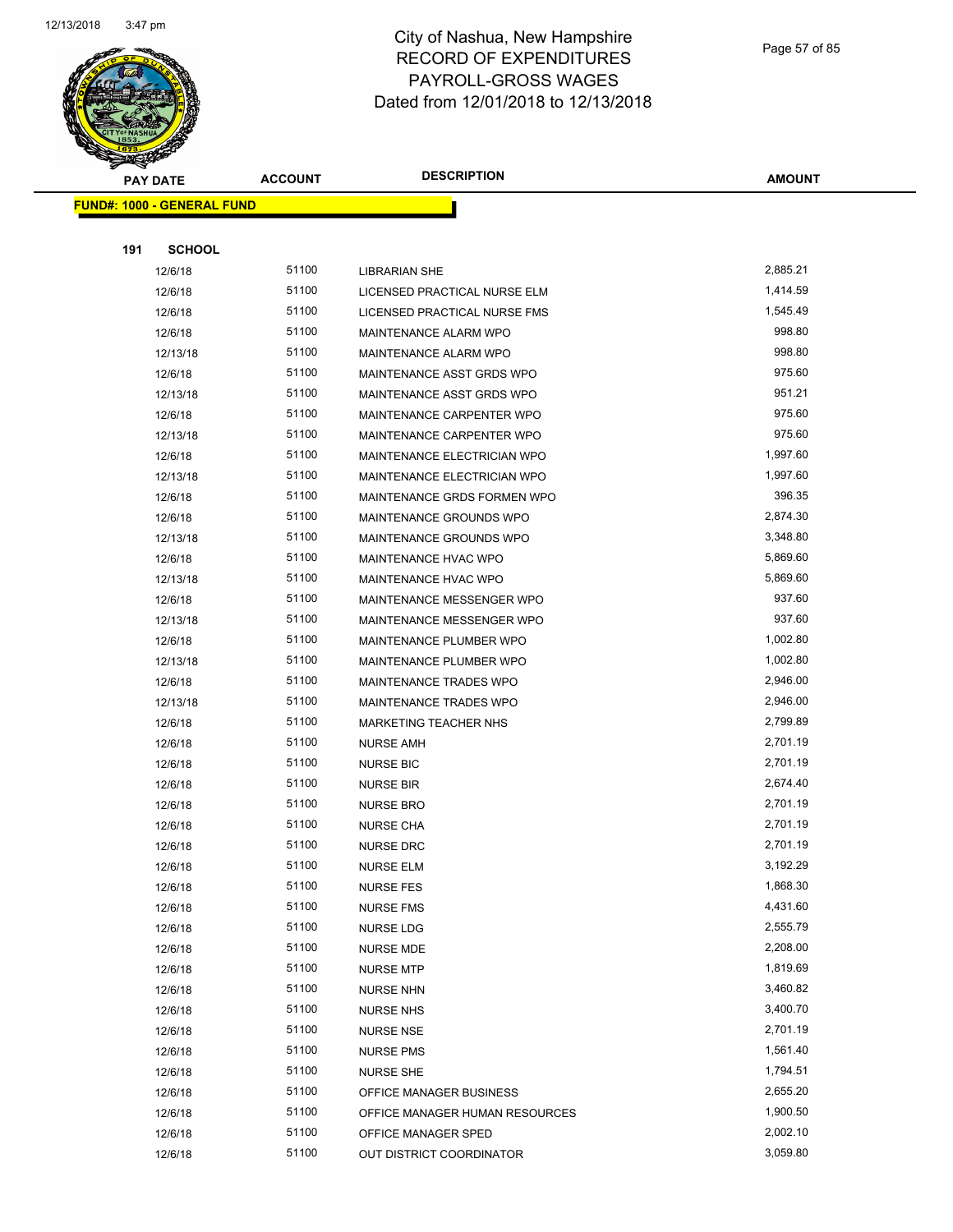

Page 57 of 85

| <b>PAY DATE</b>            | <b>ACCOUNT</b> | <b>DESCRIPTION</b>             | <b>AMOUNT</b> |
|----------------------------|----------------|--------------------------------|---------------|
| FUND#: 1000 - GENERAL FUND |                |                                |               |
|                            |                |                                |               |
| 191<br><b>SCHOOL</b>       |                |                                |               |
| 12/6/18                    | 51100          | <b>LIBRARIAN SHE</b>           | 2,885.21      |
| 12/6/18                    | 51100          | LICENSED PRACTICAL NURSE ELM   | 1,414.59      |
| 12/6/18                    | 51100          | LICENSED PRACTICAL NURSE FMS   | 1,545.49      |
| 12/6/18                    | 51100          | MAINTENANCE ALARM WPO          | 998.80        |
| 12/13/18                   | 51100          | MAINTENANCE ALARM WPO          | 998.80        |
| 12/6/18                    | 51100          | MAINTENANCE ASST GRDS WPO      | 975.60        |
| 12/13/18                   | 51100          | MAINTENANCE ASST GRDS WPO      | 951.21        |
| 12/6/18                    | 51100          | MAINTENANCE CARPENTER WPO      | 975.60        |
| 12/13/18                   | 51100          | MAINTENANCE CARPENTER WPO      | 975.60        |
| 12/6/18                    | 51100          | MAINTENANCE ELECTRICIAN WPO    | 1,997.60      |
| 12/13/18                   | 51100          | MAINTENANCE ELECTRICIAN WPO    | 1,997.60      |
| 12/6/18                    | 51100          | MAINTENANCE GRDS FORMEN WPO    | 396.35        |
| 12/6/18                    | 51100          | MAINTENANCE GROUNDS WPO        | 2,874.30      |
| 12/13/18                   | 51100          | MAINTENANCE GROUNDS WPO        | 3,348.80      |
| 12/6/18                    | 51100          | <b>MAINTENANCE HVAC WPO</b>    | 5,869.60      |
| 12/13/18                   | 51100          | MAINTENANCE HVAC WPO           | 5,869.60      |
| 12/6/18                    | 51100          | MAINTENANCE MESSENGER WPO      | 937.60        |
| 12/13/18                   | 51100          | MAINTENANCE MESSENGER WPO      | 937.60        |
| 12/6/18                    | 51100          | MAINTENANCE PLUMBER WPO        | 1,002.80      |
| 12/13/18                   | 51100          | MAINTENANCE PLUMBER WPO        | 1,002.80      |
| 12/6/18                    | 51100          | MAINTENANCE TRADES WPO         | 2,946.00      |
| 12/13/18                   | 51100          | MAINTENANCE TRADES WPO         | 2,946.00      |
| 12/6/18                    | 51100          | <b>MARKETING TEACHER NHS</b>   | 2,799.89      |
| 12/6/18                    | 51100          | NURSE AMH                      | 2,701.19      |
| 12/6/18                    | 51100          | <b>NURSE BIC</b>               | 2,701.19      |
| 12/6/18                    | 51100          | <b>NURSE BIR</b>               | 2,674.40      |
| 12/6/18                    | 51100          | <b>NURSE BRO</b>               | 2,701.19      |
| 12/6/18                    | 51100          | <b>NURSE CHA</b>               | 2,701.19      |
| 12/6/18                    | 51100          | <b>NURSE DRC</b>               | 2,701.19      |
| 12/6/18                    | 51100          | <b>NURSE ELM</b>               | 3,192.29      |
| 12/6/18                    | 51100          | <b>NURSE FES</b>               | 1,868.30      |
| 12/6/18                    | 51100          | NURSE FMS                      | 4,431.60      |
| 12/6/18                    | 51100          | <b>NURSE LDG</b>               | 2,555.79      |
| 12/6/18                    | 51100          | <b>NURSE MDE</b>               | 2,208.00      |
| 12/6/18                    | 51100          | <b>NURSE MTP</b>               | 1,819.69      |
| 12/6/18                    | 51100          | NURSE NHN                      | 3,460.82      |
| 12/6/18                    | 51100          | <b>NURSE NHS</b>               | 3,400.70      |
| 12/6/18                    | 51100          | <b>NURSE NSE</b>               | 2,701.19      |
| 12/6/18                    | 51100          | <b>NURSE PMS</b>               | 1,561.40      |
| 12/6/18                    | 51100          | <b>NURSE SHE</b>               | 1,794.51      |
| 12/6/18                    | 51100          | OFFICE MANAGER BUSINESS        | 2,655.20      |
| 12/6/18                    | 51100          | OFFICE MANAGER HUMAN RESOURCES | 1,900.50      |
| 12/6/18                    | 51100          | OFFICE MANAGER SPED            | 2,002.10      |
| 12/6/18                    | 51100          | OUT DISTRICT COORDINATOR       | 3,059.80      |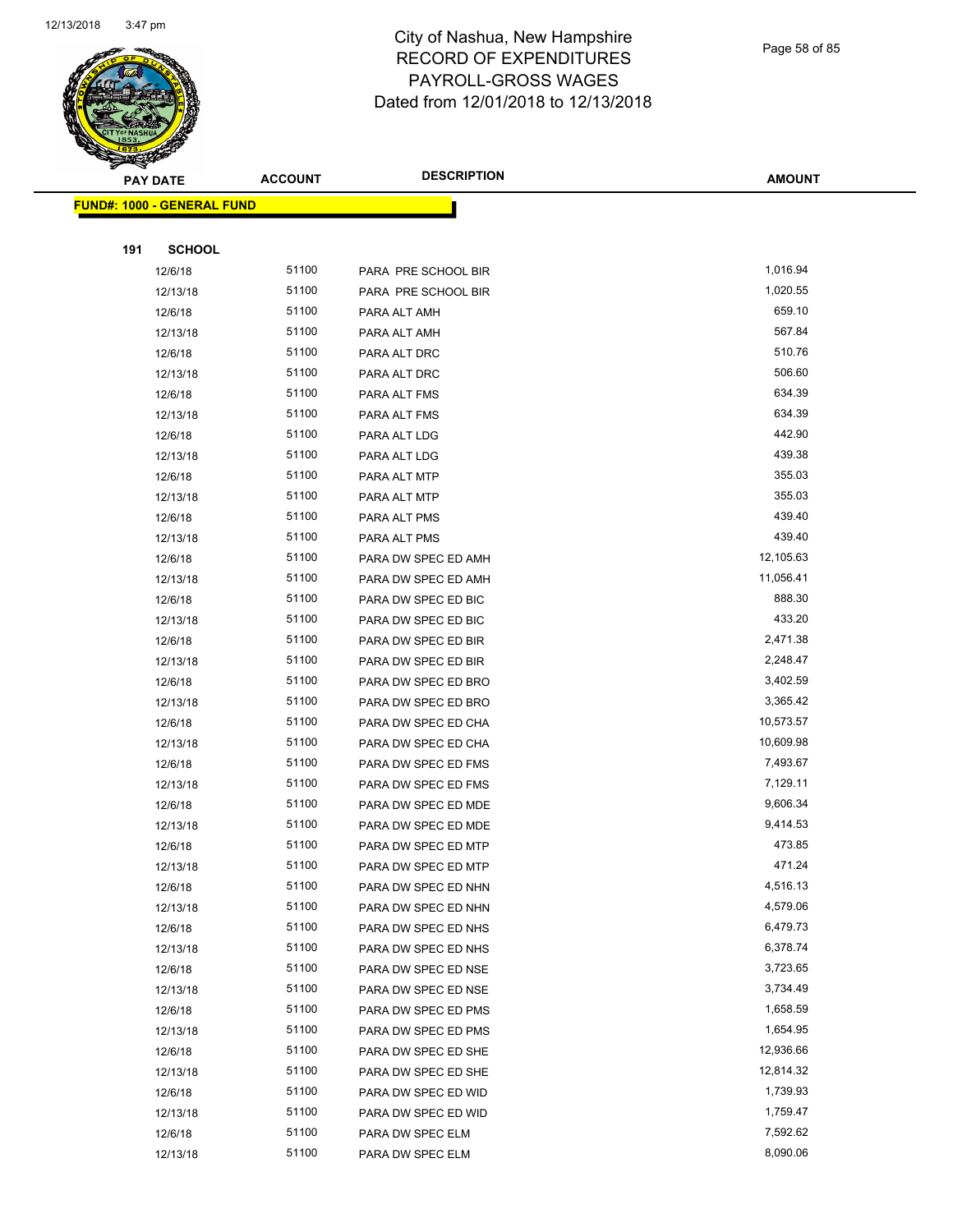

Page 58 of 85

| <b>PAY DATE</b>                   | <b>ACCOUNT</b> | <b>DESCRIPTION</b>                         | <b>AMOUNT</b>          |
|-----------------------------------|----------------|--------------------------------------------|------------------------|
| <b>FUND#: 1000 - GENERAL FUND</b> |                |                                            |                        |
|                                   |                |                                            |                        |
| 191<br><b>SCHOOL</b>              |                |                                            |                        |
| 12/6/18                           | 51100          | PARA PRE SCHOOL BIR                        | 1,016.94               |
| 12/13/18                          | 51100          | PARA PRE SCHOOL BIR                        | 1,020.55               |
| 12/6/18                           | 51100          | PARA ALT AMH                               | 659.10                 |
| 12/13/18                          | 51100          | PARA ALT AMH                               | 567.84                 |
| 12/6/18                           | 51100          | PARA ALT DRC                               | 510.76                 |
| 12/13/18                          | 51100          | PARA ALT DRC                               | 506.60                 |
| 12/6/18                           | 51100          | PARA ALT FMS                               | 634.39                 |
| 12/13/18                          | 51100          | PARA ALT FMS                               | 634.39                 |
| 12/6/18                           | 51100          | PARA ALT LDG                               | 442.90                 |
| 12/13/18                          | 51100          | PARA ALT LDG                               | 439.38                 |
| 12/6/18                           | 51100          | PARA ALT MTP                               | 355.03                 |
| 12/13/18                          | 51100          | PARA ALT MTP                               | 355.03                 |
| 12/6/18                           | 51100          | PARA ALT PMS                               | 439.40                 |
| 12/13/18                          | 51100          | PARA ALT PMS                               | 439.40                 |
| 12/6/18                           | 51100          | PARA DW SPEC ED AMH                        | 12,105.63              |
| 12/13/18                          | 51100          | PARA DW SPEC ED AMH                        | 11,056.41              |
| 12/6/18                           | 51100          | PARA DW SPEC ED BIC                        | 888.30                 |
| 12/13/18                          | 51100          | PARA DW SPEC ED BIC                        | 433.20                 |
| 12/6/18                           | 51100          | PARA DW SPEC ED BIR                        | 2,471.38               |
| 12/13/18                          | 51100          | PARA DW SPEC ED BIR                        | 2,248.47               |
| 12/6/18                           | 51100          | PARA DW SPEC ED BRO                        | 3,402.59               |
| 12/13/18                          | 51100          | PARA DW SPEC ED BRO                        | 3,365.42               |
| 12/6/18<br>12/13/18               | 51100<br>51100 | PARA DW SPEC ED CHA<br>PARA DW SPEC ED CHA | 10,573.57<br>10,609.98 |
| 12/6/18                           | 51100          | PARA DW SPEC ED FMS                        | 7,493.67               |
| 12/13/18                          | 51100          | PARA DW SPEC ED FMS                        | 7,129.11               |
| 12/6/18                           | 51100          | PARA DW SPEC ED MDE                        | 9,606.34               |
| 12/13/18                          | 51100          | PARA DW SPEC ED MDE                        | 9,414.53               |
| 12/6/18                           | 51100          | PARA DW SPEC ED MTP                        | 473.85                 |
| 12/13/18                          | 51100          | PARA DW SPEC ED MTP                        | 471.24                 |
| 12/6/18                           | 51100          | PARA DW SPEC ED NHN                        | 4,516.13               |
| 12/13/18                          | 51100          | PARA DW SPEC ED NHN                        | 4,579.06               |
| 12/6/18                           | 51100          | PARA DW SPEC ED NHS                        | 6,479.73               |
| 12/13/18                          | 51100          | PARA DW SPEC ED NHS                        | 6,378.74               |
| 12/6/18                           | 51100          | PARA DW SPEC ED NSE                        | 3,723.65               |
| 12/13/18                          | 51100          | PARA DW SPEC ED NSE                        | 3,734.49               |
| 12/6/18                           | 51100          | PARA DW SPEC ED PMS                        | 1,658.59               |
| 12/13/18                          | 51100          | PARA DW SPEC ED PMS                        | 1,654.95               |
| 12/6/18                           | 51100          | PARA DW SPEC ED SHE                        | 12,936.66              |
| 12/13/18                          | 51100          | PARA DW SPEC ED SHE                        | 12,814.32              |
| 12/6/18                           | 51100          | PARA DW SPEC ED WID                        | 1,739.93               |
| 12/13/18                          | 51100          | PARA DW SPEC ED WID                        | 1,759.47               |
| 12/6/18                           | 51100          | PARA DW SPEC ELM                           | 7,592.62               |
| 12/13/18                          | 51100          | PARA DW SPEC ELM                           | 8,090.06               |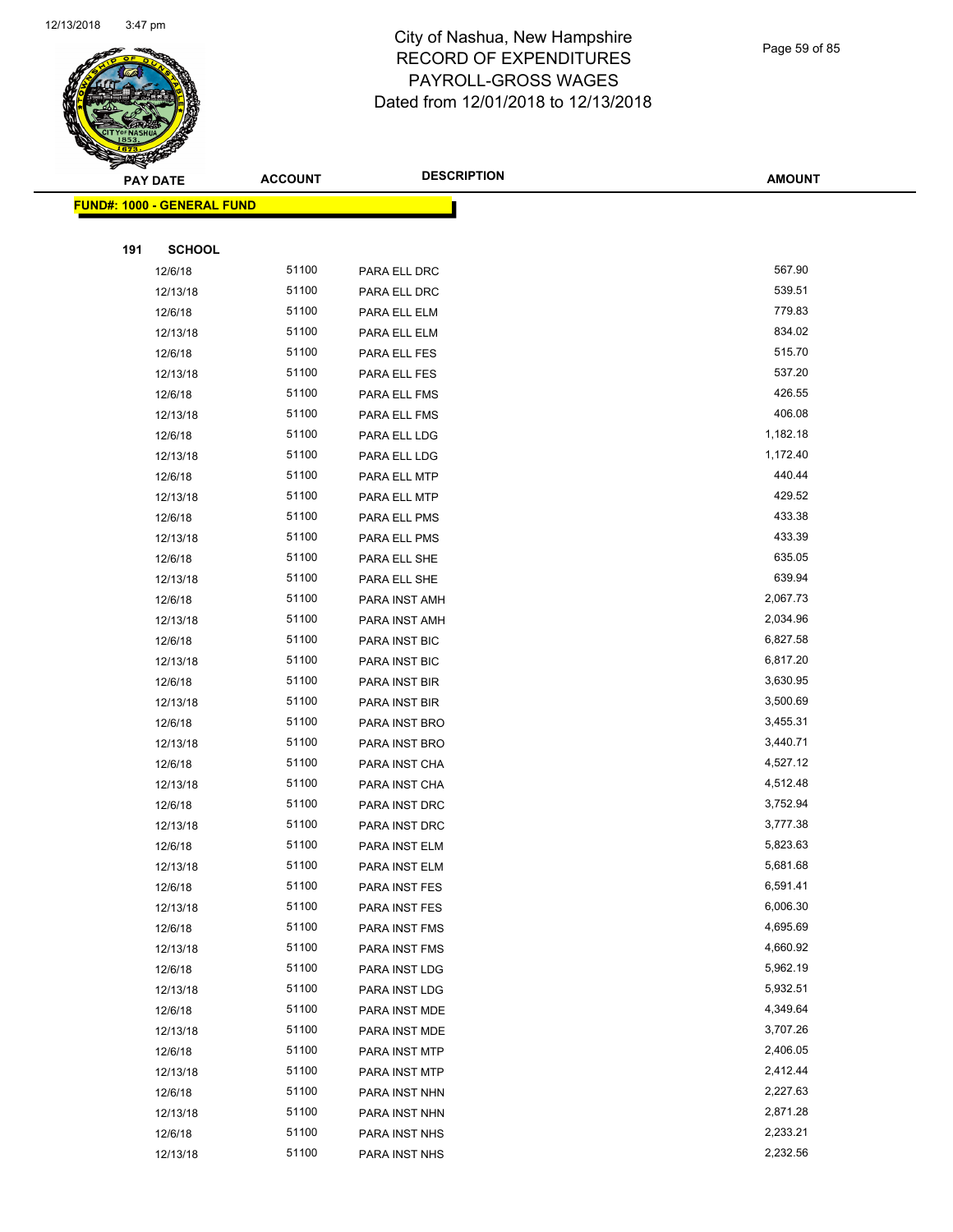

Page 59 of 85

| <b>ACCOUNT</b> | <b>DESCRIPTION</b> | <b>AMOUNT</b>                                                |
|----------------|--------------------|--------------------------------------------------------------|
|                |                    |                                                              |
|                |                    |                                                              |
|                |                    |                                                              |
| 51100          |                    | 567.90                                                       |
| 51100          | PARA ELL DRC       | 539.51                                                       |
| 51100          |                    | 779.83                                                       |
| 51100          |                    | 834.02                                                       |
| 51100          |                    | 515.70                                                       |
| 51100          | PARA ELL FES       | 537.20                                                       |
| 51100          | PARA ELL FMS       | 426.55                                                       |
| 51100          | PARA ELL FMS       | 406.08                                                       |
| 51100          | PARA ELL LDG       | 1,182.18                                                     |
| 51100          | PARA ELL LDG       | 1,172.40                                                     |
| 51100          | PARA ELL MTP       | 440.44                                                       |
| 51100          | PARA ELL MTP       | 429.52                                                       |
| 51100          | PARA ELL PMS       | 433.38                                                       |
| 51100          | PARA ELL PMS       | 433.39                                                       |
| 51100          | PARA ELL SHE       | 635.05                                                       |
| 51100          | PARA ELL SHE       | 639.94                                                       |
| 51100          | PARA INST AMH      | 2,067.73                                                     |
| 51100          | PARA INST AMH      | 2,034.96                                                     |
| 51100          | PARA INST BIC      | 6,827.58                                                     |
| 51100          | PARA INST BIC      | 6,817.20                                                     |
| 51100          | PARA INST BIR      | 3,630.95                                                     |
| 51100          | PARA INST BIR      | 3,500.69                                                     |
| 51100          | PARA INST BRO      | 3,455.31                                                     |
| 51100          | PARA INST BRO      | 3,440.71                                                     |
| 51100          | PARA INST CHA      | 4,527.12                                                     |
| 51100          | PARA INST CHA      | 4,512.48                                                     |
| 51100          | PARA INST DRC      | 3,752.94                                                     |
| 51100          | PARA INST DRC      | 3,777.38                                                     |
| 51100          | PARA INST ELM      | 5,823.63                                                     |
| 51100          | PARA INST ELM      | 5,681.68                                                     |
| 51100          | PARA INST FES      | 6,591.41                                                     |
| 51100          | PARA INST FES      | 6,006.30                                                     |
| 51100          | PARA INST FMS      | 4,695.69                                                     |
| 51100          | PARA INST FMS      | 4,660.92                                                     |
| 51100          | PARA INST LDG      | 5,962.19                                                     |
| 51100          | PARA INST LDG      | 5,932.51                                                     |
| 51100          | PARA INST MDE      | 4,349.64                                                     |
| 51100          | PARA INST MDE      | 3,707.26                                                     |
| 51100          | PARA INST MTP      | 2,406.05                                                     |
| 51100          | PARA INST MTP      | 2,412.44                                                     |
| 51100          | PARA INST NHN      | 2,227.63                                                     |
| 51100          | PARA INST NHN      | 2,871.28                                                     |
| 51100          | PARA INST NHS      | 2,233.21                                                     |
| 51100          | PARA INST NHS      | 2,232.56                                                     |
|                |                    | PARA ELL DRC<br>PARA ELL ELM<br>PARA ELL ELM<br>PARA ELL FES |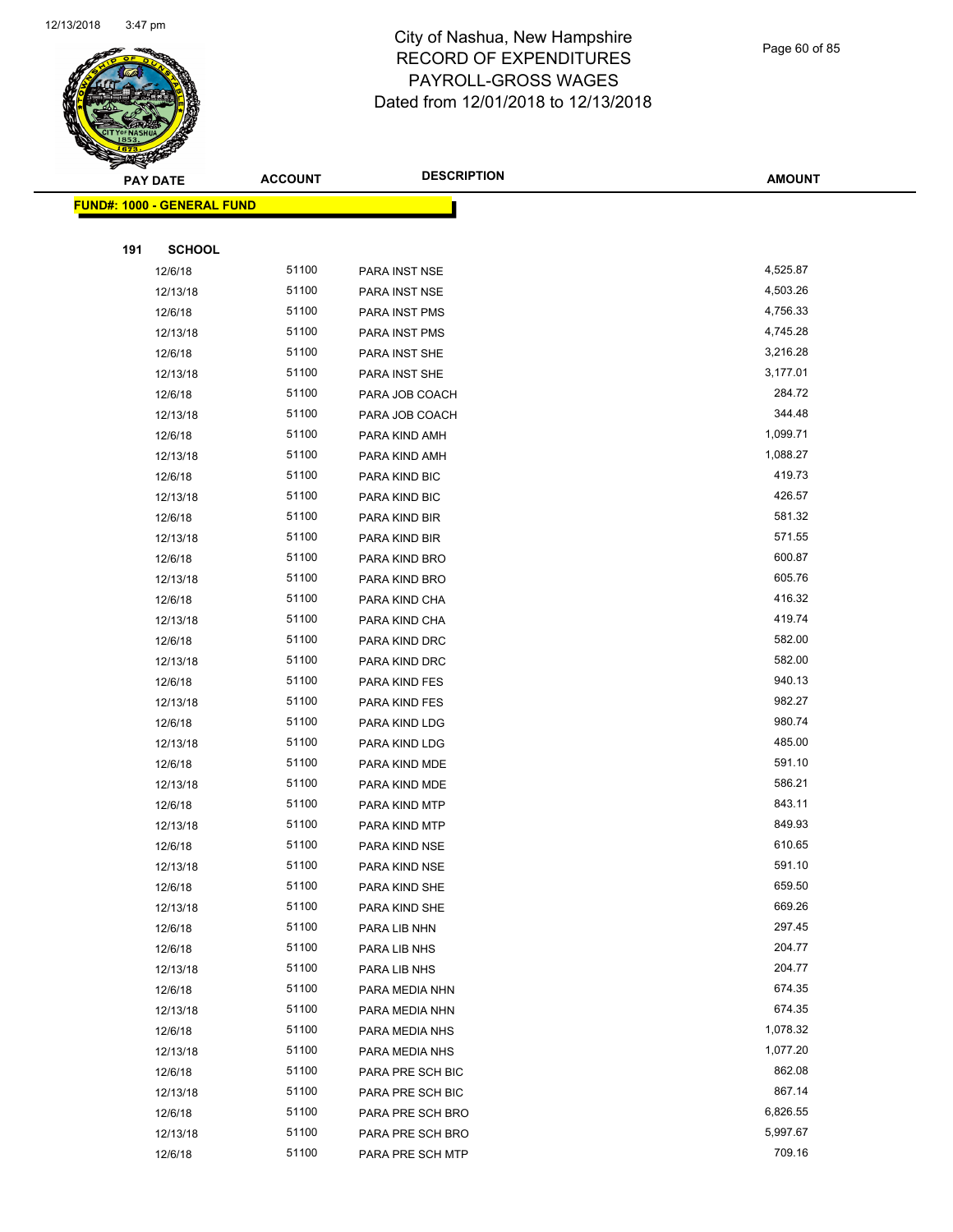

Page 60 of 85

| <u>s ann an </u><br><b>PAY DATE</b> | <b>ACCOUNT</b> | <b>DESCRIPTION</b>                 | <b>AMOUNT</b>    |
|-------------------------------------|----------------|------------------------------------|------------------|
| <b>FUND#: 1000 - GENERAL FUND</b>   |                |                                    |                  |
|                                     |                |                                    |                  |
| 191<br><b>SCHOOL</b>                |                |                                    |                  |
| 12/6/18                             | 51100          | PARA INST NSE                      | 4,525.87         |
| 12/13/18                            | 51100          | PARA INST NSE                      | 4,503.26         |
| 12/6/18                             | 51100          | PARA INST PMS                      | 4,756.33         |
| 12/13/18                            | 51100          | PARA INST PMS                      | 4,745.28         |
| 12/6/18                             | 51100          | PARA INST SHE                      | 3,216.28         |
| 12/13/18                            | 51100          | PARA INST SHE                      | 3,177.01         |
| 12/6/18                             | 51100          | PARA JOB COACH                     | 284.72           |
| 12/13/18                            | 51100          | PARA JOB COACH                     | 344.48           |
| 12/6/18                             | 51100          | PARA KIND AMH                      | 1,099.71         |
| 12/13/18                            | 51100          | PARA KIND AMH                      | 1,088.27         |
| 12/6/18                             | 51100          | PARA KIND BIC                      | 419.73           |
| 12/13/18                            | 51100          | PARA KIND BIC                      | 426.57           |
| 12/6/18                             | 51100          | PARA KIND BIR                      | 581.32           |
| 12/13/18                            | 51100          | PARA KIND BIR                      | 571.55           |
| 12/6/18                             | 51100          | PARA KIND BRO                      | 600.87           |
| 12/13/18                            | 51100          | PARA KIND BRO                      | 605.76           |
| 12/6/18                             | 51100          | PARA KIND CHA                      | 416.32           |
| 12/13/18                            | 51100          | PARA KIND CHA                      | 419.74           |
| 12/6/18                             | 51100          | PARA KIND DRC                      | 582.00           |
| 12/13/18                            | 51100          | PARA KIND DRC                      | 582.00           |
| 12/6/18                             | 51100          | PARA KIND FES                      | 940.13           |
| 12/13/18                            | 51100          | PARA KIND FES                      | 982.27           |
| 12/6/18                             | 51100          | PARA KIND LDG                      | 980.74           |
| 12/13/18                            | 51100          | PARA KIND LDG                      | 485.00           |
| 12/6/18                             | 51100          | PARA KIND MDE                      | 591.10           |
| 12/13/18                            | 51100          | PARA KIND MDE                      | 586.21           |
| 12/6/18                             | 51100          | PARA KIND MTP                      | 843.11           |
| 12/13/18                            | 51100          | PARA KIND MTP                      | 849.93           |
| 12/6/18                             | 51100          | PARA KIND NSE                      | 610.65           |
| 12/13/18                            | 51100          | PARA KIND NSE                      | 591.10           |
| 12/6/18                             | 51100          | PARA KIND SHE                      | 659.50           |
| 12/13/18                            | 51100          | PARA KIND SHE                      | 669.26           |
| 12/6/18                             | 51100          | PARA LIB NHN                       | 297.45           |
| 12/6/18                             | 51100          | PARA LIB NHS                       | 204.77<br>204.77 |
| 12/13/18                            | 51100<br>51100 | PARA LIB NHS                       | 674.35           |
| 12/6/18                             | 51100          | PARA MEDIA NHN<br>PARA MEDIA NHN   | 674.35           |
| 12/13/18                            | 51100          | PARA MEDIA NHS                     | 1,078.32         |
| 12/6/18                             | 51100          |                                    | 1,077.20         |
| 12/13/18                            | 51100          | PARA MEDIA NHS<br>PARA PRE SCH BIC | 862.08           |
| 12/6/18<br>12/13/18                 | 51100          | PARA PRE SCH BIC                   | 867.14           |
| 12/6/18                             | 51100          | PARA PRE SCH BRO                   | 6,826.55         |
| 12/13/18                            | 51100          | PARA PRE SCH BRO                   | 5,997.67         |
| 12/6/18                             | 51100          | PARA PRE SCH MTP                   | 709.16           |
|                                     |                |                                    |                  |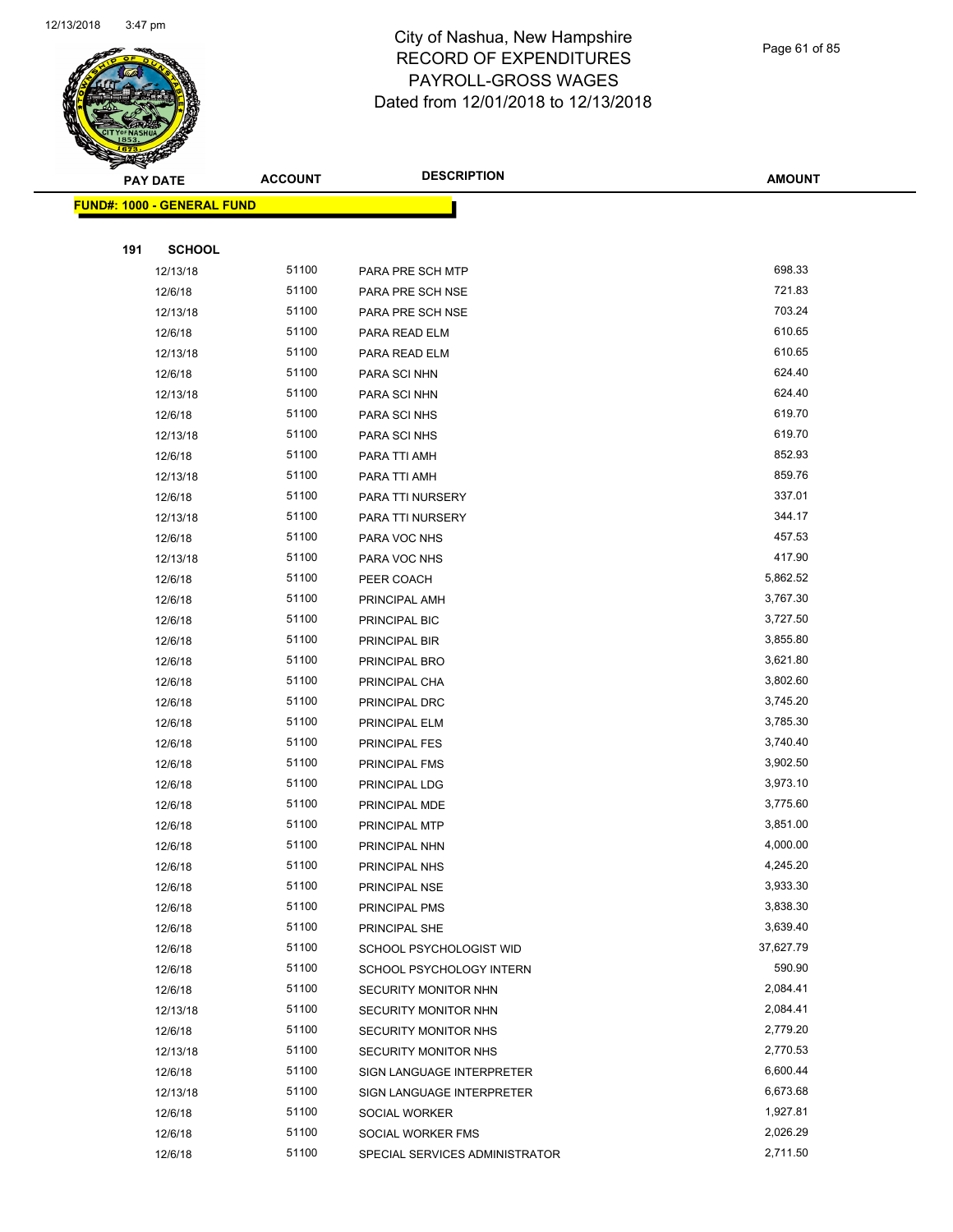

Page 61 of 85

|     | <b>PAY DATE</b>                   | <b>ACCOUNT</b> | <b>DESCRIPTION</b>             | <b>AMOUNT</b> |
|-----|-----------------------------------|----------------|--------------------------------|---------------|
|     | <b>FUND#: 1000 - GENERAL FUND</b> |                |                                |               |
|     |                                   |                |                                |               |
| 191 | <b>SCHOOL</b>                     |                |                                |               |
|     | 12/13/18                          | 51100          | PARA PRE SCH MTP               | 698.33        |
|     | 12/6/18                           | 51100          | PARA PRE SCH NSE               | 721.83        |
|     | 12/13/18                          | 51100          | PARA PRE SCH NSE               | 703.24        |
|     | 12/6/18                           | 51100          | PARA READ ELM                  | 610.65        |
|     | 12/13/18                          | 51100          | PARA READ ELM                  | 610.65        |
|     | 12/6/18                           | 51100          | PARA SCI NHN                   | 624.40        |
|     | 12/13/18                          | 51100          | PARA SCI NHN                   | 624.40        |
|     | 12/6/18                           | 51100          | PARA SCI NHS                   | 619.70        |
|     | 12/13/18                          | 51100          | PARA SCI NHS                   | 619.70        |
|     | 12/6/18                           | 51100          | PARA TTI AMH                   | 852.93        |
|     | 12/13/18                          | 51100          | PARA TTI AMH                   | 859.76        |
|     | 12/6/18                           | 51100          | PARA TTI NURSERY               | 337.01        |
|     | 12/13/18                          | 51100          | PARA TTI NURSERY               | 344.17        |
|     | 12/6/18                           | 51100          | PARA VOC NHS                   | 457.53        |
|     | 12/13/18                          | 51100          | PARA VOC NHS                   | 417.90        |
|     | 12/6/18                           | 51100          | PEER COACH                     | 5,862.52      |
|     | 12/6/18                           | 51100          | PRINCIPAL AMH                  | 3,767.30      |
|     | 12/6/18                           | 51100          | PRINCIPAL BIC                  | 3,727.50      |
|     | 12/6/18                           | 51100          | PRINCIPAL BIR                  | 3,855.80      |
|     | 12/6/18                           | 51100          | PRINCIPAL BRO                  | 3,621.80      |
|     | 12/6/18                           | 51100          | PRINCIPAL CHA                  | 3,802.60      |
|     | 12/6/18                           | 51100          | PRINCIPAL DRC                  | 3,745.20      |
|     | 12/6/18                           | 51100          | PRINCIPAL ELM                  | 3,785.30      |
|     | 12/6/18                           | 51100          | PRINCIPAL FES                  | 3,740.40      |
|     | 12/6/18                           | 51100          | PRINCIPAL FMS                  | 3,902.50      |
|     | 12/6/18                           | 51100          | PRINCIPAL LDG                  | 3,973.10      |
|     | 12/6/18                           | 51100          | PRINCIPAL MDE                  | 3,775.60      |
|     | 12/6/18                           | 51100          | PRINCIPAL MTP                  | 3,851.00      |
|     | 12/6/18                           | 51100          | PRINCIPAL NHN                  | 4,000.00      |
|     | 12/6/18                           | 51100          | PRINCIPAL NHS                  | 4,245.20      |
|     | 12/6/18                           | 51100          | PRINCIPAL NSE                  | 3,933.30      |
|     | 12/6/18                           | 51100          | PRINCIPAL PMS                  | 3,838.30      |
|     | 12/6/18                           | 51100          | PRINCIPAL SHE                  | 3,639.40      |
|     | 12/6/18                           | 51100          | SCHOOL PSYCHOLOGIST WID        | 37,627.79     |
|     | 12/6/18                           | 51100          | SCHOOL PSYCHOLOGY INTERN       | 590.90        |
|     | 12/6/18                           | 51100          | SECURITY MONITOR NHN           | 2,084.41      |
|     | 12/13/18                          | 51100          | SECURITY MONITOR NHN           | 2,084.41      |
|     | 12/6/18                           | 51100          | SECURITY MONITOR NHS           | 2,779.20      |
|     | 12/13/18                          | 51100          | SECURITY MONITOR NHS           | 2,770.53      |
|     | 12/6/18                           | 51100          | SIGN LANGUAGE INTERPRETER      | 6,600.44      |
|     | 12/13/18                          | 51100          | SIGN LANGUAGE INTERPRETER      | 6,673.68      |
|     | 12/6/18                           | 51100          | SOCIAL WORKER                  | 1,927.81      |
|     | 12/6/18                           | 51100          | SOCIAL WORKER FMS              | 2,026.29      |
|     | 12/6/18                           | 51100          | SPECIAL SERVICES ADMINISTRATOR | 2,711.50      |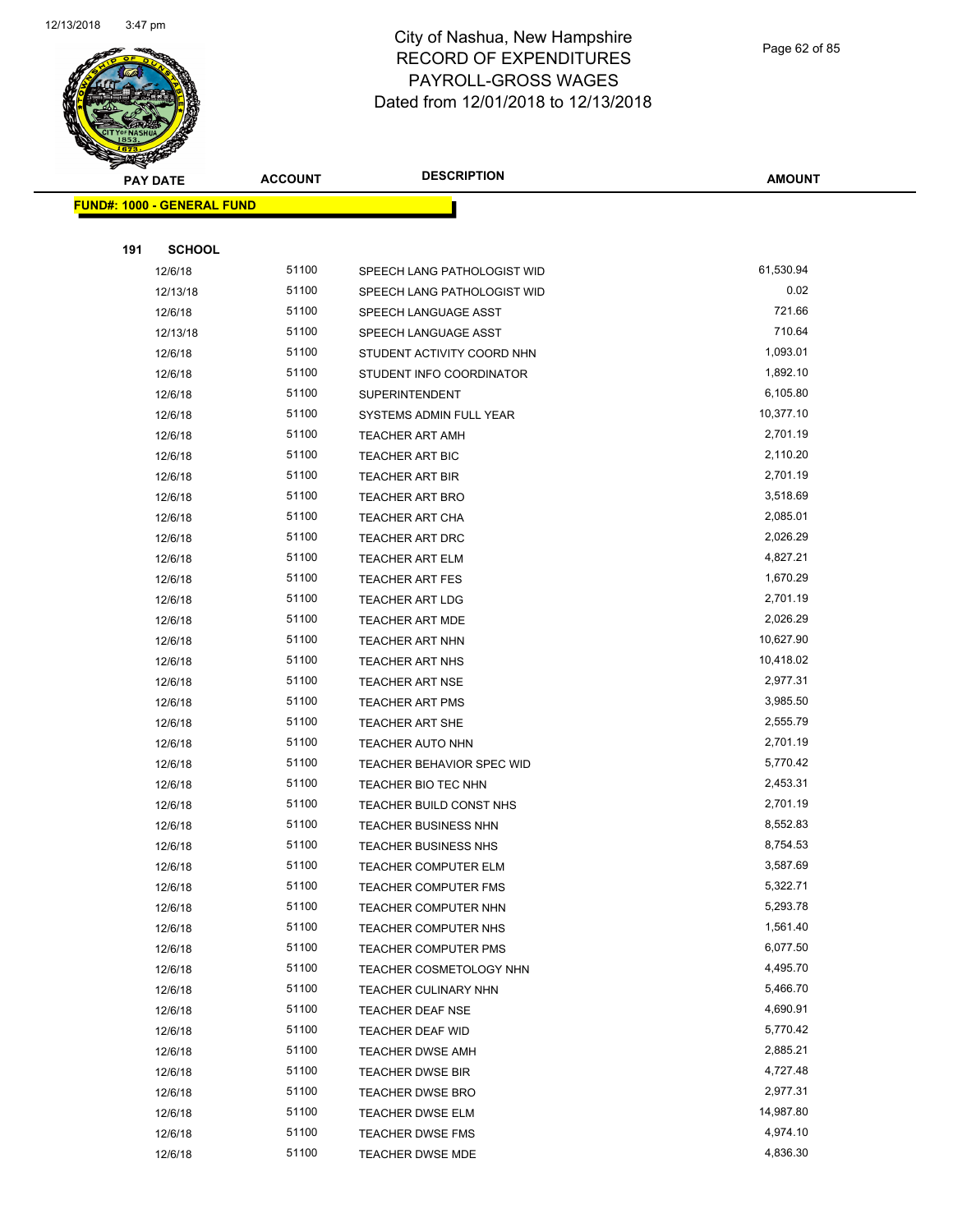

Page 62 of 85

| <b>PAY DATE</b>                   | <b>ACCOUNT</b> | <b>DESCRIPTION</b>                                 | <b>AMOUNT</b>        |
|-----------------------------------|----------------|----------------------------------------------------|----------------------|
| <b>FUND#: 1000 - GENERAL FUND</b> |                |                                                    |                      |
|                                   |                |                                                    |                      |
| 191<br><b>SCHOOL</b>              |                |                                                    |                      |
| 12/6/18                           | 51100          | SPEECH LANG PATHOLOGIST WID                        | 61,530.94            |
| 12/13/18                          | 51100          | SPEECH LANG PATHOLOGIST WID                        | 0.02                 |
| 12/6/18                           | 51100          | SPEECH LANGUAGE ASST                               | 721.66               |
| 12/13/18                          | 51100          | SPEECH LANGUAGE ASST                               | 710.64               |
| 12/6/18                           | 51100          | STUDENT ACTIVITY COORD NHN                         | 1,093.01             |
| 12/6/18                           | 51100          | STUDENT INFO COORDINATOR                           | 1,892.10             |
| 12/6/18                           | 51100          | <b>SUPERINTENDENT</b>                              | 6,105.80             |
| 12/6/18                           | 51100          | SYSTEMS ADMIN FULL YEAR                            | 10,377.10            |
| 12/6/18                           | 51100          | TEACHER ART AMH                                    | 2,701.19             |
| 12/6/18                           | 51100          | <b>TEACHER ART BIC</b>                             | 2,110.20             |
| 12/6/18                           | 51100          | <b>TEACHER ART BIR</b>                             | 2,701.19             |
| 12/6/18                           | 51100          | TEACHER ART BRO                                    | 3,518.69             |
| 12/6/18                           | 51100          | TEACHER ART CHA                                    | 2,085.01             |
| 12/6/18                           | 51100          | TEACHER ART DRC                                    | 2,026.29             |
| 12/6/18                           | 51100          | <b>TEACHER ART ELM</b>                             | 4,827.21             |
| 12/6/18                           | 51100          | <b>TEACHER ART FES</b>                             | 1,670.29             |
| 12/6/18                           | 51100          | <b>TEACHER ART LDG</b>                             | 2,701.19             |
| 12/6/18                           | 51100          | <b>TEACHER ART MDE</b>                             | 2,026.29             |
| 12/6/18                           | 51100          | TEACHER ART NHN                                    | 10,627.90            |
| 12/6/18                           | 51100          | <b>TEACHER ART NHS</b>                             | 10,418.02            |
| 12/6/18                           | 51100          | <b>TEACHER ART NSE</b>                             | 2,977.31             |
| 12/6/18                           | 51100          | <b>TEACHER ART PMS</b>                             | 3,985.50             |
| 12/6/18                           | 51100          | <b>TEACHER ART SHE</b>                             | 2,555.79             |
| 12/6/18                           | 51100          | TEACHER AUTO NHN                                   | 2,701.19             |
| 12/6/18                           | 51100          | TEACHER BEHAVIOR SPEC WID                          | 5,770.42             |
| 12/6/18                           | 51100          | TEACHER BIO TEC NHN                                | 2,453.31             |
| 12/6/18                           | 51100          | TEACHER BUILD CONST NHS                            | 2,701.19             |
| 12/6/18                           | 51100          | TEACHER BUSINESS NHN                               | 8,552.83             |
| 12/6/18                           | 51100          | TEACHER BUSINESS NHS                               | 8,754.53             |
| 12/6/18                           | 51100          | TEACHER COMPUTER ELM                               | 3,587.69             |
| 12/6/18                           | 51100          | <b>TEACHER COMPUTER FMS</b>                        | 5,322.71             |
| 12/6/18                           | 51100          | TEACHER COMPUTER NHN                               | 5,293.78             |
| 12/6/18                           | 51100          | TEACHER COMPUTER NHS                               | 1,561.40             |
| 12/6/18                           | 51100          | <b>TEACHER COMPUTER PMS</b>                        | 6,077.50             |
| 12/6/18                           | 51100          | TEACHER COSMETOLOGY NHN                            | 4,495.70             |
| 12/6/18                           | 51100<br>51100 | TEACHER CULINARY NHN                               | 5,466.70             |
| 12/6/18                           | 51100          | <b>TEACHER DEAF NSE</b>                            | 4,690.91             |
| 12/6/18                           |                | TEACHER DEAF WID                                   | 5,770.42             |
| 12/6/18                           | 51100<br>51100 | <b>TEACHER DWSE AMH</b>                            | 2,885.21<br>4,727.48 |
| 12/6/18                           | 51100          | <b>TEACHER DWSE BIR</b>                            | 2,977.31             |
| 12/6/18<br>12/6/18                | 51100          | <b>TEACHER DWSE BRO</b><br><b>TEACHER DWSE ELM</b> | 14,987.80            |
| 12/6/18                           | 51100          | <b>TEACHER DWSE FMS</b>                            | 4,974.10             |
| 12/6/18                           | 51100          | <b>TEACHER DWSE MDE</b>                            | 4,836.30             |
|                                   |                |                                                    |                      |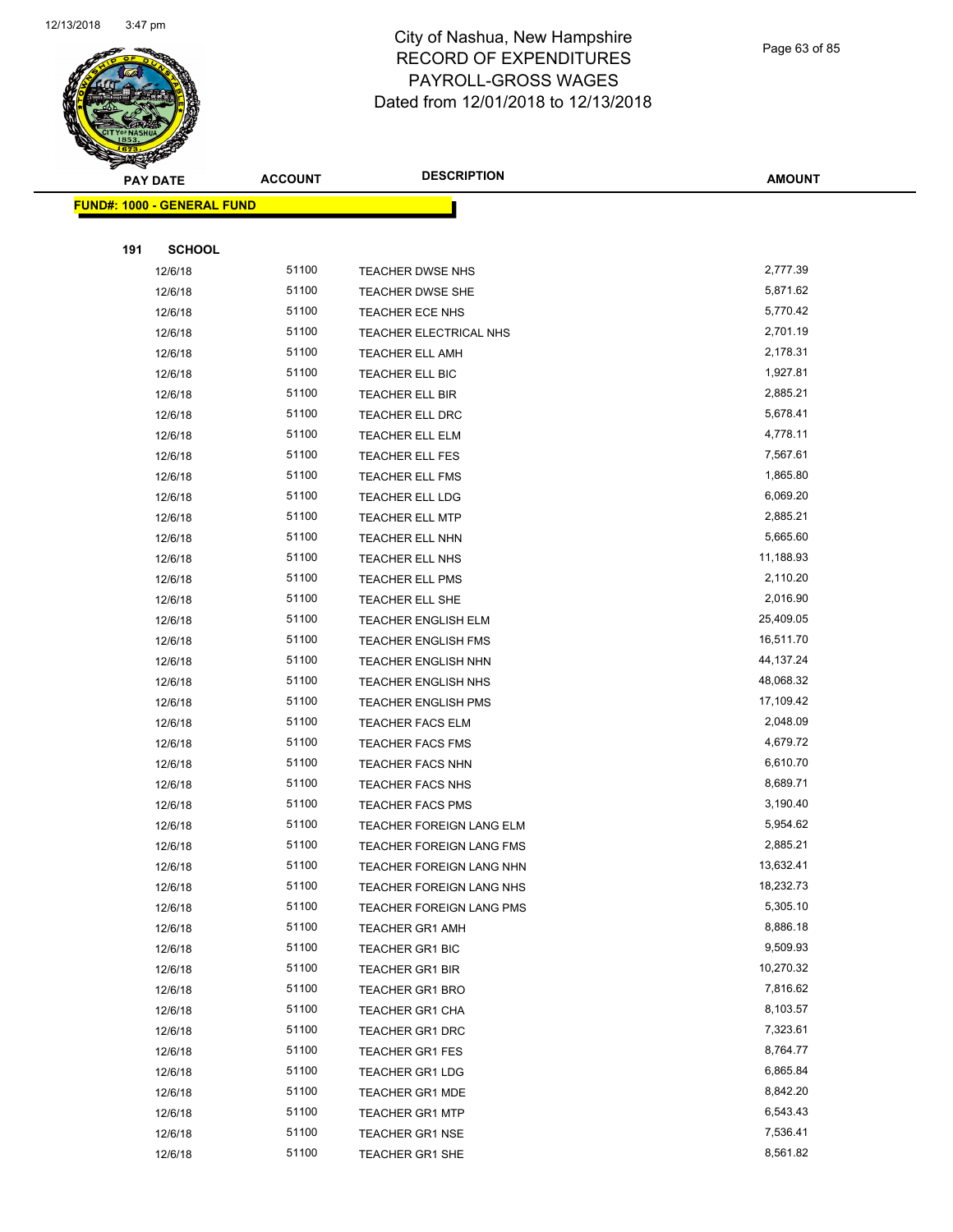

Page 63 of 85

**AMOUNT**

|     | <b>FUND#: 1000 - GENERAL FUND</b> |                |                                                      |                        |
|-----|-----------------------------------|----------------|------------------------------------------------------|------------------------|
|     |                                   |                |                                                      |                        |
| 191 | <b>SCHOOL</b>                     |                |                                                      |                        |
|     | 12/6/18                           | 51100          | TEACHER DWSE NHS                                     | 2,777.39               |
|     | 12/6/18                           | 51100          | <b>TEACHER DWSE SHE</b>                              | 5,871.62               |
|     | 12/6/18                           | 51100          | TEACHER ECE NHS                                      | 5,770.42               |
|     | 12/6/18                           | 51100          | TEACHER ELECTRICAL NHS                               | 2,701.19               |
|     | 12/6/18                           | 51100          | <b>TEACHER ELL AMH</b>                               | 2,178.31               |
|     | 12/6/18                           | 51100          | TEACHER ELL BIC                                      | 1,927.81               |
|     | 12/6/18                           | 51100          | TEACHER ELL BIR                                      | 2,885.21               |
|     | 12/6/18                           | 51100          | <b>TEACHER ELL DRC</b>                               | 5,678.41               |
|     | 12/6/18                           | 51100          | TEACHER ELL ELM                                      | 4,778.11               |
|     | 12/6/18                           | 51100          | <b>TEACHER ELL FES</b>                               | 7,567.61               |
|     | 12/6/18                           | 51100          | <b>TEACHER ELL FMS</b>                               | 1,865.80               |
|     | 12/6/18                           | 51100          | <b>TEACHER ELL LDG</b>                               | 6,069.20               |
|     | 12/6/18                           | 51100          | <b>TEACHER ELL MTP</b>                               | 2,885.21               |
|     | 12/6/18                           | 51100          | <b>TEACHER ELL NHN</b>                               | 5,665.60               |
|     | 12/6/18                           | 51100          | <b>TEACHER ELL NHS</b>                               | 11,188.93              |
|     | 12/6/18                           | 51100          | TEACHER ELL PMS                                      | 2,110.20               |
|     | 12/6/18                           | 51100          | TEACHER ELL SHE                                      | 2,016.90               |
|     | 12/6/18                           | 51100          | <b>TEACHER ENGLISH ELM</b>                           | 25,409.05              |
|     | 12/6/18                           | 51100          | <b>TEACHER ENGLISH FMS</b>                           | 16,511.70              |
|     | 12/6/18                           | 51100          | <b>TEACHER ENGLISH NHN</b>                           | 44, 137. 24            |
|     | 12/6/18                           | 51100          | <b>TEACHER ENGLISH NHS</b>                           | 48,068.32              |
|     | 12/6/18                           | 51100          | <b>TEACHER ENGLISH PMS</b>                           | 17,109.42              |
|     | 12/6/18                           | 51100          | <b>TEACHER FACS ELM</b>                              | 2,048.09               |
|     | 12/6/18                           | 51100          | <b>TEACHER FACS FMS</b>                              | 4,679.72               |
|     | 12/6/18                           | 51100          | <b>TEACHER FACS NHN</b>                              | 6,610.70               |
|     | 12/6/18                           | 51100          | <b>TEACHER FACS NHS</b>                              | 8,689.71               |
|     | 12/6/18                           | 51100          | <b>TEACHER FACS PMS</b>                              | 3,190.40               |
|     | 12/6/18                           | 51100          | <b>TEACHER FOREIGN LANG ELM</b>                      | 5,954.62               |
|     | 12/6/18                           | 51100<br>51100 | TEACHER FOREIGN LANG FMS                             | 2,885.21               |
|     | 12/6/18                           | 51100          | TEACHER FOREIGN LANG NHN                             | 13,632.41<br>18,232.73 |
|     | 12/6/18<br>12/6/18                | 51100          | TEACHER FOREIGN LANG NHS<br>TEACHER FOREIGN LANG PMS | 5,305.10               |
|     | 12/6/18                           | 51100          | <b>TEACHER GR1 AMH</b>                               | 8,886.18               |
|     | 12/6/18                           | 51100          | TEACHER GR1 BIC                                      | 9,509.93               |
|     | 12/6/18                           | 51100          | <b>TEACHER GR1 BIR</b>                               | 10,270.32              |
|     | 12/6/18                           | 51100          | <b>TEACHER GR1 BRO</b>                               | 7,816.62               |
|     | 12/6/18                           | 51100          | TEACHER GR1 CHA                                      | 8,103.57               |
|     | 12/6/18                           | 51100          | TEACHER GR1 DRC                                      | 7,323.61               |
|     | 12/6/18                           | 51100          | <b>TEACHER GR1 FES</b>                               | 8,764.77               |
|     | 12/6/18                           | 51100          | <b>TEACHER GR1 LDG</b>                               | 6,865.84               |
|     | 12/6/18                           | 51100          | <b>TEACHER GR1 MDE</b>                               | 8,842.20               |
|     | 12/6/18                           | 51100          | <b>TEACHER GR1 MTP</b>                               | 6,543.43               |
|     | 12/6/18                           | 51100          | <b>TEACHER GR1 NSE</b>                               | 7,536.41               |
|     | 12/6/18                           | 51100          | TEACHER GR1 SHE                                      | 8,561.82               |
|     |                                   |                |                                                      |                        |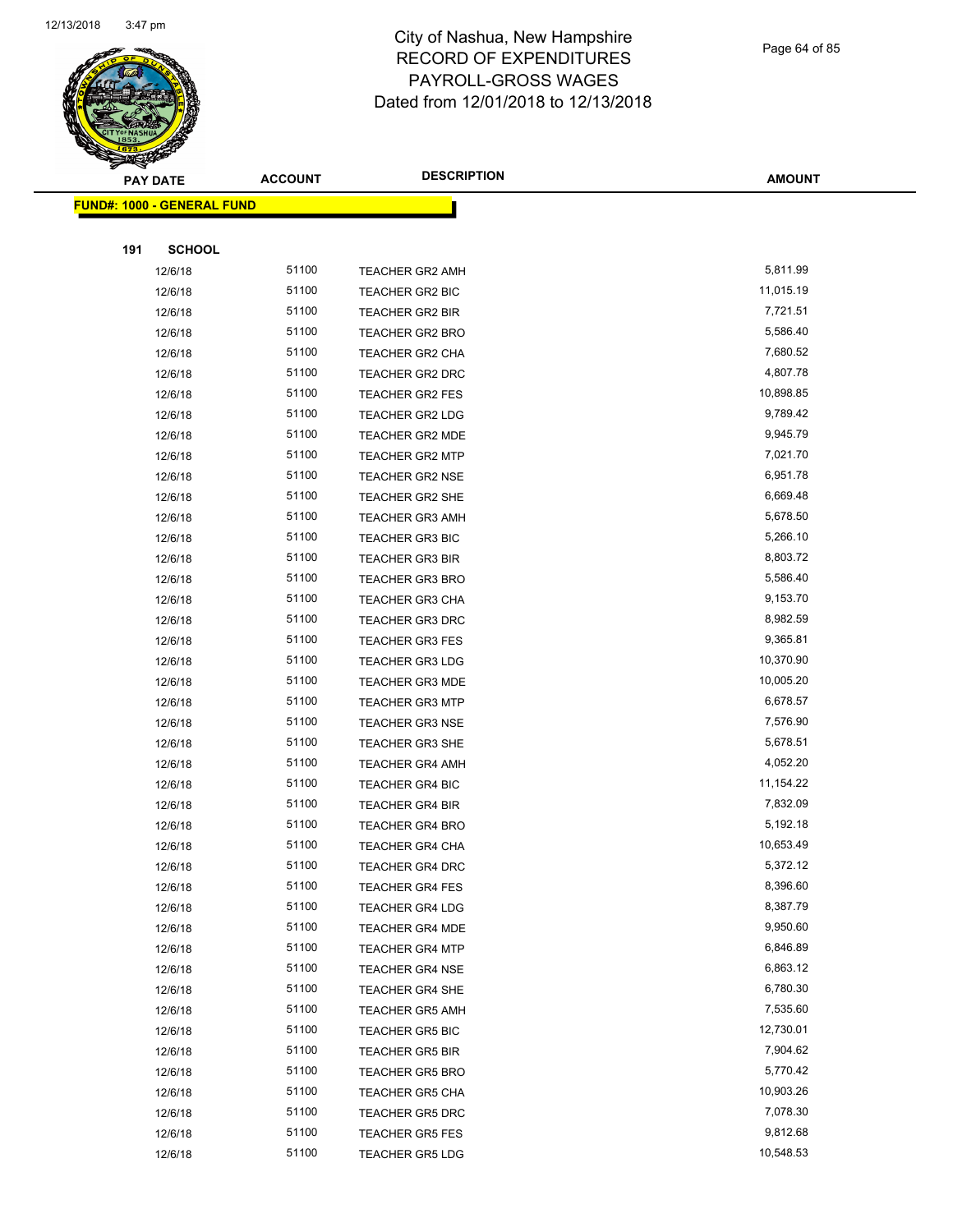

Page 64 of 85

|     | <b>PAY DATE</b>                   | <b>ACCOUNT</b> | <b>DESCRIPTION</b>     | <b>AMOUNT</b> |
|-----|-----------------------------------|----------------|------------------------|---------------|
|     | <b>FUND#: 1000 - GENERAL FUND</b> |                |                        |               |
|     |                                   |                |                        |               |
| 191 | <b>SCHOOL</b>                     |                |                        |               |
|     | 12/6/18                           | 51100          | <b>TEACHER GR2 AMH</b> | 5,811.99      |
|     | 12/6/18                           | 51100          | TEACHER GR2 BIC        | 11,015.19     |
|     | 12/6/18                           | 51100          | <b>TEACHER GR2 BIR</b> | 7,721.51      |
|     | 12/6/18                           | 51100          | TEACHER GR2 BRO        | 5,586.40      |
|     | 12/6/18                           | 51100          | <b>TEACHER GR2 CHA</b> | 7,680.52      |
|     | 12/6/18                           | 51100          | TEACHER GR2 DRC        | 4,807.78      |
|     | 12/6/18                           | 51100          | <b>TEACHER GR2 FES</b> | 10,898.85     |
|     | 12/6/18                           | 51100          | <b>TEACHER GR2 LDG</b> | 9,789.42      |
|     | 12/6/18                           | 51100          | TEACHER GR2 MDE        | 9,945.79      |
|     | 12/6/18                           | 51100          | <b>TEACHER GR2 MTP</b> | 7,021.70      |
|     | 12/6/18                           | 51100          | <b>TEACHER GR2 NSE</b> | 6,951.78      |
|     | 12/6/18                           | 51100          | <b>TEACHER GR2 SHE</b> | 6,669.48      |
|     | 12/6/18                           | 51100          | <b>TEACHER GR3 AMH</b> | 5,678.50      |
|     | 12/6/18                           | 51100          | <b>TEACHER GR3 BIC</b> | 5,266.10      |
|     | 12/6/18                           | 51100          | <b>TEACHER GR3 BIR</b> | 8,803.72      |
|     | 12/6/18                           | 51100          | <b>TEACHER GR3 BRO</b> | 5,586.40      |
|     | 12/6/18                           | 51100          | <b>TEACHER GR3 CHA</b> | 9,153.70      |
|     | 12/6/18                           | 51100          | <b>TEACHER GR3 DRC</b> | 8,982.59      |
|     | 12/6/18                           | 51100          | <b>TEACHER GR3 FES</b> | 9,365.81      |
|     | 12/6/18                           | 51100          | <b>TEACHER GR3 LDG</b> | 10,370.90     |
|     | 12/6/18                           | 51100          | <b>TEACHER GR3 MDE</b> | 10,005.20     |
|     | 12/6/18                           | 51100          | <b>TEACHER GR3 MTP</b> | 6,678.57      |
|     | 12/6/18                           | 51100          | <b>TEACHER GR3 NSE</b> | 7,576.90      |
|     | 12/6/18                           | 51100          | <b>TEACHER GR3 SHE</b> | 5,678.51      |
|     | 12/6/18                           | 51100          | <b>TEACHER GR4 AMH</b> | 4,052.20      |
|     | 12/6/18                           | 51100          | TEACHER GR4 BIC        | 11,154.22     |
|     | 12/6/18                           | 51100          | <b>TEACHER GR4 BIR</b> | 7,832.09      |
|     | 12/6/18                           | 51100          | <b>TEACHER GR4 BRO</b> | 5,192.18      |
|     | 12/6/18                           | 51100          | TEACHER GR4 CHA        | 10,653.49     |
|     | 12/6/18                           | 51100          | <b>TEACHER GR4 DRC</b> | 5,372.12      |
|     | 12/6/18                           | 51100          | <b>TEACHER GR4 FES</b> | 8,396.60      |
|     | 12/6/18                           | 51100          | <b>TEACHER GR4 LDG</b> | 8,387.79      |
|     | 12/6/18                           | 51100          | <b>TEACHER GR4 MDE</b> | 9,950.60      |
|     | 12/6/18                           | 51100          | <b>TEACHER GR4 MTP</b> | 6,846.89      |
|     | 12/6/18                           | 51100          | <b>TEACHER GR4 NSE</b> | 6,863.12      |
|     | 12/6/18                           | 51100          | <b>TEACHER GR4 SHE</b> | 6,780.30      |
|     | 12/6/18                           | 51100          | <b>TEACHER GR5 AMH</b> | 7,535.60      |
|     | 12/6/18                           | 51100          | <b>TEACHER GR5 BIC</b> | 12,730.01     |
|     | 12/6/18                           | 51100          | <b>TEACHER GR5 BIR</b> | 7,904.62      |
|     | 12/6/18                           | 51100          | <b>TEACHER GR5 BRO</b> | 5,770.42      |
|     | 12/6/18                           | 51100          | <b>TEACHER GR5 CHA</b> | 10,903.26     |
|     | 12/6/18                           | 51100          | <b>TEACHER GR5 DRC</b> | 7,078.30      |
|     | 12/6/18                           | 51100          | <b>TEACHER GR5 FES</b> | 9,812.68      |
|     | 12/6/18                           | 51100          | <b>TEACHER GR5 LDG</b> | 10,548.53     |
|     |                                   |                |                        |               |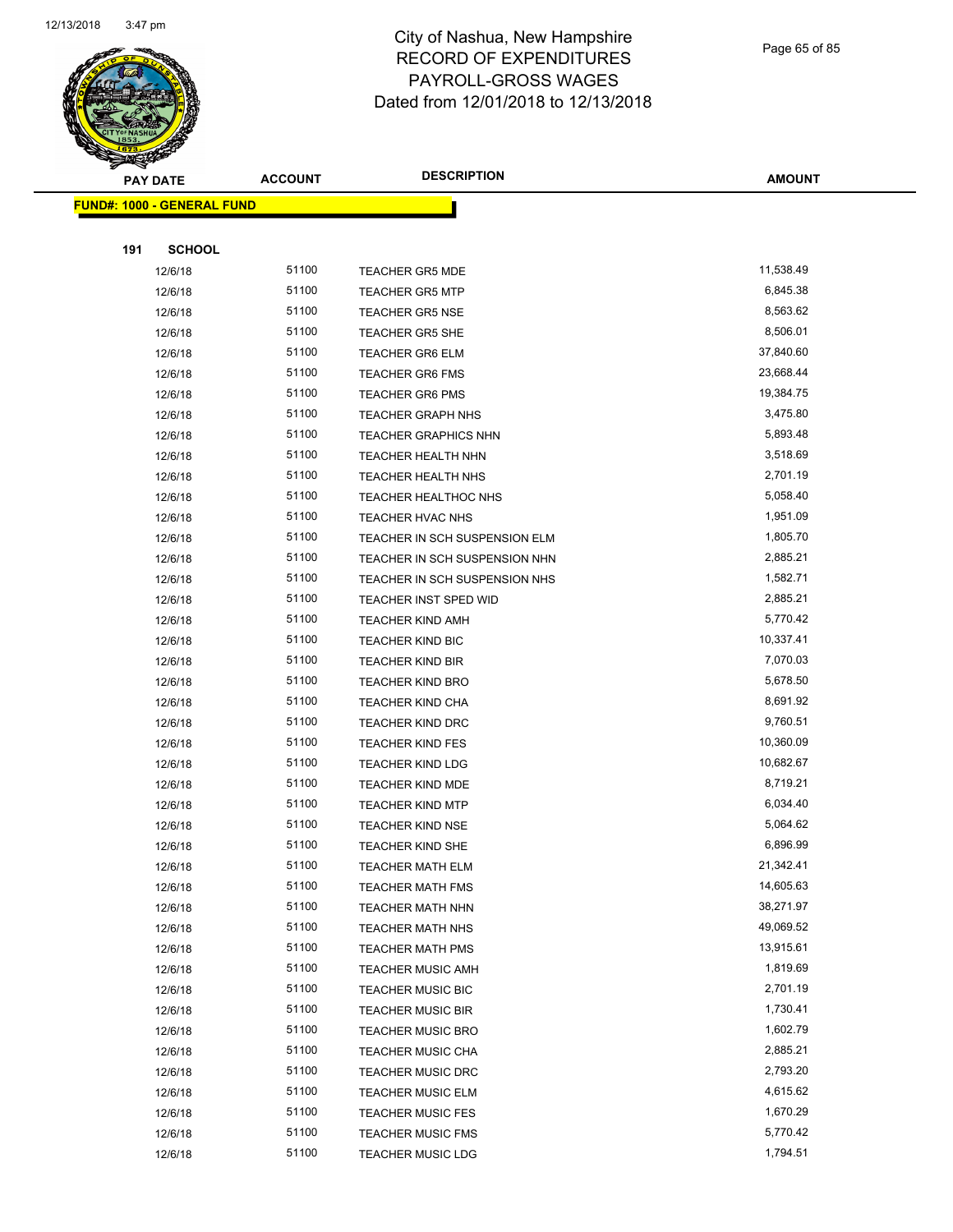

**FUND#: 1000 -**

**191** 

#### City of Nashua, New Hampshire RECORD OF EXPENDITURES PAYROLL-GROSS WAGES Dated from 12/01/2018 to 12/13/2018

|     | PAY DATE                    | <b>ACCOUNT</b> | <b>DESCRIPTION</b>            | <b>AMOUNT</b> |
|-----|-----------------------------|----------------|-------------------------------|---------------|
|     | <u> 1000 - GENERAL FUND</u> |                |                               |               |
|     |                             |                |                               |               |
| 191 | <b>SCHOOL</b>               |                |                               |               |
|     | 12/6/18                     | 51100          | <b>TEACHER GR5 MDE</b>        | 11,538.49     |
|     | 12/6/18                     | 51100          | <b>TEACHER GR5 MTP</b>        | 6,845.38      |
|     | 12/6/18                     | 51100          | <b>TEACHER GR5 NSE</b>        | 8,563.62      |
|     | 12/6/18                     | 51100          | <b>TEACHER GR5 SHE</b>        | 8,506.01      |
|     | 12/6/18                     | 51100          | <b>TEACHER GR6 ELM</b>        | 37,840.60     |
|     | 12/6/18                     | 51100          | <b>TEACHER GR6 FMS</b>        | 23,668.44     |
|     | 12/6/18                     | 51100          | <b>TEACHER GR6 PMS</b>        | 19,384.75     |
|     | 12/6/18                     | 51100          | <b>TEACHER GRAPH NHS</b>      | 3,475.80      |
|     | 12/6/18                     | 51100          | <b>TEACHER GRAPHICS NHN</b>   | 5,893.48      |
|     | 12/6/18                     | 51100          | TEACHER HEALTH NHN            | 3,518.69      |
|     | 12/6/18                     | 51100          | <b>TEACHER HEALTH NHS</b>     | 2,701.19      |
|     | 12/6/18                     | 51100          | TEACHER HEALTHOC NHS          | 5,058.40      |
|     | 12/6/18                     | 51100          | <b>TEACHER HVAC NHS</b>       | 1,951.09      |
|     | 12/6/18                     | 51100          | TEACHER IN SCH SUSPENSION ELM | 1,805.70      |
|     | 12/6/18                     | 51100          | TEACHER IN SCH SUSPENSION NHN | 2,885.21      |
|     | 12/6/18                     | 51100          | TEACHER IN SCH SUSPENSION NHS | 1,582.71      |
|     | 12/6/18                     | 51100          | TEACHER INST SPED WID         | 2,885.21      |
|     | 12/6/18                     | 51100          | <b>TEACHER KIND AMH</b>       | 5,770.42      |
|     | 12/6/18                     | 51100          | <b>TEACHER KIND BIC</b>       | 10,337.41     |
|     | 12/6/18                     | 51100          | <b>TEACHER KIND BIR</b>       | 7,070.03      |
|     | 12/6/18                     | 51100          | <b>TEACHER KIND BRO</b>       | 5,678.50      |
|     | 12/6/18                     | 51100          | <b>TEACHER KIND CHA</b>       | 8,691.92      |
|     | 12/6/18                     | 51100          | <b>TEACHER KIND DRC</b>       | 9,760.51      |
|     | 12/6/18                     | 51100          | <b>TEACHER KIND FES</b>       | 10,360.09     |
|     | 12/6/18                     | 51100          | <b>TEACHER KIND LDG</b>       | 10,682.67     |
|     | 12/6/18                     | 51100          | TEACHER KIND MDE              | 8,719.21      |
|     | 12/6/18                     | 51100          | <b>TEACHER KIND MTP</b>       | 6,034.40      |
|     | 12/6/18                     | 51100          | <b>TEACHER KIND NSE</b>       | 5,064.62      |
|     | 12/6/18                     | 51100          | TEACHER KIND SHE              | 6,896.99      |
|     | 12/6/18                     | 51100          | <b>TEACHER MATH ELM</b>       | 21,342.41     |
|     | 12/6/18                     | 51100          | <b>TEACHER MATH FMS</b>       | 14,605.63     |
|     | 12/6/18                     | 51100          | <b>TEACHER MATH NHN</b>       | 38,271.97     |
|     | 12/6/18                     | 51100          | TEACHER MATH NHS              | 49,069.52     |
|     | 12/6/18                     | 51100          | <b>TEACHER MATH PMS</b>       | 13,915.61     |
|     | 12/6/18                     | 51100          | <b>TEACHER MUSIC AMH</b>      | 1,819.69      |

12/6/18 51100 TEACHER MUSIC BIC 2,701.19 12/6/18 51100 TEACHER MUSIC BIR 1,730.41 12/6/18 51100 TEACHER MUSIC BRO 1,602.79 12/6/18 51100 TEACHER MUSIC CHA 2,885.21 12/6/18 51100 TEACHER MUSIC DRC 2,793.20 12/6/18 51100 TEACHER MUSIC ELM 4,615.62 12/6/18 51100 TEACHER MUSIC FES 1,670.29 12/6/18 5,770.42 12/6/18 51100 TEACHER MUSIC LDG 1,794.51

Page 65 of 85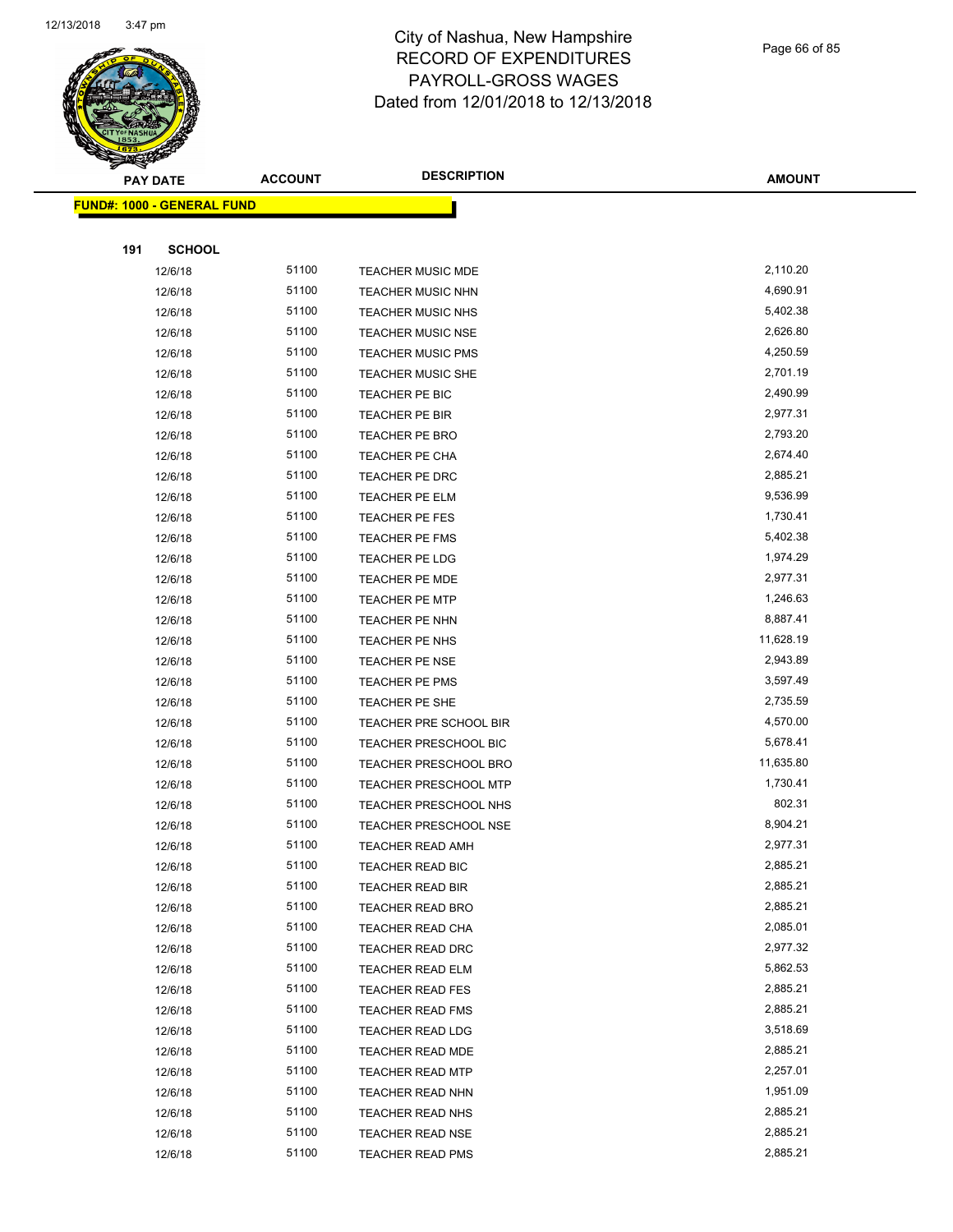

Page 66 of 85

|     | <b>PAY DATE</b>                   | <b>ACCOUNT</b> | <b>DESCRIPTION</b>           | <b>AMOUNT</b> |
|-----|-----------------------------------|----------------|------------------------------|---------------|
|     | <b>FUND#: 1000 - GENERAL FUND</b> |                |                              |               |
|     |                                   |                |                              |               |
| 191 | <b>SCHOOL</b>                     |                |                              |               |
|     | 12/6/18                           | 51100          | TEACHER MUSIC MDE            | 2,110.20      |
|     | 12/6/18                           | 51100          | <b>TEACHER MUSIC NHN</b>     | 4,690.91      |
|     | 12/6/18                           | 51100          | <b>TEACHER MUSIC NHS</b>     | 5,402.38      |
|     | 12/6/18                           | 51100          | <b>TEACHER MUSIC NSE</b>     | 2,626.80      |
|     | 12/6/18                           | 51100          | <b>TEACHER MUSIC PMS</b>     | 4,250.59      |
|     | 12/6/18                           | 51100          | <b>TEACHER MUSIC SHE</b>     | 2,701.19      |
|     | 12/6/18                           | 51100          | TEACHER PE BIC               | 2,490.99      |
|     | 12/6/18                           | 51100          | TEACHER PE BIR               | 2,977.31      |
|     | 12/6/18                           | 51100          | TEACHER PE BRO               | 2,793.20      |
|     | 12/6/18                           | 51100          | <b>TEACHER PE CHA</b>        | 2,674.40      |
|     | 12/6/18                           | 51100          | TEACHER PE DRC               | 2,885.21      |
|     | 12/6/18                           | 51100          | TEACHER PE ELM               | 9,536.99      |
|     | 12/6/18                           | 51100          | TEACHER PE FES               | 1,730.41      |
|     | 12/6/18                           | 51100          | TEACHER PE FMS               | 5,402.38      |
|     | 12/6/18                           | 51100          | TEACHER PE LDG               | 1,974.29      |
|     | 12/6/18                           | 51100          | TEACHER PE MDE               | 2,977.31      |
|     | 12/6/18                           | 51100          | <b>TEACHER PE MTP</b>        | 1,246.63      |
|     | 12/6/18                           | 51100          | TEACHER PE NHN               | 8,887.41      |
|     | 12/6/18                           | 51100          | TEACHER PE NHS               | 11,628.19     |
|     | 12/6/18                           | 51100          | <b>TEACHER PE NSE</b>        | 2,943.89      |
|     | 12/6/18                           | 51100          | TEACHER PE PMS               | 3,597.49      |
|     | 12/6/18                           | 51100          | TEACHER PE SHE               | 2,735.59      |
|     | 12/6/18                           | 51100          | TEACHER PRE SCHOOL BIR       | 4,570.00      |
|     | 12/6/18                           | 51100          | <b>TEACHER PRESCHOOL BIC</b> | 5,678.41      |
|     | 12/6/18                           | 51100          | <b>TEACHER PRESCHOOL BRO</b> | 11,635.80     |
|     | 12/6/18                           | 51100          | <b>TEACHER PRESCHOOL MTP</b> | 1,730.41      |
|     | 12/6/18                           | 51100          | TEACHER PRESCHOOL NHS        | 802.31        |
|     | 12/6/18                           | 51100          | TEACHER PRESCHOOL NSE        | 8,904.21      |
|     | 12/6/18                           | 51100          | <b>TEACHER READ AMH</b>      | 2,977.31      |
|     | 12/6/18                           | 51100          | TEACHER READ BIC             | 2,885.21      |
|     | 12/6/18                           | 51100          | <b>TEACHER READ BIR</b>      | 2,885.21      |
|     | 12/6/18                           | 51100          | <b>TEACHER READ BRO</b>      | 2,885.21      |
|     | 12/6/18                           | 51100          | TEACHER READ CHA             | 2,085.01      |
|     | 12/6/18                           | 51100          | TEACHER READ DRC             | 2,977.32      |
|     | 12/6/18                           | 51100          | TEACHER READ ELM             | 5,862.53      |
|     | 12/6/18                           | 51100          | <b>TEACHER READ FES</b>      | 2,885.21      |
|     | 12/6/18                           | 51100          | <b>TEACHER READ FMS</b>      | 2,885.21      |
|     | 12/6/18                           | 51100          | <b>TEACHER READ LDG</b>      | 3,518.69      |
|     | 12/6/18                           | 51100          | <b>TEACHER READ MDE</b>      | 2,885.21      |
|     | 12/6/18                           | 51100          | <b>TEACHER READ MTP</b>      | 2,257.01      |
|     | 12/6/18                           | 51100          | TEACHER READ NHN             | 1,951.09      |
|     | 12/6/18                           | 51100          | TEACHER READ NHS             | 2,885.21      |
|     | 12/6/18                           | 51100          | TEACHER READ NSE             | 2,885.21      |
|     | 12/6/18                           | 51100          | <b>TEACHER READ PMS</b>      | 2,885.21      |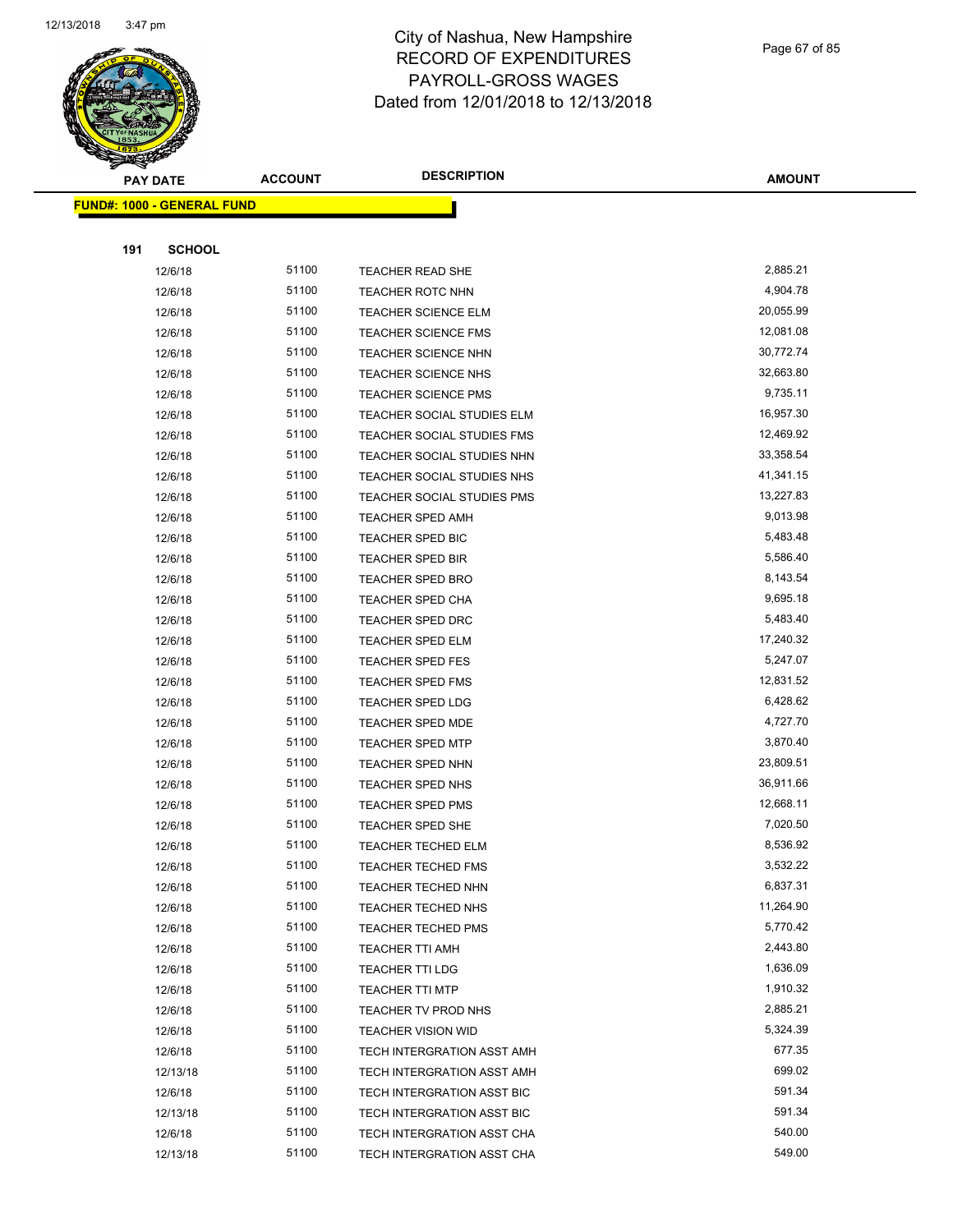

#### City of Nashua, New Hampshire RECORD OF EXPENDITURES PAYROLL-GROSS WAGES Dated from 12/01/2018 to 12/13/2018

|     | <b>PAY DATE</b>                   | <b>ACCOUNT</b> | <b>DESCRIPTION</b>                | <b>AMOUNT</b> |
|-----|-----------------------------------|----------------|-----------------------------------|---------------|
|     | <b>FUND#: 1000 - GENERAL FUND</b> |                |                                   |               |
| 191 | <b>SCHOOL</b>                     |                |                                   |               |
|     | 12/6/18                           | 51100          | <b>TEACHER READ SHE</b>           | 2,885.21      |
|     | 12/6/18                           | 51100          | <b>TEACHER ROTC NHN</b>           | 4,904.78      |
|     | 12/6/18                           | 51100          | <b>TEACHER SCIENCE ELM</b>        | 20,055.99     |
|     | 12/6/18                           | 51100          | TEACHER SCIENCE FMS               | 12,081.08     |
|     | 12/6/18                           | 51100          | <b>TEACHER SCIENCE NHN</b>        | 30,772.74     |
|     | 12/6/18                           | 51100          | <b>TEACHER SCIENCE NHS</b>        | 32,663.80     |
|     | 12/6/18                           | 51100          | <b>TEACHER SCIENCE PMS</b>        | 9,735.11      |
|     | 12/6/18                           | 51100          | TEACHER SOCIAL STUDIES ELM        | 16,957.30     |
|     | 12/6/18                           | 51100          | TEACHER SOCIAL STUDIES FMS        | 12,469.92     |
|     | 12/6/18                           | 51100          | TEACHER SOCIAL STUDIES NHN        | 33,358.54     |
|     | 12/6/18                           | 51100          | TEACHER SOCIAL STUDIES NHS        | 41,341.15     |
|     | 12/6/18                           | 51100          | <b>TEACHER SOCIAL STUDIES PMS</b> | 13,227.83     |
|     | 12/6/18                           | 51100          | <b>TEACHER SPED AMH</b>           | 9,013.98      |
|     | 12/6/18                           | 51100          | TEACHER SPED BIC                  | 5,483.48      |
|     | 12/6/18                           | 51100          | <b>TEACHER SPED BIR</b>           | 5,586.40      |
|     | 12/6/18                           | 51100          | <b>TEACHER SPED BRO</b>           | 8,143.54      |
|     | 12/6/18                           | 51100          | <b>TEACHER SPED CHA</b>           | 9,695.18      |
|     | 12/6/18                           | 51100          | <b>TEACHER SPED DRC</b>           | 5,483.40      |
|     | 12/6/18                           | 51100          | <b>TEACHER SPED ELM</b>           | 17,240.32     |
|     | 12/6/18                           | 51100          | <b>TEACHER SPED FES</b>           | 5,247.07      |
|     | 12/6/18                           | 51100          | <b>TEACHER SPED FMS</b>           | 12,831.52     |
|     | 12/6/18                           | 51100          | <b>TEACHER SPED LDG</b>           | 6,428.62      |
|     | 12/6/18                           | 51100          | TEACHER SPED MDE                  | 4,727.70      |
|     | 12/6/18                           | 51100          | <b>TEACHER SPED MTP</b>           | 3,870.40      |
|     | 12/6/18                           | 51100          | <b>TEACHER SPED NHN</b>           | 23,809.51     |
|     | 12/6/18                           | 51100          | <b>TEACHER SPED NHS</b>           | 36,911.66     |

| 12/6/18  | 51100 | TEACHER SOCIAL STUDIES ELM | 16,957.30 |
|----------|-------|----------------------------|-----------|
| 12/6/18  | 51100 | TEACHER SOCIAL STUDIES FMS | 12,469.92 |
| 12/6/18  | 51100 | TEACHER SOCIAL STUDIES NHN | 33,358.54 |
| 12/6/18  | 51100 | TEACHER SOCIAL STUDIES NHS | 41,341.15 |
| 12/6/18  | 51100 | TEACHER SOCIAL STUDIES PMS | 13,227.83 |
| 12/6/18  | 51100 | TEACHER SPED AMH           | 9,013.98  |
| 12/6/18  | 51100 | TEACHER SPED BIC           | 5,483.48  |
| 12/6/18  | 51100 | <b>TEACHER SPED BIR</b>    | 5,586.40  |
| 12/6/18  | 51100 | <b>TEACHER SPED BRO</b>    | 8,143.54  |
| 12/6/18  | 51100 | <b>TEACHER SPED CHA</b>    | 9,695.18  |
| 12/6/18  | 51100 | <b>TEACHER SPED DRC</b>    | 5,483.40  |
| 12/6/18  | 51100 | TEACHER SPED ELM           | 17,240.32 |
| 12/6/18  | 51100 | <b>TEACHER SPED FES</b>    | 5,247.07  |
| 12/6/18  | 51100 | <b>TEACHER SPED FMS</b>    | 12,831.52 |
| 12/6/18  | 51100 | <b>TEACHER SPED LDG</b>    | 6,428.62  |
| 12/6/18  | 51100 | <b>TEACHER SPED MDE</b>    | 4,727.70  |
| 12/6/18  | 51100 | <b>TEACHER SPED MTP</b>    | 3,870.40  |
| 12/6/18  | 51100 | <b>TEACHER SPED NHN</b>    | 23,809.51 |
| 12/6/18  | 51100 | TEACHER SPED NHS           | 36,911.66 |
| 12/6/18  | 51100 | <b>TEACHER SPED PMS</b>    | 12,668.11 |
| 12/6/18  | 51100 | TEACHER SPED SHE           | 7,020.50  |
| 12/6/18  | 51100 | <b>TEACHER TECHED ELM</b>  | 8,536.92  |
| 12/6/18  | 51100 | <b>TEACHER TECHED FMS</b>  | 3,532.22  |
| 12/6/18  | 51100 | TEACHER TECHED NHN         | 6,837.31  |
| 12/6/18  | 51100 | TEACHER TECHED NHS         | 11,264.90 |
| 12/6/18  | 51100 | <b>TEACHER TECHED PMS</b>  | 5,770.42  |
| 12/6/18  | 51100 | TEACHER TTI AMH            | 2,443.80  |
| 12/6/18  | 51100 | <b>TEACHER TTI LDG</b>     | 1,636.09  |
| 12/6/18  | 51100 | <b>TEACHER TTI MTP</b>     | 1,910.32  |
| 12/6/18  | 51100 | TEACHER TV PROD NHS        | 2,885.21  |
| 12/6/18  | 51100 | <b>TEACHER VISION WID</b>  | 5,324.39  |
| 12/6/18  | 51100 | TECH INTERGRATION ASST AMH | 677.35    |
| 12/13/18 | 51100 | TECH INTERGRATION ASST AMH | 699.02    |
| 12/6/18  | 51100 | TECH INTERGRATION ASST BIC | 591.34    |
| 12/13/18 | 51100 | TECH INTERGRATION ASST BIC | 591.34    |
| 12/6/18  | 51100 | TECH INTERGRATION ASST CHA | 540.00    |
| 12/13/18 | 51100 | TECH INTERGRATION ASST CHA | 549.00    |
|          |       |                            |           |

Page 67 of 85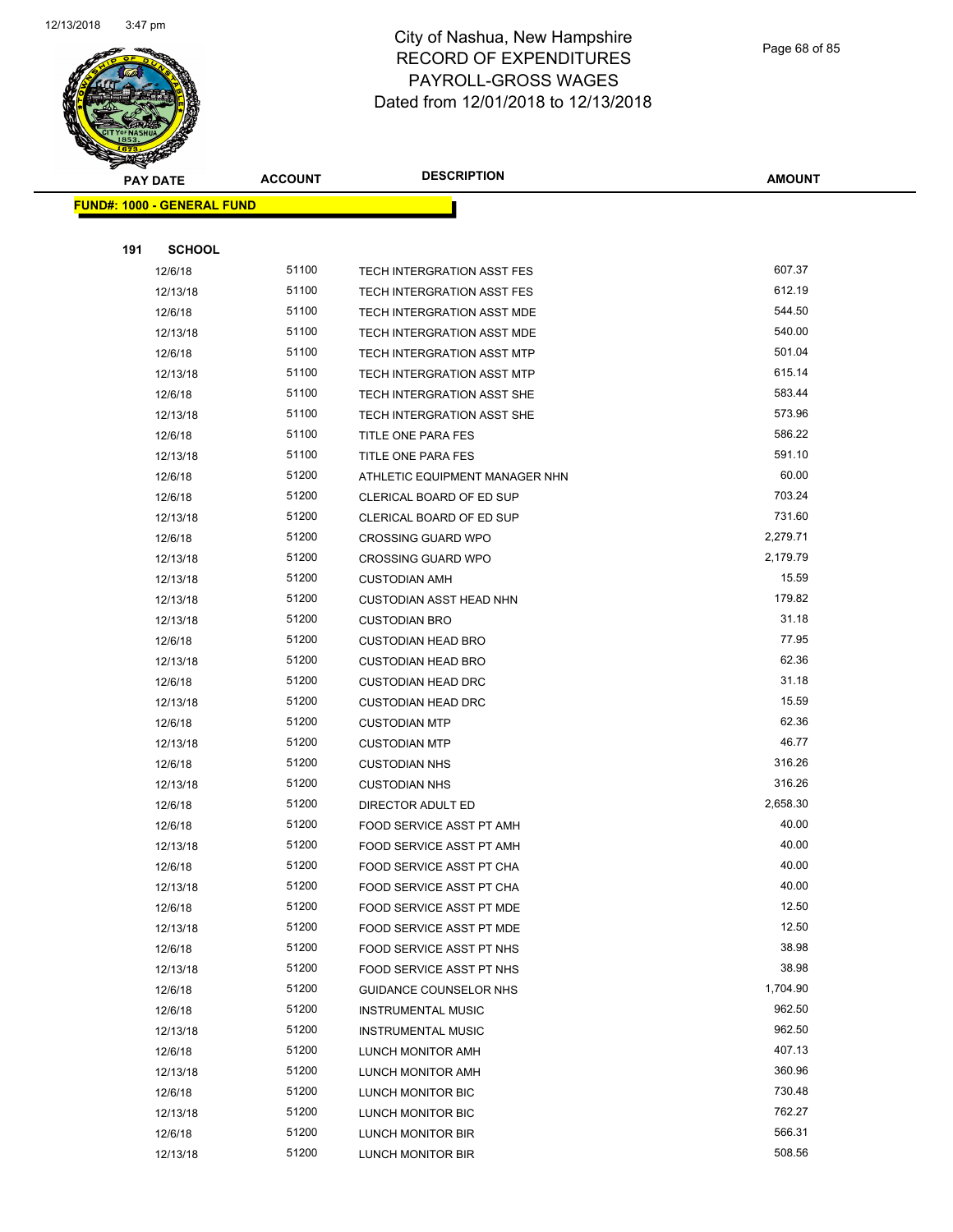

Page 68 of 85

| <b>PAY DATE</b>                   | <b>ACCOUNT</b> | <b>DESCRIPTION</b>                     | <b>AMOUNT</b>    |
|-----------------------------------|----------------|----------------------------------------|------------------|
| <b>FUND#: 1000 - GENERAL FUND</b> |                |                                        |                  |
|                                   |                |                                        |                  |
| <b>SCHOOL</b><br>191              |                |                                        |                  |
| 12/6/18                           | 51100          | TECH INTERGRATION ASST FES             | 607.37           |
| 12/13/18                          | 51100          | TECH INTERGRATION ASST FES             | 612.19           |
| 12/6/18                           | 51100          | TECH INTERGRATION ASST MDE             | 544.50           |
| 12/13/18                          | 51100          | TECH INTERGRATION ASST MDE             | 540.00           |
| 12/6/18                           | 51100          | TECH INTERGRATION ASST MTP             | 501.04           |
| 12/13/18                          | 51100          | TECH INTERGRATION ASST MTP             | 615.14           |
| 12/6/18                           | 51100          | TECH INTERGRATION ASST SHE             | 583.44           |
| 12/13/18                          | 51100          | TECH INTERGRATION ASST SHE             | 573.96           |
| 12/6/18                           | 51100          | TITLE ONE PARA FES                     | 586.22           |
| 12/13/18                          | 51100          | TITLE ONE PARA FES                     | 591.10           |
| 12/6/18                           | 51200          | ATHLETIC EQUIPMENT MANAGER NHN         | 60.00            |
| 12/6/18                           | 51200          | CLERICAL BOARD OF ED SUP               | 703.24           |
| 12/13/18                          | 51200          | CLERICAL BOARD OF ED SUP               | 731.60           |
| 12/6/18                           | 51200          | <b>CROSSING GUARD WPO</b>              | 2,279.71         |
| 12/13/18                          | 51200          | <b>CROSSING GUARD WPO</b>              | 2,179.79         |
| 12/13/18                          | 51200          | <b>CUSTODIAN AMH</b>                   | 15.59            |
| 12/13/18                          | 51200          | <b>CUSTODIAN ASST HEAD NHN</b>         | 179.82           |
| 12/13/18                          | 51200          | <b>CUSTODIAN BRO</b>                   | 31.18            |
| 12/6/18                           | 51200          | <b>CUSTODIAN HEAD BRO</b>              | 77.95            |
| 12/13/18                          | 51200          | <b>CUSTODIAN HEAD BRO</b>              | 62.36            |
| 12/6/18                           | 51200          | <b>CUSTODIAN HEAD DRC</b>              | 31.18            |
| 12/13/18                          | 51200          | <b>CUSTODIAN HEAD DRC</b>              | 15.59            |
| 12/6/18                           | 51200          | <b>CUSTODIAN MTP</b>                   | 62.36            |
| 12/13/18                          | 51200          | <b>CUSTODIAN MTP</b>                   | 46.77            |
| 12/6/18                           | 51200          | <b>CUSTODIAN NHS</b>                   | 316.26           |
| 12/13/18                          | 51200          | <b>CUSTODIAN NHS</b>                   | 316.26           |
| 12/6/18                           | 51200          | DIRECTOR ADULT ED                      | 2,658.30         |
| 12/6/18                           | 51200          | <b>FOOD SERVICE ASST PT AMH</b>        | 40.00            |
| 12/13/18                          | 51200          | FOOD SERVICE ASST PT AMH               | 40.00            |
| 12/6/18                           | 51200          | FOOD SERVICE ASST PT CHA               | 40.00            |
| 12/13/18                          | 51200          | FOOD SERVICE ASST PT CHA               | 40.00            |
| 12/6/18                           | 51200          | FOOD SERVICE ASST PT MDE               | 12.50            |
| 12/13/18                          | 51200          | FOOD SERVICE ASST PT MDE               | 12.50            |
| 12/6/18                           | 51200          | FOOD SERVICE ASST PT NHS               | 38.98            |
| 12/13/18                          | 51200          | FOOD SERVICE ASST PT NHS               | 38.98            |
| 12/6/18                           | 51200          | GUIDANCE COUNSELOR NHS                 | 1,704.90         |
| 12/6/18                           | 51200          | <b>INSTRUMENTAL MUSIC</b>              | 962.50           |
| 12/13/18                          | 51200          | <b>INSTRUMENTAL MUSIC</b>              | 962.50           |
| 12/6/18                           | 51200          | LUNCH MONITOR AMH                      | 407.13           |
| 12/13/18                          | 51200<br>51200 | LUNCH MONITOR AMH                      | 360.96<br>730.48 |
| 12/6/18                           | 51200          | LUNCH MONITOR BIC                      | 762.27           |
| 12/13/18<br>12/6/18               | 51200          | LUNCH MONITOR BIC                      | 566.31           |
| 12/13/18                          | 51200          | LUNCH MONITOR BIR<br>LUNCH MONITOR BIR | 508.56           |
|                                   |                |                                        |                  |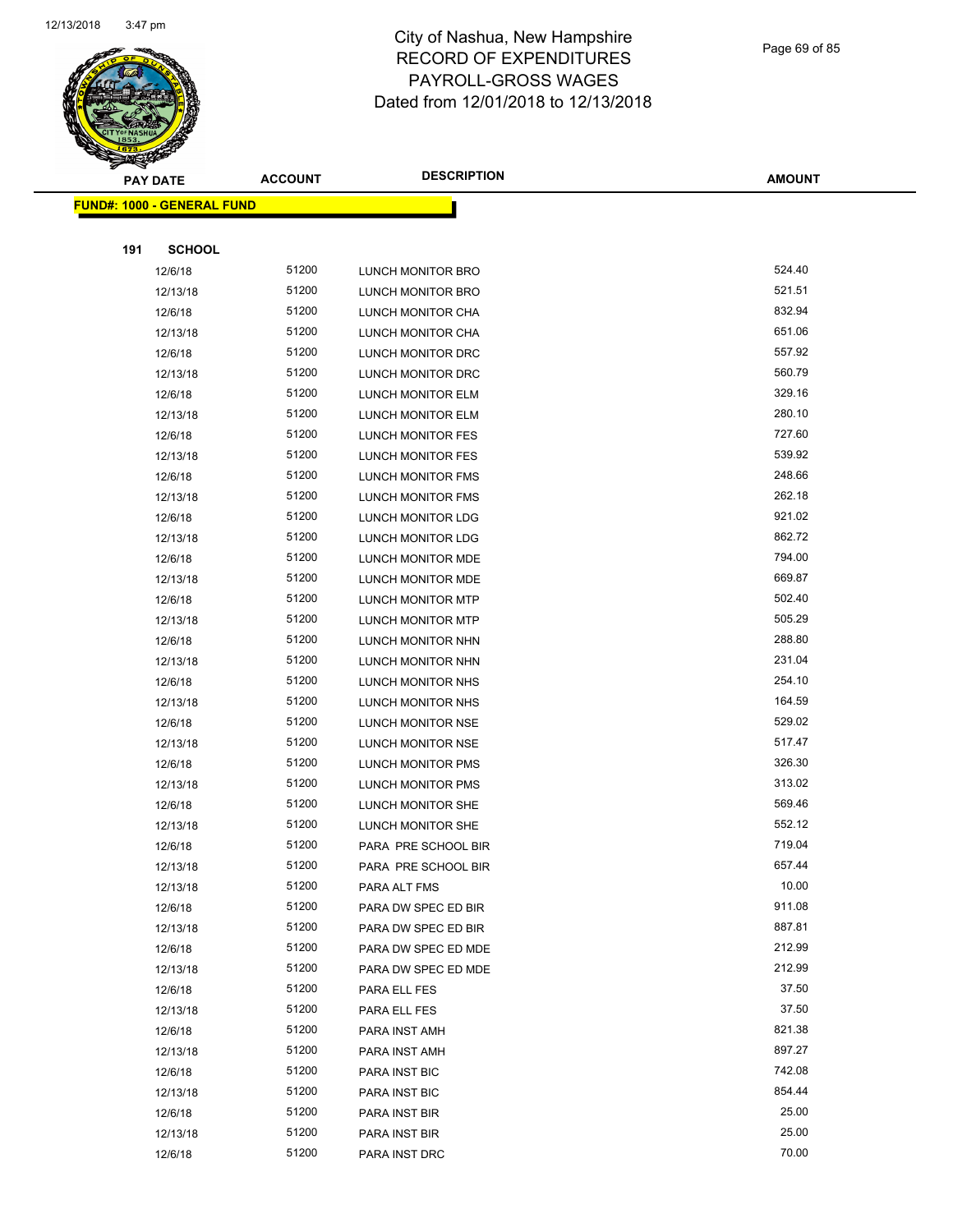

| Page 69 of 85 |  |  |  |  |
|---------------|--|--|--|--|
|---------------|--|--|--|--|

|     | <b>PAY DATE</b>                   | <b>ACCOUNT</b> | <b>DESCRIPTION</b>       | <b>AMOUNT</b> |
|-----|-----------------------------------|----------------|--------------------------|---------------|
|     | <b>FUND#: 1000 - GENERAL FUND</b> |                |                          |               |
|     |                                   |                |                          |               |
| 191 | <b>SCHOOL</b>                     |                |                          |               |
|     | 12/6/18                           | 51200          | LUNCH MONITOR BRO        | 524.40        |
|     | 12/13/18                          | 51200          | LUNCH MONITOR BRO        | 521.51        |
|     | 12/6/18                           | 51200          | LUNCH MONITOR CHA        | 832.94        |
|     | 12/13/18                          | 51200          | LUNCH MONITOR CHA        | 651.06        |
|     | 12/6/18                           | 51200          | LUNCH MONITOR DRC        | 557.92        |
|     | 12/13/18                          | 51200          | LUNCH MONITOR DRC        | 560.79        |
|     | 12/6/18                           | 51200          | LUNCH MONITOR ELM        | 329.16        |
|     | 12/13/18                          | 51200          | LUNCH MONITOR ELM        | 280.10        |
|     | 12/6/18                           | 51200          | LUNCH MONITOR FES        | 727.60        |
|     | 12/13/18                          | 51200          | LUNCH MONITOR FES        | 539.92        |
|     | 12/6/18                           | 51200          | LUNCH MONITOR FMS        | 248.66        |
|     | 12/13/18                          | 51200          | LUNCH MONITOR FMS        | 262.18        |
|     | 12/6/18                           | 51200          | <b>LUNCH MONITOR LDG</b> | 921.02        |
|     | 12/13/18                          | 51200          | LUNCH MONITOR LDG        | 862.72        |
|     | 12/6/18                           | 51200          | LUNCH MONITOR MDE        | 794.00        |
|     | 12/13/18                          | 51200          | LUNCH MONITOR MDE        | 669.87        |
|     | 12/6/18                           | 51200          | LUNCH MONITOR MTP        | 502.40        |
|     | 12/13/18                          | 51200          | <b>LUNCH MONITOR MTP</b> | 505.29        |
|     | 12/6/18                           | 51200          | LUNCH MONITOR NHN        | 288.80        |
|     | 12/13/18                          | 51200          | LUNCH MONITOR NHN        | 231.04        |
|     | 12/6/18                           | 51200          | LUNCH MONITOR NHS        | 254.10        |
|     | 12/13/18                          | 51200          | LUNCH MONITOR NHS        | 164.59        |
|     | 12/6/18                           | 51200          | LUNCH MONITOR NSE        | 529.02        |
|     | 12/13/18                          | 51200          | LUNCH MONITOR NSE        | 517.47        |
|     | 12/6/18                           | 51200          | LUNCH MONITOR PMS        | 326.30        |
|     | 12/13/18                          | 51200          | LUNCH MONITOR PMS        | 313.02        |
|     | 12/6/18                           | 51200          | LUNCH MONITOR SHE        | 569.46        |
|     | 12/13/18                          | 51200          | LUNCH MONITOR SHE        | 552.12        |
|     | 12/6/18                           | 51200          | PARA PRE SCHOOL BIR      | 719.04        |
|     | 12/13/18                          | 51200          | PARA PRE SCHOOL BIR      | 657.44        |
|     | 12/13/18                          | 51200          | PARA ALT FMS             | 10.00         |
|     | 12/6/18                           | 51200          | PARA DW SPEC ED BIR      | 911.08        |
|     | 12/13/18                          | 51200          | PARA DW SPEC ED BIR      | 887.81        |
|     | 12/6/18                           | 51200          | PARA DW SPEC ED MDE      | 212.99        |
|     | 12/13/18                          | 51200          | PARA DW SPEC ED MDE      | 212.99        |
|     | 12/6/18                           | 51200          | PARA ELL FES             | 37.50         |
|     | 12/13/18                          | 51200          | PARA ELL FES             | 37.50         |
|     | 12/6/18                           | 51200          | PARA INST AMH            | 821.38        |
|     | 12/13/18                          | 51200          | PARA INST AMH            | 897.27        |
|     | 12/6/18                           | 51200          | PARA INST BIC            | 742.08        |
|     | 12/13/18                          | 51200          | PARA INST BIC            | 854.44        |
|     | 12/6/18                           | 51200          | PARA INST BIR            | 25.00         |
|     | 12/13/18                          | 51200          | PARA INST BIR            | 25.00         |
|     | 12/6/18                           | 51200          | PARA INST DRC            | 70.00         |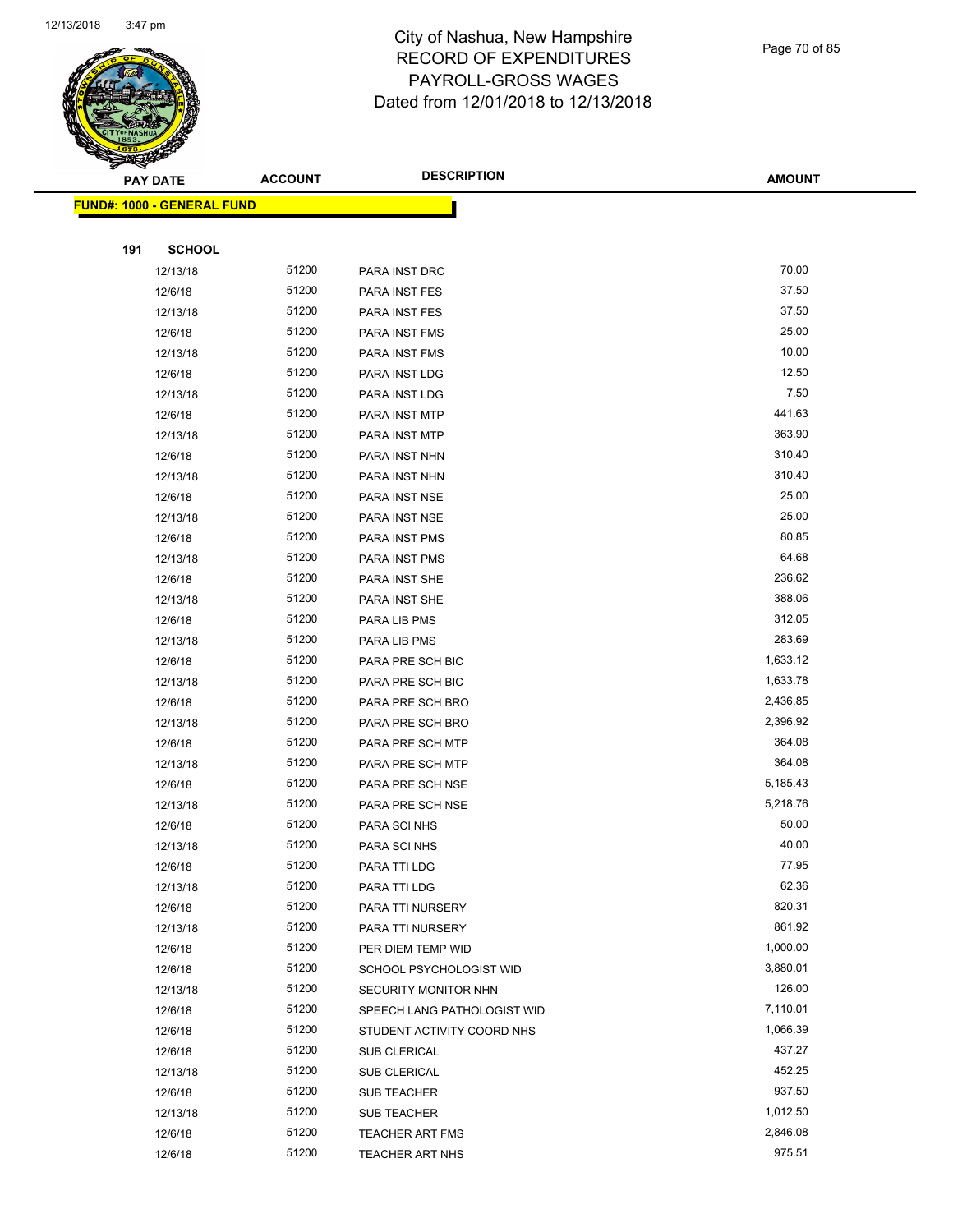

Page 70 of 85

| <b>STARBUNG</b>                   |                |                             |               |
|-----------------------------------|----------------|-----------------------------|---------------|
| <b>PAY DATE</b>                   | <b>ACCOUNT</b> | <b>DESCRIPTION</b>          | <b>AMOUNT</b> |
| <b>FUND#: 1000 - GENERAL FUND</b> |                |                             |               |
|                                   |                |                             |               |
| 191<br><b>SCHOOL</b>              |                |                             |               |
| 12/13/18                          | 51200          | PARA INST DRC               | 70.00         |
| 12/6/18                           | 51200          | PARA INST FES               | 37.50         |
| 12/13/18                          | 51200          | PARA INST FES               | 37.50         |
| 12/6/18                           | 51200          | PARA INST FMS               | 25.00         |
| 12/13/18                          | 51200          | PARA INST FMS               | 10.00         |
| 12/6/18                           | 51200          | PARA INST LDG               | 12.50         |
| 12/13/18                          | 51200          | PARA INST LDG               | 7.50          |
| 12/6/18                           | 51200          | PARA INST MTP               | 441.63        |
| 12/13/18                          | 51200          | PARA INST MTP               | 363.90        |
| 12/6/18                           | 51200          | PARA INST NHN               | 310.40        |
| 12/13/18                          | 51200          | PARA INST NHN               | 310.40        |
| 12/6/18                           | 51200          | PARA INST NSE               | 25.00         |
| 12/13/18                          | 51200          | PARA INST NSE               | 25.00         |
| 12/6/18                           | 51200          | PARA INST PMS               | 80.85         |
| 12/13/18                          | 51200          | PARA INST PMS               | 64.68         |
| 12/6/18                           | 51200          | PARA INST SHE               | 236.62        |
| 12/13/18                          | 51200          | PARA INST SHE               | 388.06        |
| 12/6/18                           | 51200          | PARA LIB PMS                | 312.05        |
| 12/13/18                          | 51200          | PARA LIB PMS                | 283.69        |
| 12/6/18                           | 51200          | PARA PRE SCH BIC            | 1,633.12      |
| 12/13/18                          | 51200          | PARA PRE SCH BIC            | 1,633.78      |
| 12/6/18                           | 51200          | PARA PRE SCH BRO            | 2,436.85      |
| 12/13/18                          | 51200          | PARA PRE SCH BRO            | 2,396.92      |
| 12/6/18                           | 51200          | PARA PRE SCH MTP            | 364.08        |
| 12/13/18                          | 51200          | PARA PRE SCH MTP            | 364.08        |
| 12/6/18                           | 51200          | PARA PRE SCH NSE            | 5,185.43      |
| 12/13/18                          | 51200          | PARA PRE SCH NSE            | 5,218.76      |
| 12/6/18                           | 51200          | PARA SCI NHS                | 50.00         |
| 12/13/18                          | 51200          | PARA SCI NHS                | 40.00         |
| 12/6/18                           | 51200          | PARA TTI LDG                | 77.95         |
| 12/13/18                          | 51200          | PARA TTI LDG                | 62.36         |
| 12/6/18                           | 51200          | PARA TTI NURSERY            | 820.31        |
| 12/13/18                          | 51200          | PARA TTI NURSERY            | 861.92        |
| 12/6/18                           | 51200          | PER DIEM TEMP WID           | 1,000.00      |
| 12/6/18                           | 51200          | SCHOOL PSYCHOLOGIST WID     | 3,880.01      |
| 12/13/18                          | 51200          | SECURITY MONITOR NHN        | 126.00        |
| 12/6/18                           | 51200          | SPEECH LANG PATHOLOGIST WID | 7,110.01      |
| 12/6/18                           | 51200          | STUDENT ACTIVITY COORD NHS  | 1,066.39      |
| 12/6/18                           | 51200          | SUB CLERICAL                | 437.27        |
| 12/13/18                          | 51200          | <b>SUB CLERICAL</b>         | 452.25        |
| 12/6/18                           | 51200          | SUB TEACHER                 | 937.50        |
| 12/13/18                          | 51200          | SUB TEACHER                 | 1,012.50      |
| 12/6/18                           | 51200          | <b>TEACHER ART FMS</b>      | 2,846.08      |
| 12/6/18                           | 51200          | <b>TEACHER ART NHS</b>      | 975.51        |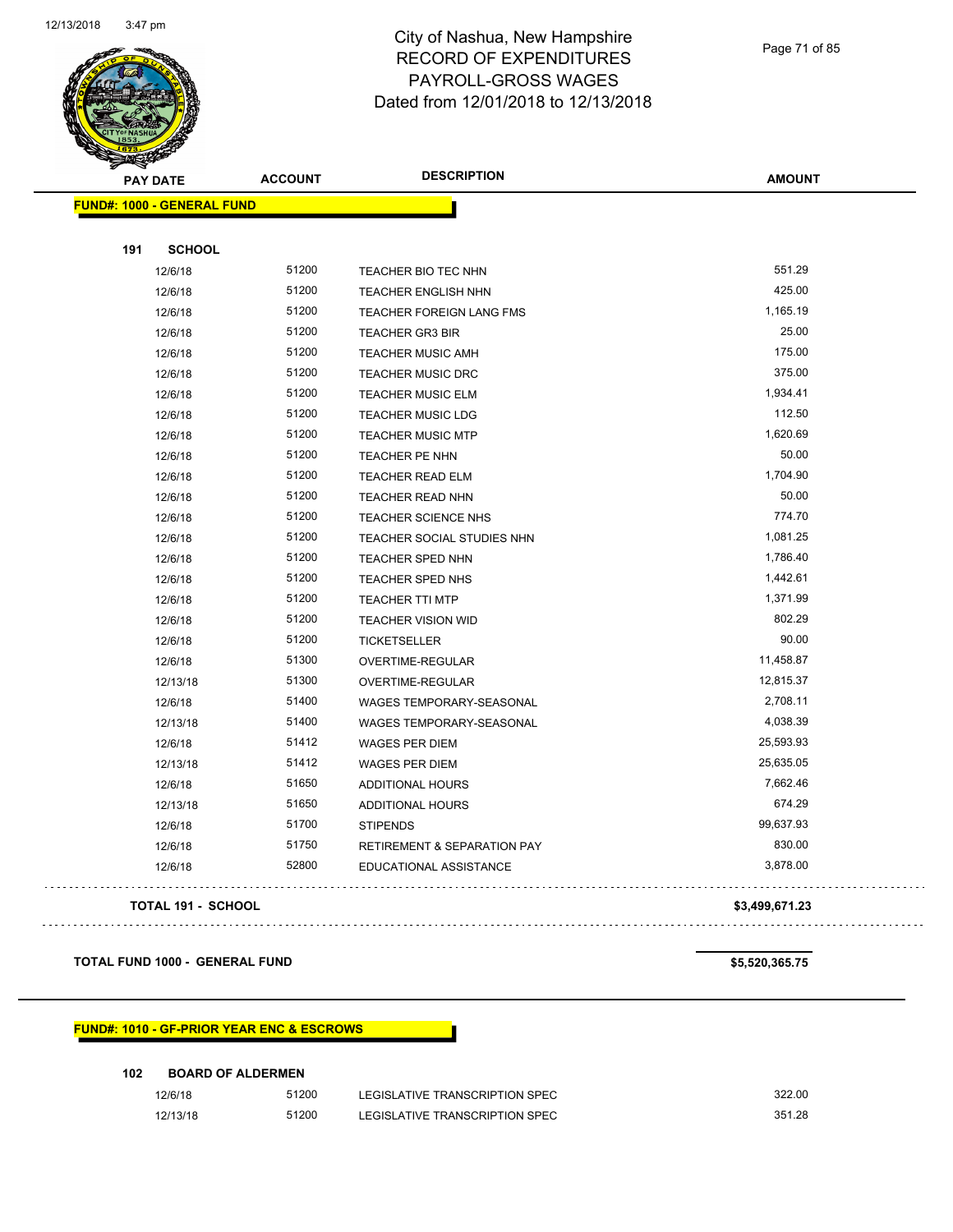

Page 71 of 85

| ॼ<br><b>PAY DATE</b>              | <b>ACCOUNT</b> | <b>DESCRIPTION</b>                     | <b>AMOUNT</b> |
|-----------------------------------|----------------|----------------------------------------|---------------|
| <b>FUND#: 1000 - GENERAL FUND</b> |                |                                        |               |
|                                   |                |                                        |               |
| 191<br><b>SCHOOL</b>              |                |                                        |               |
| 12/6/18                           | 51200          | TEACHER BIO TEC NHN                    | 551.29        |
| 12/6/18                           | 51200          | <b>TEACHER ENGLISH NHN</b>             | 425.00        |
| 12/6/18                           | 51200          | TEACHER FOREIGN LANG FMS               | 1,165.19      |
| 12/6/18                           | 51200          | <b>TEACHER GR3 BIR</b>                 | 25.00         |
| 12/6/18                           | 51200          | <b>TEACHER MUSIC AMH</b>               | 175.00        |
| 12/6/18                           | 51200          | <b>TEACHER MUSIC DRC</b>               | 375.00        |
| 12/6/18                           | 51200          | <b>TEACHER MUSIC ELM</b>               | 1,934.41      |
| 12/6/18                           | 51200          | <b>TEACHER MUSIC LDG</b>               | 112.50        |
| 12/6/18                           | 51200          | <b>TEACHER MUSIC MTP</b>               | 1,620.69      |
| 12/6/18                           | 51200          | TEACHER PE NHN                         | 50.00         |
| 12/6/18                           | 51200          | TEACHER READ ELM                       | 1,704.90      |
| 12/6/18                           | 51200          | <b>TEACHER READ NHN</b>                | 50.00         |
| 12/6/18                           | 51200          | TEACHER SCIENCE NHS                    | 774.70        |
| 12/6/18                           | 51200          | TEACHER SOCIAL STUDIES NHN             | 1,081.25      |
| 12/6/18                           | 51200          | TEACHER SPED NHN                       | 1,786.40      |
| 12/6/18                           | 51200          | TEACHER SPED NHS                       | 1,442.61      |
| 12/6/18                           | 51200          | <b>TEACHER TTI MTP</b>                 | 1,371.99      |
| 12/6/18                           | 51200          | <b>TEACHER VISION WID</b>              | 802.29        |
| 12/6/18                           | 51200          | <b>TICKETSELLER</b>                    | 90.00         |
| 12/6/18                           | 51300          | OVERTIME-REGULAR                       | 11,458.87     |
| 12/13/18                          | 51300          | OVERTIME-REGULAR                       | 12,815.37     |
| 12/6/18                           | 51400          | WAGES TEMPORARY-SEASONAL               | 2,708.11      |
| 12/13/18                          | 51400          | WAGES TEMPORARY-SEASONAL               | 4,038.39      |
| 12/6/18                           | 51412          | <b>WAGES PER DIEM</b>                  | 25,593.93     |
| 12/13/18                          | 51412          | <b>WAGES PER DIEM</b>                  | 25,635.05     |
| 12/6/18                           | 51650          | <b>ADDITIONAL HOURS</b>                | 7,662.46      |
| 12/13/18                          | 51650          | <b>ADDITIONAL HOURS</b>                | 674.29        |
| 12/6/18                           | 51700          | <b>STIPENDS</b>                        | 99,637.93     |
| 12/6/18                           | 51750          | <b>RETIREMENT &amp; SEPARATION PAY</b> | 830.00        |
| 12/6/18                           | 52800          | EDUCATIONAL ASSISTANCE                 | 3,878.00      |
|                                   |                |                                        |               |

#### **TOTAL 191 - SCHOOL \$3,499,671.23**

**TOTAL FUND 1000 - GENERAL FUND \$5,520,365.75** 

#### **FUND#: 1010 - GF-PRIOR YEAR ENC & ESCROWS**

| 102<br><b>BOARD OF ALDERMEN</b> |       |                                |        |  |
|---------------------------------|-------|--------------------------------|--------|--|
| 12/6/18                         | 51200 | LEGISLATIVE TRANSCRIPTION SPEC | 322.00 |  |
| 12/13/18                        | 51200 | LEGISLATIVE TRANSCRIPTION SPEC | 351.28 |  |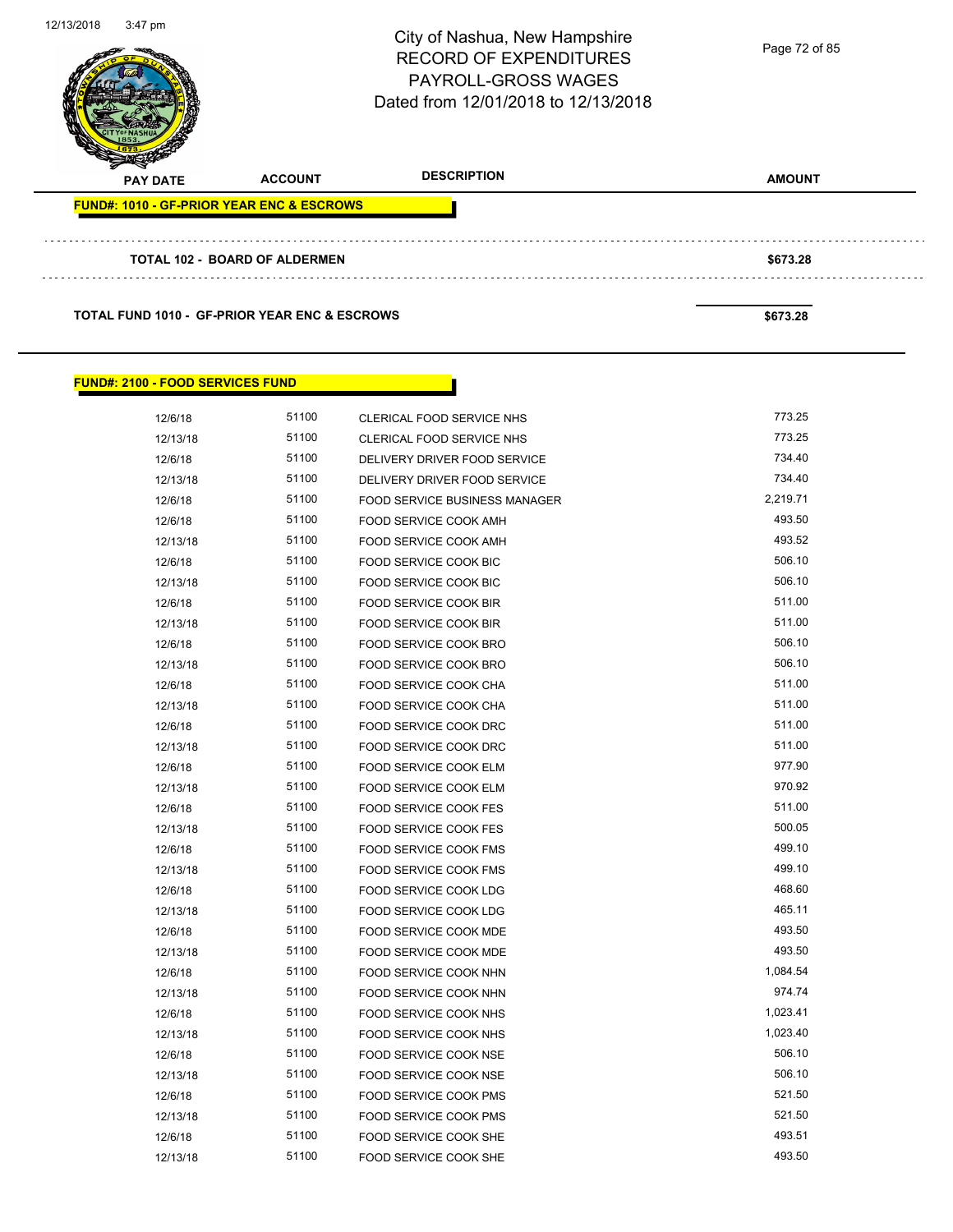

**TOTAL FUND 1010 - GF-PRIOR YEAR ENC & ESCROWS \$673.28** 

#### **FUND#: 2100 - FOOD SERVICES FUND**

| 12/6/18  | 51100 | CLERICAL FOOD SERVICE NHS            | 773.25   |
|----------|-------|--------------------------------------|----------|
| 12/13/18 | 51100 | CLERICAL FOOD SERVICE NHS            | 773.25   |
| 12/6/18  | 51100 | DELIVERY DRIVER FOOD SERVICE         | 734.40   |
| 12/13/18 | 51100 | DELIVERY DRIVER FOOD SERVICE         | 734.40   |
| 12/6/18  | 51100 | <b>FOOD SERVICE BUSINESS MANAGER</b> | 2,219.71 |
| 12/6/18  | 51100 | FOOD SERVICE COOK AMH                | 493.50   |
| 12/13/18 | 51100 | FOOD SERVICE COOK AMH                | 493.52   |
| 12/6/18  | 51100 | FOOD SERVICE COOK BIC                | 506.10   |
| 12/13/18 | 51100 | FOOD SERVICE COOK BIC                | 506.10   |
| 12/6/18  | 51100 | FOOD SERVICE COOK BIR                | 511.00   |
| 12/13/18 | 51100 | FOOD SERVICE COOK BIR                | 511.00   |
| 12/6/18  | 51100 | FOOD SERVICE COOK BRO                | 506.10   |
| 12/13/18 | 51100 | FOOD SERVICE COOK BRO                | 506.10   |
| 12/6/18  | 51100 | FOOD SERVICE COOK CHA                | 511.00   |
| 12/13/18 | 51100 | FOOD SERVICE COOK CHA                | 511.00   |
| 12/6/18  | 51100 | FOOD SERVICE COOK DRC                | 511.00   |
| 12/13/18 | 51100 | FOOD SERVICE COOK DRC                | 511.00   |
| 12/6/18  | 51100 | FOOD SERVICE COOK ELM                | 977.90   |
| 12/13/18 | 51100 | FOOD SERVICE COOK ELM                | 970.92   |
| 12/6/18  | 51100 | <b>FOOD SERVICE COOK FES</b>         | 511.00   |
| 12/13/18 | 51100 | <b>FOOD SERVICE COOK FES</b>         | 500.05   |
| 12/6/18  | 51100 | FOOD SERVICE COOK FMS                | 499.10   |
| 12/13/18 | 51100 | FOOD SERVICE COOK FMS                | 499.10   |
| 12/6/18  | 51100 | FOOD SERVICE COOK LDG                | 468.60   |
| 12/13/18 | 51100 | FOOD SERVICE COOK LDG                | 465.11   |
| 12/6/18  | 51100 | FOOD SERVICE COOK MDE                | 493.50   |
| 12/13/18 | 51100 | FOOD SERVICE COOK MDE                | 493.50   |
| 12/6/18  | 51100 | FOOD SERVICE COOK NHN                | 1,084.54 |
| 12/13/18 | 51100 | FOOD SERVICE COOK NHN                | 974.74   |
| 12/6/18  | 51100 | FOOD SERVICE COOK NHS                | 1,023.41 |
| 12/13/18 | 51100 | FOOD SERVICE COOK NHS                | 1,023.40 |
| 12/6/18  | 51100 | FOOD SERVICE COOK NSE                | 506.10   |
| 12/13/18 | 51100 | FOOD SERVICE COOK NSE                | 506.10   |
| 12/6/18  | 51100 | FOOD SERVICE COOK PMS                | 521.50   |
| 12/13/18 | 51100 | FOOD SERVICE COOK PMS                | 521.50   |
| 12/6/18  | 51100 | FOOD SERVICE COOK SHE                | 493.51   |
| 12/13/18 | 51100 | FOOD SERVICE COOK SHE                | 493.50   |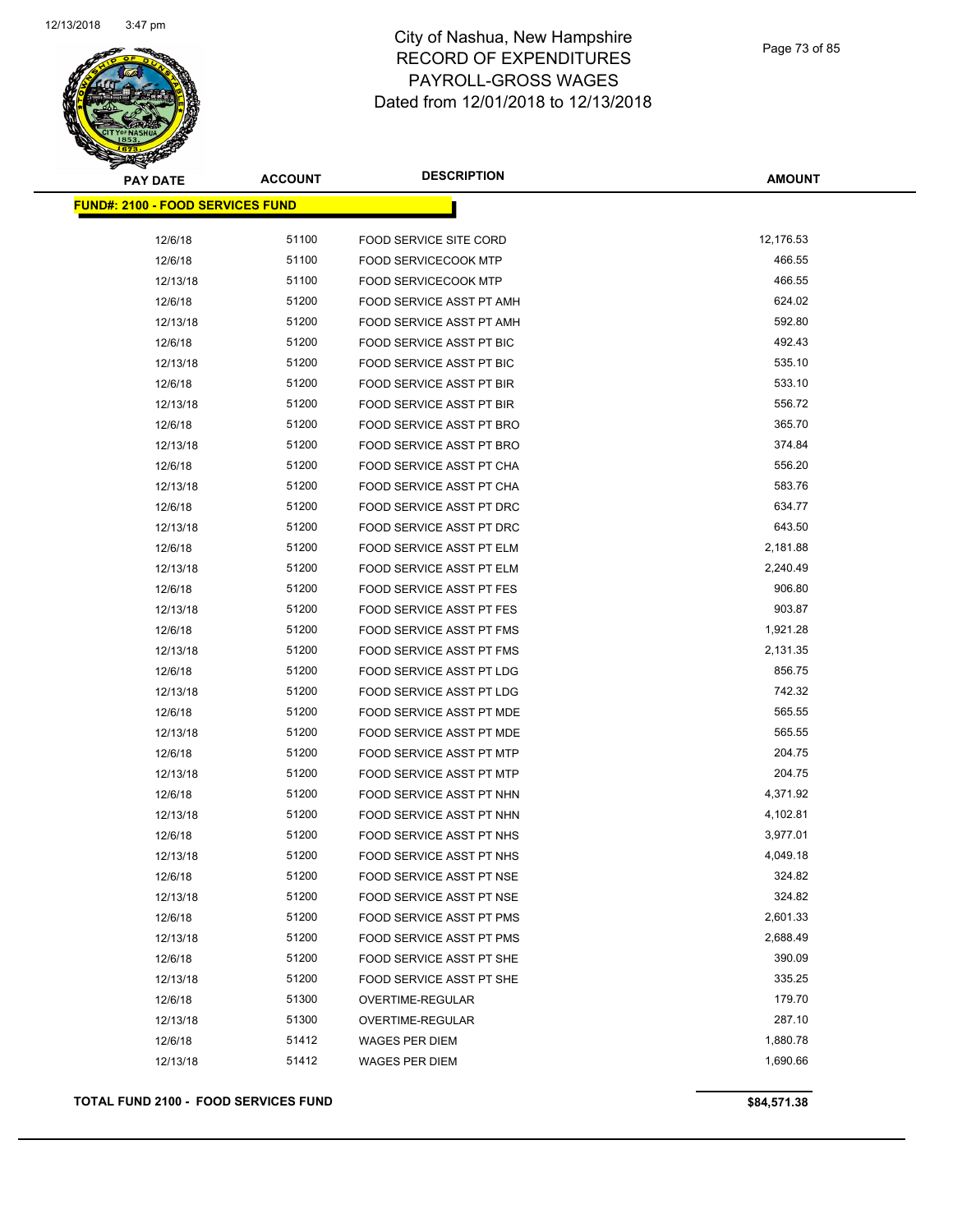

| <b>PAY DATE</b>                         | <b>ACCOUNT</b> | <b>DESCRIPTION</b>              | <b>AMOUNT</b> |
|-----------------------------------------|----------------|---------------------------------|---------------|
| <b>FUND#: 2100 - FOOD SERVICES FUND</b> |                |                                 |               |
| 12/6/18                                 | 51100          | <b>FOOD SERVICE SITE CORD</b>   | 12,176.53     |
| 12/6/18                                 | 51100          | <b>FOOD SERVICECOOK MTP</b>     | 466.55        |
| 12/13/18                                | 51100          | <b>FOOD SERVICECOOK MTP</b>     | 466.55        |
| 12/6/18                                 | 51200          | FOOD SERVICE ASST PT AMH        | 624.02        |
| 12/13/18                                | 51200          | FOOD SERVICE ASST PT AMH        | 592.80        |
| 12/6/18                                 | 51200          | FOOD SERVICE ASST PT BIC        | 492.43        |
| 12/13/18                                | 51200          | FOOD SERVICE ASST PT BIC        | 535.10        |
| 12/6/18                                 | 51200          | FOOD SERVICE ASST PT BIR        | 533.10        |
|                                         | 51200          | FOOD SERVICE ASST PT BIR        | 556.72        |
| 12/13/18<br>12/6/18                     | 51200          | FOOD SERVICE ASST PT BRO        | 365.70        |
|                                         | 51200          | FOOD SERVICE ASST PT BRO        | 374.84        |
| 12/13/18                                | 51200          |                                 | 556.20        |
| 12/6/18                                 | 51200          | FOOD SERVICE ASST PT CHA        | 583.76        |
| 12/13/18                                |                | FOOD SERVICE ASST PT CHA        | 634.77        |
| 12/6/18                                 | 51200          | FOOD SERVICE ASST PT DRC        |               |
| 12/13/18                                | 51200          | FOOD SERVICE ASST PT DRC        | 643.50        |
| 12/6/18                                 | 51200          | FOOD SERVICE ASST PT ELM        | 2,181.88      |
| 12/13/18                                | 51200          | FOOD SERVICE ASST PT ELM        | 2,240.49      |
| 12/6/18                                 | 51200          | FOOD SERVICE ASST PT FES        | 906.80        |
| 12/13/18                                | 51200          | FOOD SERVICE ASST PT FES        | 903.87        |
| 12/6/18                                 | 51200          | FOOD SERVICE ASST PT FMS        | 1,921.28      |
| 12/13/18                                | 51200          | FOOD SERVICE ASST PT FMS        | 2,131.35      |
| 12/6/18                                 | 51200          | FOOD SERVICE ASST PT LDG        | 856.75        |
| 12/13/18                                | 51200          | FOOD SERVICE ASST PT LDG        | 742.32        |
| 12/6/18                                 | 51200          | FOOD SERVICE ASST PT MDE        | 565.55        |
| 12/13/18                                | 51200          | FOOD SERVICE ASST PT MDE        | 565.55        |
| 12/6/18                                 | 51200          | FOOD SERVICE ASST PT MTP        | 204.75        |
| 12/13/18                                | 51200          | <b>FOOD SERVICE ASST PT MTP</b> | 204.75        |
| 12/6/18                                 | 51200          | FOOD SERVICE ASST PT NHN        | 4,371.92      |
| 12/13/18                                | 51200          | FOOD SERVICE ASST PT NHN        | 4,102.81      |
| 12/6/18                                 | 51200          | <b>FOOD SERVICE ASST PT NHS</b> | 3,977.01      |
| 12/13/18                                | 51200          | <b>FOOD SERVICE ASST PT NHS</b> | 4,049.18      |
| 12/6/18                                 | 51200          | FOOD SERVICE ASST PT NSE        | 324.82        |
| 12/13/18                                | 51200          | FOOD SERVICE ASST PT NSE        | 324.82        |
| 12/6/18                                 | 51200          | FOOD SERVICE ASST PT PMS        | 2,601.33      |
| 12/13/18                                | 51200          | FOOD SERVICE ASST PT PMS        | 2,688.49      |
| 12/6/18                                 | 51200          | FOOD SERVICE ASST PT SHE        | 390.09        |
| 12/13/18                                | 51200          | FOOD SERVICE ASST PT SHE        | 335.25        |
| 12/6/18                                 | 51300          | OVERTIME-REGULAR                | 179.70        |
| 12/13/18                                | 51300          | OVERTIME-REGULAR                | 287.10        |
| 12/6/18                                 | 51412          | WAGES PER DIEM                  | 1,880.78      |
| 12/13/18                                | 51412          | WAGES PER DIEM                  | 1,690.66      |
|                                         |                |                                 |               |

**TOTAL FUND 2100 - FOOD SERVICES FUND \$84,571.38**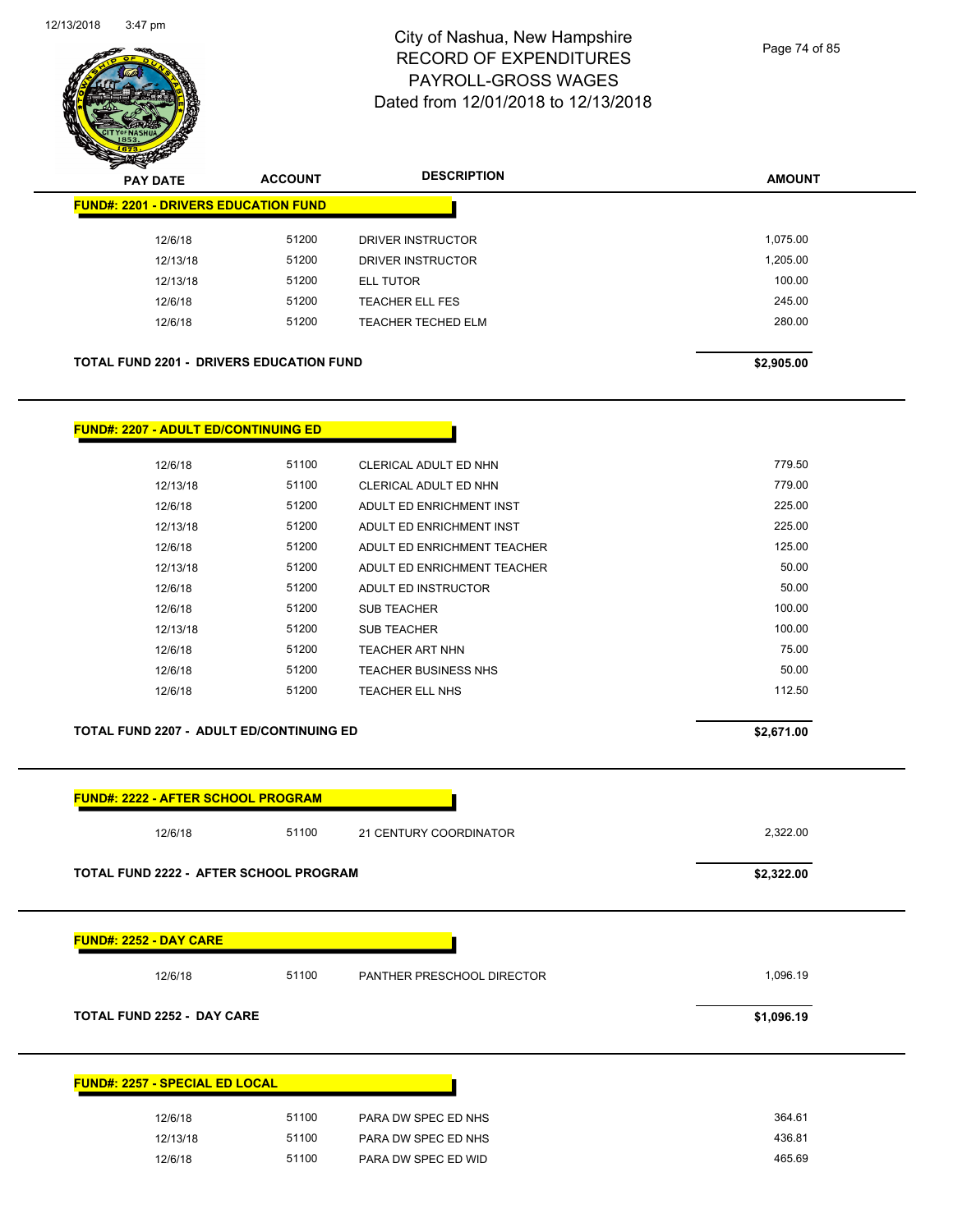

Page 74 of 85

**AMOUNT**

| <b>FUND#: 2252 - DAY CARE</b>               |                                                 |                             |            |
|---------------------------------------------|-------------------------------------------------|-----------------------------|------------|
|                                             | TOTAL FUND 2222 - AFTER SCHOOL PROGRAM          |                             | \$2,322.00 |
| 12/6/18                                     | 51100                                           | 21 CENTURY COORDINATOR      | 2,322.00   |
| <b>FUND#: 2222 - AFTER SCHOOL PROGRAM</b>   |                                                 |                             |            |
|                                             | TOTAL FUND 2207 - ADULT ED/CONTINUING ED        |                             | \$2,671.00 |
| 12/6/18                                     | 51200                                           | TEACHER ELL NHS             | 112.50     |
| 12/6/18                                     | 51200                                           | <b>TEACHER BUSINESS NHS</b> | 50.00      |
| 12/6/18                                     | 51200                                           | <b>TEACHER ART NHN</b>      | 75.00      |
| 12/13/18                                    | 51200                                           | <b>SUB TEACHER</b>          | 100.00     |
| 12/6/18                                     | 51200                                           | <b>SUB TEACHER</b>          | 100.00     |
| 12/6/18                                     | 51200                                           | ADULT ED INSTRUCTOR         | 50.00      |
| 12/13/18                                    | 51200                                           | ADULT ED ENRICHMENT TEACHER | 50.00      |
| 12/6/18                                     | 51200                                           | ADULT ED ENRICHMENT TEACHER | 125.00     |
| 12/13/18                                    | 51200                                           | ADULT ED ENRICHMENT INST    | 225.00     |
| 12/6/18                                     | 51200                                           | ADULT ED ENRICHMENT INST    | 225.00     |
| 12/13/18                                    | 51100                                           | CLERICAL ADULT ED NHN       | 779.00     |
| 12/6/18                                     | 51100                                           | CLERICAL ADULT ED NHN       | 779.50     |
| <b>FUND#: 2207 - ADULT ED/CONTINUING ED</b> |                                                 |                             |            |
|                                             |                                                 |                             |            |
|                                             | <b>TOTAL FUND 2201 - DRIVERS EDUCATION FUND</b> |                             | \$2,905.00 |
| 12/6/18                                     | 51200                                           | <b>TEACHER TECHED ELM</b>   | 280.00     |
| 12/6/18                                     | 51200                                           | <b>TEACHER ELL FES</b>      | 245.00     |
| 12/13/18                                    | 51200                                           | ELL TUTOR                   | 100.00     |
| 12/13/18                                    | 51200                                           | DRIVER INSTRUCTOR           | 1,205.00   |

| 12/6/18  | 51100 | PARA DW SPEC ED NHS | 364.61 |
|----------|-------|---------------------|--------|
| 12/13/18 | 51100 | PARA DW SPEC ED NHS | 436.81 |
| 12/6/18  | 51100 | PARA DW SPEC ED WID | 465.69 |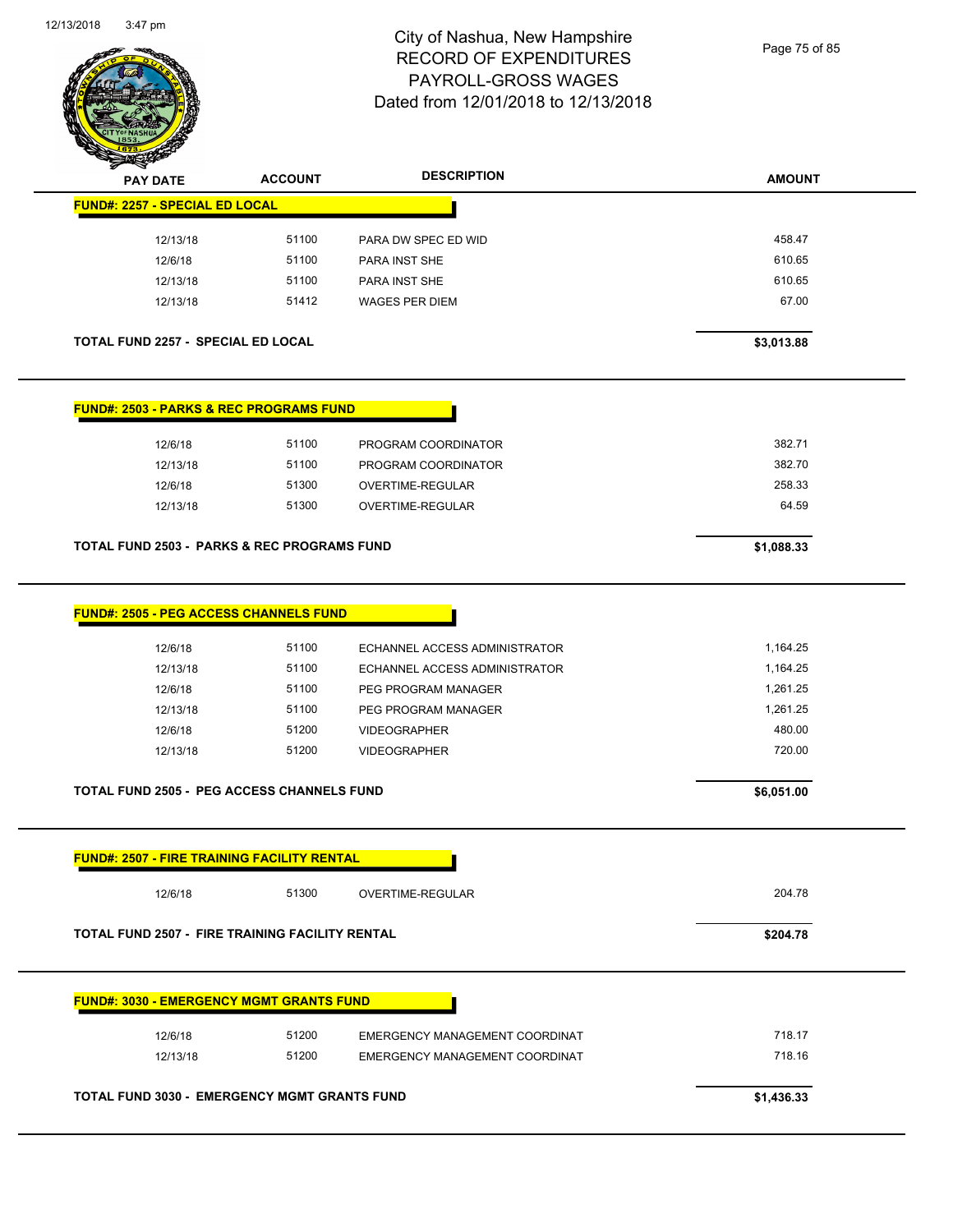

Page 75 of 85

| <b>PAY DATE</b>                                        | <b>ACCOUNT</b> | <b>DESCRIPTION</b>             | <b>AMOUNT</b> |
|--------------------------------------------------------|----------------|--------------------------------|---------------|
| <b>FUND#: 2257 - SPECIAL ED LOCAL</b>                  |                |                                |               |
| 12/13/18                                               | 51100          | PARA DW SPEC ED WID            | 458.47        |
| 12/6/18                                                | 51100          | PARA INST SHE                  | 610.65        |
| 12/13/18                                               | 51100          | PARA INST SHE                  | 610.65        |
| 12/13/18                                               | 51412          | <b>WAGES PER DIEM</b>          | 67.00         |
| <b>TOTAL FUND 2257 - SPECIAL ED LOCAL</b>              |                |                                | \$3,013.88    |
| <b>FUND#: 2503 - PARKS &amp; REC PROGRAMS FUND</b>     |                |                                |               |
| 12/6/18                                                | 51100          | PROGRAM COORDINATOR            | 382.71        |
| 12/13/18                                               | 51100          | PROGRAM COORDINATOR            | 382.70        |
| 12/6/18                                                | 51300          | OVERTIME-REGULAR               | 258.33        |
| 12/13/18                                               | 51300          | OVERTIME-REGULAR               | 64.59         |
| <b>TOTAL FUND 2503 - PARKS &amp; REC PROGRAMS FUND</b> |                |                                | \$1,088.33    |
| <b>FUND#: 2505 - PEG ACCESS CHANNELS FUND</b>          |                |                                |               |
| 12/6/18                                                | 51100          | ECHANNEL ACCESS ADMINISTRATOR  | 1,164.25      |
| 12/13/18                                               | 51100          | ECHANNEL ACCESS ADMINISTRATOR  | 1,164.25      |
| 12/6/18                                                | 51100          | PEG PROGRAM MANAGER            | 1,261.25      |
| 12/13/18                                               | 51100          | PEG PROGRAM MANAGER            | 1,261.25      |
| 12/6/18                                                | 51200          | <b>VIDEOGRAPHER</b>            | 480.00        |
| 12/13/18                                               | 51200          | <b>VIDEOGRAPHER</b>            | 720.00        |
| <b>TOTAL FUND 2505 - PEG ACCESS CHANNELS FUND</b>      |                |                                | \$6,051.00    |
| <b>FUND#: 2507 - FIRE TRAINING FACILITY RENTAL</b>     |                |                                |               |
| 12/6/18                                                | 51300          | OVERTIME-REGULAR               | 204.78        |
| TOTAL FUND 2507 - FIRE TRAINING FACILITY RENTAL        |                |                                | \$204.78      |
| <b>FUND#: 3030 - EMERGENCY MGMT GRANTS FUND</b>        |                |                                |               |
| 12/6/18                                                | 51200          | EMERGENCY MANAGEMENT COORDINAT | 718.17        |
| 12/13/18                                               | 51200          | EMERGENCY MANAGEMENT COORDINAT | 718.16        |
|                                                        |                |                                |               |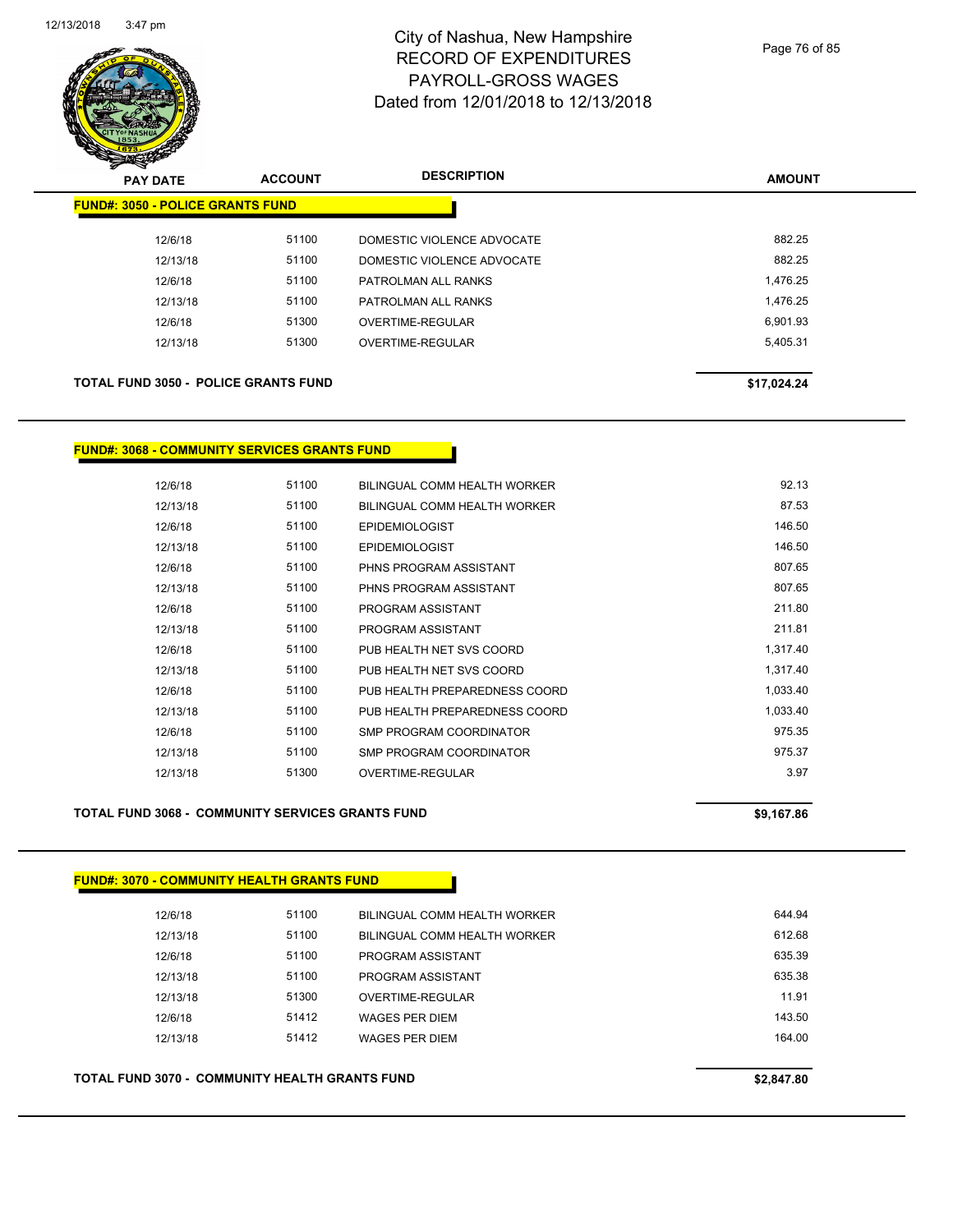

| <del>∽</del><br>$\tilde{\phantom{a}}$<br><b>PAY DATE</b> | <b>ACCOUNT</b> | <b>DESCRIPTION</b>         | <b>AMOUNT</b> |
|----------------------------------------------------------|----------------|----------------------------|---------------|
| <b>FUND#: 3050 - POLICE GRANTS FUND</b>                  |                |                            |               |
| 12/6/18                                                  | 51100          | DOMESTIC VIOLENCE ADVOCATE | 882.25        |
| 12/13/18                                                 | 51100          | DOMESTIC VIOLENCE ADVOCATE | 882.25        |
| 12/6/18                                                  | 51100          | PATROLMAN ALL RANKS        | 1,476.25      |
| 12/13/18                                                 | 51100          | PATROLMAN ALL RANKS        | 1,476.25      |
| 12/6/18                                                  | 51300          | <b>OVERTIME-REGULAR</b>    | 6,901.93      |
| 12/13/18                                                 | 51300          | OVERTIME-REGULAR           | 5,405.31      |
| <b>TOTAL FUND 3050 - POLICE GRANTS FUND</b>              |                |                            | \$17,024.24   |

### **FUND#: 3068 - COMMUNITY SERVICES GRANTS FUND**

|          | 51100 |                               | 92.13    |
|----------|-------|-------------------------------|----------|
| 12/6/18  |       | BILINGUAL COMM HEALTH WORKER  |          |
| 12/13/18 | 51100 | BILINGUAL COMM HEALTH WORKER  | 87.53    |
| 12/6/18  | 51100 | <b>EPIDEMIOLOGIST</b>         | 146.50   |
| 12/13/18 | 51100 | <b>EPIDEMIOLOGIST</b>         | 146.50   |
| 12/6/18  | 51100 | PHNS PROGRAM ASSISTANT        | 807.65   |
| 12/13/18 | 51100 | PHNS PROGRAM ASSISTANT        | 807.65   |
| 12/6/18  | 51100 | PROGRAM ASSISTANT             | 211.80   |
| 12/13/18 | 51100 | PROGRAM ASSISTANT             | 211.81   |
| 12/6/18  | 51100 | PUB HEALTH NET SVS COORD      | 1,317.40 |
| 12/13/18 | 51100 | PUB HEALTH NET SVS COORD      | 1,317.40 |
| 12/6/18  | 51100 | PUB HEALTH PREPAREDNESS COORD | 1,033.40 |
| 12/13/18 | 51100 | PUB HEALTH PREPAREDNESS COORD | 1,033.40 |
| 12/6/18  | 51100 | SMP PROGRAM COORDINATOR       | 975.35   |
| 12/13/18 | 51100 | SMP PROGRAM COORDINATOR       | 975.37   |
| 12/13/18 | 51300 | OVERTIME-REGULAR              | 3.97     |
|          |       |                               |          |

### **TOTAL FUND 3068 - COMMUNITY SERVICES GRANTS FUND \$9,167.86**

| 12/6/18  | 51100 | BILINGUAL COMM HEALTH WORKER | 644.94 |
|----------|-------|------------------------------|--------|
| 12/13/18 | 51100 | BILINGUAL COMM HEALTH WORKER | 612.68 |
| 12/6/18  | 51100 | PROGRAM ASSISTANT            | 635.39 |
| 12/13/18 | 51100 | PROGRAM ASSISTANT            | 635.38 |
| 12/13/18 | 51300 | OVERTIME-REGULAR             | 11.91  |
| 12/6/18  | 51412 | <b>WAGES PER DIEM</b>        | 143.50 |
| 12/13/18 | 51412 | <b>WAGES PER DIEM</b>        | 164.00 |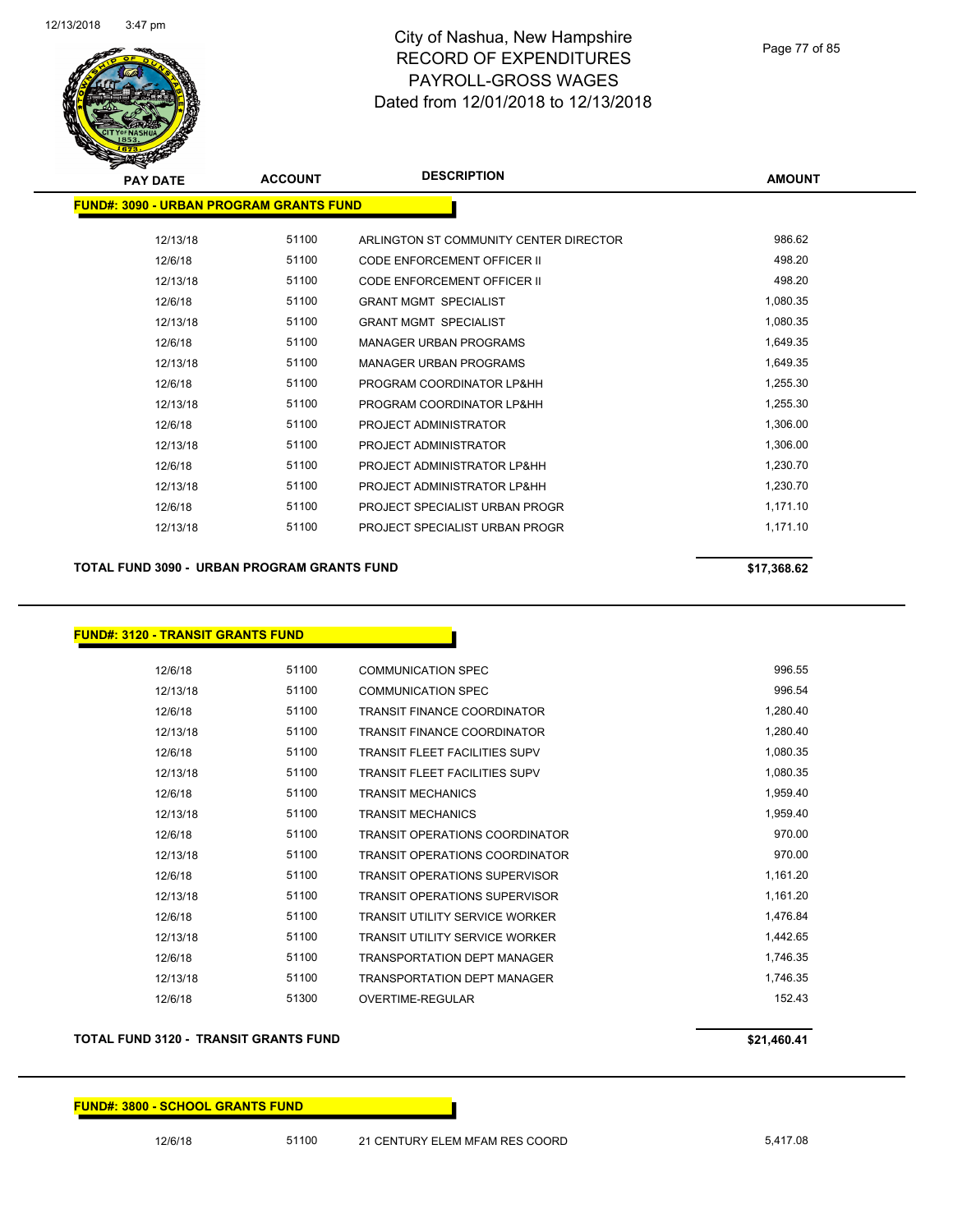

Page 77 of 85

| <b>PAY DATE</b>                                 | <b>ACCOUNT</b> | <b>DESCRIPTION</b>                     | <b>AMOUNT</b> |
|-------------------------------------------------|----------------|----------------------------------------|---------------|
| <u> FUND#: 3090 - URBAN PROGRAM GRANTS FUND</u> |                |                                        |               |
| 12/13/18                                        | 51100          | ARLINGTON ST COMMUNITY CENTER DIRECTOR | 986.62        |
| 12/6/18                                         | 51100          | <b>CODE ENFORCEMENT OFFICER II</b>     | 498.20        |
| 12/13/18                                        | 51100          | <b>CODE ENFORCEMENT OFFICER II</b>     | 498.20        |
| 12/6/18                                         | 51100          | <b>GRANT MGMT SPECIALIST</b>           | 1,080.35      |
| 12/13/18                                        | 51100          | <b>GRANT MGMT SPECIALIST</b>           | 1,080.35      |
| 12/6/18                                         | 51100          | <b>MANAGER URBAN PROGRAMS</b>          | 1,649.35      |
| 12/13/18                                        | 51100          | <b>MANAGER URBAN PROGRAMS</b>          | 1,649.35      |
| 12/6/18                                         | 51100          | PROGRAM COORDINATOR LP&HH              | 1,255.30      |
| 12/13/18                                        | 51100          | PROGRAM COORDINATOR LP&HH              | 1,255.30      |
| 12/6/18                                         | 51100          | PROJECT ADMINISTRATOR                  | 1,306.00      |
| 12/13/18                                        | 51100          | PROJECT ADMINISTRATOR                  | 1,306.00      |
| 12/6/18                                         | 51100          | PROJECT ADMINISTRATOR LP&HH            | 1,230.70      |
| 12/13/18                                        | 51100          | PROJECT ADMINISTRATOR LP&HH            | 1,230.70      |
| 12/6/18                                         | 51100          | PROJECT SPECIALIST URBAN PROGR         | 1,171.10      |
| 12/13/18                                        | 51100          | PROJECT SPECIALIST URBAN PROGR         | 1,171.10      |
|                                                 |                |                                        |               |

**TOTAL FUND 3090 - URBAN PROGRAM GRANTS FUND \$17,368.62** 

## **FUND#: 3120 - TRANSIT GRANTS FUND**

| 12/6/18  | 51100 | <b>COMMUNICATION SPEC</b>             | 996.55   |
|----------|-------|---------------------------------------|----------|
| 12/13/18 | 51100 | <b>COMMUNICATION SPEC</b>             | 996.54   |
| 12/6/18  | 51100 | <b>TRANSIT FINANCE COORDINATOR</b>    | 1,280.40 |
| 12/13/18 | 51100 | <b>TRANSIT FINANCE COORDINATOR</b>    | 1,280.40 |
| 12/6/18  | 51100 | <b>TRANSIT FLEET FACILITIES SUPV</b>  | 1,080.35 |
| 12/13/18 | 51100 | <b>TRANSIT FLEET FACILITIES SUPV</b>  | 1,080.35 |
| 12/6/18  | 51100 | <b>TRANSIT MECHANICS</b>              | 1,959.40 |
| 12/13/18 | 51100 | <b>TRANSIT MECHANICS</b>              | 1,959.40 |
| 12/6/18  | 51100 | <b>TRANSIT OPERATIONS COORDINATOR</b> | 970.00   |
| 12/13/18 | 51100 | <b>TRANSIT OPERATIONS COORDINATOR</b> | 970.00   |
| 12/6/18  | 51100 | <b>TRANSIT OPERATIONS SUPERVISOR</b>  | 1,161.20 |
| 12/13/18 | 51100 | <b>TRANSIT OPERATIONS SUPERVISOR</b>  | 1,161.20 |
| 12/6/18  | 51100 | <b>TRANSIT UTILITY SERVICE WORKER</b> | 1,476.84 |
| 12/13/18 | 51100 | <b>TRANSIT UTILITY SERVICE WORKER</b> | 1,442.65 |
| 12/6/18  | 51100 | <b>TRANSPORTATION DEPT MANAGER</b>    | 1,746.35 |
| 12/13/18 | 51100 | <b>TRANSPORTATION DEPT MANAGER</b>    | 1,746.35 |
| 12/6/18  | 51300 | OVERTIME-REGULAR                      | 152.43   |

#### **TOTAL FUND 3120 - TRANSIT GRANTS FUND \$21,460.41**

### **FUND#: 3800 - SCHOOL GRANTS FUND**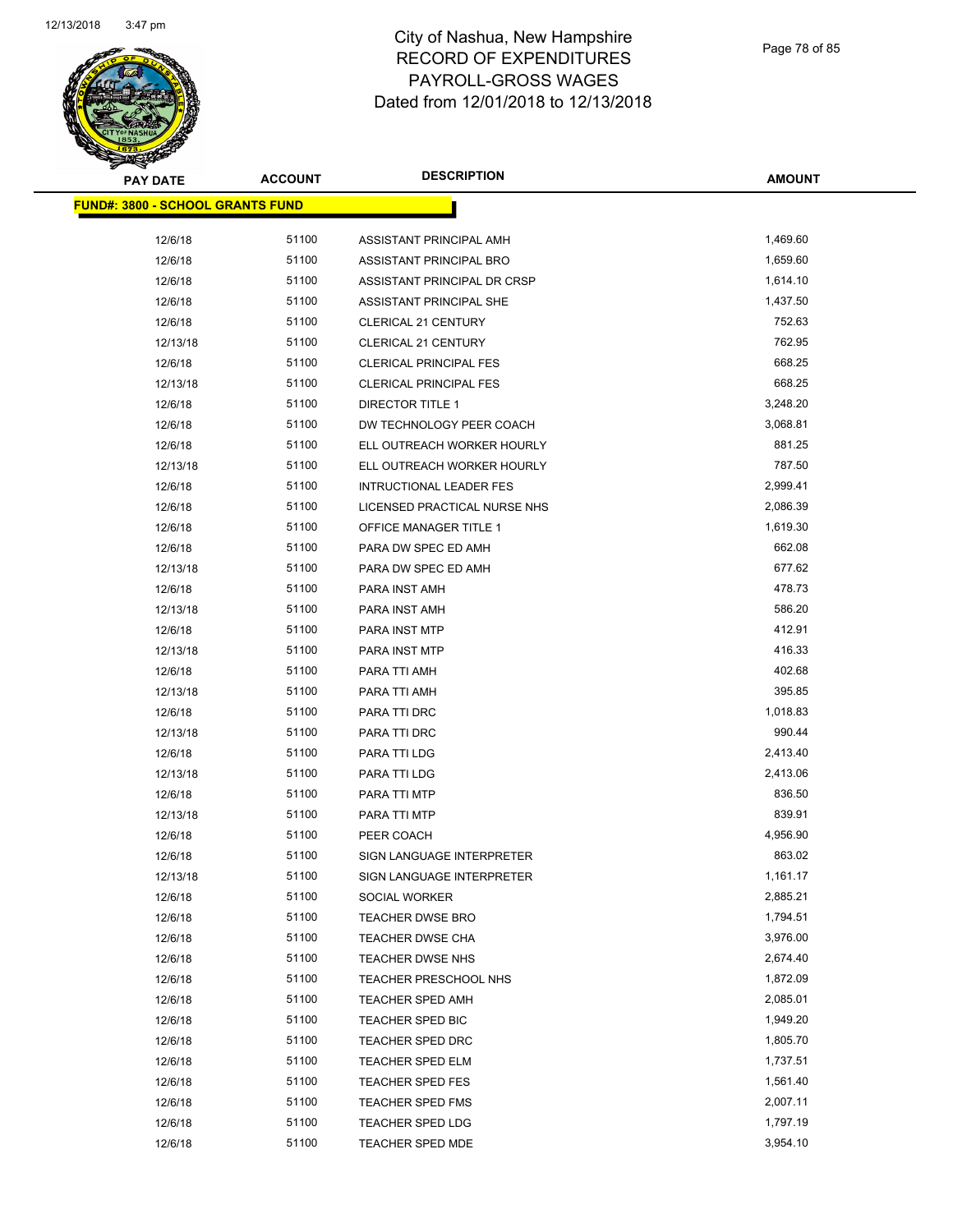

| PAY DATE                                | <b>ACCOUNT</b> | <b>DESCRIPTION</b>             | <b>AMOUNT</b> |
|-----------------------------------------|----------------|--------------------------------|---------------|
| <b>FUND#: 3800 - SCHOOL GRANTS FUND</b> |                |                                |               |
| 12/6/18                                 | 51100          | ASSISTANT PRINCIPAL AMH        | 1,469.60      |
| 12/6/18                                 | 51100          | ASSISTANT PRINCIPAL BRO        | 1,659.60      |
| 12/6/18                                 | 51100          | ASSISTANT PRINCIPAL DR CRSP    | 1,614.10      |
| 12/6/18                                 | 51100          | ASSISTANT PRINCIPAL SHE        | 1,437.50      |
| 12/6/18                                 | 51100          | <b>CLERICAL 21 CENTURY</b>     | 752.63        |
| 12/13/18                                | 51100          | CLERICAL 21 CENTURY            | 762.95        |
| 12/6/18                                 | 51100          | <b>CLERICAL PRINCIPAL FES</b>  | 668.25        |
| 12/13/18                                | 51100          | <b>CLERICAL PRINCIPAL FES</b>  | 668.25        |
| 12/6/18                                 | 51100          | DIRECTOR TITLE 1               | 3,248.20      |
| 12/6/18                                 | 51100          | DW TECHNOLOGY PEER COACH       | 3,068.81      |
| 12/6/18                                 | 51100          | ELL OUTREACH WORKER HOURLY     | 881.25        |
| 12/13/18                                | 51100          | ELL OUTREACH WORKER HOURLY     | 787.50        |
| 12/6/18                                 | 51100          | <b>INTRUCTIONAL LEADER FES</b> | 2,999.41      |
| 12/6/18                                 | 51100          | LICENSED PRACTICAL NURSE NHS   | 2,086.39      |
| 12/6/18                                 | 51100          | <b>OFFICE MANAGER TITLE 1</b>  | 1,619.30      |
| 12/6/18                                 | 51100          | PARA DW SPEC ED AMH            | 662.08        |
| 12/13/18                                | 51100          | PARA DW SPEC ED AMH            | 677.62        |
| 12/6/18                                 | 51100          | PARA INST AMH                  | 478.73        |
| 12/13/18                                | 51100          | PARA INST AMH                  | 586.20        |
| 12/6/18                                 | 51100          | PARA INST MTP                  | 412.91        |
| 12/13/18                                | 51100          | PARA INST MTP                  | 416.33        |
| 12/6/18                                 | 51100          | PARA TTI AMH                   | 402.68        |
| 12/13/18                                | 51100          | PARA TTI AMH                   | 395.85        |
| 12/6/18                                 | 51100          | PARA TTI DRC                   | 1,018.83      |
| 12/13/18                                | 51100          | PARA TTI DRC                   | 990.44        |
| 12/6/18                                 | 51100          | PARA TTI LDG                   | 2,413.40      |
| 12/13/18                                | 51100          | PARA TTI LDG                   | 2,413.06      |
| 12/6/18                                 | 51100          | PARA TTI MTP                   | 836.50        |
| 12/13/18                                | 51100          | PARA TTI MTP                   | 839.91        |
| 12/6/18                                 | 51100          | PEER COACH                     | 4,956.90      |
| 12/6/18                                 | 51100          | SIGN LANGUAGE INTERPRETER      | 863.02        |
| 12/13/18                                | 51100          | SIGN LANGUAGE INTERPRETER      | 1,161.17      |
| 12/6/18                                 | 51100          | SOCIAL WORKER                  | 2,885.21      |
| 12/6/18                                 | 51100          | <b>TEACHER DWSE BRO</b>        | 1,794.51      |
| 12/6/18                                 | 51100          | TEACHER DWSE CHA               | 3,976.00      |
| 12/6/18                                 | 51100          | TEACHER DWSE NHS               | 2,674.40      |
| 12/6/18                                 | 51100          | TEACHER PRESCHOOL NHS          | 1,872.09      |
| 12/6/18                                 | 51100          | <b>TEACHER SPED AMH</b>        | 2,085.01      |
| 12/6/18                                 | 51100          | TEACHER SPED BIC               | 1,949.20      |
| 12/6/18                                 | 51100          | <b>TEACHER SPED DRC</b>        | 1,805.70      |
| 12/6/18                                 | 51100          | TEACHER SPED ELM               | 1,737.51      |
| 12/6/18                                 | 51100          | <b>TEACHER SPED FES</b>        | 1,561.40      |
| 12/6/18                                 | 51100          | <b>TEACHER SPED FMS</b>        | 2,007.11      |
| 12/6/18                                 | 51100          | TEACHER SPED LDG               | 1,797.19      |
| 12/6/18                                 | 51100          | TEACHER SPED MDE               | 3,954.10      |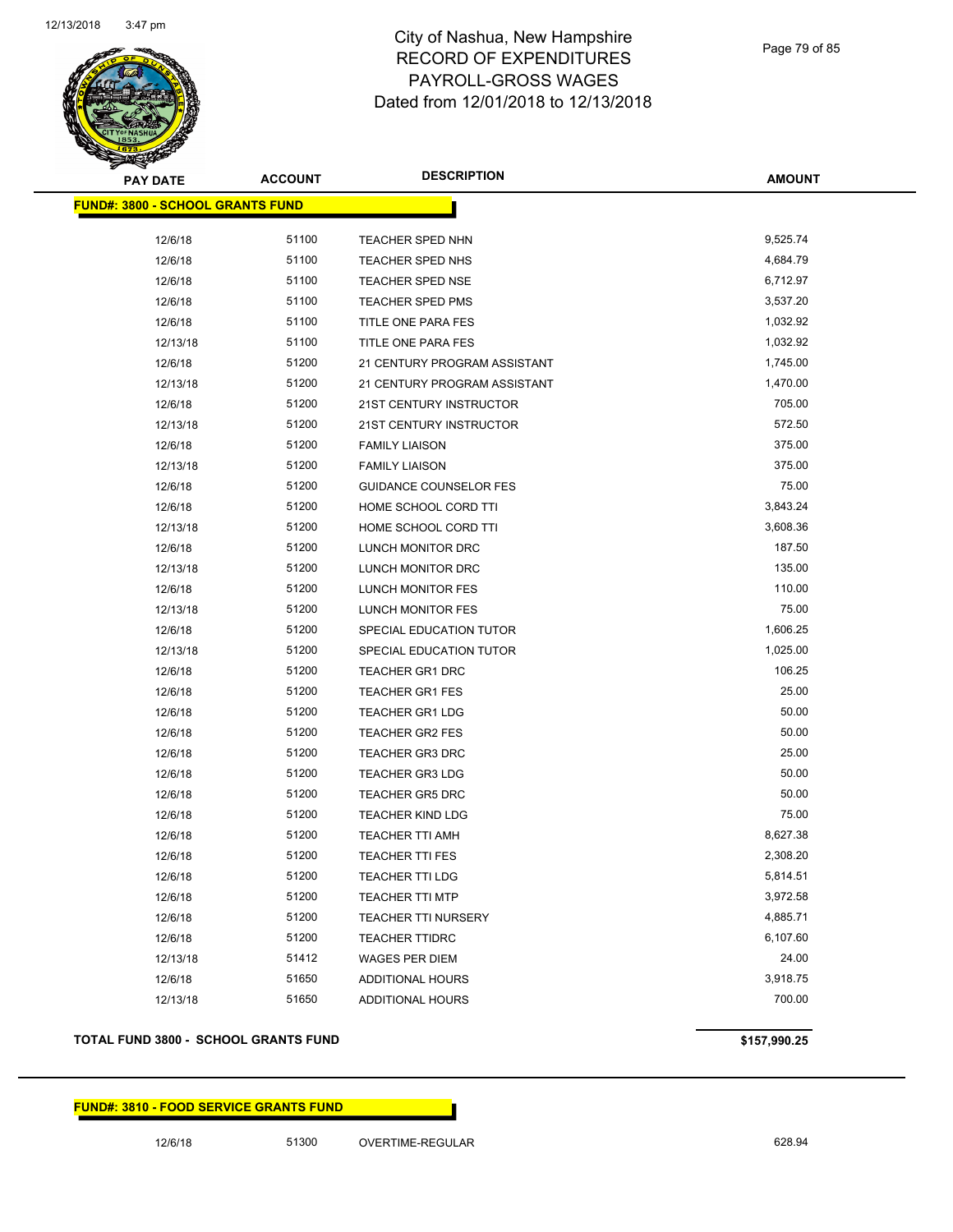

Page 79 of 85

| <b>PAY DATE</b>                         | <b>ACCOUNT</b> | <b>DESCRIPTION</b>            | <b>AMOUNT</b> |
|-----------------------------------------|----------------|-------------------------------|---------------|
| <b>FUND#: 3800 - SCHOOL GRANTS FUND</b> |                |                               |               |
|                                         |                |                               |               |
| 12/6/18                                 | 51100          | TEACHER SPED NHN              | 9,525.74      |
| 12/6/18                                 | 51100          | TEACHER SPED NHS              | 4,684.79      |
| 12/6/18                                 | 51100          | <b>TEACHER SPED NSE</b>       | 6,712.97      |
| 12/6/18                                 | 51100          | <b>TEACHER SPED PMS</b>       | 3,537.20      |
| 12/6/18                                 | 51100          | TITLE ONE PARA FES            | 1,032.92      |
| 12/13/18                                | 51100          | TITLE ONE PARA FES            | 1,032.92      |
| 12/6/18                                 | 51200          | 21 CENTURY PROGRAM ASSISTANT  | 1,745.00      |
| 12/13/18                                | 51200          | 21 CENTURY PROGRAM ASSISTANT  | 1,470.00      |
| 12/6/18                                 | 51200          | 21ST CENTURY INSTRUCTOR       | 705.00        |
| 12/13/18                                | 51200          | 21ST CENTURY INSTRUCTOR       | 572.50        |
| 12/6/18                                 | 51200          | <b>FAMILY LIAISON</b>         | 375.00        |
| 12/13/18                                | 51200          | <b>FAMILY LIAISON</b>         | 375.00        |
| 12/6/18                                 | 51200          | <b>GUIDANCE COUNSELOR FES</b> | 75.00         |
| 12/6/18                                 | 51200          | HOME SCHOOL CORD TTI          | 3,843.24      |
| 12/13/18                                | 51200          | HOME SCHOOL CORD TTI          | 3,608.36      |
| 12/6/18                                 | 51200          | LUNCH MONITOR DRC             | 187.50        |
| 12/13/18                                | 51200          | LUNCH MONITOR DRC             | 135.00        |
| 12/6/18                                 | 51200          | LUNCH MONITOR FES             | 110.00        |
| 12/13/18                                | 51200          | LUNCH MONITOR FES             | 75.00         |
| 12/6/18                                 | 51200          | SPECIAL EDUCATION TUTOR       | 1,606.25      |
| 12/13/18                                | 51200          | SPECIAL EDUCATION TUTOR       | 1,025.00      |
| 12/6/18                                 | 51200          | TEACHER GR1 DRC               | 106.25        |
| 12/6/18                                 | 51200          | <b>TEACHER GR1 FES</b>        | 25.00         |
| 12/6/18                                 | 51200          | <b>TEACHER GR1 LDG</b>        | 50.00         |
| 12/6/18                                 | 51200          | TEACHER GR2 FES               | 50.00         |
| 12/6/18                                 | 51200          | <b>TEACHER GR3 DRC</b>        | 25.00         |
| 12/6/18                                 | 51200          | <b>TEACHER GR3 LDG</b>        | 50.00         |
| 12/6/18                                 | 51200          | <b>TEACHER GR5 DRC</b>        | 50.00         |
| 12/6/18                                 | 51200          | <b>TEACHER KIND LDG</b>       | 75.00         |
| 12/6/18                                 | 51200          | <b>TEACHER TTI AMH</b>        | 8,627.38      |
| 12/6/18                                 | 51200          | <b>TEACHER TTI FES</b>        | 2,308.20      |
| 12/6/18                                 | 51200          | TEACHER TTI LDG               | 5,814.51      |
| 12/6/18                                 | 51200          | <b>TEACHER TTI MTP</b>        | 3,972.58      |
| 12/6/18                                 | 51200          | TEACHER TTI NURSERY           | 4,885.71      |
| 12/6/18                                 | 51200          | <b>TEACHER TTIDRC</b>         | 6,107.60      |
| 12/13/18                                | 51412          | WAGES PER DIEM                | 24.00         |
| 12/6/18                                 | 51650          | ADDITIONAL HOURS              | 3,918.75      |
| 12/13/18                                | 51650          | <b>ADDITIONAL HOURS</b>       | 700.00        |

### **TOTAL FUND 3800 - SCHOOL GRANTS FUND \$157,990.25**

### **FUND#: 3810 - FOOD SERVICE GRANTS FUND**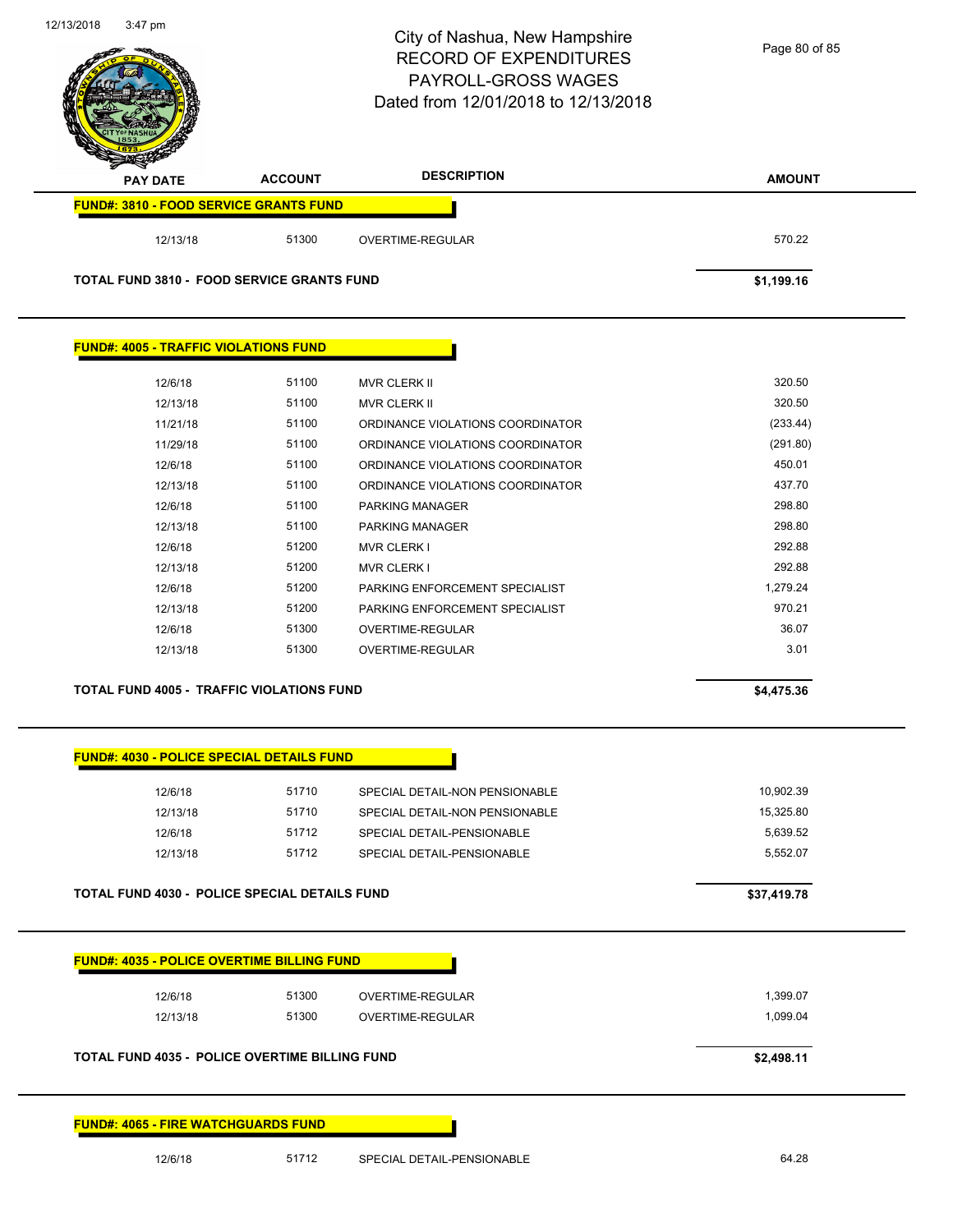

| <b>FUND#: 4005 - TRAFFIC VIOLATIONS FUND</b> |       |                                  |          |
|----------------------------------------------|-------|----------------------------------|----------|
|                                              |       |                                  |          |
| 12/6/18                                      | 51100 | <b>MVR CLERK II</b>              | 320.50   |
| 12/13/18                                     | 51100 | <b>MVR CLERK II</b>              | 320.50   |
| 11/21/18                                     | 51100 | ORDINANCE VIOLATIONS COORDINATOR | (233.44) |
| 11/29/18                                     | 51100 | ORDINANCE VIOLATIONS COORDINATOR | (291.80) |
| 12/6/18                                      | 51100 | ORDINANCE VIOLATIONS COORDINATOR | 450.01   |
| 12/13/18                                     | 51100 | ORDINANCE VIOLATIONS COORDINATOR | 437.70   |
| 12/6/18                                      | 51100 | <b>PARKING MANAGER</b>           | 298.80   |
| 12/13/18                                     | 51100 | <b>PARKING MANAGER</b>           | 298.80   |
| 12/6/18                                      | 51200 | <b>MVR CLERK I</b>               | 292.88   |
| 12/13/18                                     | 51200 | <b>MVR CLERK I</b>               | 292.88   |
| 12/6/18                                      | 51200 | PARKING ENFORCEMENT SPECIALIST   | 1,279.24 |
| 12/13/18                                     | 51200 | PARKING ENFORCEMENT SPECIALIST   | 970.21   |
| 12/6/18                                      | 51300 | <b>OVERTIME-REGULAR</b>          | 36.07    |
| 12/13/18                                     | 51300 | <b>OVERTIME-REGULAR</b>          | 3.01     |

#### **TOTAL FUND 4005 - TRAFFIC VIOLATIONS FUND \$4,475.36**

### **FUND#: 4030 - POLICE SPECIAL DETAILS FUND**

| 12/6/18  | 51710 | SPECIAL DETAIL-NON PENSIONABLE | 10.902.39 |
|----------|-------|--------------------------------|-----------|
| 12/13/18 | 51710 | SPECIAL DETAIL-NON PENSIONABLE | 15.325.80 |
| 12/6/18  | 51712 | SPECIAL DETAIL-PENSIONABLE     | 5.639.52  |
| 12/13/18 | 51712 | SPECIAL DETAIL-PENSIONABLE     | 5.552.07  |
|          |       |                                |           |

#### **TOTAL FUND 4030 - POLICE SPECIAL DETAILS FUND \$37,419.78**

| <b>FUND#: 4035 - POLICE OVERTIME BILLING FUND</b>     |       |                  |  |
|-------------------------------------------------------|-------|------------------|--|
| 12/6/18                                               | 51300 | OVERTIME-REGULAR |  |
| 12/13/18                                              | 51300 | OVERTIME-REGULAR |  |
| <b>TOTAL FUND 4035 - POLICE OVERTIME BILLING FUND</b> |       |                  |  |

**FUND#: 4065 - FIRE WATCHGUARDS FUND**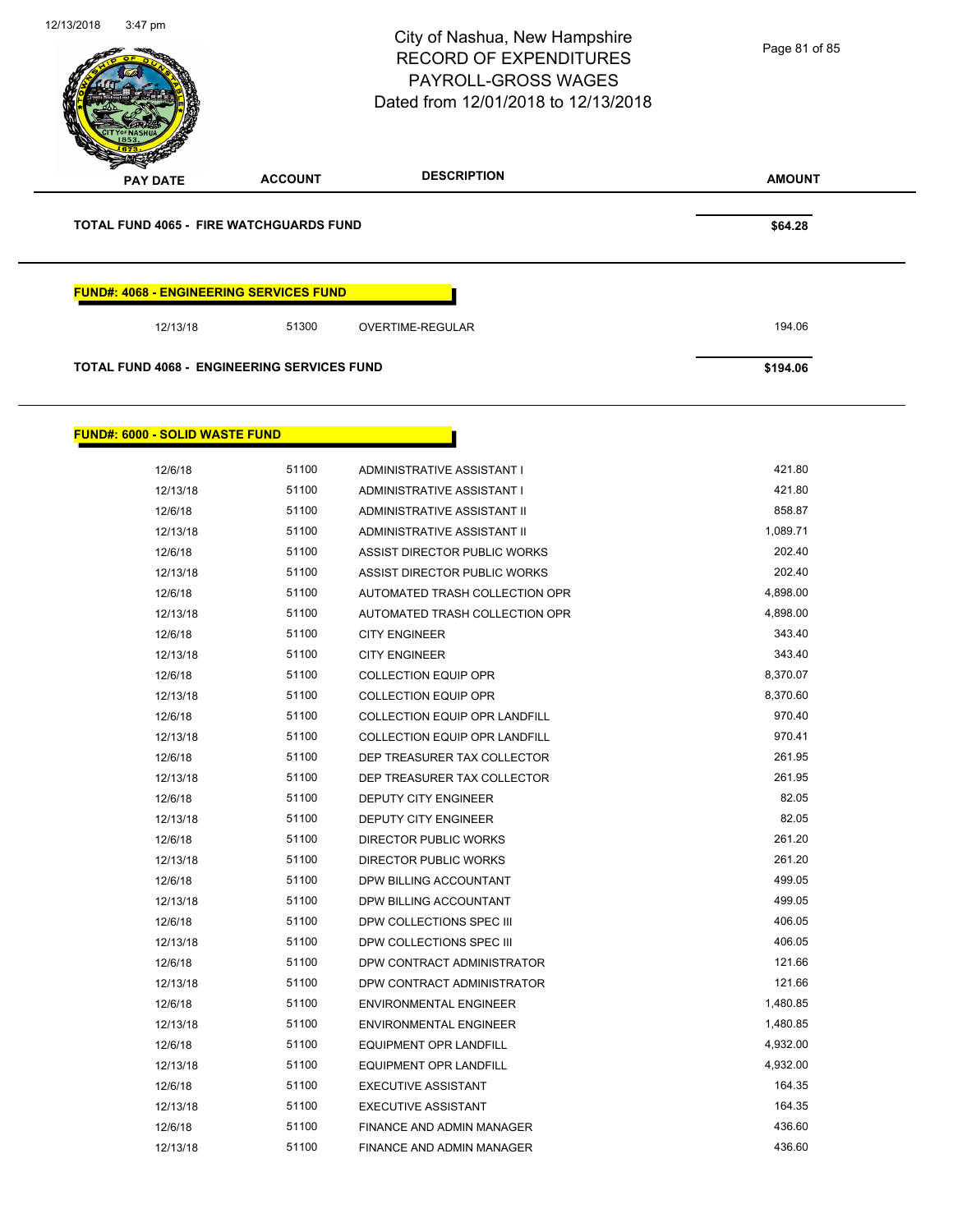| 12/13/2018 | $3:47$ pm                                          |                | City of Nashua, New Hampshire<br><b>RECORD OF EXPENDITURES</b><br>PAYROLL-GROSS WAGES<br>Dated from 12/01/2018 to 12/13/2018 | Page 81 of 85   |
|------------|----------------------------------------------------|----------------|------------------------------------------------------------------------------------------------------------------------------|-----------------|
|            | <b>PAY DATE</b>                                    | <b>ACCOUNT</b> | <b>DESCRIPTION</b>                                                                                                           | <b>AMOUNT</b>   |
|            | <b>TOTAL FUND 4065 - FIRE WATCHGUARDS FUND</b>     |                |                                                                                                                              | \$64.28         |
|            | <b>FUND#: 4068 - ENGINEERING SERVICES FUND</b>     |                |                                                                                                                              |                 |
|            | 12/13/18                                           | 51300          | OVERTIME-REGULAR                                                                                                             | 194.06          |
|            | <b>TOTAL FUND 4068 - ENGINEERING SERVICES FUND</b> |                |                                                                                                                              | \$194.06        |
|            | <b>FUND#: 6000 - SOLID WASTE FUND</b>              |                |                                                                                                                              |                 |
|            | 12/6/18                                            | 51100          | ADMINISTRATIVE ASSISTANT I                                                                                                   | 421.80          |
|            | 12/13/18                                           | 51100          | ADMINISTRATIVE ASSISTANT I                                                                                                   | 421.80          |
|            | 12/6/18                                            | 51100          | ADMINISTRATIVE ASSISTANT II                                                                                                  | 858.87          |
|            | 12/13/18                                           | 51100          | ADMINISTRATIVE ASSISTANT II                                                                                                  | 1,089.71        |
|            | 12/6/18                                            | 51100          | ASSIST DIRECTOR PUBLIC WORKS                                                                                                 | 202.40          |
|            | 12/13/18                                           | 51100          | ASSIST DIRECTOR PUBLIC WORKS                                                                                                 | 202.40          |
|            | 12/6/18                                            | 51100          | AUTOMATED TRASH COLLECTION OPR                                                                                               | 4,898.00        |
|            | 12/13/18                                           | 51100          | AUTOMATED TRASH COLLECTION OPR                                                                                               | 4,898.00        |
|            | 12/6/18                                            | 51100          | <b>CITY ENGINEER</b>                                                                                                         | 343.40          |
|            | 12/13/18                                           | 51100          | <b>CITY ENGINEER</b>                                                                                                         | 343.40          |
|            | 12/6/18                                            | 51100          | <b>COLLECTION EQUIP OPR</b>                                                                                                  | 8,370.07        |
|            | 12/13/18                                           | 51100          | <b>COLLECTION EQUIP OPR</b>                                                                                                  | 8,370.60        |
|            | 12/6/18                                            | 51100          | COLLECTION EQUIP OPR LANDFILL                                                                                                | 970.40          |
|            | 12/13/18                                           | 51100          | COLLECTION EQUIP OPR LANDFILL                                                                                                | 970.41          |
|            | 12/6/18                                            | 51100          | DEP TREASURER TAX COLLECTOR                                                                                                  | 261.95          |
|            | 12/13/18                                           | 51100          | DEP TREASURER TAX COLLECTOR                                                                                                  | 261.95          |
|            | 12/6/18                                            | 51100          | DEPUTY CITY ENGINEER                                                                                                         | 82.05           |
|            | 12/13/18                                           | 51100<br>51100 | DEPUTY CITY ENGINEER                                                                                                         | 82.05<br>261.20 |
|            | 12/6/18                                            | 51100          | <b>DIRECTOR PUBLIC WORKS</b>                                                                                                 | 261.20          |
|            | 12/13/18                                           | 51100          | DIRECTOR PUBLIC WORKS<br>DPW BILLING ACCOUNTANT                                                                              | 499.05          |
|            | 12/6/18<br>12/13/18                                | 51100          | DPW BILLING ACCOUNTANT                                                                                                       | 499.05          |
|            | 12/6/18                                            | 51100          | DPW COLLECTIONS SPEC III                                                                                                     | 406.05          |
|            | 12/13/18                                           | 51100          | DPW COLLECTIONS SPEC III                                                                                                     | 406.05          |
|            | 12/6/18                                            | 51100          | DPW CONTRACT ADMINISTRATOR                                                                                                   | 121.66          |
|            | 12/13/18                                           | 51100          | DPW CONTRACT ADMINISTRATOR                                                                                                   | 121.66          |
|            | 12/6/18                                            | 51100          | <b>ENVIRONMENTAL ENGINEER</b>                                                                                                | 1,480.85        |
|            | 12/13/18                                           | 51100          | <b>ENVIRONMENTAL ENGINEER</b>                                                                                                | 1,480.85        |
|            | 12/6/18                                            | 51100          | EQUIPMENT OPR LANDFILL                                                                                                       | 4,932.00        |
|            | 12/13/18                                           | 51100          | EQUIPMENT OPR LANDFILL                                                                                                       | 4,932.00        |
|            | 12/6/18                                            | 51100          | <b>EXECUTIVE ASSISTANT</b>                                                                                                   | 164.35          |
|            | 12/13/18                                           | 51100          | <b>EXECUTIVE ASSISTANT</b>                                                                                                   | 164.35          |
|            | 12/6/18                                            | 51100          | FINANCE AND ADMIN MANAGER                                                                                                    | 436.60          |
|            | 12/13/18                                           | 51100          | FINANCE AND ADMIN MANAGER                                                                                                    | 436.60          |
|            |                                                    |                |                                                                                                                              |                 |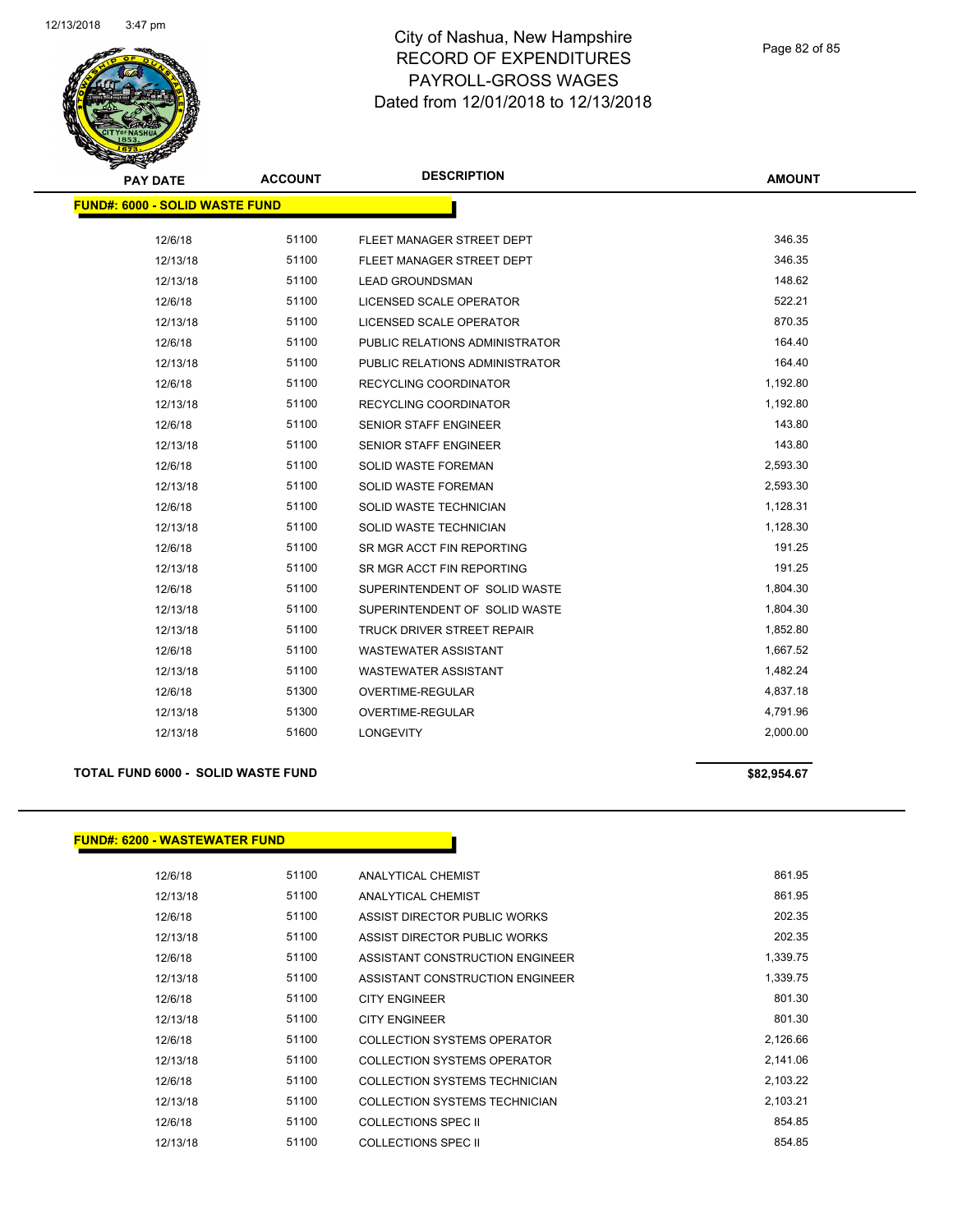

Page 82 of 85

| <b>PAY DATE</b>                       | <b>ACCOUNT</b> | <b>DESCRIPTION</b>                | <b>AMOUNT</b> |
|---------------------------------------|----------------|-----------------------------------|---------------|
| <b>FUND#: 6000 - SOLID WASTE FUND</b> |                |                                   |               |
|                                       |                |                                   |               |
| 12/6/18                               | 51100          | FLEET MANAGER STREET DEPT         | 346.35        |
| 12/13/18                              | 51100          | FLEET MANAGER STREET DEPT         | 346.35        |
| 12/13/18                              | 51100          | <b>LEAD GROUNDSMAN</b>            | 148.62        |
| 12/6/18                               | 51100          | LICENSED SCALE OPERATOR           | 522.21        |
| 12/13/18                              | 51100          | LICENSED SCALE OPERATOR           | 870.35        |
| 12/6/18                               | 51100          | PUBLIC RELATIONS ADMINISTRATOR    | 164.40        |
| 12/13/18                              | 51100          | PUBLIC RELATIONS ADMINISTRATOR    | 164.40        |
| 12/6/18                               | 51100          | RECYCLING COORDINATOR             | 1,192.80      |
| 12/13/18                              | 51100          | <b>RECYCLING COORDINATOR</b>      | 1,192.80      |
| 12/6/18                               | 51100          | <b>SENIOR STAFF ENGINEER</b>      | 143.80        |
| 12/13/18                              | 51100          | <b>SENIOR STAFF ENGINEER</b>      | 143.80        |
| 12/6/18                               | 51100          | <b>SOLID WASTE FOREMAN</b>        | 2,593.30      |
| 12/13/18                              | 51100          | <b>SOLID WASTE FOREMAN</b>        | 2,593.30      |
| 12/6/18                               | 51100          | SOLID WASTE TECHNICIAN            | 1,128.31      |
| 12/13/18                              | 51100          | SOLID WASTE TECHNICIAN            | 1,128.30      |
| 12/6/18                               | 51100          | SR MGR ACCT FIN REPORTING         | 191.25        |
| 12/13/18                              | 51100          | SR MGR ACCT FIN REPORTING         | 191.25        |
| 12/6/18                               | 51100          | SUPERINTENDENT OF SOLID WASTE     | 1,804.30      |
| 12/13/18                              | 51100          | SUPERINTENDENT OF SOLID WASTE     | 1,804.30      |
| 12/13/18                              | 51100          | <b>TRUCK DRIVER STREET REPAIR</b> | 1,852.80      |
| 12/6/18                               | 51100          | <b>WASTEWATER ASSISTANT</b>       | 1,667.52      |
| 12/13/18                              | 51100          | <b>WASTEWATER ASSISTANT</b>       | 1,482.24      |
| 12/6/18                               | 51300          | OVERTIME-REGULAR                  | 4,837.18      |
| 12/13/18                              | 51300          | <b>OVERTIME-REGULAR</b>           | 4,791.96      |
| 12/13/18                              | 51600          | <b>LONGEVITY</b>                  | 2,000.00      |

### **TOTAL FUND 6000 - SOLID WASTE FUND \$82,954.67**

## **FUND#: 6200 - WASTEWATER FUND**

| 12/6/18  | 51100 | ANALYTICAL CHEMIST              | 861.95   |
|----------|-------|---------------------------------|----------|
| 12/13/18 | 51100 | ANALYTICAL CHEMIST              | 861.95   |
| 12/6/18  | 51100 | ASSIST DIRECTOR PUBLIC WORKS    | 202.35   |
| 12/13/18 | 51100 | ASSIST DIRECTOR PUBLIC WORKS    | 202.35   |
| 12/6/18  | 51100 | ASSISTANT CONSTRUCTION ENGINEER | 1,339.75 |
| 12/13/18 | 51100 | ASSISTANT CONSTRUCTION ENGINEER | 1,339.75 |
| 12/6/18  | 51100 | <b>CITY ENGINEER</b>            | 801.30   |
| 12/13/18 | 51100 | <b>CITY ENGINEER</b>            | 801.30   |
| 12/6/18  | 51100 | COLLECTION SYSTEMS OPERATOR     | 2,126.66 |
| 12/13/18 | 51100 | COLLECTION SYSTEMS OPERATOR     | 2,141.06 |
| 12/6/18  | 51100 | COLLECTION SYSTEMS TECHNICIAN   | 2,103.22 |
| 12/13/18 | 51100 | COLLECTION SYSTEMS TECHNICIAN   | 2,103.21 |
| 12/6/18  | 51100 | COLLECTIONS SPEC II             | 854.85   |
| 12/13/18 | 51100 | <b>COLLECTIONS SPEC II</b>      | 854.85   |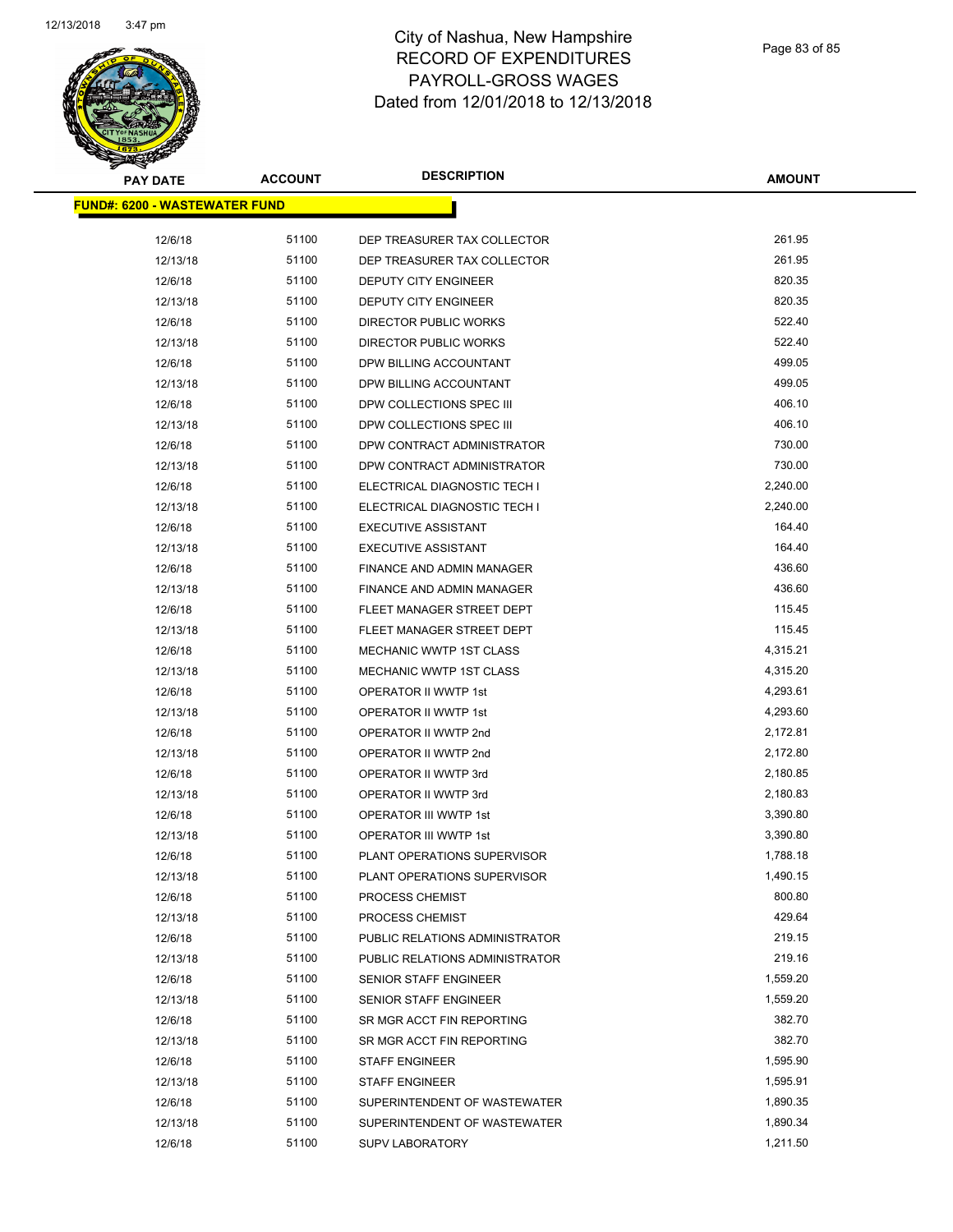

| <b>PAY DATE</b>                       | <b>ACCOUNT</b> | <b>DESCRIPTION</b>                                         | <b>AMOUNT</b>    |
|---------------------------------------|----------------|------------------------------------------------------------|------------------|
| <u> FUND#: 6200 - WASTEWATER FUND</u> |                |                                                            |                  |
|                                       | 51100          |                                                            | 261.95           |
| 12/6/18                               | 51100          | DEP TREASURER TAX COLLECTOR                                | 261.95           |
| 12/13/18<br>12/6/18                   | 51100          | DEP TREASURER TAX COLLECTOR<br><b>DEPUTY CITY ENGINEER</b> | 820.35           |
| 12/13/18                              | 51100          | <b>DEPUTY CITY ENGINEER</b>                                | 820.35           |
|                                       | 51100          |                                                            | 522.40           |
| 12/6/18<br>12/13/18                   | 51100          | DIRECTOR PUBLIC WORKS<br>DIRECTOR PUBLIC WORKS             | 522.40           |
|                                       | 51100          |                                                            | 499.05           |
| 12/6/18                               | 51100          | DPW BILLING ACCOUNTANT                                     | 499.05           |
| 12/13/18                              | 51100          | DPW BILLING ACCOUNTANT                                     | 406.10           |
| 12/6/18                               |                | DPW COLLECTIONS SPEC III                                   |                  |
| 12/13/18                              | 51100          | DPW COLLECTIONS SPEC III                                   | 406.10<br>730.00 |
| 12/6/18                               | 51100          | DPW CONTRACT ADMINISTRATOR                                 |                  |
| 12/13/18                              | 51100          | DPW CONTRACT ADMINISTRATOR                                 | 730.00           |
| 12/6/18                               | 51100          | ELECTRICAL DIAGNOSTIC TECH I                               | 2,240.00         |
| 12/13/18                              | 51100          | ELECTRICAL DIAGNOSTIC TECH I                               | 2,240.00         |
| 12/6/18                               | 51100          | <b>EXECUTIVE ASSISTANT</b>                                 | 164.40           |
| 12/13/18                              | 51100          | <b>EXECUTIVE ASSISTANT</b>                                 | 164.40           |
| 12/6/18                               | 51100          | <b>FINANCE AND ADMIN MANAGER</b>                           | 436.60           |
| 12/13/18                              | 51100          | <b>FINANCE AND ADMIN MANAGER</b>                           | 436.60           |
| 12/6/18                               | 51100          | FLEET MANAGER STREET DEPT                                  | 115.45           |
| 12/13/18                              | 51100          | FLEET MANAGER STREET DEPT                                  | 115.45           |
| 12/6/18                               | 51100          | MECHANIC WWTP 1ST CLASS                                    | 4,315.21         |
| 12/13/18                              | 51100          | MECHANIC WWTP 1ST CLASS                                    | 4,315.20         |
| 12/6/18                               | 51100          | OPERATOR II WWTP 1st                                       | 4,293.61         |
| 12/13/18                              | 51100          | OPERATOR II WWTP 1st                                       | 4,293.60         |
| 12/6/18                               | 51100          | OPERATOR II WWTP 2nd                                       | 2,172.81         |
| 12/13/18                              | 51100          | OPERATOR II WWTP 2nd                                       | 2,172.80         |
| 12/6/18                               | 51100          | OPERATOR II WWTP 3rd                                       | 2,180.85         |
| 12/13/18                              | 51100          | OPERATOR II WWTP 3rd                                       | 2,180.83         |
| 12/6/18                               | 51100          | <b>OPERATOR III WWTP 1st</b>                               | 3,390.80         |
| 12/13/18                              | 51100          | <b>OPERATOR III WWTP 1st</b>                               | 3,390.80         |
| 12/6/18                               | 51100          | PLANT OPERATIONS SUPERVISOR                                | 1,788.18         |
| 12/13/18                              | 51100          | PLANT OPERATIONS SUPERVISOR                                | 1,490.15         |
| 12/6/18                               | 51100          | PROCESS CHEMIST                                            | 800.80           |
| 12/13/18                              | 51100          | PROCESS CHEMIST                                            | 429.64           |
| 12/6/18                               | 51100          | PUBLIC RELATIONS ADMINISTRATOR                             | 219.15           |
| 12/13/18                              | 51100          | PUBLIC RELATIONS ADMINISTRATOR                             | 219.16           |
| 12/6/18                               | 51100          | SENIOR STAFF ENGINEER                                      | 1,559.20         |
| 12/13/18                              | 51100          | <b>SENIOR STAFF ENGINEER</b>                               | 1,559.20         |
| 12/6/18                               | 51100          | SR MGR ACCT FIN REPORTING                                  | 382.70           |
| 12/13/18                              | 51100          | SR MGR ACCT FIN REPORTING                                  | 382.70           |
| 12/6/18                               | 51100          | <b>STAFF ENGINEER</b>                                      | 1,595.90         |
| 12/13/18                              | 51100          | <b>STAFF ENGINEER</b>                                      | 1,595.91         |
| 12/6/18                               | 51100          | SUPERINTENDENT OF WASTEWATER                               | 1,890.35         |
| 12/13/18                              | 51100          | SUPERINTENDENT OF WASTEWATER                               | 1,890.34         |
| 12/6/18                               | 51100          | <b>SUPV LABORATORY</b>                                     | 1,211.50         |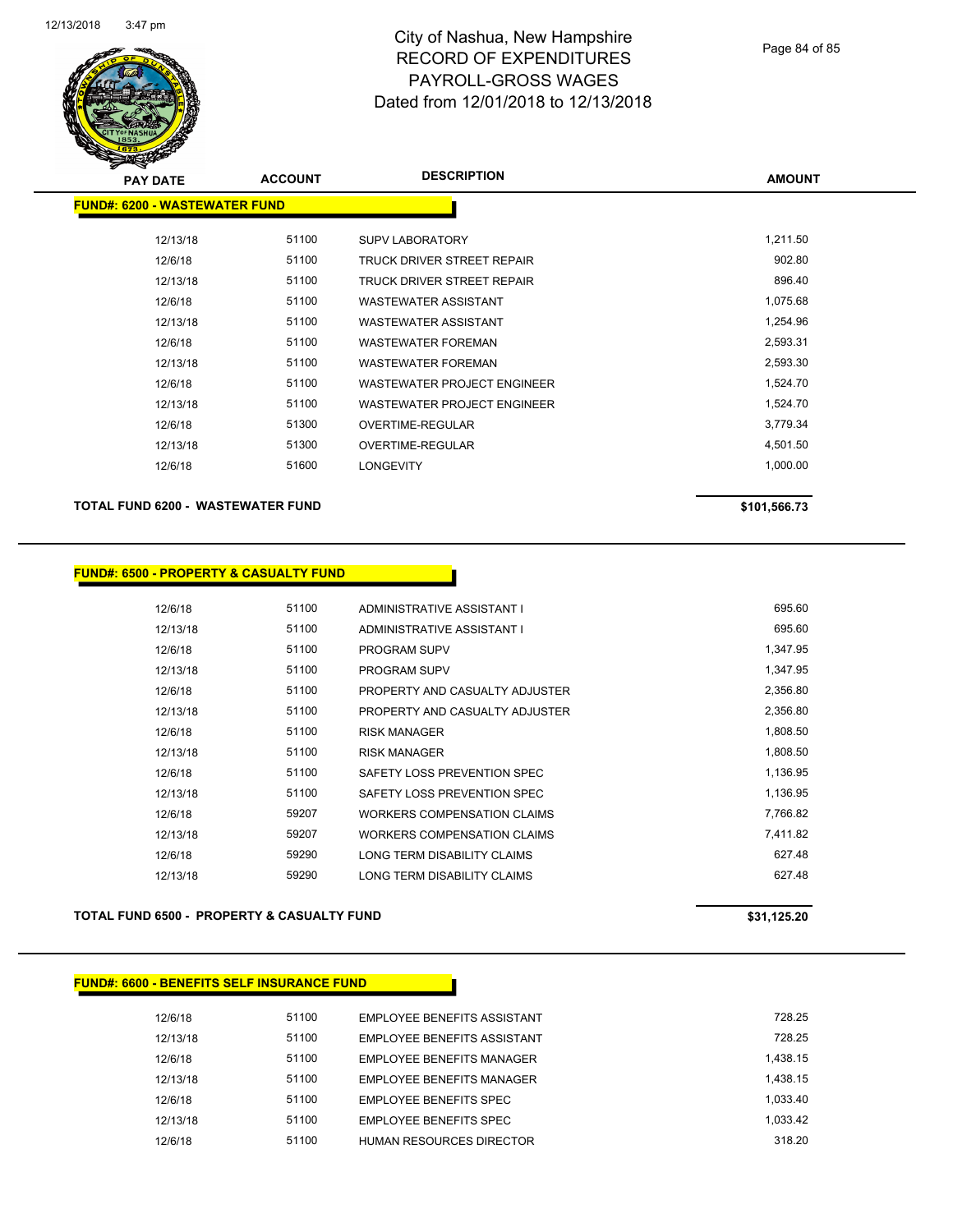

| $\mathbf{z}$<br><b>PAY DATE</b>      | <b>ACCOUNT</b> | <b>DESCRIPTION</b>                 | <b>AMOUNT</b> |
|--------------------------------------|----------------|------------------------------------|---------------|
| <b>FUND#: 6200 - WASTEWATER FUND</b> |                |                                    |               |
|                                      |                |                                    |               |
| 12/13/18                             | 51100          | <b>SUPV LABORATORY</b>             | 1,211.50      |
| 12/6/18                              | 51100          | TRUCK DRIVER STREET REPAIR         | 902.80        |
| 12/13/18                             | 51100          | TRUCK DRIVER STREET REPAIR         | 896.40        |
| 12/6/18                              | 51100          | <b>WASTEWATER ASSISTANT</b>        | 1,075.68      |
| 12/13/18                             | 51100          | WASTEWATER ASSISTANT               | 1,254.96      |
| 12/6/18                              | 51100          | <b>WASTEWATER FOREMAN</b>          | 2,593.31      |
| 12/13/18                             | 51100          | <b>WASTEWATER FOREMAN</b>          | 2,593.30      |
| 12/6/18                              | 51100          | <b>WASTEWATER PROJECT ENGINEER</b> | 1,524.70      |
| 12/13/18                             | 51100          | <b>WASTEWATER PROJECT ENGINEER</b> | 1,524.70      |
| 12/6/18                              | 51300          | OVERTIME-REGULAR                   | 3,779.34      |
| 12/13/18                             | 51300          | OVERTIME-REGULAR                   | 4,501.50      |
| 12/6/18                              | 51600          | <b>LONGEVITY</b>                   | 1,000.00      |
|                                      |                |                                    |               |

## **TOTAL FUND 6200 - WASTEWATER FUND \$101,566.73**

### **FUND#: 6500 - PROPERTY & CASUALTY FUND**

| 12/6/18  | 51100 | ADMINISTRATIVE ASSISTANT I         | 695.60   |
|----------|-------|------------------------------------|----------|
| 12/13/18 | 51100 | ADMINISTRATIVE ASSISTANT I         | 695.60   |
| 12/6/18  | 51100 | <b>PROGRAM SUPV</b>                | 1,347.95 |
| 12/13/18 | 51100 | <b>PROGRAM SUPV</b>                | 1.347.95 |
| 12/6/18  | 51100 | PROPERTY AND CASUALTY ADJUSTER     | 2,356.80 |
| 12/13/18 | 51100 | PROPERTY AND CASUALTY ADJUSTER     | 2,356.80 |
| 12/6/18  | 51100 | <b>RISK MANAGER</b>                | 1,808.50 |
| 12/13/18 | 51100 | <b>RISK MANAGER</b>                | 1,808.50 |
| 12/6/18  | 51100 | SAFETY LOSS PREVENTION SPEC        | 1,136.95 |
| 12/13/18 | 51100 | SAFETY LOSS PREVENTION SPEC        | 1,136.95 |
| 12/6/18  | 59207 | <b>WORKERS COMPENSATION CLAIMS</b> | 7,766.82 |
| 12/13/18 | 59207 | <b>WORKERS COMPENSATION CLAIMS</b> | 7,411.82 |
| 12/6/18  | 59290 | LONG TERM DISABILITY CLAIMS        | 627.48   |
| 12/13/18 | 59290 | LONG TERM DISABILITY CLAIMS        | 627.48   |

### **TOTAL FUND 6500 - PROPERTY & CASUALTY FUND \$31,125.20**

### **FUND#: 6600 - BENEFITS SELF INSURANCE FUND**

| 12/6/18  | 51100 | EMPLOYEE BENEFITS ASSISTANT      | 728 25   |
|----------|-------|----------------------------------|----------|
| 12/13/18 | 51100 | EMPLOYEE BENEFITS ASSISTANT      | 728 25   |
| 12/6/18  | 51100 | <b>EMPLOYEE BENEFITS MANAGER</b> | 1.438.15 |
| 12/13/18 | 51100 | EMPLOYEE BENEFITS MANAGER        | 1.438.15 |
| 12/6/18  | 51100 | EMPLOYEE BENEFITS SPEC           | 1.033.40 |
| 12/13/18 | 51100 | EMPLOYEE BENEFITS SPEC           | 1.033.42 |
| 12/6/18  | 51100 | HUMAN RESOURCES DIRECTOR         | 318 20   |
|          |       |                                  |          |